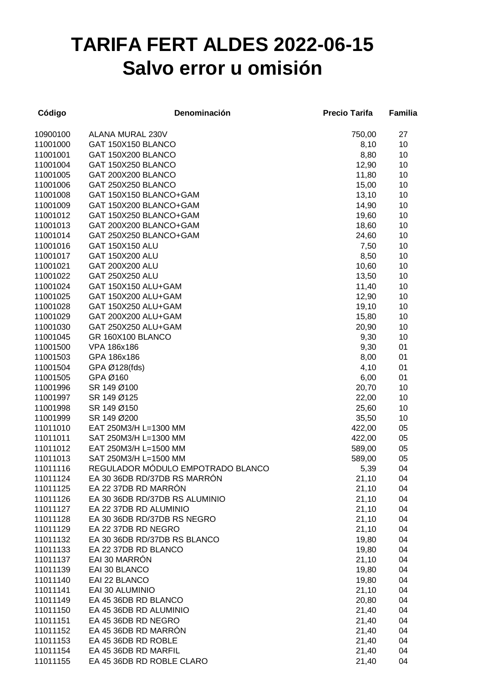## **TARIFA FERT ALDES 2022-06-15 Salvo error u omisión**

| Código   | Denominación                      | <b>Precio Tarifa</b> | Familia |
|----------|-----------------------------------|----------------------|---------|
| 10900100 | ALANA MURAL 230V                  | 750,00               | 27      |
| 11001000 | GAT 150X150 BLANCO                | 8,10                 | 10      |
| 11001001 | GAT 150X200 BLANCO                | 8,80                 | 10      |
| 11001004 | GAT 150X250 BLANCO                | 12,90                | 10      |
| 11001005 | GAT 200X200 BLANCO                | 11,80                | 10      |
| 11001006 | GAT 250X250 BLANCO                | 15,00                | 10      |
| 11001008 | GAT 150X150 BLANCO+GAM            | 13,10                | 10      |
| 11001009 | GAT 150X200 BLANCO+GAM            | 14,90                | 10      |
| 11001012 | GAT 150X250 BLANCO+GAM            | 19,60                | 10      |
| 11001013 | GAT 200X200 BLANCO+GAM            | 18,60                | 10      |
| 11001014 | GAT 250X250 BLANCO+GAM            | 24,60                | 10      |
| 11001016 | GAT 150X150 ALU                   | 7,50                 | 10      |
| 11001017 | GAT 150X200 ALU                   | 8,50                 | 10      |
| 11001021 | GAT 200X200 ALU                   | 10,60                | 10      |
| 11001022 | GAT 250X250 ALU                   | 13,50                | 10      |
| 11001024 | GAT 150X150 ALU+GAM               | 11,40                | 10      |
| 11001025 | GAT 150X200 ALU+GAM               | 12,90                | 10      |
| 11001028 | GAT 150X250 ALU+GAM               | 19,10                | 10      |
| 11001029 | GAT 200X200 ALU+GAM               | 15,80                | 10      |
| 11001030 | GAT 250X250 ALU+GAM               | 20,90                | 10      |
| 11001045 | GR 160X100 BLANCO                 | 9,30                 | 10      |
| 11001500 | VPA 186x186                       | 9,30                 | 01      |
| 11001503 | GPA 186x186                       | 8,00                 | 01      |
| 11001504 | GPA Ø128(fds)                     | 4,10                 | 01      |
| 11001505 | GPA Ø160                          | 6,00                 | 01      |
| 11001996 | SR 149 Ø100                       | 20,70                | 10      |
| 11001997 | SR 149 Ø125                       | 22,00                | 10      |
| 11001998 | SR 149 Ø150                       | 25,60                | 10      |
| 11001999 | SR 149 Ø200                       | 35,50                | 10      |
| 11011010 | EAT 250M3/H L=1300 MM             | 422,00               | 05      |
| 11011011 | SAT 250M3/H L=1300 MM             | 422,00               | 05      |
| 11011012 | EAT 250M3/H L=1500 MM             | 589,00               | 05      |
| 11011013 | SAT 250M3/H L=1500 MM             | 589,00               | 05      |
| 11011116 | REGULADOR MÓDULO EMPOTRADO BLANCO | 5,39                 | 04      |
| 11011124 | EA 30 36DB RD/37DB RS MARRÓN      | 21,10                | 04      |
| 11011125 | EA 22 37DB RD MARRÓN              | 21,10                | 04      |
| 11011126 | EA 30 36DB RD/37DB RS ALUMINIO    | 21,10                | 04      |
| 11011127 | EA 22 37DB RD ALUMINIO            | 21,10                | 04      |
| 11011128 | EA 30 36DB RD/37DB RS NEGRO       | 21,10                | 04      |
| 11011129 | EA 22 37DB RD NEGRO               | 21,10                | 04      |
| 11011132 | EA 30 36DB RD/37DB RS BLANCO      | 19,80                | 04      |
| 11011133 | EA 22 37DB RD BLANCO              | 19,80                | 04      |
| 11011137 | EAI 30 MARRÓN                     | 21,10                | 04      |
| 11011139 | EAI 30 BLANCO                     | 19,80                | 04      |
| 11011140 | EAI 22 BLANCO                     | 19,80                | 04      |
| 11011141 | EAI 30 ALUMINIO                   | 21,10                | 04      |
| 11011149 | EA 45 36DB RD BLANCO              | 20,80                | 04      |
| 11011150 | EA 45 36DB RD ALUMINIO            | 21,40                | 04      |
| 11011151 | EA 45 36DB RD NEGRO               | 21,40                | 04      |
| 11011152 | EA 45 36DB RD MARRÓN              | 21,40                | 04      |
| 11011153 | EA 45 36DB RD ROBLE               | 21,40                | 04      |
| 11011154 | EA 45 36DB RD MARFIL              | 21,40                | 04      |
| 11011155 | EA 45 36DB RD ROBLE CLARO         | 21,40                | 04      |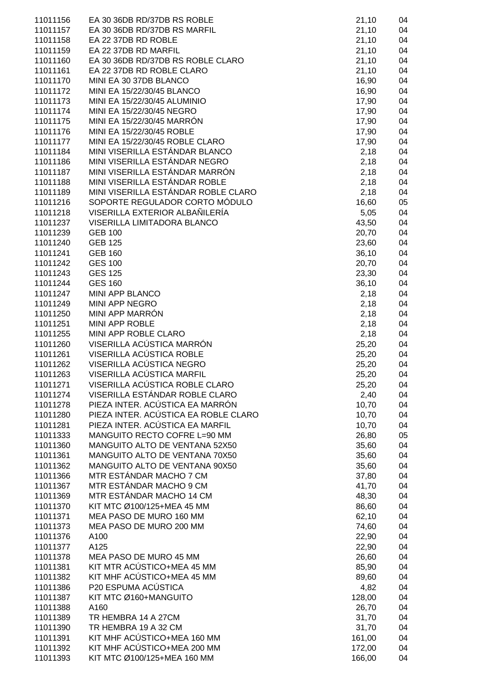| 11011156 | EA 30 36DB RD/37DB RS ROBLE          | 21,10  | 04 |
|----------|--------------------------------------|--------|----|
| 11011157 | EA 30 36DB RD/37DB RS MARFIL         | 21,10  | 04 |
| 11011158 | EA 22 37DB RD ROBLE                  |        | 04 |
|          |                                      | 21,10  |    |
| 11011159 | EA 22 37DB RD MARFIL                 | 21,10  | 04 |
| 11011160 | EA 30 36DB RD/37DB RS ROBLE CLARO    | 21,10  | 04 |
| 11011161 | EA 22 37DB RD ROBLE CLARO            | 21,10  | 04 |
| 11011170 | MINI EA 30 37DB BLANCO               | 16,90  | 04 |
| 11011172 | MINI EA 15/22/30/45 BLANCO           | 16,90  | 04 |
| 11011173 | MINI EA 15/22/30/45 ALUMINIO         | 17,90  | 04 |
| 11011174 | MINI EA 15/22/30/45 NEGRO            | 17,90  | 04 |
| 11011175 | MINI EA 15/22/30/45 MARRÓN           | 17,90  | 04 |
| 11011176 | MINI EA 15/22/30/45 ROBLE            | 17,90  | 04 |
| 11011177 | MINI EA 15/22/30/45 ROBLE CLARO      | 17,90  | 04 |
| 11011184 | MINI VISERILLA ESTÁNDAR BLANCO       | 2,18   | 04 |
| 11011186 | MINI VISERILLA ESTÁNDAR NEGRO        | 2,18   | 04 |
| 11011187 | MINI VISERILLA ESTÁNDAR MARRÓN       | 2,18   | 04 |
| 11011188 | MINI VISERILLA ESTÁNDAR ROBLE        | 2,18   | 04 |
| 11011189 | MINI VISERILLA ESTÁNDAR ROBLE CLARO  | 2,18   | 04 |
| 11011216 | SOPORTE REGULADOR CORTO MÓDULO       | 16,60  | 05 |
| 11011218 | VISERILLA EXTERIOR ALBAÑILERÍA       | 5,05   | 04 |
| 11011237 | VISERILLA LIMITADORA BLANCO          | 43,50  | 04 |
|          | <b>GEB 100</b>                       |        |    |
| 11011239 |                                      | 20,70  | 04 |
| 11011240 | <b>GEB 125</b>                       | 23,60  | 04 |
| 11011241 | <b>GEB 160</b>                       | 36,10  | 04 |
| 11011242 | <b>GES 100</b>                       | 20,70  | 04 |
| 11011243 | <b>GES 125</b>                       | 23,30  | 04 |
| 11011244 | <b>GES 160</b>                       | 36, 10 | 04 |
| 11011247 | MINI APP BLANCO                      | 2,18   | 04 |
| 11011249 | MINI APP NEGRO                       | 2,18   | 04 |
| 11011250 | MINI APP MARRÓN                      | 2,18   | 04 |
| 11011251 | MINI APP ROBLE                       | 2,18   | 04 |
| 11011255 | MINI APP ROBLE CLARO                 | 2,18   | 04 |
| 11011260 | VISERILLA ACÚSTICA MARRÓN            | 25,20  | 04 |
| 11011261 | VISERILLA ACÚSTICA ROBLE             | 25,20  | 04 |
| 11011262 | VISERILLA ACÚSTICA NEGRO             | 25,20  | 04 |
| 11011263 | VISERILLA ACÚSTICA MARFIL            | 25,20  | 04 |
| 11011271 | VISERILLA ACÚSTICA ROBLE CLARO       | 25,20  | 04 |
| 11011274 | VISERILLA ESTÁNDAR ROBLE CLARO       | 2,40   | 04 |
| 11011278 | PIEZA INTER. ACÚSTICA EA MARRÓN      | 10,70  | 04 |
| 11011280 | PIEZA INTER. ACÚSTICA EA ROBLE CLARO | 10,70  | 04 |
| 11011281 | PIEZA INTER. ACÚSTICA EA MARFIL      | 10,70  | 04 |
| 11011333 | MANGUITO RECTO COFRE L=90 MM         | 26,80  | 05 |
| 11011360 | MANGUITO ALTO DE VENTANA 52X50       | 35,60  | 04 |
| 11011361 | MANGUITO ALTO DE VENTANA 70X50       | 35,60  | 04 |
| 11011362 | MANGUITO ALTO DE VENTANA 90X50       | 35,60  | 04 |
| 11011366 | MTR ESTÁNDAR MACHO 7 CM              | 37,80  | 04 |
|          | MTR ESTÁNDAR MACHO 9 CM              |        |    |
| 11011367 |                                      | 41,70  | 04 |
| 11011369 | MTR ESTÁNDAR MACHO 14 CM             | 48,30  | 04 |
| 11011370 | KIT MTC Ø100/125+MEA 45 MM           | 86,60  | 04 |
| 11011371 | MEA PASO DE MURO 160 MM              | 62,10  | 04 |
| 11011373 | MEA PASO DE MURO 200 MM              | 74,60  | 04 |
| 11011376 | A100                                 | 22,90  | 04 |
| 11011377 | A125                                 | 22,90  | 04 |
| 11011378 | MEA PASO DE MURO 45 MM               | 26,60  | 04 |
| 11011381 | KIT MTR ACÚSTICO+MEA 45 MM           | 85,90  | 04 |
| 11011382 | KIT MHF ACÚSTICO+MEA 45 MM           | 89,60  | 04 |
| 11011386 | P20 ESPUMA ACÚSTICA                  | 4,82   | 04 |
| 11011387 | KIT MTC Ø160+MANGUITO                | 128,00 | 04 |
| 11011388 | A160                                 | 26,70  | 04 |
| 11011389 | TR HEMBRA 14 A 27CM                  | 31,70  | 04 |
| 11011390 | TR HEMBRA 19 A 32 CM                 | 31,70  | 04 |
| 11011391 | KIT MHF ACÚSTICO+MEA 160 MM          | 161,00 | 04 |
| 11011392 | KIT MHF ACÚSTICO+MEA 200 MM          | 172,00 | 04 |
| 11011393 | KIT MTC Ø100/125+MEA 160 MM          | 166,00 | 04 |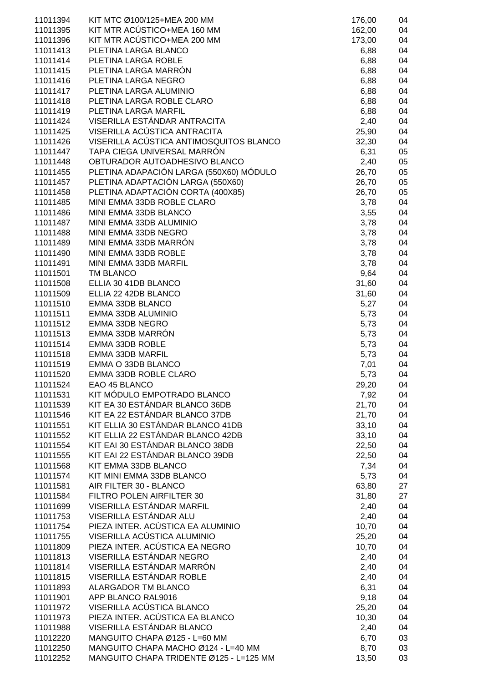| 11011394             | KIT MTC Ø100/125+MEA 200 MM                            | 176,00       | 04       |
|----------------------|--------------------------------------------------------|--------------|----------|
| 11011395             | KIT MTR ACÚSTICO+MEA 160 MM                            | 162,00       | 04       |
| 11011396             | KIT MTR ACÚSTICO+MEA 200 MM                            | 173,00       | 04       |
| 11011413             | PLETINA LARGA BLANCO                                   | 6,88         | 04       |
| 11011414             | PLETINA LARGA ROBLE                                    | 6,88         | 04       |
| 11011415             | PLETINA LARGA MARRÓN                                   | 6,88         | 04       |
| 11011416             | PLETINA LARGA NEGRO                                    | 6,88         | 04       |
| 11011417             | PLETINA LARGA ALUMINIO                                 | 6,88         | 04       |
| 11011418             | PLETINA LARGA ROBLE CLARO                              | 6,88         | 04       |
| 11011419             | PLETINA LARGA MARFIL                                   | 6,88         | 04       |
| 11011424             | VISERILLA ESTÁNDAR ANTRACITA                           | 2,40         | 04       |
| 11011425             | VISERILLA ACÚSTICA ANTRACITA                           | 25,90        | 04       |
| 11011426             | VISERILLA ACÚSTICA ANTIMOSQUITOS BLANCO                | 32,30        | 04       |
| 11011447             | TAPA CIEGA UNIVERSAL MARRÓN                            | 6,31         | 05       |
| 11011448             | OBTURADOR AUTOADHESIVO BLANCO                          | 2,40         | 05       |
| 11011455             | PLETINA ADAPACIÓN LARGA (550X60) MÓDULO                | 26,70        | 05       |
| 11011457             | PLETINA ADAPTACIÓN LARGA (550X60)                      | 26,70        | 05       |
| 11011458             | PLETINA ADAPTACIÓN CORTA (400X85)                      | 26,70        | 05       |
| 11011485             | MINI EMMA 33DB ROBLE CLARO                             | 3,78         | 04       |
| 11011486             | MINI EMMA 33DB BLANCO                                  | 3,55         | 04       |
| 11011487             | MINI EMMA 33DB ALUMINIO                                | 3,78         | 04       |
| 11011488             | MINI EMMA 33DB NEGRO                                   | 3,78         | 04       |
| 11011489             | MINI EMMA 33DB MARRÓN                                  | 3,78         | 04       |
| 11011490             | MINI EMMA 33DB ROBLE                                   | 3,78         | 04       |
| 11011491             | MINI EMMA 33DB MARFIL                                  | 3,78         | 04       |
| 11011501             | TM BLANCO                                              | 9,64         | 04       |
| 11011508             | ELLIA 30 41DB BLANCO                                   | 31,60        | 04       |
| 11011509             | ELLIA 22 42DB BLANCO                                   | 31,60        | 04       |
| 11011510             | <b>EMMA 33DB BLANCO</b>                                | 5,27         | 04       |
| 11011511             | EMMA 33DB ALUMINIO                                     | 5,73         | 04       |
| 11011512             | EMMA 33DB NEGRO                                        | 5,73         | 04       |
| 11011513             | EMMA 33DB MARRÓN                                       | 5,73         | 04       |
| 11011514             | <b>EMMA 33DB ROBLE</b>                                 | 5,73         | 04       |
| 11011518             | <b>EMMA 33DB MARFIL</b>                                | 5,73         | 04       |
| 11011519             | EMMA O 33DB BLANCO                                     | 7,01         | 04       |
| 11011520             | EMMA 33DB ROBLE CLARO                                  | 5,73         | 04       |
| 11011524             | EAO 45 BLANCO                                          | 29,20        | 04       |
| 11011531             | KIT MÓDULO EMPOTRADO BLANCO                            | 7,92         | 04       |
| 11011539             | KIT EA 30 ESTÁNDAR BLANCO 36DB                         | 21,70        | 04       |
| 11011546             | KIT EA 22 ESTÁNDAR BLANCO 37DB                         | 21,70        | 04       |
| 11011551             | KIT ELLIA 30 ESTÁNDAR BLANCO 41DB                      | 33,10        | 04       |
| 11011552             | KIT ELLIA 22 ESTÁNDAR BLANCO 42DB                      | 33,10        | 04       |
| 11011554             | KIT EAI 30 ESTÁNDAR BLANCO 38DB                        | 22,50        | 04       |
| 11011555             | KIT EAI 22 ESTÁNDAR BLANCO 39DB                        | 22,50        | 04       |
| 11011568             | KIT EMMA 33DB BLANCO                                   | 7,34         | 04       |
| 11011574             | KIT MINI EMMA 33DB BLANCO                              | 5,73         | 04       |
| 11011581             | AIR FILTER 30 - BLANCO                                 | 63,80        | 27       |
| 11011584             | FILTRO POLEN AIRFILTER 30<br>VISERILLA ESTÁNDAR MARFIL | 31,80        | 27       |
| 11011699             | VISERILLA ESTÁNDAR ALU                                 | 2,40         | 04       |
| 11011753             | PIEZA INTER. ACÚSTICA EA ALUMINIO                      | 2,40         | 04       |
| 11011754             | VISERILLA ACÚSTICA ALUMINIO                            | 10,70        | 04       |
| 11011755             | PIEZA INTER. ACÚSTICA EA NEGRO                         | 25,20        | 04       |
| 11011809             | VISERILLA ESTÁNDAR NEGRO                               | 10,70        | 04       |
| 11011813<br>11011814 | VISERILLA ESTÁNDAR MARRÓN                              | 2,40         | 04       |
| 11011815             | VISERILLA ESTÁNDAR ROBLE                               | 2,40<br>2,40 | 04<br>04 |
| 11011893             | <b>ALARGADOR TM BLANCO</b>                             | 6,31         | 04       |
| 11011901             | APP BLANCO RAL9016                                     | 9,18         | 04       |
| 11011972             | VISERILLA ACÚSTICA BLANCO                              | 25,20        | 04       |
| 11011973             | PIEZA INTER. ACÚSTICA EA BLANCO                        | 10,30        | 04       |
| 11011988             | VISERILLA ESTÁNDAR BLANCO                              | 2,40         | 04       |
| 11012220             | MANGUITO CHAPA Ø125 - L=60 MM                          | 6,70         | 03       |
| 11012250             | MANGUITO CHAPA MACHO Ø124 - L=40 MM                    | 8,70         | 03       |
| 11012252             | MANGUITO CHAPA TRIDENTE Ø125 - L=125 MM                | 13,50        | 03       |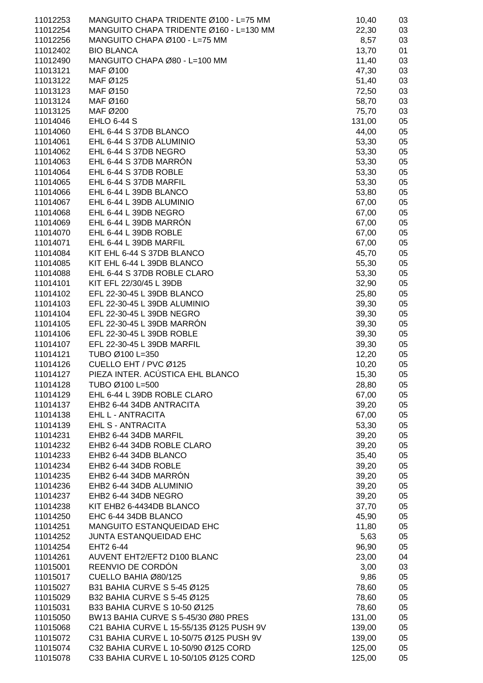| 11012253 | MANGUITO CHAPA TRIDENTE Ø100 - L=75 MM   | 10,40  | 03 |
|----------|------------------------------------------|--------|----|
| 11012254 | MANGUITO CHAPA TRIDENTE Ø160 - L=130 MM  | 22,30  | 03 |
|          |                                          |        |    |
| 11012256 | MANGUITO CHAPA Ø100 - L=75 MM            | 8,57   | 03 |
| 11012402 | <b>BIO BLANCA</b>                        | 13,70  | 01 |
| 11012490 | MANGUITO CHAPA Ø80 - L=100 MM            | 11,40  | 03 |
|          |                                          |        |    |
| 11013121 | MAF Ø100                                 | 47,30  | 03 |
| 11013122 | MAF Ø125                                 | 51,40  | 03 |
|          |                                          |        |    |
| 11013123 | MAF Ø150                                 | 72,50  | 03 |
| 11013124 | MAF Ø160                                 | 58,70  | 03 |
| 11013125 | MAF Ø200                                 | 75,70  | 03 |
|          |                                          |        |    |
| 11014046 | <b>EHLO 6-44 S</b>                       | 131,00 | 05 |
| 11014060 | EHL 6-44 S 37DB BLANCO                   | 44,00  | 05 |
| 11014061 | EHL 6-44 S 37DB ALUMINIO                 | 53,30  | 05 |
|          |                                          |        |    |
| 11014062 | EHL 6-44 S 37DB NEGRO                    | 53,30  | 05 |
| 11014063 | EHL 6-44 S 37DB MARRÓN                   | 53,30  | 05 |
|          |                                          |        |    |
| 11014064 | EHL 6-44 S 37DB ROBLE                    | 53,30  | 05 |
| 11014065 | EHL 6-44 S 37DB MARFIL                   | 53,30  | 05 |
| 11014066 | EHL 6-44 L 39DB BLANCO                   | 53,80  | 05 |
|          |                                          |        |    |
| 11014067 | EHL 6-44 L 39DB ALUMINIO                 | 67,00  | 05 |
| 11014068 | EHL 6-44 L 39DB NEGRO                    | 67,00  | 05 |
| 11014069 | EHL 6-44 L 39DB MARRÓN                   | 67,00  | 05 |
|          |                                          |        |    |
| 11014070 | EHL 6-44 L 39DB ROBLE                    | 67,00  | 05 |
| 11014071 | EHL 6-44 L 39DB MARFIL                   | 67,00  | 05 |
|          | KIT EHL 6-44 S 37DB BLANCO               |        |    |
| 11014084 |                                          | 45,70  | 05 |
| 11014085 | KIT EHL 6-44 L 39DB BLANCO               | 55,30  | 05 |
| 11014088 | EHL 6-44 S 37DB ROBLE CLARO              | 53,30  | 05 |
|          |                                          |        |    |
| 11014101 | KIT EFL 22/30/45 L 39DB                  | 32,90  | 05 |
| 11014102 | EFL 22-30-45 L 39DB BLANCO               | 25,80  | 05 |
| 11014103 | EFL 22-30-45 L 39DB ALUMINIO             | 39,30  | 05 |
|          |                                          |        |    |
| 11014104 | EFL 22-30-45 L 39DB NEGRO                | 39,30  | 05 |
| 11014105 | EFL 22-30-45 L 39DB MARRÓN               | 39,30  | 05 |
| 11014106 | EFL 22-30-45 L 39DB ROBLE                | 39,30  | 05 |
|          |                                          |        |    |
| 11014107 | EFL 22-30-45 L 39DB MARFIL               | 39,30  | 05 |
| 11014121 | TUBO Ø100 L=350                          | 12,20  | 05 |
| 11014126 | CUELLO EHT / PVC Ø125                    | 10,20  | 05 |
|          |                                          |        |    |
| 11014127 | PIEZA INTER. ACÚSTICA EHL BLANCO         | 15,30  | 05 |
| 11014128 | TUBO Ø100 L=500                          | 28,80  | 05 |
| 11014129 | EHL 6-44 L 39DB ROBLE CLARO              |        |    |
|          |                                          | 67,00  | 05 |
| 11014137 | EHB2 6-44 34DB ANTRACITA                 | 39,20  | 05 |
| 11014138 | EHL L - ANTRACITA                        | 67,00  | 05 |
|          |                                          |        |    |
| 11014139 | <b>EHL S - ANTRACITA</b>                 | 53,30  | 05 |
| 11014231 | EHB2 6-44 34DB MARFIL                    | 39,20  | 05 |
| 11014232 | EHB2 6-44 34DB ROBLE CLARO               | 39,20  | 05 |
|          |                                          |        |    |
| 11014233 | EHB2 6-44 34DB BLANCO                    | 35,40  | 05 |
| 11014234 | EHB2 6-44 34DB ROBLE                     | 39,20  | 05 |
| 11014235 | EHB2 6-44 34DB MARRON                    | 39,20  | 05 |
|          |                                          |        |    |
| 11014236 | EHB2 6-44 34DB ALUMINIO                  | 39,20  | 05 |
| 11014237 | EHB2 6-44 34DB NEGRO                     | 39,20  | 05 |
| 11014238 | KIT EHB2 6-4434DB BLANCO                 | 37,70  | 05 |
|          |                                          |        |    |
| 11014250 | EHC 6-44 34DB BLANCO                     | 45,90  | 05 |
| 11014251 | MANGUITO ESTANQUEIDAD EHC                | 11,80  | 05 |
| 11014252 | JUNTA ESTANQUEIDAD EHC                   | 5,63   | 05 |
|          |                                          |        |    |
| 11014254 | EHT2 6-44                                | 96,90  | 05 |
| 11014261 | AUVENT EHT2/EFT2 D100 BLANC              | 23,00  | 04 |
| 11015001 | REENVIO DE CORDÓN                        | 3,00   | 03 |
|          |                                          |        |    |
| 11015017 | CUELLO BAHIA Ø80/125                     | 9,86   | 05 |
| 11015027 | B31 BAHIA CURVE S 5-45 Ø125              | 78,60  | 05 |
| 11015029 | B32 BAHIA CURVE S 5-45 Ø125              | 78,60  | 05 |
|          |                                          |        |    |
| 11015031 | B33 BAHIA CURVE S 10-50 Ø125             | 78,60  | 05 |
| 11015050 | BW13 BAHIA CURVE S 5-45/30 Ø80 PRES      | 131,00 | 05 |
| 11015068 | C21 BAHIA CURVE L 15-55/135 Ø125 PUSH 9V | 139,00 | 05 |
|          |                                          |        |    |
| 11015072 | C31 BAHIA CURVE L 10-50/75 Ø125 PUSH 9V  | 139,00 | 05 |
| 11015074 | C32 BAHIA CURVE L 10-50/90 Ø125 CORD     | 125,00 | 05 |
| 11015078 | C33 BAHIA CURVE L 10-50/105 Ø125 CORD    | 125,00 | 05 |
|          |                                          |        |    |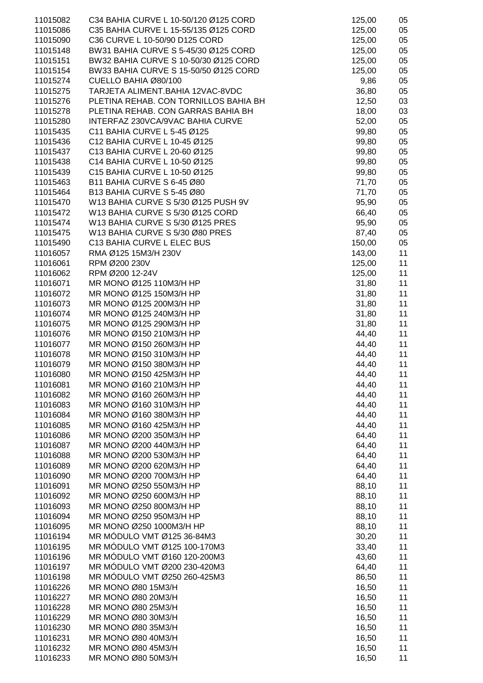| 11015082 | C34 BAHIA CURVE L 10-50/120 Ø125 CORD | 125,00 | 05 |
|----------|---------------------------------------|--------|----|
| 11015086 | C35 BAHIA CURVE L 15-55/135 Ø125 CORD | 125,00 | 05 |
|          |                                       |        |    |
| 11015090 | C36 CURVE L 10-50/90 D125 CORD        | 125,00 | 05 |
| 11015148 | BW31 BAHIA CURVE S 5-45/30 Ø125 CORD  | 125,00 | 05 |
| 11015151 | BW32 BAHIA CURVE S 10-50/30 Ø125 CORD | 125,00 | 05 |
| 11015154 | BW33 BAHIA CURVE S 15-50/50 Ø125 CORD | 125,00 | 05 |
| 11015274 | CUELLO BAHIA Ø80/100                  | 9,86   | 05 |
| 11015275 | TARJETA ALIMENT.BAHIA 12VAC-8VDC      | 36,80  | 05 |
| 11015276 | PLETINA REHAB. CON TORNILLOS BAHIA BH | 12,50  | 03 |
| 11015278 | PLETINA REHAB. CON GARRAS BAHIA BH    | 18,00  | 03 |
| 11015280 | INTERFAZ 230VCA/9VAC BAHIA CURVE      | 52,00  | 05 |
| 11015435 | C11 BAHIA CURVE L 5-45 Ø125           | 99,80  | 05 |
| 11015436 | C12 BAHIA CURVE L 10-45 Ø125          | 99,80  | 05 |
| 11015437 | C13 BAHIA CURVE L 20-60 Ø125          | 99,80  | 05 |
| 11015438 | C14 BAHIA CURVE L 10-50 Ø125          | 99,80  | 05 |
| 11015439 | C15 BAHIA CURVE L 10-50 Ø125          | 99,80  | 05 |
| 11015463 | B11 BAHIA CURVE S 6-45 Ø80            | 71,70  | 05 |
| 11015464 | B13 BAHIA CURVE S 5-45 Ø80            | 71,70  | 05 |
| 11015470 | W13 BAHIA CURVE S 5/30 Ø125 PUSH 9V   | 95,90  | 05 |
| 11015472 | W13 BAHIA CURVE S 5/30 Ø125 CORD      | 66,40  | 05 |
| 11015474 | W13 BAHIA CURVE S 5/30 Ø125 PRES      | 95,90  | 05 |
| 11015475 | W13 BAHIA CURVE S 5/30 Ø80 PRES       | 87,40  | 05 |
| 11015490 | C13 BAHIA CURVE L ELEC BUS            |        |    |
|          |                                       | 150,00 | 05 |
| 11016057 | RMA Ø125 15M3/H 230V                  | 143,00 | 11 |
| 11016061 | RPM Ø200 230V                         | 125,00 | 11 |
| 11016062 | RPM Ø200 12-24V                       | 125,00 | 11 |
| 11016071 | MR MONO Ø125 110M3/H HP               | 31,80  | 11 |
| 11016072 | MR MONO Ø125 150M3/H HP               | 31,80  | 11 |
| 11016073 | MR MONO Ø125 200M3/H HP               | 31,80  | 11 |
| 11016074 | MR MONO Ø125 240M3/H HP               | 31,80  | 11 |
| 11016075 | MR MONO Ø125 290M3/H HP               | 31,80  | 11 |
| 11016076 | MR MONO Ø150 210M3/H HP               | 44,40  | 11 |
| 11016077 | MR MONO Ø150 260M3/H HP               | 44,40  | 11 |
| 11016078 | MR MONO Ø150 310M3/H HP               | 44,40  | 11 |
| 11016079 | MR MONO Ø150 380M3/H HP               | 44,40  | 11 |
| 11016080 | MR MONO Ø150 425M3/H HP               | 44,40  | 11 |
| 11016081 | MR MONO Ø160 210M3/H HP               | 44,40  | 11 |
| 11016082 | MR MONO Ø160 260M3/H HP               | 44,40  | 11 |
| 11016083 | MR MONO Ø160 310M3/H HP               | 44,40  | 11 |
| 11016084 | MR MONO Ø160 380M3/H HP               | 44,40  | 11 |
| 11016085 | MR MONO Ø160 425M3/H HP               | 44,40  | 11 |
| 11016086 | MR MONO Ø200 350M3/H HP               | 64,40  | 11 |
| 11016087 | MR MONO Ø200 440M3/H HP               | 64,40  | 11 |
| 11016088 | MR MONO Ø200 530M3/H HP               | 64,40  | 11 |
| 11016089 | MR MONO Ø200 620M3/H HP               | 64,40  | 11 |
| 11016090 | MR MONO Ø200 700M3/H HP               | 64,40  | 11 |
| 11016091 | MR MONO Ø250 550M3/H HP               | 88,10  | 11 |
| 11016092 | MR MONO Ø250 600M3/H HP               | 88,10  | 11 |
| 11016093 | MR MONO Ø250 800M3/H HP               | 88,10  | 11 |
| 11016094 | MR MONO Ø250 950M3/H HP               | 88,10  | 11 |
| 11016095 | MR MONO Ø250 1000M3/H HP              | 88,10  | 11 |
| 11016194 | MR MÓDULO VMT Ø125 36-84M3            | 30,20  | 11 |
| 11016195 | MR MÓDULO VMT Ø125 100-170M3          | 33,40  | 11 |
| 11016196 | MR MÓDULO VMT Ø160 120-200M3          | 43,60  | 11 |
|          |                                       |        |    |
| 11016197 | MR MÓDULO VMT Ø200 230-420M3          | 64,40  | 11 |
| 11016198 | MR MÓDULO VMT Ø250 260-425M3          | 86,50  | 11 |
| 11016226 | MR MONO Ø80 15M3/H                    | 16,50  | 11 |
| 11016227 | MR MONO Ø80 20M3/H                    | 16,50  | 11 |
| 11016228 | MR MONO Ø80 25M3/H                    | 16,50  | 11 |
| 11016229 | MR MONO Ø80 30M3/H                    | 16,50  | 11 |
| 11016230 | MR MONO Ø80 35M3/H                    | 16,50  | 11 |
| 11016231 | MR MONO Ø80 40M3/H                    | 16,50  | 11 |
| 11016232 | MR MONO Ø80 45M3/H                    | 16,50  | 11 |
| 11016233 | MR MONO Ø80 50M3/H                    | 16,50  | 11 |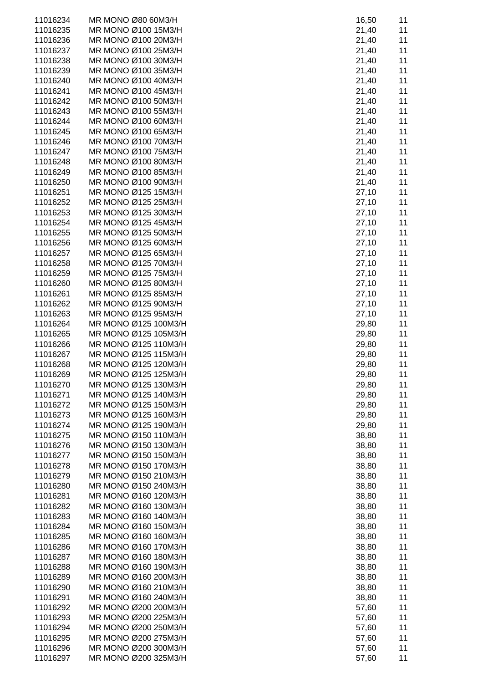| 11016234 | MR MONO Ø80 60M3/H   | 16,50 | 11 |
|----------|----------------------|-------|----|
| 11016235 | MR MONO Ø100 15M3/H  | 21,40 | 11 |
| 11016236 | MR MONO Ø100 20M3/H  | 21,40 | 11 |
| 11016237 | MR MONO Ø100 25M3/H  | 21,40 | 11 |
| 11016238 | MR MONO Ø100 30M3/H  | 21,40 | 11 |
| 11016239 | MR MONO Ø100 35M3/H  | 21,40 | 11 |
| 11016240 | MR MONO Ø100 40M3/H  | 21,40 | 11 |
| 11016241 | MR MONO Ø100 45M3/H  | 21,40 | 11 |
| 11016242 | MR MONO Ø100 50M3/H  | 21,40 | 11 |
| 11016243 | MR MONO Ø100 55M3/H  | 21,40 | 11 |
| 11016244 | MR MONO Ø100 60M3/H  | 21,40 | 11 |
| 11016245 | MR MONO Ø100 65M3/H  | 21,40 | 11 |
| 11016246 | MR MONO Ø100 70M3/H  | 21,40 | 11 |
| 11016247 | MR MONO Ø100 75M3/H  | 21,40 | 11 |
| 11016248 | MR MONO Ø100 80M3/H  | 21,40 | 11 |
| 11016249 | MR MONO Ø100 85M3/H  | 21,40 | 11 |
| 11016250 | MR MONO Ø100 90M3/H  | 21,40 | 11 |
| 11016251 | MR MONO Ø125 15M3/H  | 27,10 | 11 |
| 11016252 | MR MONO Ø125 25M3/H  | 27,10 | 11 |
| 11016253 | MR MONO Ø125 30M3/H  | 27,10 | 11 |
| 11016254 | MR MONO Ø125 45M3/H  | 27,10 | 11 |
| 11016255 | MR MONO Ø125 50M3/H  | 27,10 | 11 |
| 11016256 | MR MONO Ø125 60M3/H  | 27,10 | 11 |
| 11016257 | MR MONO Ø125 65M3/H  | 27,10 | 11 |
| 11016258 | MR MONO Ø125 70M3/H  | 27,10 | 11 |
| 11016259 | MR MONO Ø125 75M3/H  | 27,10 | 11 |
| 11016260 | MR MONO Ø125 80M3/H  | 27,10 | 11 |
| 11016261 | MR MONO Ø125 85M3/H  | 27,10 | 11 |
| 11016262 | MR MONO Ø125 90M3/H  | 27,10 | 11 |
| 11016263 | MR MONO Ø125 95M3/H  | 27,10 | 11 |
| 11016264 | MR MONO Ø125 100M3/H | 29,80 | 11 |
| 11016265 | MR MONO Ø125 105M3/H | 29,80 | 11 |
| 11016266 | MR MONO Ø125 110M3/H | 29,80 | 11 |
| 11016267 | MR MONO Ø125 115M3/H | 29,80 | 11 |
| 11016268 | MR MONO Ø125 120M3/H | 29,80 | 11 |
| 11016269 | MR MONO Ø125 125M3/H | 29,80 | 11 |
| 11016270 | MR MONO Ø125 130M3/H | 29,80 | 11 |
| 11016271 | MR MONO Ø125 140M3/H | 29,80 | 11 |
| 11016272 | MR MONO Ø125 150M3/H | 29,80 | 11 |
| 11016273 | MR MONO Ø125 160M3/H | 29,80 | 11 |
| 11016274 | MR MONO Ø125 190M3/H | 29,80 | 11 |
| 11016275 | MR MONO Ø150 110M3/H | 38,80 | 11 |
| 11016276 | MR MONO Ø150 130M3/H | 38,80 | 11 |
| 11016277 | MR MONO Ø150 150M3/H | 38,80 | 11 |
| 11016278 | MR MONO Ø150 170M3/H | 38,80 | 11 |
| 11016279 | MR MONO Ø150 210M3/H | 38,80 | 11 |
| 11016280 | MR MONO Ø150 240M3/H | 38,80 | 11 |
| 11016281 | MR MONO Ø160 120M3/H | 38,80 | 11 |
| 11016282 | MR MONO Ø160 130M3/H | 38,80 | 11 |
| 11016283 | MR MONO Ø160 140M3/H | 38,80 | 11 |
| 11016284 | MR MONO Ø160 150M3/H | 38,80 | 11 |
| 11016285 | MR MONO Ø160 160M3/H | 38,80 | 11 |
| 11016286 | MR MONO Ø160 170M3/H | 38,80 | 11 |
| 11016287 | MR MONO Ø160 180M3/H | 38,80 | 11 |
| 11016288 | MR MONO Ø160 190M3/H | 38,80 | 11 |
| 11016289 | MR MONO Ø160 200M3/H | 38,80 | 11 |
| 11016290 | MR MONO Ø160 210M3/H | 38,80 | 11 |
| 11016291 | MR MONO Ø160 240M3/H | 38,80 | 11 |
| 11016292 | MR MONO Ø200 200M3/H | 57,60 | 11 |
| 11016293 | MR MONO Ø200 225M3/H | 57,60 | 11 |
| 11016294 | MR MONO Ø200 250M3/H | 57,60 | 11 |
| 11016295 | MR MONO Ø200 275M3/H | 57,60 | 11 |
| 11016296 | MR MONO Ø200 300M3/H | 57,60 | 11 |
| 11016297 | MR MONO Ø200 325M3/H | 57,60 | 11 |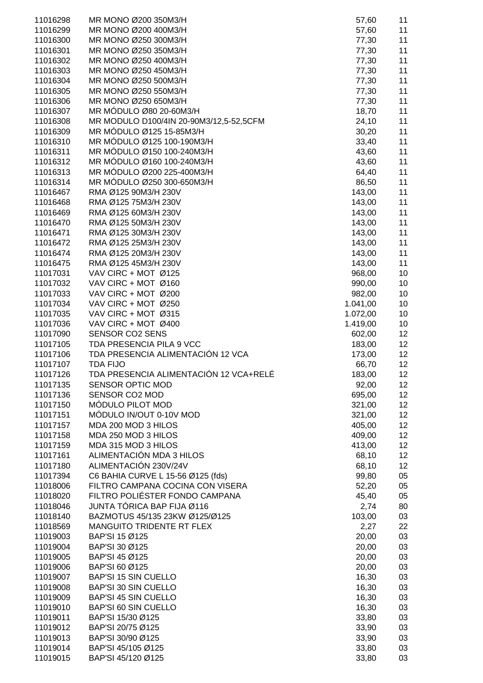| 11016298 | MR MONO Ø200 350M3/H                    | 57,60    | 11              |
|----------|-----------------------------------------|----------|-----------------|
| 11016299 | MR MONO Ø200 400M3/H                    | 57,60    | 11              |
| 11016300 | MR MONO Ø250 300M3/H                    | 77,30    | 11              |
| 11016301 | MR MONO Ø250 350M3/H                    | 77,30    | 11              |
| 11016302 | MR MONO Ø250 400M3/H                    | 77,30    | 11              |
| 11016303 | MR MONO Ø250 450M3/H                    | 77,30    | 11              |
| 11016304 | MR MONO Ø250 500M3/H                    | 77,30    | 11              |
| 11016305 | MR MONO Ø250 550M3/H                    | 77,30    | 11              |
| 11016306 | MR MONO Ø250 650M3/H                    | 77,30    | 11              |
| 11016307 | MR MÓDULO Ø80 20-60M3/H                 | 18,70    | 11              |
| 11016308 | MR MODULO D100/4IN 20-90M3/12,5-52,5CFM | 24,10    | 11              |
| 11016309 | MR MÓDULO Ø125 15-85M3/H                | 30,20    | 11              |
| 11016310 | MR MÓDULO Ø125 100-190M3/H              | 33,40    | 11              |
| 11016311 | MR MÓDULO Ø150 100-240M3/H              | 43,60    | 11              |
| 11016312 | MR MODULO Ø160 100-240M3/H              | 43,60    | 11              |
| 11016313 | MR MODULO Ø200 225-400M3/H              | 64,40    | 11              |
| 11016314 | MR MODULO Ø250 300-650M3/H              | 86,50    | 11              |
| 11016467 | RMA Ø125 90M3/H 230V                    | 143,00   | 11              |
| 11016468 | RMA Ø125 75M3/H 230V                    | 143,00   | 11              |
| 11016469 | RMA Ø125 60M3/H 230V                    | 143,00   | 11              |
| 11016470 | RMA Ø125 50M3/H 230V                    | 143,00   | 11              |
| 11016471 | RMA Ø125 30M3/H 230V                    | 143,00   | 11              |
| 11016472 | RMA Ø125 25M3/H 230V                    | 143,00   | 11              |
| 11016474 | RMA Ø125 20M3/H 230V                    | 143,00   | 11              |
| 11016475 | RMA Ø125 45M3/H 230V                    | 143,00   | 11              |
| 11017031 | VAV CIRC + MOT Ø125                     | 968,00   | 10              |
| 11017032 | VAV CIRC + MOT Ø160                     | 990,00   | 10              |
| 11017033 | VAV CIRC + MOT Ø200                     | 982,00   | 10              |
| 11017034 | VAV CIRC + MOT Ø250                     | 1.041,00 | 10              |
| 11017035 | VAV CIRC + MOT Ø315                     | 1.072,00 | 10              |
| 11017036 | VAV CIRC + MOT Ø400                     | 1.419,00 | 10              |
| 11017090 | <b>SENSOR CO2 SENS</b>                  | 602,00   | 12              |
| 11017105 | TDA PRESENCIA PILA 9 VCC                | 183,00   | 12              |
| 11017106 | TDA PRESENCIA ALIMENTACIÓN 12 VCA       | 173,00   | 12              |
| 11017107 | <b>TDA FIJO</b>                         | 66,70    | 12              |
| 11017126 | TDA PRESENCIA ALIMENTACIÓN 12 VCA+RELÉ  | 183,00   | 12              |
| 11017135 | SENSOR OPTIC MOD                        | 92,00    | 12 <sub>2</sub> |
| 11017136 | SENSOR CO2 MOD                          | 695,00   | 12              |
| 11017150 | MÓDULO PILOT MOD                        | 321,00   | 12              |
| 11017151 | MÓDULO IN/OUT 0-10V MOD                 | 321,00   | 12              |
| 11017157 | MDA 200 MOD 3 HILOS                     | 405,00   | 12              |
| 11017158 | MDA 250 MOD 3 HILOS                     | 409,00   | 12              |
| 11017159 | MDA 315 MOD 3 HILOS                     | 413,00   | 12              |
| 11017161 | ALIMENTACIÓN MDA 3 HILOS                | 68,10    | 12              |
| 11017180 | ALIMENTACIÓN 230V/24V                   | 68,10    | 12              |
| 11017394 | C6 BAHIA CURVE L 15-56 Ø125 (fds)       | 99,80    | 05              |
| 11018006 | FILTRO CAMPANA COCINA CON VISERA        | 52,20    | 05              |
| 11018020 | FILTRO POLIÉSTER FONDO CAMPANA          | 45,40    | 05              |
| 11018046 | JUNTA TÓRICA BAP FIJA Ø116              | 2,74     | 80              |
| 11018140 | BAZMOTUS 45/135 23KW Ø125/Ø125          | 103,00   | 03              |
| 11018569 | MANGUITO TRIDENTE RT FLEX               | 2,27     | 22              |
| 11019003 | BAP'SI 15 Ø125                          | 20,00    | 03              |
| 11019004 | BAP'SI 30 Ø125                          | 20,00    | 03              |
| 11019005 | BAP'SI 45 Ø125                          | 20,00    | 03              |
| 11019006 | BAP'SI 60 Ø125                          | 20,00    | 03              |
| 11019007 | <b>BAP'SI 15 SIN CUELLO</b>             | 16,30    | 03              |
| 11019008 | <b>BAP'SI 30 SIN CUELLO</b>             | 16,30    | 03              |
| 11019009 | <b>BAP'SI 45 SIN CUELLO</b>             | 16,30    | 03              |
| 11019010 | <b>BAP'SI 60 SIN CUELLO</b>             | 16,30    | 03              |
| 11019011 | BAP'SI 15/30 Ø125                       | 33,80    | 03              |
| 11019012 | BAP'SI 20/75 Ø125                       | 33,90    | 03              |
| 11019013 | BAP'SI 30/90 Ø125                       | 33,90    | 03              |
| 11019014 | BAP'SI 45/105 Ø125                      | 33,80    | 03              |
| 11019015 | BAP'SI 45/120 Ø125                      | 33,80    | 03              |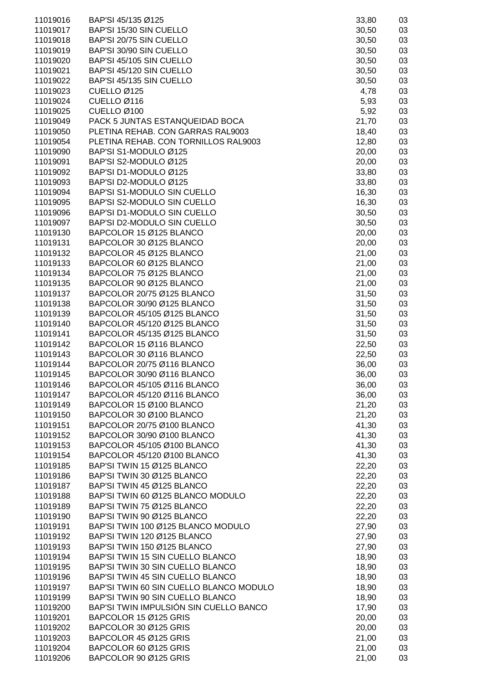| 11019016 | BAP'SI 45/135 Ø125                      | 33,80 | 03 |
|----------|-----------------------------------------|-------|----|
| 11019017 | BAP'SI 15/30 SIN CUELLO                 | 30,50 | 03 |
|          | BAP'SI 20/75 SIN CUELLO                 |       |    |
| 11019018 |                                         | 30,50 | 03 |
| 11019019 | BAP'SI 30/90 SIN CUELLO                 | 30,50 | 03 |
| 11019020 | BAP'SI 45/105 SIN CUELLO                | 30,50 | 03 |
| 11019021 | BAP'SI 45/120 SIN CUELLO                | 30,50 | 03 |
| 11019022 | BAP'SI 45/135 SIN CUELLO                | 30,50 | 03 |
| 11019023 | CUELLO Ø125                             | 4,78  | 03 |
| 11019024 | CUELLO Ø116                             | 5,93  | 03 |
| 11019025 | CUELLO Ø100                             | 5,92  | 03 |
| 11019049 | PACK 5 JUNTAS ESTANQUEIDAD BOCA         | 21,70 | 03 |
| 11019050 | PLETINA REHAB. CON GARRAS RAL9003       | 18,40 | 03 |
| 11019054 | PLETINA REHAB. CON TORNILLOS RAL9003    | 12,80 | 03 |
| 11019090 | BAP'SI S1-MODULO Ø125                   | 20,00 | 03 |
| 11019091 | BAP'SI S2-MODULO Ø125                   | 20,00 | 03 |
| 11019092 | BAP'SI D1-MODULO Ø125                   | 33,80 | 03 |
| 11019093 | BAP'SI D2-MODULO Ø125                   | 33,80 | 03 |
| 11019094 | BAP'SI S1-MODULO SIN CUELLO             | 16,30 | 03 |
| 11019095 | BAP'SI S2-MODULO SIN CUELLO             | 16,30 | 03 |
| 11019096 | BAP'SI D1-MODULO SIN CUELLO             | 30,50 | 03 |
| 11019097 | BAP'SI D2-MODULO SIN CUELLO             | 30,50 | 03 |
| 11019130 | BAPCOLOR 15 Ø125 BLANCO                 | 20,00 | 03 |
| 11019131 | BAPCOLOR 30 Ø125 BLANCO                 | 20,00 | 03 |
|          |                                         |       |    |
| 11019132 | BAPCOLOR 45 Ø125 BLANCO                 | 21,00 | 03 |
| 11019133 | BAPCOLOR 60 Ø125 BLANCO                 | 21,00 | 03 |
| 11019134 | BAPCOLOR 75 Ø125 BLANCO                 | 21,00 | 03 |
| 11019135 | BAPCOLOR 90 Ø125 BLANCO                 | 21,00 | 03 |
| 11019137 | BAPCOLOR 20/75 Ø125 BLANCO              | 31,50 | 03 |
| 11019138 | BAPCOLOR 30/90 Ø125 BLANCO              | 31,50 | 03 |
| 11019139 | BAPCOLOR 45/105 Ø125 BLANCO             | 31,50 | 03 |
| 11019140 | BAPCOLOR 45/120 Ø125 BLANCO             | 31,50 | 03 |
| 11019141 | BAPCOLOR 45/135 Ø125 BLANCO             | 31,50 | 03 |
| 11019142 | BAPCOLOR 15 Ø116 BLANCO                 | 22,50 | 03 |
| 11019143 | BAPCOLOR 30 Ø116 BLANCO                 | 22,50 | 03 |
| 11019144 | BAPCOLOR 20/75 Ø116 BLANCO              | 36,00 | 03 |
| 11019145 | BAPCOLOR 30/90 Ø116 BLANCO              | 36,00 | 03 |
| 11019146 | BAPCOLOR 45/105 Ø116 BLANCO             | 36,00 | 03 |
| 11019147 | BAPCOLOR 45/120 Ø116 BLANCO             | 36,00 | 03 |
| 11019149 | BAPCOLOR 15 Ø100 BLANCO                 | 21,20 | 03 |
| 11019150 | BAPCOLOR 30 Ø100 BLANCO                 | 21,20 | 03 |
| 11019151 | BAPCOLOR 20/75 Ø100 BLANCO              | 41,30 | 03 |
| 11019152 | BAPCOLOR 30/90 Ø100 BLANCO              | 41,30 | 03 |
| 11019153 | BAPCOLOR 45/105 Ø100 BLANCO             | 41,30 | 03 |
| 11019154 | BAPCOLOR 45/120 Ø100 BLANCO             | 41,30 | 03 |
| 11019185 | BAP'SI TWIN 15 Ø125 BLANCO              | 22,20 | 03 |
| 11019186 | BAP'SI TWIN 30 Ø125 BLANCO              | 22,20 | 03 |
| 11019187 | BAP'SI TWIN 45 Ø125 BLANCO              | 22,20 | 03 |
| 11019188 | BAP'SI TWIN 60 Ø125 BLANCO MODULO       | 22,20 | 03 |
| 11019189 | BAP'SI TWIN 75 Ø125 BLANCO              | 22,20 | 03 |
| 11019190 | BAP'SI TWIN 90 Ø125 BLANCO              | 22,20 | 03 |
| 11019191 | BAP'SI TWIN 100 Ø125 BLANCO MODULO      | 27,90 | 03 |
| 11019192 | BAP'SI TWIN 120 Ø125 BLANCO             | 27,90 | 03 |
|          | BAP'SI TWIN 150 Ø125 BLANCO             |       |    |
| 11019193 |                                         | 27,90 | 03 |
| 11019194 | BAP'SI TWIN 15 SIN CUELLO BLANCO        | 18,90 | 03 |
| 11019195 | BAP'SI TWIN 30 SIN CUELLO BLANCO        | 18,90 | 03 |
| 11019196 | BAP'SI TWIN 45 SIN CUELLO BLANCO        | 18,90 | 03 |
| 11019197 | BAP'SI TWIN 60 SIN CUELLO BLANCO MODULO | 18,90 | 03 |
| 11019199 | BAP'SI TWIN 90 SIN CUELLO BLANCO        | 18,90 | 03 |
| 11019200 | BAP'SI TWIN IMPULSIÓN SIN CUELLO BANCO  | 17,90 | 03 |
| 11019201 | BAPCOLOR 15 Ø125 GRIS                   | 20,00 | 03 |
| 11019202 | BAPCOLOR 30 Ø125 GRIS                   | 20,00 | 03 |
| 11019203 | BAPCOLOR 45 Ø125 GRIS                   | 21,00 | 03 |
| 11019204 | BAPCOLOR 60 Ø125 GRIS                   | 21,00 | 03 |
| 11019206 | BAPCOLOR 90 Ø125 GRIS                   | 21,00 | 03 |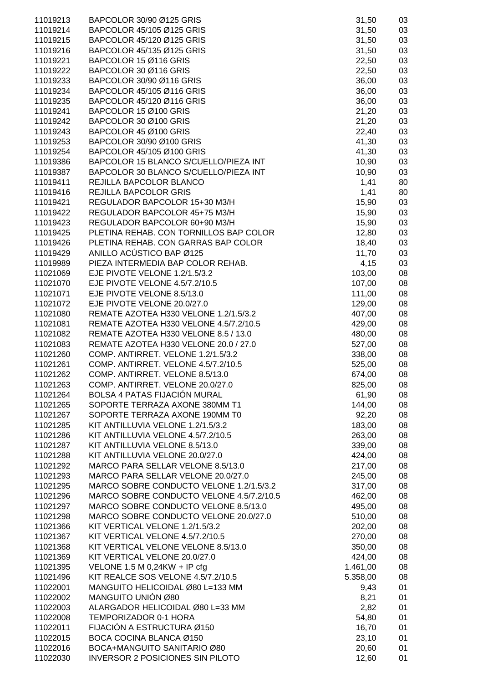| 11019213 | BAPCOLOR 30/90 Ø125 GRIS                 | 31,50    | 03 |
|----------|------------------------------------------|----------|----|
| 11019214 | BAPCOLOR 45/105 Ø125 GRIS                | 31,50    | 03 |
| 11019215 | BAPCOLOR 45/120 Ø125 GRIS                | 31,50    | 03 |
| 11019216 | BAPCOLOR 45/135 Ø125 GRIS                | 31,50    | 03 |
| 11019221 | BAPCOLOR 15 Ø116 GRIS                    | 22,50    | 03 |
| 11019222 | BAPCOLOR 30 Ø116 GRIS                    | 22,50    | 03 |
| 11019233 | BAPCOLOR 30/90 Ø116 GRIS                 | 36,00    | 03 |
| 11019234 | BAPCOLOR 45/105 Ø116 GRIS                | 36,00    | 03 |
| 11019235 | BAPCOLOR 45/120 Ø116 GRIS                | 36,00    | 03 |
| 11019241 | BAPCOLOR 15 Ø100 GRIS                    |          | 03 |
|          |                                          | 21,20    |    |
| 11019242 | BAPCOLOR 30 Ø100 GRIS                    | 21,20    | 03 |
| 11019243 | BAPCOLOR 45 Ø100 GRIS                    | 22,40    | 03 |
| 11019253 | BAPCOLOR 30/90 Ø100 GRIS                 | 41,30    | 03 |
| 11019254 | BAPCOLOR 45/105 Ø100 GRIS                | 41,30    | 03 |
| 11019386 | BAPCOLOR 15 BLANCO S/CUELLO/PIEZA INT    | 10,90    | 03 |
| 11019387 | BAPCOLOR 30 BLANCO S/CUELLO/PIEZA INT    | 10,90    | 03 |
| 11019411 | REJILLA BAPCOLOR BLANCO                  | 1,41     | 80 |
| 11019416 | <b>REJILLA BAPCOLOR GRIS</b>             | 1,41     | 80 |
| 11019421 | REGULADOR BAPCOLOR 15+30 M3/H            | 15,90    | 03 |
| 11019422 | REGULADOR BAPCOLOR 45+75 M3/H            | 15,90    | 03 |
| 11019423 | REGULADOR BAPCOLOR 60+90 M3/H            | 15,90    | 03 |
| 11019425 | PLETINA REHAB. CON TORNILLOS BAP COLOR   | 12,80    | 03 |
| 11019426 | PLETINA REHAB. CON GARRAS BAP COLOR      | 18,40    | 03 |
| 11019429 | ANILLO ACÚSTICO BAP Ø125                 | 11,70    | 03 |
| 11019989 | PIEZA INTERMEDIA BAP COLOR REHAB.        | 4,15     | 03 |
| 11021069 | EJE PIVOTE VELONE 1.2/1.5/3.2            | 103,00   | 08 |
| 11021070 | EJE PIVOTE VELONE 4.5/7.2/10.5           | 107,00   | 08 |
| 11021071 | EJE PIVOTE VELONE 8.5/13.0               | 111,00   | 08 |
| 11021072 | EJE PIVOTE VELONE 20.0/27.0              | 129,00   | 08 |
| 11021080 | REMATE AZOTEA H330 VELONE 1.2/1.5/3.2    | 407,00   | 08 |
| 11021081 | REMATE AZOTEA H330 VELONE 4.5/7.2/10.5   | 429,00   | 08 |
| 11021082 | REMATE AZOTEA H330 VELONE 8.5 / 13.0     | 480,00   | 08 |
| 11021083 | REMATE AZOTEA H330 VELONE 20.0 / 27.0    | 527,00   | 08 |
| 11021260 | COMP. ANTIRRET. VELONE 1.2/1.5/3.2       | 338,00   | 08 |
| 11021261 | COMP. ANTIRRET. VELONE 4.5/7.2/10.5      | 525,00   | 08 |
| 11021262 | COMP. ANTIRRET. VELONE 8.5/13.0          | 674,00   | 08 |
| 11021263 | COMP. ANTIRRET. VELONE 20.0/27.0         | 825,00   | 08 |
| 11021264 | <b>BOLSA 4 PATAS FIJACIÓN MURAL</b>      | 61,90    | 08 |
| 11021265 | SOPORTE TERRAZA AXONE 380MM T1           | 144,00   | 08 |
| 11021267 | SOPORTE TERRAZA AXONE 190MM T0           | 92,20    | 08 |
| 11021285 | KIT ANTILLUVIA VELONE 1.2/1.5/3.2        | 183,00   | 08 |
| 11021286 | KIT ANTILLUVIA VELONE 4.5/7.2/10.5       | 263,00   | 08 |
| 11021287 | KIT ANTILLUVIA VELONE 8.5/13.0           | 339,00   | 08 |
| 11021288 | KIT ANTILLUVIA VELONE 20.0/27.0          | 424,00   | 08 |
| 11021292 | MARCO PARA SELLAR VELONE 8.5/13.0        | 217,00   | 08 |
| 11021293 | MARCO PARA SELLAR VELONE 20.0/27.0       | 245,00   | 08 |
| 11021295 | MARCO SOBRE CONDUCTO VELONE 1.2/1.5/3.2  | 317,00   | 08 |
| 11021296 | MARCO SOBRE CONDUCTO VELONE 4.5/7.2/10.5 | 462,00   | 08 |
| 11021297 | MARCO SOBRE CONDUCTO VELONE 8.5/13.0     | 495,00   | 08 |
| 11021298 | MARCO SOBRE CONDUCTO VELONE 20.0/27.0    | 510,00   | 08 |
| 11021366 | KIT VERTICAL VELONE 1.2/1.5/3.2          | 202,00   | 08 |
| 11021367 | KIT VERTICAL VELONE 4.5/7.2/10.5         | 270,00   | 08 |
| 11021368 | KIT VERTICAL VELONE VELONE 8.5/13.0      | 350,00   | 08 |
|          | KIT VERTICAL VELONE 20.0/27.0            |          |    |
| 11021369 |                                          | 424,00   | 08 |
| 11021395 | VELONE 1.5 M 0,24KW + IP cfg             | 1.461,00 | 08 |
| 11021496 | KIT REALCE SOS VELONE 4.5/7.2/10.5       | 5.358,00 | 08 |
| 11022001 | MANGUITO HELICOIDAL Ø80 L=133 MM         | 9,43     | 01 |
| 11022002 | MANGUITO UNIÓN Ø80                       | 8,21     | 01 |
| 11022003 | ALARGADOR HELICOIDAL Ø80 L=33 MM         | 2,82     | 01 |
| 11022008 | TEMPORIZADOR 0-1 HORA                    | 54,80    | 01 |
| 11022011 | FIJACIÓN A ESTRUCTURA Ø150               | 16,70    | 01 |
| 11022015 | BOCA COCINA BLANCA Ø150                  | 23,10    | 01 |
| 11022016 | BOCA+MANGUITO SANITARIO Ø80              | 20,60    | 01 |
| 11022030 | <b>INVERSOR 2 POSICIONES SIN PILOTO</b>  | 12,60    | 01 |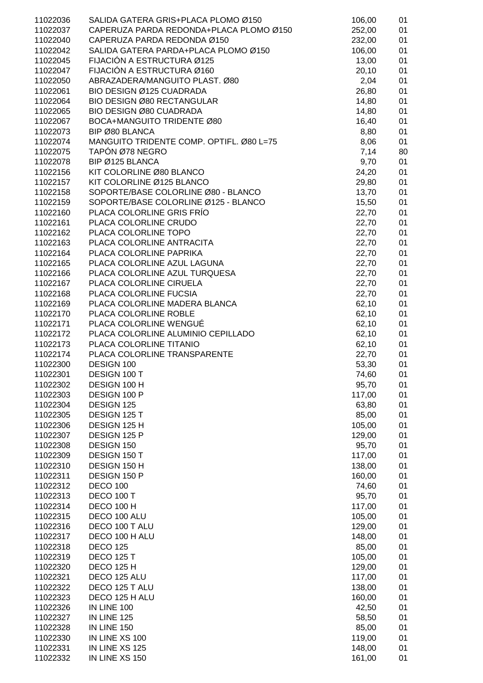| 11022036             | SALIDA GATERA GRIS+PLACA PLOMO Ø150                          | 106,00         | 01       |
|----------------------|--------------------------------------------------------------|----------------|----------|
| 11022037             | CAPERUZA PARDA REDONDA+PLACA PLOMO Ø150                      | 252,00         | 01       |
| 11022040             | CAPERUZA PARDA REDONDA Ø150                                  | 232,00         | 01       |
| 11022042             | SALIDA GATERA PARDA+PLACA PLOMO Ø150                         | 106,00         | 01       |
| 11022045             | FIJACIÓN A ESTRUCTURA Ø125                                   | 13,00          | 01       |
| 11022047             | FIJACIÓN A ESTRUCTURA Ø160                                   | 20,10          | 01       |
| 11022050             | ABRAZADERA/MANGUITO PLAST. Ø80                               | 2,04           | 01       |
| 11022061             | BIO DESIGN Ø125 CUADRADA                                     | 26,80          | 01       |
| 11022064             | BIO DESIGN Ø80 RECTANGULAR                                   | 14,80          | 01       |
| 11022065             | <b>BIO DESIGN Ø80 CUADRADA</b>                               | 14,80          | 01       |
| 11022067             | BOCA+MANGUITO TRIDENTE Ø80                                   | 16,40          | 01       |
| 11022073             | BIP Ø80 BLANCA                                               | 8,80           | 01       |
| 11022074             | MANGUITO TRIDENTE COMP. OPTIFL. Ø80 L=75                     | 8,06           | 01       |
| 11022075             | TAPÓN Ø78 NEGRO                                              | 7,14           | 80       |
| 11022078             | BIP Ø125 BLANCA                                              | 9,70           | 01       |
| 11022156             | KIT COLORLINE Ø80 BLANCO                                     | 24,20          | 01       |
| 11022157             | KIT COLORLINE Ø125 BLANCO                                    | 29,80          | 01       |
| 11022158             | SOPORTE/BASE COLORLINE Ø80 - BLANCO                          | 13,70          | 01       |
| 11022159             | SOPORTE/BASE COLORLINE Ø125 - BLANCO                         | 15,50          | 01       |
| 11022160             | PLACA COLORLINE GRIS FRÍO                                    | 22,70          | 01       |
| 11022161             | PLACA COLORLINE CRUDO                                        | 22,70          | 01       |
| 11022162             | PLACA COLORLINE TOPO                                         | 22,70          | 01       |
| 11022163             | PLACA COLORLINE ANTRACITA                                    | 22,70          | 01       |
| 11022164             | PLACA COLORLINE PAPRIKA                                      | 22,70          | 01       |
| 11022165             | PLACA COLORLINE AZUL LAGUNA                                  | 22,70          | 01       |
| 11022166             | PLACA COLORLINE AZUL TURQUESA                                | 22,70          | 01       |
| 11022167             | PLACA COLORLINE CIRUELA                                      | 22,70          | 01       |
| 11022168             | PLACA COLORLINE FUCSIA                                       | 22,70          | 01       |
| 11022169             | PLACA COLORLINE MADERA BLANCA                                | 62,10          | 01       |
| 11022170             | PLACA COLORLINE ROBLE                                        | 62,10          | 01       |
| 11022171             | PLACA COLORLINE WENGUÉ<br>PLACA COLORLINE ALUMINIO CEPILLADO | 62,10          | 01       |
| 11022172             | PLACA COLORLINE TITANIO                                      | 62,10          | 01       |
| 11022173             | PLACA COLORLINE TRANSPARENTE                                 | 62,10          | 01       |
| 11022174<br>11022300 | DESIGN 100                                                   | 22,70<br>53,30 | 01<br>01 |
| 11022301             | DESIGN 100 T                                                 | 74,60          | 01       |
| 11022302             | DESIGN 100 H                                                 | 95,70          | 01       |
| 11022303             | DESIGN 100 P                                                 | 117,00         | 01       |
| 11022304             | DESIGN 125                                                   | 63,80          | 01       |
| 11022305             | DESIGN 125 T                                                 | 85,00          | 01       |
| 11022306             | DESIGN 125 H                                                 | 105,00         | 01       |
| 11022307             | DESIGN 125 P                                                 | 129,00         | 01       |
| 11022308             | DESIGN 150                                                   | 95,70          | 01       |
| 11022309             | DESIGN 150 T                                                 | 117,00         | 01       |
| 11022310             | DESIGN 150 H                                                 | 138,00         | 01       |
| 11022311             | DESIGN 150 P                                                 | 160,00         | 01       |
| 11022312             | <b>DECO 100</b>                                              | 74,60          | 01       |
| 11022313             | <b>DECO 100 T</b>                                            | 95,70          | 01       |
| 11022314             | <b>DECO 100 H</b>                                            | 117,00         | 01       |
| 11022315             | DECO 100 ALU                                                 | 105,00         | 01       |
| 11022316             | DECO 100 T ALU                                               | 129,00         | 01       |
| 11022317             | DECO 100 H ALU                                               | 148,00         | 01       |
| 11022318             | <b>DECO 125</b>                                              | 85,00          | 01       |
| 11022319             | <b>DECO 125 T</b>                                            | 105,00         | 01       |
| 11022320             | <b>DECO 125 H</b>                                            | 129,00         | 01       |
| 11022321             | DECO 125 ALU                                                 | 117,00         | 01       |
| 11022322             | DECO 125 T ALU                                               | 138,00         | 01       |
| 11022323             | DECO 125 H ALU                                               | 160,00         | 01       |
| 11022326             | IN LINE 100                                                  | 42,50          | 01       |
| 11022327             | IN LINE 125                                                  | 58,50          | 01       |
| 11022328             | IN LINE 150                                                  | 85,00          | 01       |
| 11022330             | IN LINE XS 100                                               | 119,00         | 01       |
| 11022331             | IN LINE XS 125                                               | 148,00         | 01       |
| 11022332             | IN LINE XS 150                                               | 161,00         | 01       |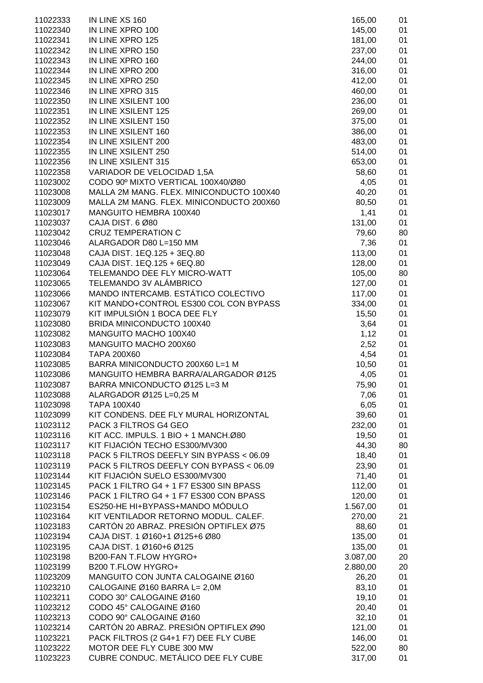| 11022333             | IN LINE XS 160                                | 165,00        | 01       |
|----------------------|-----------------------------------------------|---------------|----------|
| 11022340             | IN LINE XPRO 100                              | 145,00        | 01       |
| 11022341             | IN LINE XPRO 125                              | 181,00        | 01       |
| 11022342             | IN LINE XPRO 150                              | 237,00        | 01       |
| 11022343             | IN LINE XPRO 160                              | 244,00        | 01       |
| 11022344             | IN LINE XPRO 200                              | 316,00        | 01       |
| 11022345             | IN LINE XPRO 250                              | 412,00        | 01       |
| 11022346             | IN LINE XPRO 315                              | 460,00        | 01       |
| 11022350             | IN LINE XSILENT 100                           | 236,00        | 01       |
| 11022351             | IN LINE XSILENT 125                           | 269,00        | 01       |
| 11022352             | IN LINE XSILENT 150                           | 375,00        | 01       |
| 11022353             | IN LINE XSILENT 160                           | 386,00        | 01       |
| 11022354             | IN LINE XSILENT 200                           | 483,00        | 01       |
| 11022355             | IN LINE XSILENT 250                           | 514,00        | 01       |
| 11022356             | IN LINE XSILENT 315                           | 653,00        | 01       |
| 11022358             | VARIADOR DE VELOCIDAD 1,5A                    | 58,60         | 01       |
| 11023002             | CODO 90º MIXTO VERTICAL 100X40/Ø80            | 4,05          | 01       |
| 11023008             | MALLA 2M MANG. FLEX. MINICONDUCTO 100X40      | 40,20         | 01       |
| 11023009             | MALLA 2M MANG. FLEX. MINICONDUCTO 200X60      | 80,50         | 01       |
| 11023017             | MANGUITO HEMBRA 100X40                        | 1,41          | 01       |
| 11023037             | CAJA DIST. 6 Ø80                              | 131,00        | 01       |
| 11023042             | <b>CRUZ TEMPERATION C</b>                     | 79,60         | 80       |
| 11023046             | ALARGADOR D80 L=150 MM                        | 7,36          | 01       |
| 11023048             | CAJA DIST. 1EQ.125 + 3EQ.80                   | 113,00        | 01       |
| 11023049             | CAJA DIST. 1EQ.125 + 6EQ.80                   | 128,00        | 01       |
| 11023064             | TELEMANDO DEE FLY MICRO-WATT                  | 105,00        | 80       |
| 11023065             | TELEMANDO 3V ALÁMBRICO                        | 127,00        | 01       |
| 11023066             | MANDO INTERCAMB. ESTÁTICO COLECTIVO           | 117,00        | 01       |
| 11023067             | KIT MANDO+CONTROL ES300 COL CON BYPASS        | 334,00        | 01       |
| 11023079             | KIT IMPULSIÓN 1 BOCA DEE FLY                  | 15,50         | 01       |
| 11023080             | BRIDA MINICONDUCTO 100X40                     | 3,64          | 01       |
| 11023082             | MANGUITO MACHO 100X40                         | 1,12          | 01       |
| 11023083             | MANGUITO MACHO 200X60                         | 2,52          | 01       |
| 11023084             | <b>TAPA 200X60</b>                            | 4,54          | 01       |
| 11023085             | BARRA MINICONDUCTO 200X60 L=1 M               | 10,50         | 01       |
| 11023086             | MANGUITO HEMBRA BARRA/ALARGADOR Ø125          | 4,05          | 01       |
| 11023087             | BARRA MNICONDUCTO Ø125 L=3 M                  | 75,90         | 01       |
| 11023088<br>11023098 | ALARGADOR Ø125 L=0,25 M<br><b>TAPA 100X40</b> | 7,06          | 01<br>01 |
| 11023099             | KIT CONDENS. DEE FLY MURAL HORIZONTAL         | 6,05<br>39,60 | 01       |
| 11023112             | PACK 3 FILTROS G4 GEO                         | 232,00        | 01       |
| 11023116             | KIT ACC. IMPULS. 1 BIO + 1 MANCH.Ø80          | 19,50         | 01       |
| 11023117             | KIT FIJACIÓN TECHO ES300/MV300                | 44,30         | 80       |
| 11023118             | PACK 5 FILTROS DEEFLY SIN BYPASS < 06.09      | 18,40         | 01       |
| 11023119             | PACK 5 FILTROS DEEFLY CON BYPASS < 06.09      | 23,90         | 01       |
| 11023144             | KIT FIJACIÓN SUELO ES300/MV300                | 71,40         | 01       |
| 11023145             | PACK 1 FILTRO G4 + 1 F7 ES300 SIN BPASS       | 112,00        | 01       |
| 11023146             | PACK 1 FILTRO G4 + 1 F7 ES300 CON BPASS       | 120,00        | 01       |
| 11023154             | ES250-HE HI+BYPASS+MANDO MÓDULO               | 1.567,00      | 01       |
| 11023164             | KIT VENTILADOR RETORNO MODUL. CALEF.          | 270,00        | 21       |
| 11023183             | CARTÓN 20 ABRAZ. PRESIÓN OPTIFLEX Ø75         | 88,60         | 01       |
| 11023194             | CAJA DIST. 1 Ø160+1 Ø125+6 Ø80                | 135,00        | 01       |
| 11023195             | CAJA DIST. 1 Ø160+6 Ø125                      | 135,00        | 01       |
| 11023198             | B200-FAN T.FLOW HYGRO+                        | 3.087,00      | 20       |
| 11023199             | B200 T.FLOW HYGRO+                            | 2.880,00      | 20       |
| 11023209             | MANGUITO CON JUNTA CALOGAINE Ø160             | 26,20         | 01       |
| 11023210             | CALOGAINE Ø160 BARRA L= 2,0M                  | 83,10         | 01       |
| 11023211             | CODO 30° CALOGAINE Ø160                       | 19,10         | 01       |
| 11023212             | CODO 45° CALOGAINE Ø160                       | 20,40         | 01       |
| 11023213             | CODO 90° CALOGAINE Ø160                       | 32,10         | 01       |
| 11023214             | CARTÓN 20 ABRAZ. PRESIÓN OPTIFLEX Ø90         | 121,00        | 01       |
| 11023221             | PACK FILTROS (2 G4+1 F7) DEE FLY CUBE         | 146,00        | 01       |
| 11023222             | MOTOR DEE FLY CUBE 300 MW                     | 522,00        | 80       |
| 11023223             | CUBRE CONDUC. METÁLICO DEE FLY CUBE           | 317,00        | 01       |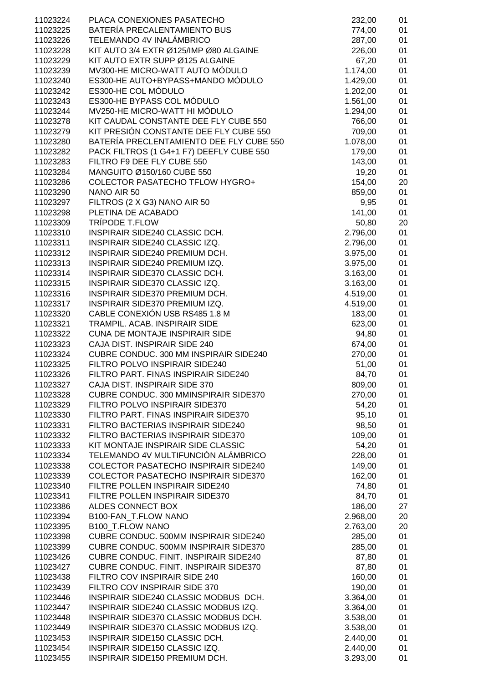| 11023224 | PLACA CONEXIONES PASATECHO                  | 232,00   | 01 |
|----------|---------------------------------------------|----------|----|
| 11023225 | BATERÍA PRECALENTAMIENTO BUS                | 774,00   | 01 |
| 11023226 | TELEMANDO 4V INALÁMBRICO                    | 287,00   | 01 |
| 11023228 | KIT AUTO 3/4 EXTR Ø125/IMP Ø80 ALGAINE      | 226,00   | 01 |
| 11023229 | KIT AUTO EXTR SUPP Ø125 ALGAINE             | 67,20    | 01 |
| 11023239 | MV300-HE MICRO-WATT AUTO MÓDULO             | 1.174,00 | 01 |
| 11023240 | ES300-HE AUTO+BYPASS+MANDO MÓDULO           | 1.429,00 | 01 |
|          |                                             |          |    |
| 11023242 | ES300-HE COL MÓDULO                         | 1.202,00 | 01 |
| 11023243 | ES300-HE BYPASS COL MÓDULO                  | 1.561,00 | 01 |
| 11023244 | MV250-HE MICRO-WATT HI MÓDULO               | 1.294,00 | 01 |
| 11023278 | KIT CAUDAL CONSTANTE DEE FLY CUBE 550       | 766,00   | 01 |
| 11023279 | KIT PRESIÓN CONSTANTE DEE FLY CUBE 550      | 709,00   | 01 |
| 11023280 | BATERÍA PRECLENTAMIENTO DEE FLY CUBE 550    | 1.078,00 | 01 |
| 11023282 | PACK FILTROS (1 G4+1 F7) DEEFLY CUBE 550    | 179,00   | 01 |
| 11023283 | FILTRO F9 DEE FLY CUBE 550                  | 143,00   | 01 |
| 11023284 | MANGUITO Ø150/160 CUBE 550                  | 19,20    | 01 |
| 11023286 | <b>COLECTOR PASATECHO TFLOW HYGRO+</b>      | 154,00   | 20 |
| 11023290 | NANO AIR 50                                 | 859,00   | 01 |
| 11023297 | FILTROS (2 X G3) NANO AIR 50                | 9,95     | 01 |
| 11023298 | PLETINA DE ACABADO                          | 141,00   | 01 |
| 11023309 | TRÍPODE T.FLOW                              | 50,80    | 20 |
| 11023310 | INSPIRAIR SIDE240 CLASSIC DCH.              | 2.796,00 | 01 |
| 11023311 | INSPIRAIR SIDE240 CLASSIC IZQ.              | 2.796,00 | 01 |
| 11023312 | INSPIRAIR SIDE240 PREMIUM DCH.              | 3.975,00 | 01 |
| 11023313 | INSPIRAIR SIDE240 PREMIUM IZQ.              | 3.975,00 | 01 |
| 11023314 | INSPIRAIR SIDE370 CLASSIC DCH.              | 3.163,00 | 01 |
| 11023315 | INSPIRAIR SIDE370 CLASSIC IZQ.              | 3.163,00 | 01 |
| 11023316 | INSPIRAIR SIDE370 PREMIUM DCH.              | 4.519,00 | 01 |
| 11023317 | INSPIRAIR SIDE370 PREMIUM IZQ.              | 4.519,00 | 01 |
| 11023320 | CABLE CONEXIÓN USB RS485 1.8 M              | 183,00   | 01 |
| 11023321 | TRAMPIL. ACAB. INSPIRAIR SIDE               | 623,00   | 01 |
| 11023322 | <b>CUNA DE MONTAJE INSPIRAIR SIDE</b>       | 94,80    | 01 |
| 11023323 | CAJA DIST. INSPIRAIR SIDE 240               | 674,00   | 01 |
| 11023324 | CUBRE CONDUC. 300 MM INSPIRAIR SIDE240      | 270,00   | 01 |
|          | FILTRO POLVO INSPIRAIR SIDE240              |          | 01 |
| 11023325 |                                             | 51,00    |    |
| 11023326 | FILTRO PART. FINAS INSPIRAIR SIDE240        | 84,70    | 01 |
| 11023327 | CAJA DIST. INSPIRAIR SIDE 370               | 809,00   | 01 |
| 11023328 | CUBRE CONDUC, 300 MMINSPIRAIR SIDE370       | 270,00   | 01 |
| 11023329 | FILTRO POLVO INSPIRAIR SIDE370              | 54,20    | 01 |
| 11023330 | FILTRO PART. FINAS INSPIRAIR SIDE370        | 95,10    | 01 |
| 11023331 | FILTRO BACTERIAS INSPIRAIR SIDE240          | 98,50    | 01 |
| 11023332 | FILTRO BACTERIAS INSPIRAIR SIDE370          | 109,00   | 01 |
| 11023333 | KIT MONTAJE INSPIRAIR SIDE CLASSIC          | 54,20    | 01 |
| 11023334 | TELEMANDO 4V MULTIFUNCIÓN ALÁMBRICO         | 228,00   | 01 |
| 11023338 | <b>COLECTOR PASATECHO INSPIRAIR SIDE240</b> | 149,00   | 01 |
| 11023339 | <b>COLECTOR PASATECHO INSPIRAIR SIDE370</b> | 162,00   | 01 |
| 11023340 | FILTRE POLLEN INSPIRAIR SIDE240             | 74,80    | 01 |
| 11023341 | FILTRE POLLEN INSPIRAIR SIDE370             | 84,70    | 01 |
| 11023386 | ALDES CONNECT BOX                           | 186,00   | 27 |
| 11023394 | B100-FAN_T.FLOW NANO                        | 2.968,00 | 20 |
| 11023395 | <b>B100 T.FLOW NANO</b>                     | 2.763,00 | 20 |
| 11023398 | CUBRE CONDUC. 500MM INSPIRAIR SIDE240       | 285,00   | 01 |
| 11023399 | CUBRE CONDUC. 500MM INSPIRAIR SIDE370       | 285,00   | 01 |
| 11023426 | CUBRE CONDUC. FINIT. INSPIRAIR SIDE240      | 87,80    | 01 |
| 11023427 | CUBRE CONDUC. FINIT. INSPIRAIR SIDE370      | 87,80    | 01 |
| 11023438 | FILTRO COV INSPIRAIR SIDE 240               | 160,00   | 01 |
| 11023439 | FILTRO COV INSPIRAIR SIDE 370               | 190,00   | 01 |
| 11023446 | INSPIRAIR SIDE240 CLASSIC MODBUS DCH.       | 3.364,00 | 01 |
| 11023447 | INSPIRAIR SIDE240 CLASSIC MODBUS IZQ.       | 3.364,00 | 01 |
| 11023448 | INSPIRAIR SIDE370 CLASSIC MODBUS DCH.       | 3.538,00 | 01 |
| 11023449 | INSPIRAIR SIDE370 CLASSIC MODBUS IZQ.       | 3.538,00 | 01 |
| 11023453 | INSPIRAIR SIDE150 CLASSIC DCH.              | 2.440,00 | 01 |
| 11023454 | INSPIRAIR SIDE150 CLASSIC IZQ.              | 2.440,00 | 01 |
| 11023455 | INSPIRAIR SIDE150 PREMIUM DCH.              | 3.293,00 | 01 |
|          |                                             |          |    |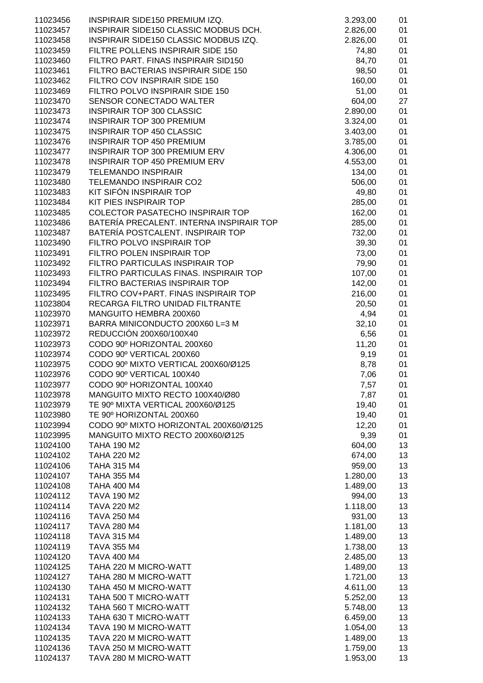| 11023456             | INSPIRAIR SIDE150 PREMIUM IZQ.                             | 3.293,00      | 01       |
|----------------------|------------------------------------------------------------|---------------|----------|
| 11023457             | INSPIRAIR SIDE150 CLASSIC MODBUS DCH.                      | 2.826,00      | 01       |
| 11023458             | INSPIRAIR SIDE150 CLASSIC MODBUS IZQ.                      | 2.826,00      | 01       |
| 11023459             | FILTRE POLLENS INSPIRAIR SIDE 150                          | 74,80         | 01       |
| 11023460             | FILTRO PART. FINAS INSPIRAIR SID150                        | 84,70         | 01       |
| 11023461             | FILTRO BACTERIAS INSPIRAIR SIDE 150                        | 98,50         | 01       |
| 11023462             | FILTRO COV INSPIRAIR SIDE 150                              | 160,00        | 01       |
| 11023469             | FILTRO POLVO INSPIRAIR SIDE 150                            | 51,00         | 01       |
| 11023470             | SENSOR CONECTADO WALTER                                    | 604,00        | 27       |
| 11023473             | <b>INSPIRAIR TOP 300 CLASSIC</b>                           | 2.890,00      | 01       |
| 11023474             | <b>INSPIRAIR TOP 300 PREMIUM</b>                           | 3.324,00      | 01       |
| 11023475             | <b>INSPIRAIR TOP 450 CLASSIC</b>                           | 3.403,00      | 01       |
| 11023476             | <b>INSPIRAIR TOP 450 PREMIUM</b>                           | 3.785,00      | 01       |
| 11023477             | <b>INSPIRAIR TOP 300 PREMIUM ERV</b>                       | 4.306,00      | 01       |
| 11023478             | <b>INSPIRAIR TOP 450 PREMIUM ERV</b>                       | 4.553,00      | 01       |
| 11023479             | <b>TELEMANDO INSPIRAIR</b>                                 | 134,00        | 01       |
| 11023480             | TELEMANDO INSPIRAIR CO2                                    | 506,00        | 01       |
| 11023483             | KIT SIFÓN INSPIRAIR TOP                                    | 49,80         | 01       |
| 11023484             | KIT PIES INSPIRAIR TOP                                     | 285,00        | 01       |
| 11023485             | <b>COLECTOR PASATECHO INSPIRAIR TOP</b>                    | 162,00        | 01       |
| 11023486             | BATERÍA PRECALENT. INTERNA INSPIRAIR TOP                   | 285,00        | 01       |
| 11023487             | BATERÍA POSTCALENT. INSPIRAIR TOP                          | 732,00        | 01       |
| 11023490             | FILTRO POLVO INSPIRAIR TOP                                 | 39,30         | 01       |
| 11023491             | FILTRO POLEN INSPIRAIR TOP                                 | 73,00         | 01       |
| 11023492             | FILTRO PARTICULAS INSPIRAIR TOP                            | 79,90         | 01       |
| 11023493             | FILTRO PARTICULAS FINAS. INSPIRAIR TOP                     | 107,00        | 01       |
| 11023494             | FILTRO BACTERIAS INSPIRAIR TOP                             | 142,00        | 01       |
| 11023495             | FILTRO COV+PART. FINAS INSPIRAIR TOP                       | 216,00        | 01       |
| 11023804             | RECARGA FILTRO UNIDAD FILTRANTE                            | 20,50         | 01       |
| 11023970             | MANGUITO HEMBRA 200X60                                     | 4,94          | 01       |
| 11023971<br>11023972 | BARRA MINICONDUCTO 200X60 L=3 M<br>REDUCCIÓN 200X60/100X40 | 32,10<br>6,56 | 01       |
| 11023973             | CODO 90° HORIZONTAL 200X60                                 | 11,20         | 01<br>01 |
| 11023974             | CODO 90º VERTICAL 200X60                                   | 9,19          | 01       |
| 11023975             | CODO 90º MIXTO VERTICAL 200X60/Ø125                        | 8,78          | 01       |
| 11023976             | CODO 90º VERTICAL 100X40                                   | 7,06          | 01       |
| 11023977             | CODO 90º HORIZONTAL 100X40                                 | 7,57          | 01       |
| 11023978             | MANGUITO MIXTO RECTO 100X40/Ø80                            | 7,87          | 01       |
| 11023979             | TE 90º MIXTA VERTICAL 200X60/Ø125                          | 19,40         | 01       |
| 11023980             | TE 90° HORIZONTAL 200X60                                   | 19,40         | 01       |
| 11023994             | CODO 90º MIXTO HORIZONTAL 200X60/Ø125                      | 12,20         | 01       |
| 11023995             | MANGUITO MIXTO RECTO 200X60/Ø125                           | 9,39          | 01       |
| 11024100             | <b>TAHA 190 M2</b>                                         | 604,00        | 13       |
| 11024102             | <b>TAHA 220 M2</b>                                         | 674,00        | 13       |
| 11024106             | <b>TAHA 315 M4</b>                                         | 959,00        | 13       |
| 11024107             | <b>TAHA 355 M4</b>                                         | 1.280,00      | 13       |
| 11024108             | <b>TAHA 400 M4</b>                                         | 1.489,00      | 13       |
| 11024112             | <b>TAVA 190 M2</b>                                         | 994,00        | 13       |
| 11024114             | <b>TAVA 220 M2</b>                                         | 1.118,00      | 13       |
| 11024116             | <b>TAVA 250 M4</b>                                         | 931,00        | 13       |
| 11024117             | <b>TAVA 280 M4</b>                                         | 1.181,00      | 13       |
| 11024118             | <b>TAVA 315 M4</b>                                         | 1.489,00      | 13       |
| 11024119             | <b>TAVA 355 M4</b>                                         | 1.738,00      | 13       |
| 11024120             | <b>TAVA 400 M4</b>                                         | 2.485,00      | 13       |
| 11024125             | TAHA 220 M MICRO-WATT                                      | 1.489,00      | 13       |
| 11024127             | TAHA 280 M MICRO-WATT                                      | 1.721,00      | 13       |
| 11024130             | TAHA 450 M MICRO-WATT                                      | 4.611,00      | 13       |
| 11024131             | TAHA 500 T MICRO-WATT                                      | 5.252,00      | 13       |
| 11024132             | TAHA 560 T MICRO-WATT                                      | 5.748,00      | 13       |
| 11024133             | TAHA 630 T MICRO-WATT                                      | 6.459,00      | 13       |
| 11024134             | TAVA 190 M MICRO-WATT                                      | 1.054,00      | 13       |
| 11024135             | TAVA 220 M MICRO-WATT                                      | 1.489,00      | 13       |
| 11024136             | TAVA 250 M MICRO-WATT                                      | 1.759,00      | 13       |
| 11024137             | TAVA 280 M MICRO-WATT                                      | 1.953,00      | 13       |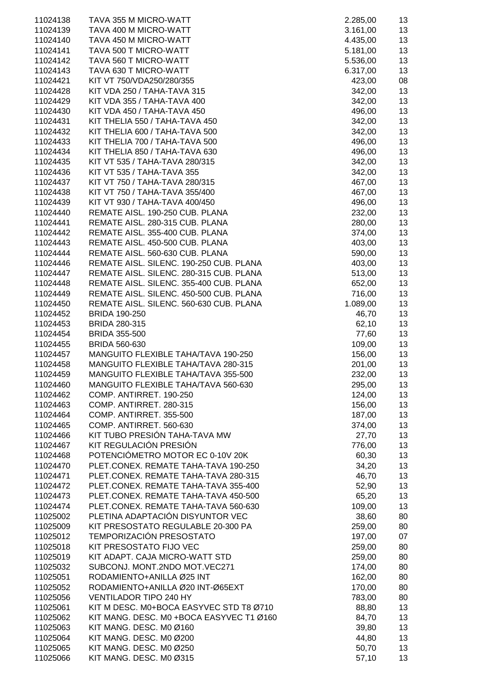| 11024138             | TAVA 355 M MICRO-WATT                                    | 2.285,00        | 13       |
|----------------------|----------------------------------------------------------|-----------------|----------|
| 11024139             | TAVA 400 M MICRO-WATT                                    | 3.161,00        | 13       |
| 11024140             | TAVA 450 M MICRO-WATT                                    | 4.435,00        | 13       |
| 11024141             | TAVA 500 T MICRO-WATT                                    | 5.181,00        | 13       |
| 11024142             | TAVA 560 T MICRO-WATT                                    | 5.536,00        | 13       |
| 11024143             | TAVA 630 T MICRO-WATT                                    | 6.317,00        | 13       |
| 11024421             | KIT VT 750/VDA250/280/355                                | 423,00          | 08       |
| 11024428             | KIT VDA 250 / TAHA-TAVA 315                              | 342,00          | 13       |
| 11024429             | KIT VDA 355 / TAHA-TAVA 400                              | 342,00          | 13       |
| 11024430             | KIT VDA 450 / TAHA-TAVA 450                              | 496,00          | 13       |
| 11024431             | KIT THELIA 550 / TAHA-TAVA 450                           | 342,00          | 13       |
| 11024432             | KIT THELIA 600 / TAHA-TAVA 500                           | 342,00          | 13       |
| 11024433             | KIT THELIA 700 / TAHA-TAVA 500                           | 496,00          | 13       |
| 11024434             | KIT THELIA 850 / TAHA-TAVA 630                           | 496,00          | 13       |
| 11024435             | KIT VT 535 / TAHA-TAVA 280/315                           | 342,00          | 13       |
| 11024436             | KIT VT 535 / TAHA-TAVA 355                               | 342,00          | 13       |
| 11024437             | KIT VT 750 / TAHA-TAVA 280/315                           | 467,00          | 13       |
| 11024438             | KIT VT 750 / TAHA-TAVA 355/400                           | 467,00          | 13       |
| 11024439             | KIT VT 930 / TAHA-TAVA 400/450                           | 496,00          | 13       |
| 11024440             | REMATE AISL. 190-250 CUB. PLANA                          | 232,00          | 13       |
| 11024441             | REMATE AISL. 280-315 CUB. PLANA                          | 280,00          | 13       |
| 11024442             | REMATE AISL. 355-400 CUB. PLANA                          | 374,00          | 13       |
| 11024443             | REMATE AISL. 450-500 CUB. PLANA                          | 403,00          | 13       |
| 11024444             | REMATE AISL. 560-630 CUB. PLANA                          | 590,00          | 13       |
| 11024446             | REMATE AISL. SILENC. 190-250 CUB. PLANA                  | 403,00          | 13       |
| 11024447             | REMATE AISL. SILENC. 280-315 CUB. PLANA                  | 513,00          | 13       |
| 11024448             | REMATE AISL. SILENC. 355-400 CUB. PLANA                  | 652,00          | 13       |
| 11024449             | REMATE AISL. SILENC. 450-500 CUB. PLANA                  | 716,00          | 13       |
| 11024450             | REMATE AISL. SILENC. 560-630 CUB. PLANA                  | 1.089,00        | 13       |
| 11024452             | <b>BRIDA 190-250</b>                                     | 46,70           | 13       |
| 11024453             | <b>BRIDA 280-315</b>                                     | 62,10           | 13       |
| 11024454             | <b>BRIDA 355-500</b>                                     | 77,60           | 13       |
| 11024455             | <b>BRIDA 560-630</b>                                     | 109,00          | 13       |
| 11024457             | MANGUITO FLEXIBLE TAHA/TAVA 190-250                      | 156,00          | 13       |
| 11024458             | MANGUITO FLEXIBLE TAHA/TAVA 280-315                      | 201,00          | 13       |
| 11024459             | MANGUITO FLEXIBLE TAHA/TAVA 355-500                      | 232,00          | 13       |
| 11024460             | MANGUITO FLEXIBLE TAHA/TAVA 560-630                      | 295,00          | 13       |
| 11024462             | COMP. ANTIRRET. 190-250                                  | 124,00          | 13       |
| 11024463             | COMP. ANTIRRET. 280-315                                  | 156,00          | 13       |
| 11024464             | COMP. ANTIRRET. 355-500                                  | 187,00          | 13       |
| 11024465             | COMP. ANTIRRET. 560-630<br>KIT TUBO PRESIÓN TAHA-TAVA MW | 374,00          | 13       |
| 11024466<br>11024467 | KIT REGULACIÓN PRESIÓN                                   | 27,70<br>776,00 | 13<br>13 |
| 11024468             | POTENCIÓMETRO MOTOR EC 0-10V 20K                         | 60,30           | 13       |
| 11024470             | PLET.CONEX. REMATE TAHA-TAVA 190-250                     | 34,20           | 13       |
| 11024471             | PLET.CONEX. REMATE TAHA-TAVA 280-315                     | 46,70           | 13       |
| 11024472             | PLET.CONEX. REMATE TAHA-TAVA 355-400                     | 52,90           | 13       |
| 11024473             | PLET.CONEX. REMATE TAHA-TAVA 450-500                     | 65,20           | 13       |
| 11024474             | PLET.CONEX. REMATE TAHA-TAVA 560-630                     | 109,00          | 13       |
| 11025002             | PLETINA ADAPTACIÓN DISYUNTOR VEC                         | 38,60           | 80       |
| 11025009             | KIT PRESOSTATO REGULABLE 20-300 PA                       | 259,00          | 80       |
| 11025012             | TEMPORIZACIÓN PRESOSTATO                                 | 197,00          | 07       |
| 11025018             | KIT PRESOSTATO FIJO VEC                                  | 259,00          | 80       |
| 11025019             | KIT ADAPT. CAJA MICRO-WATT STD                           | 259,00          | 80       |
| 11025032             | SUBCONJ. MONT.2NDO MOT.VEC271                            | 174,00          | 80       |
| 11025051             | RODAMIENTO+ANILLA Ø25 INT                                | 162,00          | 80       |
| 11025052             | RODAMIENTO+ANILLA Ø20 INT-Ø65EXT                         | 170,00          | 80       |
| 11025056             | <b>VENTILADOR TIPO 240 HY</b>                            | 783,00          | 80       |
| 11025061             | KIT M DESC. M0+BOCA EASYVEC STD T8 Ø710                  | 88,80           | 13       |
| 11025062             | KIT MANG. DESC. M0 +BOCA EASYVEC T1 Ø160                 | 84,70           | 13       |
| 11025063             | KIT MANG. DESC. M0 Ø160                                  | 39,80           | 13       |
| 11025064             | KIT MANG. DESC. M0 Ø200                                  | 44,80           | 13       |
| 11025065             | KIT MANG. DESC. M0 Ø250                                  | 50,70           | 13       |
| 11025066             | KIT MANG. DESC. M0 Ø315                                  | 57,10           | 13       |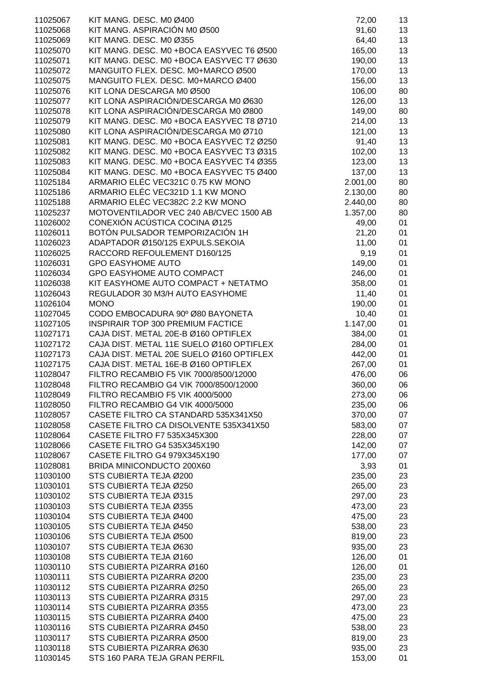| 11025067 | KIT MANG. DESC. M0 Ø400                  | 72,00    | 13 |
|----------|------------------------------------------|----------|----|
| 11025068 | KIT MANG. ASPIRACIÓN M0 Ø500             | 91,60    | 13 |
|          |                                          |          |    |
| 11025069 | KIT MANG. DESC. M0 Ø355                  | 64,40    | 13 |
| 11025070 | KIT MANG. DESC. M0 +BOCA EASYVEC T6 Ø500 | 165,00   | 13 |
| 11025071 | KIT MANG. DESC. M0 +BOCA EASYVEC T7 Ø630 | 190,00   | 13 |
| 11025072 | MANGUITO FLEX. DESC. M0+MARCO Ø500       | 170,00   | 13 |
| 11025075 | MANGUITO FLEX. DESC. M0+MARCO Ø400       | 156,00   | 13 |
| 11025076 | KIT LONA DESCARGA M0 Ø500                | 106,00   | 80 |
| 11025077 | KIT LONA ASPIRACIÓN/DESCARGA M0 Ø630     | 126,00   | 13 |
| 11025078 | KIT LONA ASPIRACIÓN/DESCARGA M0 Ø800     | 149,00   | 80 |
| 11025079 | KIT MANG. DESC. M0 +BOCA EASYVEC T8 Ø710 | 214,00   | 13 |
| 11025080 | KIT LONA ASPIRACIÓN/DESCARGA M0 Ø710     | 121,00   | 13 |
| 11025081 | KIT MANG. DESC. M0 +BOCA EASYVEC T2 Ø250 | 91,40    | 13 |
| 11025082 | KIT MANG. DESC. M0 +BOCA EASYVEC T3 Ø315 | 102,00   | 13 |
| 11025083 | KIT MANG. DESC. M0 +BOCA EASYVEC T4 Ø355 | 123,00   | 13 |
| 11025084 | KIT MANG. DESC. M0 +BOCA EASYVEC T5 Ø400 | 137,00   | 13 |
| 11025184 | ARMARIO ELÉC VEC321C 0.75 KW MONO        | 2.001,00 | 80 |
| 11025186 | ARMARIO ELÉC VEC321D 1.1 KW MONO         | 2.130,00 | 80 |
| 11025188 | ARMARIO ELÉC VEC382C 2.2 KW MONO         | 2.440,00 | 80 |
| 11025237 | MOTOVENTILADOR VEC 240 AB/CVEC 1500 AB   | 1.357,00 | 80 |
| 11026002 | CONEXIÓN ACÚSTICA COCINA Ø125            | 49,00    | 01 |
| 11026011 | BOTÓN PULSADOR TEMPORIZACIÓN 1H          | 21,20    | 01 |
| 11026023 | ADAPTADOR Ø150/125 EXPULS.SEKOIA         | 11,00    | 01 |
| 11026025 | RACCORD REFOULEMENT D160/125             | 9,19     | 01 |
| 11026031 | <b>GPO EASYHOME AUTO</b>                 |          | 01 |
|          |                                          | 149,00   |    |
| 11026034 | GPO EASYHOME AUTO COMPACT                | 246,00   | 01 |
| 11026038 | KIT EASYHOME AUTO COMPACT + NETATMO      | 358,00   | 01 |
| 11026043 | REGULADOR 30 M3/H AUTO EASYHOME          | 11,40    | 01 |
| 11026104 | <b>MONO</b>                              | 190,00   | 01 |
| 11027045 | CODO EMBOCADURA 90° Ø80 BAYONETA         | 10,40    | 01 |
| 11027105 | <b>INSPIRAIR TOP 300 PREMIUM FACTICE</b> | 1.147,00 | 01 |
| 11027171 | CAJA DIST. METAL 20E-B Ø160 OPTIFLEX     | 384,00   | 01 |
| 11027172 | CAJA DIST. METAL 11E SUELO Ø160 OPTIFLEX | 284,00   | 01 |
| 11027173 | CAJA DIST. METAL 20E SUELO Ø160 OPTIFLEX | 442,00   | 01 |
| 11027175 | CAJA DIST. METAL 16E-B Ø160 OPTIFLEX     | 267,00   | 01 |
| 11028047 | FILTRO RECAMBIO F5 VIK 7000/8500/12000   | 476,00   | 06 |
| 11028048 | FILTRO RECAMBIO G4 VIK 7000/8500/12000   | 360,00   | 06 |
| 11028049 | FILTRO RECAMBIO F5 VIK 4000/5000         | 273,00   | 06 |
| 11028050 | FILTRO RECAMBIO G4 VIK 4000/5000         | 235,00   | 06 |
| 11028057 | CASETE FILTRO CA STANDARD 535X341X50     | 370,00   | 07 |
| 11028058 | CASETE FILTRO CA DISOLVENTE 535X341X50   | 583,00   | 07 |
| 11028064 | CASETE FILTRO F7 535X345X300             | 228,00   | 07 |
| 11028066 | CASETE FILTRO G4 535X345X190             | 142,00   | 07 |
| 11028067 | CASETE FILTRO G4 979X345X190             | 177,00   | 07 |
| 11028081 | BRIDA MINICONDUCTO 200X60                | 3,93     | 01 |
| 11030100 | STS CUBIERTA TEJA Ø200                   | 235,00   | 23 |
| 11030101 | STS CUBIERTA TEJA Ø250                   | 265,00   | 23 |
| 11030102 | STS CUBIERTA TEJA Ø315                   | 297,00   | 23 |
| 11030103 | STS CUBIERTA TEJA Ø355                   | 473,00   | 23 |
| 11030104 | STS CUBIERTA TEJA Ø400                   | 475,00   | 23 |
| 11030105 | STS CUBIERTA TEJA Ø450                   | 538,00   | 23 |
| 11030106 | STS CUBIERTA TEJA Ø500                   | 819,00   | 23 |
| 11030107 | STS CUBIERTA TEJA Ø630                   | 935,00   | 23 |
| 11030108 | STS CUBIERTA TEJA Ø160                   | 126,00   | 01 |
| 11030110 | STS CUBIERTA PIZARRA Ø160                | 126,00   | 01 |
| 11030111 | STS CUBIERTA PIZARRA Ø200                | 235,00   | 23 |
|          | STS CUBIERTA PIZARRA Ø250                |          |    |
| 11030112 |                                          | 265,00   | 23 |
| 11030113 | STS CUBIERTA PIZARRA Ø315                | 297,00   | 23 |
| 11030114 | STS CUBIERTA PIZARRA Ø355                | 473,00   | 23 |
| 11030115 | STS CUBIERTA PIZARRA Ø400                | 475,00   | 23 |
| 11030116 | STS CUBIERTA PIZARRA Ø450                | 538,00   | 23 |
| 11030117 | STS CUBIERTA PIZARRA Ø500                | 819,00   | 23 |
| 11030118 | STS CUBIERTA PIZARRA Ø630                | 935,00   | 23 |
| 11030145 | STS 160 PARA TEJA GRAN PERFIL            | 153,00   | 01 |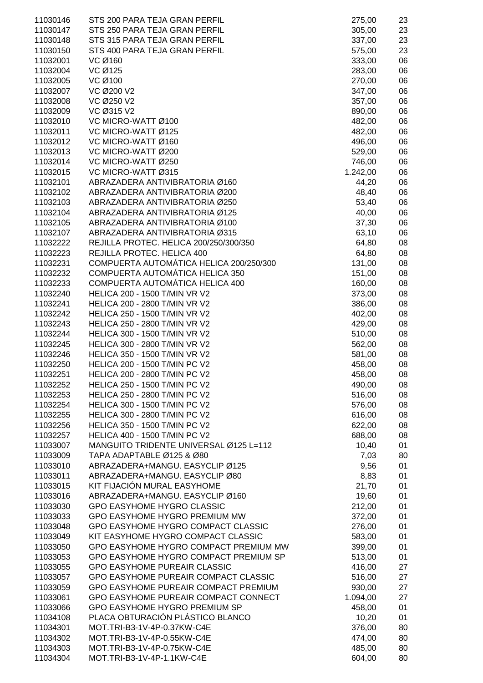| 11030146             | STS 200 PARA TEJA GRAN PERFIL                                 | 275,00         | 23       |
|----------------------|---------------------------------------------------------------|----------------|----------|
| 11030147             | STS 250 PARA TEJA GRAN PERFIL                                 | 305,00         | 23       |
| 11030148             | STS 315 PARA TEJA GRAN PERFIL                                 | 337,00         | 23       |
| 11030150             | STS 400 PARA TEJA GRAN PERFIL                                 | 575,00         | 23       |
| 11032001             | VC Ø160                                                       | 333,00         | 06       |
| 11032004             | VC Ø125                                                       | 283,00         | 06       |
| 11032005             | VC Ø100                                                       | 270,00         | 06       |
| 11032007             | VC Ø200 V2                                                    | 347,00         | 06       |
| 11032008             | VC Ø250 V2                                                    | 357,00         | 06       |
| 11032009             | VC Ø315 V2                                                    | 890,00         | 06       |
| 11032010             | VC MICRO-WATT Ø100                                            | 482,00         | 06       |
| 11032011             | VC MICRO-WATT Ø125                                            | 482,00         | 06       |
| 11032012             | VC MICRO-WATT Ø160                                            | 496,00         | 06       |
| 11032013             | VC MICRO-WATT Ø200                                            | 529,00         | 06       |
| 11032014             | VC MICRO-WATT Ø250                                            | 746,00         | 06       |
| 11032015             | VC MICRO-WATT Ø315                                            | 1.242,00       | 06       |
| 11032101             | ABRAZADERA ANTIVIBRATORIA Ø160                                | 44,20          | 06       |
| 11032102             | ABRAZADERA ANTIVIBRATORIA Ø200                                | 48,40          | 06       |
| 11032103             | ABRAZADERA ANTIVIBRATORIA Ø250                                | 53,40          | 06       |
| 11032104             | ABRAZADERA ANTIVIBRATORIA Ø125                                | 40,00          | 06       |
| 11032105             | ABRAZADERA ANTIVIBRATORIA Ø100                                | 37,30          | 06       |
| 11032107             | ABRAZADERA ANTIVIBRATORIA Ø315                                | 63,10          | 06       |
| 11032222             | REJILLA PROTEC. HELICA 200/250/300/350                        | 64,80          | 08       |
| 11032223             | REJILLA PROTEC. HELICA 400                                    | 64,80          | 08       |
| 11032231             | COMPUERTA AUTOMÁTICA HELICA 200/250/300                       | 131,00         | 08       |
| 11032232             | COMPUERTA AUTOMÁTICA HELICA 350                               | 151,00         | 08       |
| 11032233             | COMPUERTA AUTOMÁTICA HELICA 400                               | 160,00         | 08       |
| 11032240             | <b>HELICA 200 - 1500 T/MIN VR V2</b>                          | 373,00         | 08       |
| 11032241             | HELICA 200 - 2800 T/MIN VR V2                                 | 386,00         | 08       |
| 11032242             | <b>HELICA 250 - 1500 T/MIN VR V2</b>                          | 402,00         | 08       |
| 11032243             | HELICA 250 - 2800 T/MIN VR V2                                 | 429,00         | 08       |
| 11032244             | HELICA 300 - 1500 T/MIN VR V2                                 | 510,00         | 08       |
| 11032245             | HELICA 300 - 2800 T/MIN VR V2                                 | 562,00         | 08       |
| 11032246             | HELICA 350 - 1500 T/MIN VR V2                                 | 581,00         | 08       |
| 11032250             | <b>HELICA 200 - 1500 T/MIN PC V2</b>                          | 458,00         | 08       |
| 11032251             | HELICA 200 - 2800 T/MIN PC V2                                 | 458,00         | 08       |
| 11032252             | <b>HELICA 250 - 1500 T/MIN PC V2</b>                          | 490,00         | 08       |
| 11032253             | HELICA 250 - 2800 T/MIN PC V2                                 | 516,00         | 08       |
| 11032254             | <b>HELICA 300 - 1500 T/MIN PC V2</b>                          | 576,00         | 08       |
| 11032255             | <b>HELICA 300 - 2800 T/MIN PC V2</b>                          | 616,00         | 08       |
| 11032256             | <b>HELICA 350 - 1500 T/MIN PC V2</b>                          | 622,00         | 08       |
| 11032257             | <b>HELICA 400 - 1500 T/MIN PC V2</b>                          | 688,00         | 08       |
| 11033007             | MANGUITO TRIDENTE UNIVERSAL Ø125 L=112                        | 10,40          | 01       |
| 11033009             | TAPA ADAPTABLE Ø125 & Ø80                                     | 7,03           | 80       |
| 11033010             | ABRAZADERA+MANGU, EASYCLIP Ø125                               | 9,56           | 01       |
| 11033011             | ABRAZADERA+MANGU. EASYCLIP Ø80<br>KIT FIJACIÓN MURAL EASYHOME | 8,83           | 01       |
| 11033015<br>11033016 | ABRAZADERA+MANGU. EASYCLIP Ø160                               | 21,70<br>19,60 | 01<br>01 |
| 11033030             | <b>GPO EASYHOME HYGRO CLASSIC</b>                             | 212,00         | 01       |
| 11033033             | GPO EASYHOME HYGRO PREMIUM MW                                 | 372,00         | 01       |
| 11033048             | GPO EASYHOME HYGRO COMPACT CLASSIC                            | 276,00         | 01       |
| 11033049             | KIT EASYHOME HYGRO COMPACT CLASSIC                            | 583,00         | 01       |
| 11033050             | GPO EASYHOME HYGRO COMPACT PREMIUM MW                         | 399,00         | 01       |
| 11033053             | GPO EASYHOME HYGRO COMPACT PREMIUM SP                         | 513,00         | 01       |
| 11033055             | <b>GPO EASYHOME PUREAIR CLASSIC</b>                           | 416,00         | 27       |
| 11033057             | GPO EASYHOME PUREAIR COMPACT CLASSIC                          | 516,00         | 27       |
| 11033059             | GPO EASYHOME PUREAIR COMPACT PREMIUM                          | 930,00         | 27       |
| 11033061             | GPO EASYHOME PUREAIR COMPACT CONNECT                          | 1.094,00       | 27       |
| 11033066             | GPO EASYHOME HYGRO PREMIUM SP                                 | 458,00         | 01       |
| 11034108             | PLACA OBTURACIÓN PLÁSTICO BLANCO                              | 10,20          | 01       |
| 11034301             | MOT.TRI-B3-1V-4P-0.37KW-C4E                                   | 376,00         | 80       |
| 11034302             | MOT.TRI-B3-1V-4P-0.55KW-C4E                                   | 474,00         | 80       |
| 11034303             | MOT.TRI-B3-1V-4P-0.75KW-C4E                                   | 485,00         | 80       |
| 11034304             | MOT.TRI-B3-1V-4P-1.1KW-C4E                                    | 604,00         | 80       |
|                      |                                                               |                |          |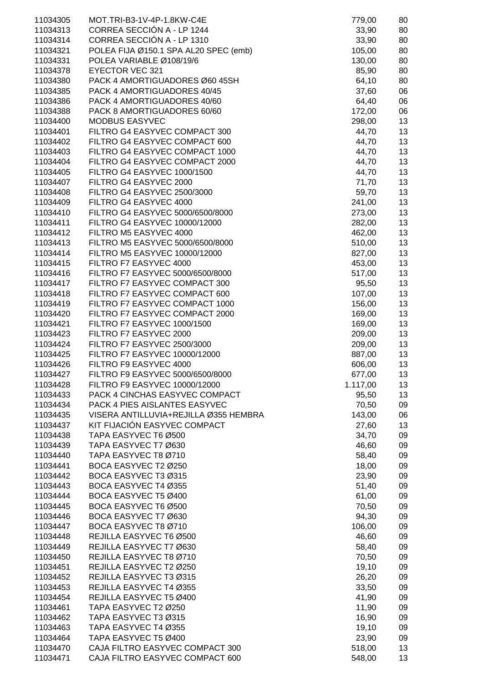| 11034305             | MOT.TRI-B3-1V-4P-1.8KW-C4E                            | 779,00           | 80       |
|----------------------|-------------------------------------------------------|------------------|----------|
| 11034313             | CORREA SECCIÓN A - LP 1244                            | 33,90            | 80       |
| 11034314             | CORREA SECCIÓN A - LP 1310                            | 33,90            | 80       |
| 11034321             | POLEA FIJA Ø150.1 SPA AL20 SPEC (emb)                 | 105,00           | 80       |
| 11034331             | POLEA VARIABLE Ø108/19/6                              | 130,00           | 80       |
| 11034378             | <b>EYECTOR VEC 321</b>                                | 85,90            | 80       |
| 11034380             | PACK 4 AMORTIGUADORES Ø60 45SH                        | 64,10            | 80       |
| 11034385             | PACK 4 AMORTIGUADORES 40/45                           | 37,60            | 06       |
| 11034386             | PACK 4 AMORTIGUADORES 40/60                           | 64,40            | 06       |
| 11034388             | PACK 8 AMORTIGUADORES 60/60                           | 172,00           | 06       |
| 11034400             | <b>MODBUS EASYVEC</b>                                 | 298,00           | 13       |
| 11034401             | FILTRO G4 EASYVEC COMPACT 300                         | 44,70            | 13       |
| 11034402             | FILTRO G4 EASYVEC COMPACT 600                         | 44,70            | 13       |
| 11034403             | FILTRO G4 EASYVEC COMPACT 1000                        | 44,70            | 13       |
| 11034404             | FILTRO G4 EASYVEC COMPACT 2000                        | 44,70            | 13       |
| 11034405             | FILTRO G4 EASYVEC 1000/1500                           | 44,70            | 13       |
| 11034407             | FILTRO G4 EASYVEC 2000                                | 71,70            | 13       |
| 11034408             | FILTRO G4 EASYVEC 2500/3000                           | 59,70            | 13       |
| 11034409             | FILTRO G4 EASYVEC 4000                                | 241,00           | 13       |
| 11034410             | FILTRO G4 EASYVEC 5000/6500/8000                      | 273,00           | 13       |
| 11034411             | FILTRO G4 EASYVEC 10000/12000                         | 282,00           | 13       |
| 11034412             | FILTRO M5 EASYVEC 4000                                | 462,00           | 13       |
| 11034413             | FILTRO M5 EASYVEC 5000/6500/8000                      | 510,00           | 13       |
| 11034414             | FILTRO M5 EASYVEC 10000/12000                         | 827,00           | 13       |
| 11034415             | FILTRO F7 EASYVEC 4000                                | 453,00           | 13       |
| 11034416             | FILTRO F7 EASYVEC 5000/6500/8000                      | 517,00           | 13       |
| 11034417             | FILTRO F7 EASYVEC COMPACT 300                         | 95,50            | 13       |
| 11034418             | FILTRO F7 EASYVEC COMPACT 600                         | 107,00           | 13       |
| 11034419             | FILTRO F7 EASYVEC COMPACT 1000                        | 156,00           | 13       |
| 11034420             | FILTRO F7 EASYVEC COMPACT 2000                        | 169,00           | 13       |
| 11034421             | FILTRO F7 EASYVEC 1000/1500<br>FILTRO F7 EASYVEC 2000 | 169,00           | 13       |
| 11034423             | FILTRO F7 EASYVEC 2500/3000                           | 209,00           | 13       |
| 11034424             | FILTRO F7 EASYVEC 10000/12000                         | 209,00           | 13       |
| 11034425<br>11034426 | FILTRO F9 EASYVEC 4000                                | 887,00<br>606,00 | 13<br>13 |
| 11034427             | FILTRO F9 EASYVEC 5000/6500/8000                      | 677,00           | 13       |
| 11034428             | FILTRO F9 EASYVEC 10000/12000                         | 1.117,00         | 13       |
| 11034433             | PACK 4 CINCHAS EASYVEC COMPACT                        | 95,50            | 13       |
| 11034434             | PACK 4 PIES AISLANTES EASYVEC                         | 70,50            | 09       |
| 11034435             | VISERA ANTILLUVIA+REJILLA Ø355 HEMBRA                 | 143,00           | 06       |
| 11034437             | KIT FIJACIÓN EASYVEC COMPACT                          | 27,60            | 13       |
| 11034438             | TAPA EASYVEC T6 Ø500                                  | 34,70            | 09       |
| 11034439             | TAPA EASYVEC T7 Ø630                                  | 46,60            | 09       |
| 11034440             | TAPA EASYVEC T8 Ø710                                  | 58,40            | 09       |
| 11034441             | BOCA EASYVEC T2 Ø250                                  | 18,00            | 09       |
| 11034442             | BOCA EASYVEC T3 Ø315                                  | 23,90            | 09       |
| 11034443             | BOCA EASYVEC T4 Ø355                                  | 51,40            | 09       |
| 11034444             | BOCA EASYVEC T5 Ø400                                  | 61,00            | 09       |
| 11034445             | BOCA EASYVEC T6 Ø500                                  | 70,50            | 09       |
| 11034446             | BOCA EASYVEC T7 Ø630                                  | 94,30            | 09       |
| 11034447             | BOCA EASYVEC T8 Ø710                                  | 106,00           | 09       |
| 11034448             | REJILLA EASYVEC T6 Ø500                               | 46,60            | 09       |
| 11034449             | REJILLA EASYVEC T7 Ø630                               | 58,40            | 09       |
| 11034450             | REJILLA EASYVEC T8 Ø710                               | 70,50            | 09       |
| 11034451             | REJILLA EASYVEC T2 Ø250                               | 19,10            | 09       |
| 11034452             | REJILLA EASYVEC T3 Ø315                               | 26,20            | 09       |
| 11034453             | REJILLA EASYVEC T4 Ø355                               | 33,50            | 09       |
| 11034454             | REJILLA EASYVEC T5 Ø400                               | 41,90            | 09       |
| 11034461             | TAPA EASYVEC T2 Ø250                                  | 11,90            | 09       |
| 11034462             | TAPA EASYVEC T3 Ø315                                  | 16,90            | 09       |
| 11034463             | TAPA EASYVEC T4 Ø355                                  | 19,10            | 09       |
| 11034464             | TAPA EASYVEC T5 Ø400                                  | 23,90            | 09       |
| 11034470             | CAJA FILTRO EASYVEC COMPACT 300                       | 518,00           | 13       |
| 11034471             | CAJA FILTRO EASYVEC COMPACT 600                       | 548,00           | 13       |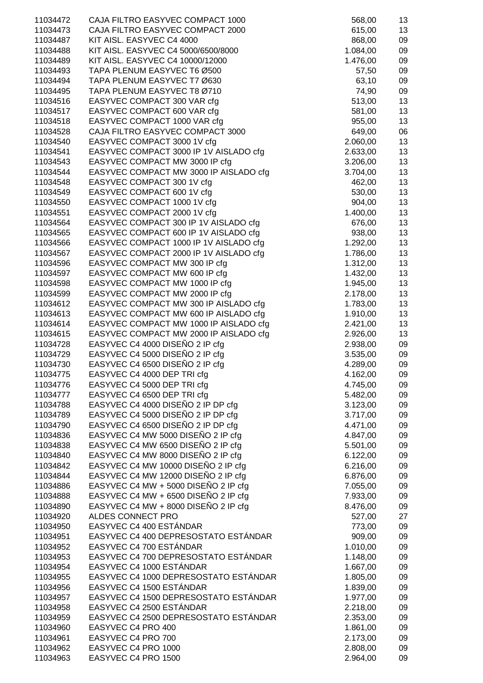| 11034472 | CAJA FILTRO EASYVEC COMPACT 1000       | 568,00   | 13 |
|----------|----------------------------------------|----------|----|
| 11034473 | CAJA FILTRO EASYVEC COMPACT 2000       | 615,00   | 13 |
| 11034487 | KIT AISL. EASYVEC C4 4000              | 868,00   | 09 |
| 11034488 | KIT AISL. EASYVEC C4 5000/6500/8000    | 1.084,00 | 09 |
| 11034489 | KIT AISL. EASYVEC C4 10000/12000       | 1.476,00 | 09 |
|          |                                        |          |    |
| 11034493 | TAPA PLENUM EASYVEC T6 Ø500            | 57,50    | 09 |
| 11034494 | TAPA PLENUM EASYVEC T7 Ø630            | 63,10    | 09 |
| 11034495 | TAPA PLENUM EASYVEC T8 Ø710            | 74,90    | 09 |
| 11034516 | EASYVEC COMPACT 300 VAR cfg            | 513,00   | 13 |
| 11034517 | EASYVEC COMPACT 600 VAR cfg            | 581,00   | 13 |
|          |                                        |          |    |
| 11034518 | EASYVEC COMPACT 1000 VAR cfg           | 955,00   | 13 |
| 11034528 | CAJA FILTRO EASYVEC COMPACT 3000       | 649,00   | 06 |
| 11034540 | EASYVEC COMPACT 3000 1V cfg            | 2.060,00 | 13 |
| 11034541 | EASYVEC COMPACT 3000 IP 1V AISLADO cfg | 2.633,00 | 13 |
| 11034543 | EASYVEC COMPACT MW 3000 IP cfg         | 3.206,00 | 13 |
| 11034544 | EASYVEC COMPACT MW 3000 IP AISLADO cfg | 3.704,00 | 13 |
|          |                                        |          |    |
| 11034548 | EASYVEC COMPACT 300 1V cfg             | 462,00   | 13 |
| 11034549 | EASYVEC COMPACT 600 1V cfg             | 530,00   | 13 |
| 11034550 | EASYVEC COMPACT 1000 1V cfg            | 904,00   | 13 |
| 11034551 | EASYVEC COMPACT 2000 1V cfg            | 1.400,00 | 13 |
| 11034564 | EASYVEC COMPACT 300 IP 1V AISLADO cfg  | 676,00   | 13 |
|          |                                        |          |    |
| 11034565 | EASYVEC COMPACT 600 IP 1V AISLADO cfg  | 938,00   | 13 |
| 11034566 | EASYVEC COMPACT 1000 IP 1V AISLADO cfg | 1.292,00 | 13 |
| 11034567 | EASYVEC COMPACT 2000 IP 1V AISLADO cfg | 1.786,00 | 13 |
| 11034596 | EASYVEC COMPACT MW 300 IP cfg          | 1.312,00 | 13 |
| 11034597 | EASYVEC COMPACT MW 600 IP cfg          | 1.432,00 | 13 |
| 11034598 | EASYVEC COMPACT MW 1000 IP cfg         | 1.945,00 | 13 |
|          |                                        |          |    |
| 11034599 | EASYVEC COMPACT MW 2000 IP cfg         | 2.178,00 | 13 |
| 11034612 | EASYVEC COMPACT MW 300 IP AISLADO cfg  | 1.783,00 | 13 |
| 11034613 | EASYVEC COMPACT MW 600 IP AISLADO cfg  | 1.910,00 | 13 |
| 11034614 | EASYVEC COMPACT MW 1000 IP AISLADO cfg | 2.421,00 | 13 |
| 11034615 | EASYVEC COMPACT MW 2000 IP AISLADO cfg | 2.926,00 | 13 |
| 11034728 | EASYVEC C4 4000 DISEÑO 2 IP cfg        |          | 09 |
|          |                                        | 2.938,00 |    |
| 11034729 | EASYVEC C4 5000 DISEÑO 2 IP cfg        | 3.535,00 | 09 |
| 11034730 | EASYVEC C4 6500 DISEÑO 2 IP cfg        | 4.289,00 | 09 |
| 11034775 | EASYVEC C4 4000 DEP TRI cfg            | 4.162,00 | 09 |
| 11034776 | EASYVEC C4 5000 DEP TRI cfg            | 4.745,00 | 09 |
| 11034777 | EASYVEC C4 6500 DEP TRI cfg            | 5.482,00 | 09 |
| 11034788 | EASYVEC C4 4000 DISEÑO 2 IP DP cfg     |          |    |
|          |                                        | 3.123,00 | 09 |
| 11034789 | EASYVEC C4 5000 DISEÑO 2 IP DP cfg     | 3.717,00 | 09 |
| 11034790 | EASYVEC C4 6500 DISEÑO 2 IP DP cfg     | 4.471,00 | 09 |
| 11034836 | EASYVEC C4 MW 5000 DISEÑO 2 IP cfg     | 4.847,00 | 09 |
| 11034838 | EASYVEC C4 MW 6500 DISEÑO 2 IP cfg     | 5.501,00 | 09 |
| 11034840 | EASYVEC C4 MW 8000 DISEÑO 2 IP cfg     | 6.122,00 | 09 |
|          |                                        |          |    |
| 11034842 | EASYVEC C4 MW 10000 DISEÑO 2 IP cfg    | 6.216,00 | 09 |
| 11034844 | EASYVEC C4 MW 12000 DISEÑO 2 IP cfg    | 6.876,00 | 09 |
| 11034886 | EASYVEC C4 MW + 5000 DISEÑO 2 IP cfg   | 7.055,00 | 09 |
| 11034888 | EASYVEC C4 MW + 6500 DISEÑO 2 IP cfg   | 7.933,00 | 09 |
| 11034890 | EASYVEC C4 MW + 8000 DISEÑO 2 IP cfg   | 8.476,00 | 09 |
| 11034920 | ALDES CONNECT PRO                      | 527,00   | 27 |
|          |                                        |          |    |
| 11034950 | EASYVEC C4 400 ESTÁNDAR                | 773,00   | 09 |
| 11034951 | EASYVEC C4 400 DEPRESOSTATO ESTÁNDAR   | 909,00   | 09 |
| 11034952 | EASYVEC C4 700 ESTÁNDAR                | 1.010,00 | 09 |
| 11034953 | EASYVEC C4 700 DEPRESOSTATO ESTÁNDAR   | 1.148,00 | 09 |
| 11034954 | EASYVEC C4 1000 ESTÁNDAR               | 1.667,00 | 09 |
| 11034955 | EASYVEC C4 1000 DEPRESOSTATO ESTÁNDAR  | 1.805,00 | 09 |
|          |                                        |          |    |
| 11034956 | EASYVEC C4 1500 ESTÁNDAR               | 1.839,00 | 09 |
| 11034957 | EASYVEC C4 1500 DEPRESOSTATO ESTÁNDAR  | 1.977,00 | 09 |
| 11034958 | EASYVEC C4 2500 ESTÁNDAR               | 2.218,00 | 09 |
| 11034959 | EASYVEC C4 2500 DEPRESOSTATO ESTÁNDAR  | 2.353,00 | 09 |
| 11034960 | EASYVEC C4 PRO 400                     | 1.861,00 | 09 |
| 11034961 | EASYVEC C4 PRO 700                     | 2.173,00 | 09 |
|          |                                        |          |    |
| 11034962 | EASYVEC C4 PRO 1000                    | 2.808,00 | 09 |
| 11034963 | EASYVEC C4 PRO 1500                    | 2.964,00 | 09 |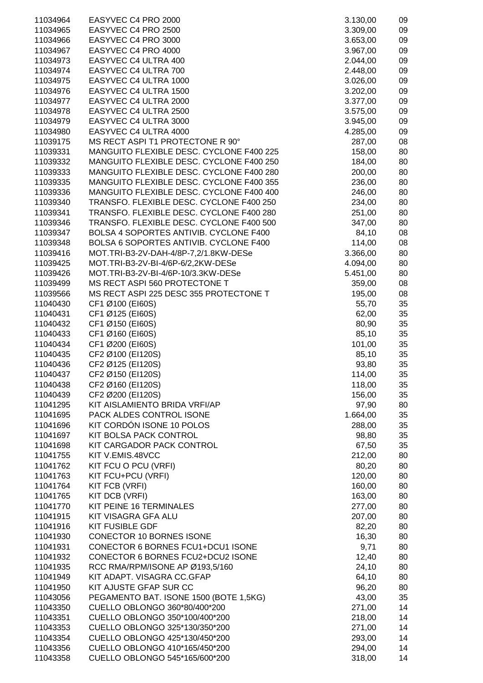| 11034964 | EASYVEC C4 PRO 2000                      | 3.130,00 | 09 |
|----------|------------------------------------------|----------|----|
| 11034965 | EASYVEC C4 PRO 2500                      | 3.309,00 | 09 |
| 11034966 | EASYVEC C4 PRO 3000                      | 3.653,00 | 09 |
|          |                                          |          |    |
| 11034967 | EASYVEC C4 PRO 4000                      | 3.967,00 | 09 |
| 11034973 | EASYVEC C4 ULTRA 400                     | 2.044,00 | 09 |
| 11034974 | EASYVEC C4 ULTRA 700                     | 2.448,00 | 09 |
| 11034975 | EASYVEC C4 ULTRA 1000                    | 3.026,00 | 09 |
|          |                                          |          |    |
| 11034976 | EASYVEC C4 ULTRA 1500                    | 3.202,00 | 09 |
| 11034977 | EASYVEC C4 ULTRA 2000                    | 3.377,00 | 09 |
| 11034978 | EASYVEC C4 ULTRA 2500                    | 3.575,00 | 09 |
| 11034979 | EASYVEC C4 ULTRA 3000                    | 3.945,00 | 09 |
| 11034980 | EASYVEC C4 ULTRA 4000                    | 4.285,00 | 09 |
|          |                                          |          |    |
| 11039175 | MS RECT ASPI T1 PROTECTONE R 90°         | 287,00   | 08 |
| 11039331 | MANGUITO FLEXIBLE DESC. CYCLONE F400 225 | 158,00   | 80 |
| 11039332 | MANGUITO FLEXIBLE DESC. CYCLONE F400 250 | 184,00   | 80 |
| 11039333 | MANGUITO FLEXIBLE DESC. CYCLONE F400 280 | 200,00   | 80 |
| 11039335 | MANGUITO FLEXIBLE DESC. CYCLONE F400 355 | 236,00   | 80 |
|          | MANGUITO FLEXIBLE DESC. CYCLONE F400 400 |          |    |
| 11039336 |                                          | 246,00   | 80 |
| 11039340 | TRANSFO. FLEXIBLE DESC. CYCLONE F400 250 | 234,00   | 80 |
| 11039341 | TRANSFO. FLEXIBLE DESC. CYCLONE F400 280 | 251,00   | 80 |
| 11039346 | TRANSFO. FLEXIBLE DESC. CYCLONE F400 500 | 347,00   | 80 |
| 11039347 | BOLSA 4 SOPORTES ANTIVIB. CYCLONE F400   | 84,10    | 08 |
| 11039348 | BOLSA 6 SOPORTES ANTIVIB. CYCLONE F400   | 114,00   | 08 |
|          |                                          |          |    |
| 11039416 | MOT.TRI-B3-2V-DAH-4/8P-7,2/1.8KW-DESe    | 3.366,00 | 80 |
| 11039425 | MOT.TRI-B3-2V-BI-4/6P-6/2,2KW-DESe       | 4.094,00 | 80 |
| 11039426 | MOT.TRI-B3-2V-BI-4/6P-10/3.3KW-DESe      | 5.451,00 | 80 |
| 11039499 | MS RECT ASPI 560 PROTECTONE T            | 359,00   | 08 |
| 11039566 | MS RECT ASPI 225 DESC 355 PROTECTONE T   | 195,00   | 08 |
| 11040430 | CF1 Ø100 (EI60S)                         | 55,70    | 35 |
|          |                                          |          |    |
| 11040431 | CF1 Ø125 (EI60S)                         | 62,00    | 35 |
| 11040432 | CF1 Ø150 (EI60S)                         | 80,90    | 35 |
| 11040433 | CF1 Ø160 (EI60S)                         | 85,10    | 35 |
| 11040434 | CF1 Ø200 (EI60S)                         | 101,00   | 35 |
| 11040435 | CF2 Ø100 (EI120S)                        | 85,10    | 35 |
| 11040436 | CF2 Ø125 (EI120S)                        | 93,80    | 35 |
|          |                                          |          |    |
| 11040437 | CF2 Ø150 (EI120S)                        | 114,00   | 35 |
| 11040438 | CF2 Ø160 (EI120S)                        | 118,00   | 35 |
| 11040439 | CF2 Ø200 (EI120S)                        | 156,00   | 35 |
| 11041295 | KIT AISLAMIENTO BRIDA VRFI/AP            | 97,90    | 80 |
| 11041695 | PACK ALDES CONTROL ISONE                 | 1.664,00 | 35 |
| 11041696 | KIT CORDÓN ISONE 10 POLOS                | 288,00   | 35 |
|          |                                          |          |    |
| 11041697 | KIT BOLSA PACK CONTROL                   | 98,80    | 35 |
| 11041698 | KIT CARGADOR PACK CONTROL                | 67,50    | 35 |
| 11041755 | KIT V.EMIS.48VCC                         | 212,00   | 80 |
| 11041762 | KIT FCU O PCU (VRFI)                     | 80,20    | 80 |
| 11041763 | KIT FCU+PCU (VRFI)                       | 120,00   | 80 |
| 11041764 | KIT FCB (VRFI)                           | 160,00   | 80 |
|          |                                          |          |    |
| 11041765 | KIT DCB (VRFI)                           | 163,00   | 80 |
| 11041770 | KIT PEINE 16 TERMINALES                  | 277,00   | 80 |
| 11041915 | KIT VISAGRA GFA ALU                      | 207,00   | 80 |
| 11041916 | <b>KIT FUSIBLE GDF</b>                   | 82,20    | 80 |
| 11041930 | CONECTOR 10 BORNES ISONE                 | 16,30    | 80 |
| 11041931 | CONECTOR 6 BORNES FCU1+DCU1 ISONE        | 9,71     | 80 |
|          |                                          |          |    |
| 11041932 | CONECTOR 6 BORNES FCU2+DCU2 ISONE        | 12,40    | 80 |
| 11041935 | RCC RMA/RPM/ISONE AP Ø193,5/160          | 24,10    | 80 |
| 11041949 | KIT ADAPT. VISAGRA CC.GFAP               | 64,10    | 80 |
| 11041950 | KIT AJUSTE GFAP SUR CC                   | 96,20    | 80 |
| 11043056 | PEGAMENTO BAT. ISONE 1500 (BOTE 1,5KG)   | 43,00    | 35 |
| 11043350 | CUELLO OBLONGO 360*80/400*200            | 271,00   | 14 |
|          | CUELLO OBLONGO 350*100/400*200           | 218,00   | 14 |
| 11043351 |                                          |          |    |
| 11043353 | CUELLO OBLONGO 325*130/350*200           | 271,00   | 14 |
| 11043354 | CUELLO OBLONGO 425*130/450*200           | 293,00   | 14 |
| 11043356 | CUELLO OBLONGO 410*165/450*200           | 294,00   | 14 |
| 11043358 | CUELLO OBLONGO 545*165/600*200           | 318,00   | 14 |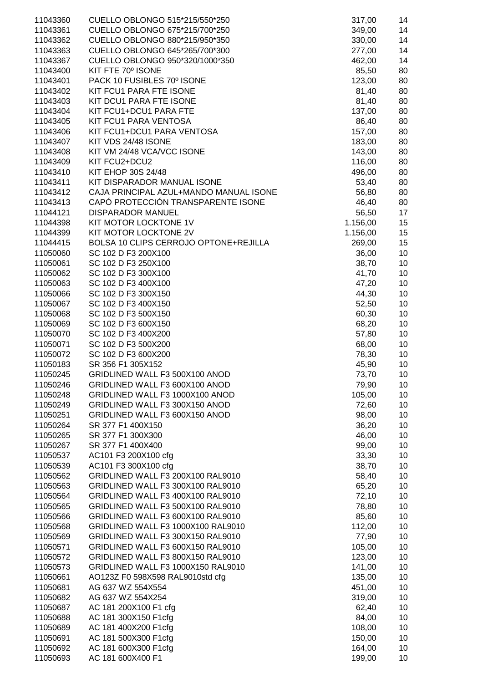| 11043360 | CUELLO OBLONGO 515*215/550*250         | 317,00   | 14 |
|----------|----------------------------------------|----------|----|
| 11043361 | CUELLO OBLONGO 675*215/700*250         | 349,00   | 14 |
| 11043362 | CUELLO OBLONGO 880*215/950*350         | 330,00   | 14 |
| 11043363 | CUELLO OBLONGO 645*265/700*300         | 277,00   | 14 |
|          |                                        |          |    |
| 11043367 | CUELLO OBLONGO 950*320/1000*350        | 462,00   | 14 |
| 11043400 | KIT FTE 70° ISONE                      | 85,50    | 80 |
| 11043401 | PACK 10 FUSIBLES 70° ISONE             | 123,00   | 80 |
| 11043402 | KIT FCU1 PARA FTE ISONE                | 81,40    | 80 |
| 11043403 | KIT DCU1 PARA FTE ISONE                | 81,40    | 80 |
|          |                                        |          |    |
| 11043404 | KIT FCU1+DCU1 PARA FTE                 | 137,00   | 80 |
| 11043405 | KIT FCU1 PARA VENTOSA                  | 86,40    | 80 |
| 11043406 | KIT FCU1+DCU1 PARA VENTOSA             | 157,00   | 80 |
| 11043407 | KIT VDS 24/48 ISONE                    | 183,00   | 80 |
| 11043408 | KIT VM 24/48 VCA/VCC ISONE             | 143,00   | 80 |
|          |                                        |          |    |
| 11043409 | KIT FCU2+DCU2                          | 116,00   | 80 |
| 11043410 | KIT EHOP 30S 24/48                     | 496,00   | 80 |
| 11043411 | KIT DISPARADOR MANUAL ISONE            | 53,40    | 80 |
| 11043412 | CAJA PRINCIPAL AZUL+MANDO MANUAL ISONE | 56,80    | 80 |
| 11043413 | CAPÓ PROTECCIÓN TRANSPARENTE ISONE     | 46,40    | 80 |
| 11044121 | <b>DISPARADOR MANUEL</b>               |          | 17 |
|          |                                        | 56,50    |    |
| 11044398 | KIT MOTOR LOCKTONE 1V                  | 1.156,00 | 15 |
| 11044399 | KIT MOTOR LOCKTONE 2V                  | 1.156,00 | 15 |
| 11044415 | BOLSA 10 CLIPS CERROJO OPTONE+REJILLA  | 269,00   | 15 |
| 11050060 | SC 102 D F3 200X100                    | 36,00    | 10 |
| 11050061 | SC 102 D F3 250X100                    | 38,70    | 10 |
|          |                                        |          |    |
| 11050062 | SC 102 D F3 300X100                    | 41,70    | 10 |
| 11050063 | SC 102 D F3 400X100                    | 47,20    | 10 |
| 11050066 | SC 102 D F3 300X150                    | 44,30    | 10 |
| 11050067 | SC 102 D F3 400X150                    | 52,50    | 10 |
| 11050068 | SC 102 D F3 500X150                    | 60,30    | 10 |
|          |                                        |          |    |
| 11050069 | SC 102 D F3 600X150                    | 68,20    | 10 |
| 11050070 | SC 102 D F3 400X200                    | 57,80    | 10 |
| 11050071 | SC 102 D F3 500X200                    | 68,00    | 10 |
| 11050072 | SC 102 D F3 600X200                    | 78,30    | 10 |
| 11050183 | SR 356 F1 305X152                      | 45,90    | 10 |
| 11050245 | GRIDLINED WALL F3 500X100 ANOD         |          |    |
|          |                                        | 73,70    | 10 |
| 11050246 | GRIDLINED WALL F3 600X100 ANOD         | 79,90    | 10 |
| 11050248 | GRIDLINED WALL F3 1000X100 ANOD        | 105,00   | 10 |
| 11050249 | GRIDLINED WALL F3 300X150 ANOD         | 72,60    | 10 |
| 11050251 | GRIDLINED WALL F3 600X150 ANOD         | 98,00    | 10 |
| 11050264 | SR 377 F1 400X150                      | 36,20    | 10 |
|          |                                        |          |    |
| 11050265 | SR 377 F1 300X300                      | 46,00    | 10 |
| 11050267 | SR 377 F1 400X400                      | 99,00    | 10 |
| 11050537 | AC101 F3 200X100 cfg                   | 33,30    | 10 |
| 11050539 | AC101 F3 300X100 cfg                   | 38,70    | 10 |
| 11050562 | GRIDLINED WALL F3 200X100 RAL9010      | 58,40    | 10 |
|          | GRIDLINED WALL F3 300X100 RAL9010      |          | 10 |
| 11050563 |                                        | 65,20    |    |
| 11050564 | GRIDLINED WALL F3 400X100 RAL9010      | 72,10    | 10 |
| 11050565 | GRIDLINED WALL F3 500X100 RAL9010      | 78,80    | 10 |
| 11050566 | GRIDLINED WALL F3 600X100 RAL9010      | 85,60    | 10 |
| 11050568 | GRIDLINED WALL F3 1000X100 RAL9010     | 112,00   | 10 |
| 11050569 | GRIDLINED WALL F3 300X150 RAL9010      | 77,90    | 10 |
|          |                                        |          |    |
| 11050571 | GRIDLINED WALL F3 600X150 RAL9010      | 105,00   | 10 |
| 11050572 | GRIDLINED WALL F3 800X150 RAL9010      | 123,00   | 10 |
| 11050573 | GRIDLINED WALL F3 1000X150 RAL9010     | 141,00   | 10 |
| 11050661 | AO123Z F0 598X598 RAL9010std cfg       | 135,00   | 10 |
| 11050681 | AG 637 WZ 554X554                      | 451,00   | 10 |
|          |                                        |          |    |
| 11050682 | AG 637 WZ 554X254                      | 319,00   | 10 |
| 11050687 | AC 181 200X100 F1 cfg                  | 62,40    | 10 |
| 11050688 | AC 181 300X150 F1cfg                   | 84,00    | 10 |
| 11050689 | AC 181 400X200 F1cfg                   | 108,00   | 10 |
| 11050691 | AC 181 500X300 F1cfg                   | 150,00   | 10 |
| 11050692 | AC 181 600X300 F1cfg                   | 164,00   | 10 |
|          |                                        |          |    |
| 11050693 | AC 181 600X400 F1                      | 199,00   | 10 |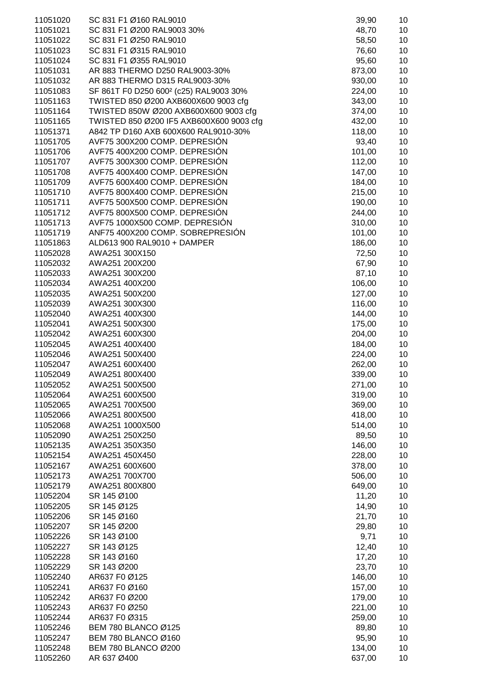| 11051020             | SC 831 F1 Ø160 RAL9010                             | 39,90            | 10       |
|----------------------|----------------------------------------------------|------------------|----------|
| 11051021             | SC 831 F1 Ø200 RAL9003 30%                         | 48,70            | 10       |
| 11051022             | SC 831 F1 Ø250 RAL9010                             | 58,50            | 10       |
| 11051023             | SC 831 F1 Ø315 RAL9010                             | 76,60            | 10       |
| 11051024             | SC 831 F1 Ø355 RAL9010                             | 95,60            | 10       |
| 11051031             | AR 883 THERMO D250 RAL9003-30%                     | 873,00           | 10       |
| 11051032             | AR 883 THERMO D315 RAL9003-30%                     | 930,00           | 10       |
| 11051083             | SF 861T F0 D250 600 <sup>2</sup> (c25) RAL9003 30% | 224,00           | 10       |
| 11051163             | TWISTED 850 Ø200 AXB600X600 9003 cfg               | 343,00           | 10       |
| 11051164             | TWISTED 850W Ø200 AXB600X600 9003 cfg              | 374,00           | 10       |
| 11051165             | TWISTED 850 Ø200 IF5 AXB600X600 9003 cfg           | 432,00           | 10       |
| 11051371             | A842 TP D160 AXB 600X600 RAL9010-30%               | 118,00           | 10       |
| 11051705             | AVF75 300X200 COMP. DEPRESIÓN                      | 93,40            | 10       |
| 11051706             | AVF75 400X200 COMP. DEPRESIÓN                      | 101,00           | 10       |
| 11051707             | AVF75 300X300 COMP. DEPRESIÓN                      | 112,00           | 10       |
| 11051708             | AVF75 400X400 COMP. DEPRESIÓN                      | 147,00           | 10       |
| 11051709             | AVF75 600X400 COMP. DEPRESIÓN                      | 184,00           | 10       |
| 11051710             | AVF75 800X400 COMP. DEPRESIÓN                      | 215,00           | 10       |
| 11051711             | AVF75 500X500 COMP. DEPRESIÓN                      | 190,00           | 10       |
| 11051712             | AVF75 800X500 COMP. DEPRESIÓN                      | 244,00           | 10       |
| 11051713             | AVF75 1000X500 COMP. DEPRESIÓN                     | 310,00           | 10       |
| 11051719             | ANF75 400X200 COMP. SOBREPRESIÓN                   | 101,00           | 10       |
| 11051863             | ALD613 900 RAL9010 + DAMPER                        | 186,00           | 10       |
| 11052028             | AWA251 300X150                                     | 72,50            | 10       |
| 11052032             | AWA251 200X200                                     | 67,90            | 10       |
| 11052033             | AWA251 300X200                                     | 87,10            | 10       |
| 11052034             | AWA251 400X200                                     | 106,00           | 10       |
| 11052035             | AWA251 500X200                                     | 127,00           | 10       |
| 11052039             | AWA251 300X300                                     | 116,00           | 10       |
| 11052040<br>11052041 | AWA251 400X300<br>AWA251 500X300                   | 144,00           | 10<br>10 |
| 11052042             | AWA251 600X300                                     | 175,00<br>204,00 | 10       |
| 11052045             | AWA251 400X400                                     | 184,00           | 10       |
| 11052046             | AWA251 500X400                                     | 224,00           | 10       |
| 11052047             | AWA251 600X400                                     | 262,00           | 10       |
| 11052049             | AWA251 800X400                                     | 339,00           | 10       |
| 11052052             | AWA251 500X500                                     | 271,00           | 10       |
| 11052064             | AWA251 600X500                                     | 319,00           | 10       |
| 11052065             | AWA251 700X500                                     | 369,00           | 10       |
| 11052066             | AWA251 800X500                                     | 418,00           | 10       |
| 11052068             | AWA251 1000X500                                    | 514,00           | 10       |
| 11052090             | AWA251 250X250                                     | 89,50            | 10       |
| 11052135             | AWA251 350X350                                     | 146,00           | 10       |
| 11052154             | AWA251 450X450                                     | 228,00           | 10       |
| 11052167             | AWA251 600X600                                     | 378,00           | 10       |
| 11052173             | AWA251 700X700                                     | 506,00           | 10       |
| 11052179             | AWA251 800X800                                     | 649,00           | 10       |
| 11052204             | SR 145 Ø100                                        | 11,20            | 10       |
| 11052205             | SR 145 Ø125                                        | 14,90            | 10       |
| 11052206             | SR 145 Ø160                                        | 21,70            | 10       |
| 11052207             | SR 145 Ø200                                        | 29,80            | 10       |
| 11052226             | SR 143 Ø100                                        | 9,71             | 10       |
| 11052227             | SR 143 Ø125                                        | 12,40            | 10       |
| 11052228             | SR 143 Ø160                                        | 17,20            | 10       |
| 11052229             | SR 143 Ø200                                        | 23,70            | 10       |
| 11052240             | AR637 F0 Ø125                                      | 146,00           | 10       |
| 11052241             | AR637 F0 Ø160                                      | 157,00           | 10       |
| 11052242             | AR637 F0 Ø200                                      | 179,00           | 10       |
| 11052243             | AR637 F0 Ø250                                      | 221,00           | 10       |
| 11052244             | AR637 F0 Ø315                                      | 259,00           | 10       |
| 11052246             | <b>BEM 780 BLANCO Ø125</b>                         | 89,80            | 10       |
| 11052247             | <b>BEM 780 BLANCO Ø160</b>                         | 95,90            | 10       |
| 11052248             | <b>BEM 780 BLANCO Ø200</b>                         | 134,00           | 10       |
| 11052260             | AR 637 Ø400                                        | 637,00           | 10       |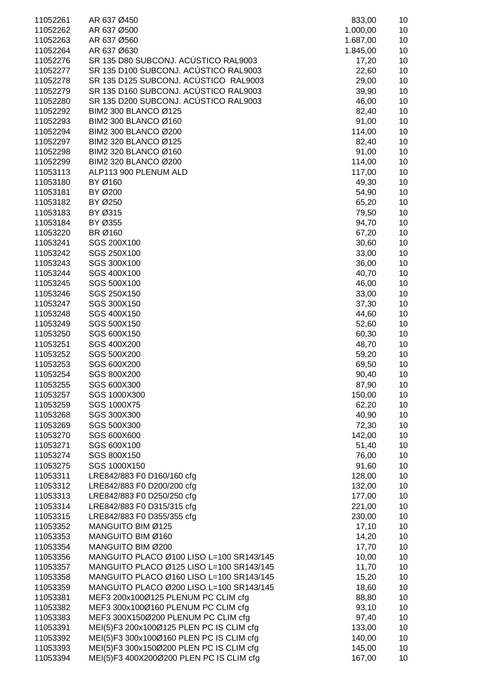| 11052261 | AR 637 Ø450                              | 833,00   | 10 |
|----------|------------------------------------------|----------|----|
| 11052262 | AR 637 Ø500                              | 1.000,00 | 10 |
| 11052263 | AR 637 Ø560                              | 1.687,00 | 10 |
| 11052264 | AR 637 Ø630                              | 1.845,00 | 10 |
| 11052276 | SR 135 D80 SUBCONJ. ACÚSTICO RAL9003     | 17,20    | 10 |
| 11052277 | SR 135 D100 SUBCONJ. ACÚSTICO RAL9003    | 22,60    | 10 |
|          | SR 135 D125 SUBCONJ. ACÚSTICO RAL9003    |          | 10 |
| 11052278 |                                          | 29,00    |    |
| 11052279 | SR 135 D160 SUBCONJ. ACÚSTICO RAL9003    | 39,90    | 10 |
| 11052280 | SR 135 D200 SUBCONJ. ACÚSTICO RAL9003    | 46,00    | 10 |
| 11052292 | BIM2 300 BLANCO Ø125                     | 82,40    | 10 |
| 11052293 | BIM2 300 BLANCO Ø160                     | 91,00    | 10 |
| 11052294 | BIM2 300 BLANCO Ø200                     | 114,00   | 10 |
| 11052297 | BIM2 320 BLANCO Ø125                     | 82,40    | 10 |
| 11052298 | BIM2 320 BLANCO Ø160                     | 91,00    | 10 |
| 11052299 | BIM2 320 BLANCO Ø200                     | 114,00   | 10 |
| 11053113 | ALP113 900 PLENUM ALD                    | 117,00   | 10 |
| 11053180 | BY Ø160                                  | 49,30    | 10 |
| 11053181 | BY Ø200                                  | 54,90    | 10 |
| 11053182 | BY Ø250                                  | 65,20    | 10 |
| 11053183 | BY Ø315                                  | 79,50    | 10 |
| 11053184 | BY Ø355                                  | 94,70    | 10 |
| 11053220 | BR Ø160                                  | 67,20    | 10 |
| 11053241 | SGS 200X100                              | 30,60    | 10 |
| 11053242 | SGS 250X100                              | 33,00    | 10 |
| 11053243 | SGS 300X100                              | 36,00    | 10 |
| 11053244 | SGS 400X100                              | 40,70    | 10 |
| 11053245 | SGS 500X100                              | 46,00    | 10 |
| 11053246 | SGS 250X150                              | 33,00    | 10 |
| 11053247 | SGS 300X150                              | 37,30    | 10 |
| 11053248 | SGS 400X150                              | 44,60    | 10 |
| 11053249 | SGS 500X150                              | 52,60    | 10 |
| 11053250 | SGS 600X150                              | 60,30    | 10 |
| 11053251 | SGS 400X200                              | 48,70    | 10 |
| 11053252 | SGS 500X200                              |          | 10 |
| 11053253 | SGS 600X200                              | 59,20    | 10 |
| 11053254 | SGS 800X200                              | 69,50    |    |
|          |                                          | 90,40    | 10 |
| 11053255 | SGS 600X300                              | 87,90    | 10 |
| 11053257 | SGS 1000X300                             | 150,00   | 10 |
| 11053259 | SGS 1000X75                              | 62,20    | 10 |
| 11053268 | SGS 300X300                              | 40,90    | 10 |
| 11053269 | SGS 500X300                              | 72,30    | 10 |
| 11053270 | SGS 600X600                              | 142,00   | 10 |
| 11053271 | SGS 600X100                              | 51,40    | 10 |
| 11053274 | SGS 800X150                              | 76,00    | 10 |
| 11053275 | SGS 1000X150                             | 91,60    | 10 |
| 11053311 | LRE842/883 F0 D160/160 cfg               | 128,00   | 10 |
| 11053312 | LRE842/883 F0 D200/200 cfg               | 132,00   | 10 |
| 11053313 | LRE842/883 F0 D250/250 cfg               | 177,00   | 10 |
| 11053314 | LRE842/883 F0 D315/315 cfg               | 221,00   | 10 |
| 11053315 | LRE842/883 F0 D355/355 cfg               | 230,00   | 10 |
| 11053352 | MANGUITO BIM Ø125                        | 17,10    | 10 |
| 11053353 | MANGUITO BIM Ø160                        | 14,20    | 10 |
| 11053354 | MANGUITO BIM Ø200                        | 17,70    | 10 |
| 11053356 | MANGUITO PLACO Ø100 LISO L=100 SR143/145 | 10,00    | 10 |
| 11053357 | MANGUITO PLACO Ø125 LISO L=100 SR143/145 | 11,70    | 10 |
| 11053358 | MANGUITO PLACO Ø160 LISO L=100 SR143/145 | 15,20    | 10 |
| 11053359 | MANGUITO PLACO Ø200 LISO L=100 SR143/145 | 18,60    | 10 |
| 11053381 | MEF3 200x100Ø125 PLENUM PC CLIM cfg      | 88,80    | 10 |
| 11053382 | MEF3 300x100Ø160 PLENUM PC CLIM cfg      | 93,10    | 10 |
| 11053383 | MEF3 300X150Ø200 PLENUM PC CLIM cfg      | 97,40    | 10 |
| 11053391 | MEI(5)F3 200x100Ø125 PLEN PC IS CLIM cfg | 133,00   | 10 |
| 11053392 | MEI(5)F3 300x100Ø160 PLEN PC IS CLIM cfg | 140,00   | 10 |
| 11053393 | MEI(5)F3 300x150Ø200 PLEN PC IS CLIM cfg | 145,00   | 10 |
| 11053394 | MEI(5)F3 400X200Ø200 PLEN PC IS CLIM cfg | 167,00   | 10 |
|          |                                          |          |    |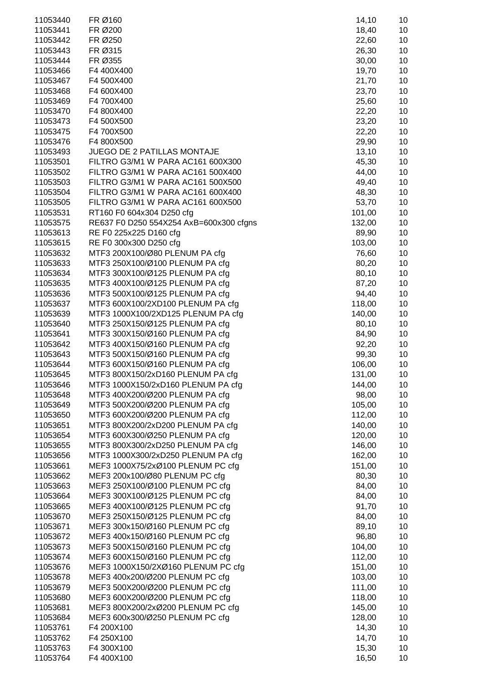| 11053440             | FR Ø160                                                               | 14,10            | 10       |
|----------------------|-----------------------------------------------------------------------|------------------|----------|
| 11053441             | FR Ø200                                                               | 18,40            | 10       |
| 11053442             | FR Ø250                                                               | 22,60            | 10       |
| 11053443             | FR Ø315                                                               | 26,30            | 10       |
| 11053444             | FR Ø355                                                               | 30,00            | 10       |
| 11053466             | F4 400X400                                                            | 19,70            | 10       |
| 11053467             | F4 500X400                                                            | 21,70            | 10       |
| 11053468             | F4 600X400                                                            | 23,70            | 10       |
| 11053469             | F4 700X400                                                            | 25,60            | 10       |
| 11053470             | F4 800X400                                                            | 22,20            | 10       |
| 11053473             | F4 500X500                                                            | 23,20            | 10       |
| 11053475             | F4 700X500                                                            | 22,20            | 10       |
| 11053476             | F4 800X500                                                            | 29,90            | 10       |
| 11053493             | JUEGO DE 2 PATILLAS MONTAJE                                           | 13,10            | 10       |
| 11053501             | FILTRO G3/M1 W PARA AC161 600X300                                     | 45,30            | 10       |
| 11053502             | FILTRO G3/M1 W PARA AC161 500X400                                     | 44,00            | 10       |
| 11053503             | FILTRO G3/M1 W PARA AC161 500X500                                     | 49,40            | 10       |
| 11053504             | FILTRO G3/M1 W PARA AC161 600X400                                     | 48,30            | 10       |
| 11053505             | FILTRO G3/M1 W PARA AC161 600X500                                     | 53,70            | 10       |
| 11053531             | RT160 F0 604x304 D250 cfg                                             | 101,00           | 10       |
| 11053575             | RE637 F0 D250 554X254 AxB=600x300 cfgns<br>RE F0 225x225 D160 cfg     | 132,00           | 10       |
| 11053613<br>11053615 | RE F0 300x300 D250 cfg                                                | 89,90<br>103,00  | 10<br>10 |
| 11053632             | MTF3 200X100/Ø80 PLENUM PA cfg                                        | 76,60            | 10       |
| 11053633             | MTF3 250X100/Ø100 PLENUM PA cfg                                       | 80,20            | 10       |
| 11053634             | MTF3 300X100/Ø125 PLENUM PA cfg                                       | 80,10            | 10       |
| 11053635             | MTF3 400X100/Ø125 PLENUM PA cfg                                       | 87,20            | 10       |
| 11053636             | MTF3 500X100/Ø125 PLENUM PA cfg                                       | 94,40            | 10       |
| 11053637             | MTF3 600X100/2XD100 PLENUM PA cfg                                     | 118,00           | 10       |
| 11053639             | MTF3 1000X100/2XD125 PLENUM PA cfg                                    | 140,00           | 10       |
| 11053640             | MTF3 250X150/Ø125 PLENUM PA cfg                                       | 80,10            | 10       |
| 11053641             | MTF3 300X150/Ø160 PLENUM PA cfg                                       | 84,90            | 10       |
| 11053642             | MTF3 400X150/Ø160 PLENUM PA cfg                                       | 92,20            | 10       |
| 11053643             | MTF3 500X150/Ø160 PLENUM PA cfg                                       | 99,30            | 10       |
| 11053644             | MTF3 600X150/Ø160 PLENUM PA cfg                                       | 106,00           | 10       |
| 11053645             | MTF3 800X150/2xD160 PLENUM PA cfg                                     | 131,00           | 10       |
| 11053646             | MTF3 1000X150/2xD160 PLENUM PA cfg                                    | 144,00           | 10       |
| 11053648             | MTF3 400X200/Ø200 PLENUM PA cfg                                       | 98,00            | 10       |
| 11053649             | MTF3 500X200/Ø200 PLENUM PA cfg                                       | 105,00           | 10       |
| 11053650             | MTF3 600X200/Ø200 PLENUM PA cfg                                       | 112,00           | 10       |
| 11053651             | MTF3 800X200/2xD200 PLENUM PA cfg                                     | 140,00           | 10       |
| 11053654             | MTF3 600X300/Ø250 PLENUM PA cfg                                       | 120,00           | 10       |
| 11053655             | MTF3 800X300/2xD250 PLENUM PA cfg                                     | 146,00           | 10       |
| 11053656             | MTF3 1000X300/2xD250 PLENUM PA cfg                                    | 162,00           | 10       |
| 11053661             | MEF3 1000X75/2xØ100 PLENUM PC cfg                                     | 151,00           | 10       |
| 11053662             | MEF3 200x100/Ø80 PLENUM PC cfg                                        | 80,30            | 10       |
| 11053663             | MEF3 250X100/Ø100 PLENUM PC cfg                                       | 84,00            | 10       |
| 11053664             | MEF3 300X100/Ø125 PLENUM PC cfg                                       | 84,00            | 10       |
| 11053665             | MEF3 400X100/Ø125 PLENUM PC cfg                                       | 91,70            | 10       |
| 11053670             | MEF3 250X150/Ø125 PLENUM PC cfg                                       | 84,00            | 10       |
| 11053671             | MEF3 300x150/Ø160 PLENUM PC cfg                                       | 89,10            | 10       |
| 11053672             | MEF3 400x150/Ø160 PLENUM PC cfg                                       | 96,80            | 10       |
| 11053673             | MEF3 500X150/Ø160 PLENUM PC cfg                                       | 104,00           | 10       |
| 11053674             | MEF3 600X150/Ø160 PLENUM PC cfg                                       | 112,00           | 10<br>10 |
| 11053676<br>11053678 | MEF3 1000X150/2XØ160 PLENUM PC cfg<br>MEF3 400x200/Ø200 PLENUM PC cfg | 151,00<br>103,00 | 10       |
| 11053679             | MEF3 500X200/Ø200 PLENUM PC cfg                                       | 111,00           | 10       |
| 11053680             | MEF3 600X200/Ø200 PLENUM PC cfg                                       | 118,00           | 10       |
| 11053681             | MEF3 800X200/2xØ200 PLENUM PC cfg                                     | 145,00           | 10       |
| 11053684             | MEF3 600x300/Ø250 PLENUM PC cfg                                       | 128,00           | 10       |
| 11053761             | F4 200X100                                                            | 14,30            | 10       |
| 11053762             | F4 250X100                                                            | 14,70            | 10       |
| 11053763             | F4 300X100                                                            | 15,30            | 10       |
| 11053764             | F4 400X100                                                            | 16,50            | 10       |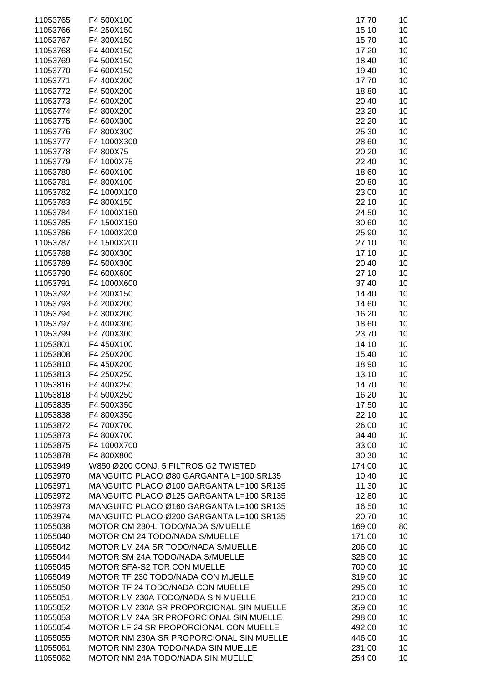| 11053765             | F4 500X100                                                          | 17,70            | 10       |
|----------------------|---------------------------------------------------------------------|------------------|----------|
| 11053766             | F4 250X150                                                          | 15,10            | 10       |
| 11053767             | F4 300X150                                                          | 15,70            | 10       |
| 11053768             | F4 400X150                                                          | 17,20            | 10       |
| 11053769             | F4 500X150                                                          | 18,40            | 10       |
| 11053770             | F4 600X150                                                          | 19,40            | 10       |
| 11053771             | F4 400X200                                                          | 17,70            | 10       |
| 11053772             | F4 500X200                                                          | 18,80            | 10       |
| 11053773             | F4 600X200                                                          | 20,40            | 10       |
| 11053774             | F4 800X200                                                          | 23,20            | 10       |
| 11053775             | F4 600X300                                                          | 22,20            | 10       |
| 11053776             | F4 800X300                                                          | 25,30            | 10       |
| 11053777             | F4 1000X300                                                         | 28,60            | 10       |
| 11053778             | F4 800X75                                                           | 20,20            | 10       |
| 11053779             | F4 1000X75                                                          | 22,40            | 10       |
| 11053780             | F4 600X100                                                          | 18,60            | 10       |
| 11053781             | F4 800X100                                                          | 20,80            | 10       |
| 11053782             | F4 1000X100                                                         | 23,00            | 10       |
| 11053783             | F4 800X150                                                          | 22,10            | 10       |
| 11053784             | F4 1000X150                                                         | 24,50            | 10       |
| 11053785             | F4 1500X150                                                         | 30,60            | 10       |
| 11053786             | F4 1000X200                                                         | 25,90            | 10       |
| 11053787             | F4 1500X200                                                         | 27,10            | 10       |
| 11053788             | F4 300X300                                                          | 17,10            | 10       |
| 11053789             | F4 500X300                                                          | 20,40            | 10       |
| 11053790             | F4 600X600                                                          | 27,10            | 10       |
| 11053791             | F4 1000X600                                                         | 37,40            | 10       |
| 11053792             | F4 200X150                                                          | 14,40            | 10       |
| 11053793             | F4 200X200                                                          | 14,60            | 10       |
| 11053794             | F4 300X200                                                          | 16,20            | 10       |
| 11053797             | F4 400X300                                                          | 18,60            | 10       |
| 11053799             | F4 700X300                                                          | 23,70            | 10       |
| 11053801             | F4 450X100                                                          | 14,10            | 10       |
| 11053808             | F4 250X200                                                          | 15,40            | 10       |
| 11053810             | F4 450X200                                                          | 18,90            | 10       |
| 11053813             | F4 250X250                                                          | 13,10            | 10       |
| 11053816             | F4 400X250                                                          | 14,70            | 10       |
| 11053818             | F4 500X250                                                          | 16,20            | 10       |
| 11053835             | F4 500X350                                                          | 17,50            | 10       |
| 11053838             | F4 800X350                                                          | 22,10            | 10       |
| 11053872             | F4 700X700                                                          | 26,00            | 10       |
| 11053873             | F4 800X700                                                          | 34,40            | 10       |
| 11053875             | F4 1000X700                                                         | 33,00            | 10       |
| 11053878             | F4 800X800                                                          | 30,30            | 10       |
| 11053949             | W850 Ø200 CONJ. 5 FILTROS G2 TWISTED                                | 174,00           | 10       |
| 11053970             | MANGUITO PLACO Ø80 GARGANTA L=100 SR135                             | 10,40            | 10       |
| 11053971             | MANGUITO PLACO Ø100 GARGANTA L=100 SR135                            | 11,30            | 10       |
| 11053972             | MANGUITO PLACO Ø125 GARGANTA L=100 SR135                            | 12,80            | 10       |
| 11053973             | MANGUITO PLACO Ø160 GARGANTA L=100 SR135                            | 16,50            | 10<br>10 |
| 11053974             | MANGUITO PLACO Ø200 GARGANTA L=100 SR135                            | 20,70            |          |
| 11055038<br>11055040 | MOTOR CM 230-L TODO/NADA S/MUELLE<br>MOTOR CM 24 TODO/NADA S/MUELLE | 169,00           | 80<br>10 |
| 11055042             | MOTOR LM 24A SR TODO/NADA S/MUELLE                                  | 171,00<br>206,00 | 10       |
| 11055044             | MOTOR SM 24A TODO/NADA S/MUELLE                                     | 328,00           | 10       |
| 11055045             | MOTOR SFA-S2 TOR CON MUELLE                                         | 700,00           | 10       |
| 11055049             | MOTOR TF 230 TODO/NADA CON MUELLE                                   | 319,00           | 10       |
| 11055050             | MOTOR TF 24 TODO/NADA CON MUELLE                                    | 295,00           | 10       |
|                      | MOTOR LM 230A TODO/NADA SIN MUELLE                                  |                  |          |
| 11055051<br>11055052 | MOTOR LM 230A SR PROPORCIONAL SIN MUELLE                            | 210,00<br>359,00 | 10<br>10 |
| 11055053             | MOTOR LM 24A SR PROPORCIONAL SIN MUELLE                             | 298,00           | 10       |
| 11055054             | MOTOR LF 24 SR PROPORCIONAL CON MUELLE                              | 492,00           | 10       |
| 11055055             | MOTOR NM 230A SR PROPORCIONAL SIN MUELLE                            | 446,00           | 10       |
| 11055061             | MOTOR NM 230A TODO/NADA SIN MUELLE                                  | 231,00           | 10       |
| 11055062             | MOTOR NM 24A TODO/NADA SIN MUELLE                                   | 254,00           | 10       |
|                      |                                                                     |                  |          |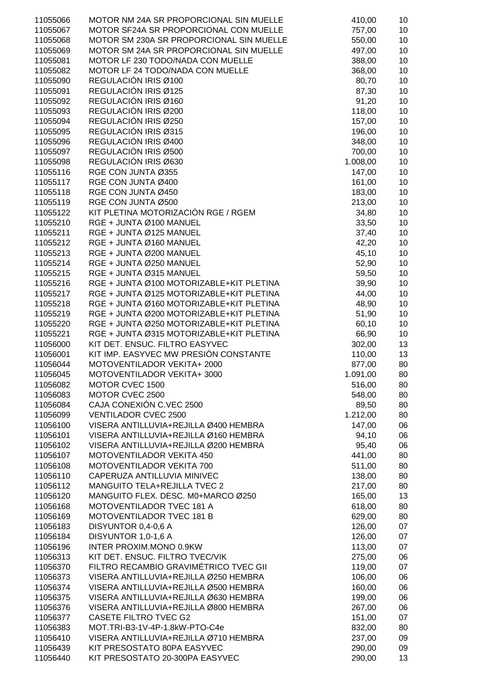| 11055066 | MOTOR NM 24A SR PROPORCIONAL SIN MUELLE  | 410,00   | 10 |
|----------|------------------------------------------|----------|----|
|          |                                          |          |    |
| 11055067 | MOTOR SF24A SR PROPORCIONAL CON MUELLE   | 757,00   | 10 |
| 11055068 | MOTOR SM 230A SR PROPORCIONAL SIN MUELLE | 550,00   | 10 |
| 11055069 | MOTOR SM 24A SR PROPORCIONAL SIN MUELLE  | 497,00   | 10 |
| 11055081 | MOTOR LF 230 TODO/NADA CON MUELLE        | 388,00   | 10 |
| 11055082 | MOTOR LF 24 TODO/NADA CON MUELLE         | 368,00   | 10 |
| 11055090 | REGULACIÓN IRIS Ø100                     | 80,70    | 10 |
|          |                                          |          |    |
| 11055091 | REGULACIÓN IRIS Ø125                     | 87,30    | 10 |
| 11055092 | REGULACIÓN IRIS Ø160                     | 91,20    | 10 |
| 11055093 | REGULACIÓN IRIS Ø200                     | 118,00   | 10 |
| 11055094 | REGULACIÓN IRIS Ø250                     | 157,00   | 10 |
| 11055095 | REGULACIÓN IRIS Ø315                     | 196,00   | 10 |
| 11055096 | REGULACIÓN IRIS Ø400                     | 348,00   | 10 |
|          |                                          |          |    |
| 11055097 | REGULACIÓN IRIS Ø500                     | 700,00   | 10 |
| 11055098 | REGULACIÓN IRIS Ø630                     | 1.008,00 | 10 |
| 11055116 | RGE CON JUNTA Ø355                       | 147,00   | 10 |
| 11055117 | RGE CON JUNTA Ø400                       | 161,00   | 10 |
| 11055118 | RGE CON JUNTA Ø450                       | 183,00   | 10 |
| 11055119 | RGE CON JUNTA Ø500                       | 213,00   | 10 |
|          | KIT PLETINA MOTORIZACIÓN RGE / RGEM      |          |    |
| 11055122 |                                          | 34,80    | 10 |
| 11055210 | RGE + JUNTA Ø100 MANUEL                  | 33,50    | 10 |
| 11055211 | RGE + JUNTA Ø125 MANUEL                  | 37,40    | 10 |
| 11055212 | RGE + JUNTA Ø160 MANUEL                  | 42,20    | 10 |
| 11055213 | RGE + JUNTA Ø200 MANUEL                  | 45,10    | 10 |
| 11055214 | RGE + JUNTA Ø250 MANUEL                  | 52,90    | 10 |
| 11055215 | RGE + JUNTA Ø315 MANUEL                  | 59,50    | 10 |
|          |                                          |          |    |
| 11055216 | RGE + JUNTA Ø100 MOTORIZABLE+KIT PLETINA | 39,90    | 10 |
| 11055217 | RGE + JUNTA Ø125 MOTORIZABLE+KIT PLETINA | 44,00    | 10 |
| 11055218 | RGE + JUNTA Ø160 MOTORIZABLE+KIT PLETINA | 48,90    | 10 |
| 11055219 | RGE + JUNTA Ø200 MOTORIZABLE+KIT PLETINA | 51,90    | 10 |
| 11055220 | RGE + JUNTA Ø250 MOTORIZABLE+KIT PLETINA | 60,10    | 10 |
| 11055221 | RGE + JUNTA Ø315 MOTORIZABLE+KIT PLETINA | 66,90    | 10 |
| 11056000 | KIT DET. ENSUC. FILTRO EASYVEC           | 302,00   | 13 |
|          |                                          |          |    |
| 11056001 | KIT IMP. EASYVEC MW PRESIÓN CONSTANTE    | 110,00   | 13 |
| 11056044 | MOTOVENTILADOR VEKITA+ 2000              | 877,00   | 80 |
| 11056045 | MOTOVENTILADOR VEKITA+ 3000              | 1.091,00 | 80 |
| 11056082 | MOTOR CVEC 1500                          | 516,00   | 80 |
| 11056083 | MOTOR CVEC 2500                          | 548,00   | 80 |
| 11056084 | CAJA CONEXIÓN C.VEC 2500                 | 89,50    | 80 |
| 11056099 | <b>VENTILADOR CVEC 2500</b>              | 1.212,00 | 80 |
|          |                                          |          |    |
| 11056100 | VISERA ANTILLUVIA+REJILLA Ø400 HEMBRA    | 147,00   | 06 |
| 11056101 | VISERA ANTILLUVIA+REJILLA Ø160 HEMBRA    | 94,10    | 06 |
| 11056102 | VISERA ANTILLUVIA+REJILLA Ø200 HEMBRA    | 95,40    | 06 |
| 11056107 | MOTOVENTILADOR VEKITA 450                | 441,00   | 80 |
| 11056108 | MOTOVENTILADOR VEKITA 700                | 511,00   | 80 |
| 11056110 | CAPERUZA ANTILLUVIA MINIVEC              | 138,00   | 80 |
| 11056112 | MANGUITO TELA+REJILLA TVEC 2             | 217,00   | 80 |
|          |                                          |          |    |
| 11056120 | MANGUITO FLEX. DESC. M0+MARCO Ø250       | 165,00   | 13 |
| 11056168 | MOTOVENTILADOR TVEC 181 A                | 618,00   | 80 |
| 11056169 | <b>MOTOVENTILADOR TVEC 181 B</b>         | 629,00   | 80 |
| 11056183 | DISYUNTOR 0,4-0,6 A                      | 126,00   | 07 |
| 11056184 | DISYUNTOR 1,0-1,6 A                      | 126,00   | 07 |
| 11056196 | <b>INTER PROXIM.MONO 0.9KW</b>           | 113,00   | 07 |
| 11056313 | KIT DET. ENSUC. FILTRO TVEC/VIK          | 275,00   |    |
|          |                                          |          | 06 |
| 11056370 | FILTRO RECAMBIO GRAVIMÉTRICO TVEC GII    | 119,00   | 07 |
| 11056373 | VISERA ANTILLUVIA+REJILLA Ø250 HEMBRA    | 106,00   | 06 |
| 11056374 | VISERA ANTILLUVIA+REJILLA Ø500 HEMBRA    | 160,00   | 06 |
| 11056375 | VISERA ANTILLUVIA+REJILLA Ø630 HEMBRA    | 199,00   | 06 |
| 11056376 | VISERA ANTILLUVIA+REJILLA Ø800 HEMBRA    | 267,00   | 06 |
| 11056377 | <b>CASETE FILTRO TVEC G2</b>             | 151,00   | 07 |
| 11056383 | MOT.TRI-B3-1V-4P-1.8kW-PTO-C4e           | 832,00   | 80 |
|          |                                          |          |    |
| 11056410 | VISERA ANTILLUVIA+REJILLA Ø710 HEMBRA    | 237,00   | 09 |
| 11056439 | KIT PRESOSTATO 80PA EASYVEC              | 290,00   | 09 |
| 11056440 | KIT PRESOSTATO 20-300PA EASYVEC          | 290,00   | 13 |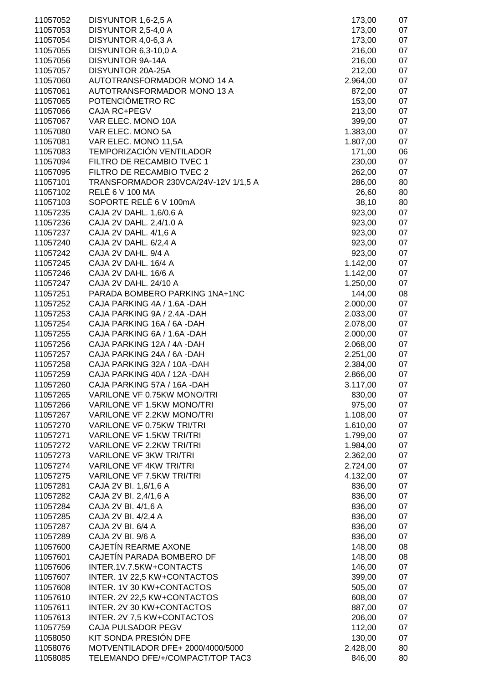| 11057052 | DISYUNTOR 1,6-2,5 A                  | 173,00   | 07 |
|----------|--------------------------------------|----------|----|
| 11057053 | DISYUNTOR 2,5-4,0 A                  | 173,00   | 07 |
| 11057054 | DISYUNTOR 4,0-6,3 A                  | 173,00   | 07 |
| 11057055 | DISYUNTOR 6,3-10,0 A                 | 216,00   | 07 |
| 11057056 | <b>DISYUNTOR 9A-14A</b>              | 216,00   | 07 |
| 11057057 | DISYUNTOR 20A-25A                    | 212,00   | 07 |
| 11057060 | AUTOTRANSFORMADOR MONO 14 A          | 2.964,00 | 07 |
| 11057061 | AUTOTRANSFORMADOR MONO 13 A          |          |    |
|          |                                      | 872,00   | 07 |
| 11057065 | POTENCIÓMETRO RC                     | 153,00   | 07 |
| 11057066 | CAJA RC+PEGV                         | 213,00   | 07 |
| 11057067 | VAR ELEC. MONO 10A                   | 399,00   | 07 |
| 11057080 | VAR ELEC. MONO 5A                    | 1.383,00 | 07 |
| 11057081 | VAR ELEC. MONO 11,5A                 | 1.807,00 | 07 |
| 11057083 | TEMPORIZACIÓN VENTILADOR             | 171,00   | 06 |
| 11057094 | FILTRO DE RECAMBIO TVEC 1            | 230,00   | 07 |
| 11057095 | FILTRO DE RECAMBIO TVEC 2            | 262,00   | 07 |
|          |                                      |          |    |
| 11057101 | TRANSFORMADOR 230VCA/24V-12V 1/1,5 A | 286,00   | 80 |
| 11057102 | <b>RELÉ 6 V 100 MA</b>               | 26,60    | 80 |
| 11057103 | SOPORTE RELÉ 6 V 100mA               | 38,10    | 80 |
| 11057235 | CAJA 2V DAHL. 1,6/0.6 A              | 923,00   | 07 |
| 11057236 | CAJA 2V DAHL. 2,4/1.0 A              | 923,00   | 07 |
| 11057237 | CAJA 2V DAHL. 4/1,6 A                | 923,00   | 07 |
| 11057240 | CAJA 2V DAHL. 6/2,4 A                | 923,00   | 07 |
| 11057242 | CAJA 2V DAHL. 9/4 A                  | 923,00   | 07 |
| 11057245 | CAJA 2V DAHL. 16/4 A                 | 1.142,00 | 07 |
| 11057246 | CAJA 2V DAHL. 16/6 A                 | 1.142,00 | 07 |
|          |                                      |          |    |
| 11057247 | CAJA 2V DAHL. 24/10 A                | 1.250,00 | 07 |
| 11057251 | PARADA BOMBERO PARKING 1NA+1NC       | 144,00   | 08 |
| 11057252 | CAJA PARKING 4A / 1.6A -DAH          | 2.000,00 | 07 |
| 11057253 | CAJA PARKING 9A / 2.4A -DAH          | 2.033,00 | 07 |
| 11057254 | CAJA PARKING 16A / 6A - DAH          | 2.078,00 | 07 |
| 11057255 | CAJA PARKING 6A / 1.6A -DAH          | 2.000,00 | 07 |
| 11057256 | CAJA PARKING 12A / 4A - DAH          | 2.068,00 | 07 |
| 11057257 | CAJA PARKING 24A / 6A - DAH          | 2.251,00 | 07 |
| 11057258 | CAJA PARKING 32A / 10A - DAH         | 2.384,00 | 07 |
| 11057259 | CAJA PARKING 40A / 12A -DAH          |          | 07 |
|          |                                      | 2.866,00 |    |
| 11057260 | CAJA PARKING 57A / 16A -DAH          | 3.117,00 | 07 |
| 11057265 | VARILONE VF 0.75KW MONO/TRI          | 830,00   | 07 |
| 11057266 | VARILONE VF 1.5KW MONO/TRI           | 975,00   | 07 |
| 11057267 | VARILONE VF 2.2KW MONO/TRI           | 1.108,00 | 07 |
| 11057270 | VARILONE VF 0.75KW TRI/TRI           | 1.610,00 | 07 |
| 11057271 | VARILONE VF 1.5KW TRI/TRI            | 1.799,00 | 07 |
| 11057272 | VARILONE VF 2.2KW TRI/TRI            | 1.984,00 | 07 |
| 11057273 | <b>VARILONE VF 3KW TRI/TRI</b>       | 2.362,00 | 07 |
| 11057274 | <b>VARILONE VF 4KW TRI/TRI</b>       | 2.724,00 | 07 |
| 11057275 | <b>VARILONE VF 7.5KW TRI/TRI</b>     | 4.132,00 | 07 |
|          |                                      |          |    |
| 11057281 | CAJA 2V BI. 1,6/1,6 A                | 836,00   | 07 |
| 11057282 | CAJA 2V BI. 2,4/1,6 A                | 836,00   | 07 |
| 11057284 | CAJA 2V BI. 4/1,6 A                  | 836,00   | 07 |
| 11057285 | CAJA 2V BI. 4/2,4 A                  | 836,00   | 07 |
| 11057287 | CAJA 2V BI. 6/4 A                    | 836,00   | 07 |
| 11057289 | CAJA 2V BI. 9/6 A                    | 836,00   | 07 |
| 11057600 | CAJETÍN REARME AXONE                 | 148,00   | 08 |
| 11057601 | CAJETÍN PARADA BOMBERO DF            | 148,00   | 08 |
| 11057606 | INTER.1V.7.5KW+CONTACTS              | 146,00   | 07 |
| 11057607 | INTER. 1V 22,5 KW+CONTACTOS          |          | 07 |
|          |                                      | 399,00   |    |
| 11057608 | INTER. 1V 30 KW+CONTACTOS            | 505,00   | 07 |
| 11057610 | INTER. 2V 22,5 KW+CONTACTOS          | 608,00   | 07 |
| 11057611 | INTER. 2V 30 KW+CONTACTOS            | 887,00   | 07 |
| 11057613 | INTER. 2V 7,5 KW+CONTACTOS           | 206,00   | 07 |
| 11057759 | CAJA PULSADOR PEGV                   | 112,00   | 07 |
| 11058050 |                                      |          |    |
|          | KIT SONDA PRESIÓN DFE                | 130,00   | 07 |
| 11058076 | MOTVENTILADOR DFE+ 2000/4000/5000    | 2.428,00 | 80 |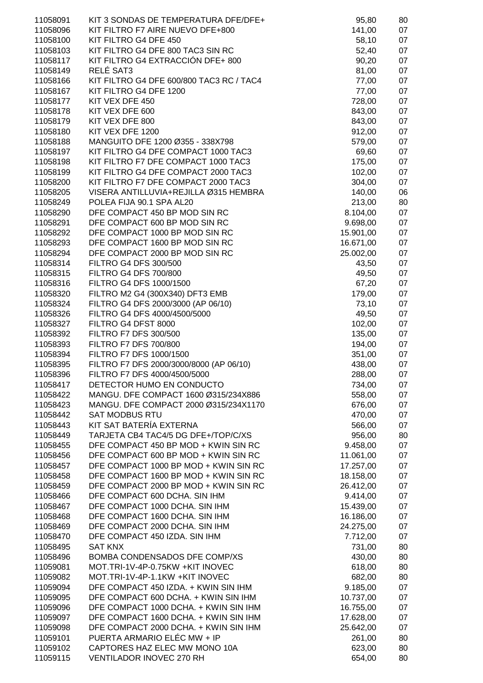| 11058091 | KIT 3 SONDAS DE TEMPERATURA DFE/DFE+     | 95,80     | 80 |
|----------|------------------------------------------|-----------|----|
| 11058096 | KIT FILTRO F7 AIRE NUEVO DFE+800         | 141,00    | 07 |
| 11058100 | KIT FILTRO G4 DFE 450                    | 58,10     | 07 |
| 11058103 | KIT FILTRO G4 DFE 800 TAC3 SIN RC        | 52,40     | 07 |
| 11058117 | KIT FILTRO G4 EXTRACCIÓN DFE+ 800        | 90,20     | 07 |
| 11058149 | RELÉ SAT3                                | 81,00     | 07 |
| 11058166 | KIT FILTRO G4 DFE 600/800 TAC3 RC / TAC4 | 77,00     | 07 |
| 11058167 | KIT FILTRO G4 DFE 1200                   | 77,00     | 07 |
| 11058177 | KIT VEX DFE 450                          | 728,00    | 07 |
| 11058178 | KIT VEX DFE 600                          | 843,00    | 07 |
| 11058179 | KIT VEX DFE 800                          | 843,00    | 07 |
| 11058180 | KIT VEX DFE 1200                         | 912,00    | 07 |
| 11058188 | MANGUITO DFE 1200 Ø355 - 338X798         | 579,00    | 07 |
| 11058197 | KIT FILTRO G4 DFE COMPACT 1000 TAC3      | 69,60     | 07 |
| 11058198 | KIT FILTRO F7 DFE COMPACT 1000 TAC3      | 175,00    | 07 |
| 11058199 | KIT FILTRO G4 DFE COMPACT 2000 TAC3      | 102,00    | 07 |
| 11058200 | KIT FILTRO F7 DFE COMPACT 2000 TAC3      | 304,00    | 07 |
| 11058205 | VISERA ANTILLUVIA+REJILLA Ø315 HEMBRA    | 140,00    | 06 |
| 11058249 | POLEA FIJA 90.1 SPA AL20                 | 213,00    | 80 |
| 11058290 | DFE COMPACT 450 BP MOD SIN RC            | 8.104,00  | 07 |
| 11058291 | DFE COMPACT 600 BP MOD SIN RC            | 9.698,00  | 07 |
| 11058292 | DFE COMPACT 1000 BP MOD SIN RC           | 15.901,00 | 07 |
| 11058293 | DFE COMPACT 1600 BP MOD SIN RC           | 16.671,00 | 07 |
| 11058294 | DFE COMPACT 2000 BP MOD SIN RC           | 25.002,00 | 07 |
| 11058314 | <b>FILTRO G4 DFS 300/500</b>             | 43,50     | 07 |
| 11058315 | <b>FILTRO G4 DFS 700/800</b>             | 49,50     | 07 |
| 11058316 | FILTRO G4 DFS 1000/1500                  | 67,20     | 07 |
| 11058320 | FILTRO M2 G4 (300X340) DFT3 EMB          | 179,00    | 07 |
| 11058324 | FILTRO G4 DFS 2000/3000 (AP 06/10)       | 73,10     | 07 |
| 11058326 | FILTRO G4 DFS 4000/4500/5000             | 49,50     | 07 |
| 11058327 | FILTRO G4 DFST 8000                      | 102,00    | 07 |
| 11058392 | <b>FILTRO F7 DFS 300/500</b>             | 135,00    | 07 |
| 11058393 | <b>FILTRO F7 DFS 700/800</b>             | 194,00    | 07 |
| 11058394 | FILTRO F7 DFS 1000/1500                  | 351,00    | 07 |
| 11058395 | FILTRO F7 DFS 2000/3000/8000 (AP 06/10)  | 438,00    | 07 |
| 11058396 | FILTRO F7 DFS 4000/4500/5000             | 288,00    | 07 |
| 11058417 | DETECTOR HUMO EN CONDUCTO                | 734,00    | 07 |
| 11058422 | MANGU. DFE COMPACT 1600 Ø315/234X886     | 558,00    | 07 |
| 11058423 | MANGU. DFE COMPACT 2000 Ø315/234X1170    | 676,00    | 07 |
| 11058442 | <b>SAT MODBUS RTU</b>                    | 470,00    | 07 |
| 11058443 | KIT SAT BATERÍA EXTERNA                  | 566,00    | 07 |
| 11058449 | TARJETA CB4 TAC4/5 DG DFE+/TOP/C/XS      | 956,00    | 80 |
| 11058455 | DFE COMPACT 450 BP MOD + KWIN SIN RC     | 9.458,00  | 07 |
| 11058456 | DFE COMPACT 600 BP MOD + KWIN SIN RC     | 11.061,00 | 07 |
| 11058457 | DFE COMPACT 1000 BP MOD + KWIN SIN RC    | 17.257,00 | 07 |
| 11058458 | DFE COMPACT 1600 BP MOD + KWIN SIN RC    | 18.158,00 | 07 |
| 11058459 | DFE COMPACT 2000 BP MOD + KWIN SIN RC    | 26.412,00 | 07 |
| 11058466 | DFE COMPACT 600 DCHA. SIN IHM            | 9.414,00  | 07 |
| 11058467 | DFE COMPACT 1000 DCHA. SIN IHM           | 15.439,00 | 07 |
| 11058468 | DFE COMPACT 1600 DCHA. SIN IHM           | 16.186,00 | 07 |
| 11058469 | DFE COMPACT 2000 DCHA. SIN IHM           | 24.275,00 | 07 |
| 11058470 | DFE COMPACT 450 IZDA. SIN IHM            | 7.712,00  | 07 |
| 11058495 | <b>SAT KNX</b>                           | 731,00    | 80 |
| 11058496 | BOMBA CONDENSADOS DFE COMP/XS            | 430,00    | 80 |
| 11059081 | MOT.TRI-1V-4P-0.75KW +KIT INOVEC         | 618,00    | 80 |
| 11059082 | MOT.TRI-1V-4P-1.1KW +KIT INOVEC          | 682,00    | 80 |
| 11059094 | DFE COMPACT 450 IZDA. + KWIN SIN IHM     | 9.185,00  | 07 |
| 11059095 | DFE COMPACT 600 DCHA. + KWIN SIN IHM     | 10.737,00 | 07 |
| 11059096 | DFE COMPACT 1000 DCHA. + KWIN SIN IHM    | 16.755,00 | 07 |
| 11059097 | DFE COMPACT 1600 DCHA. + KWIN SIN IHM    | 17.628,00 | 07 |
| 11059098 | DFE COMPACT 2000 DCHA. + KWIN SIN IHM    | 25.642,00 | 07 |
| 11059101 | PUERTA ARMARIO ELÉC MW + IP              | 261,00    | 80 |
| 11059102 | CAPTORES HAZ ELEC MW MONO 10A            | 623,00    | 80 |
| 11059115 | VENTILADOR INOVEC 270 RH                 | 654,00    | 80 |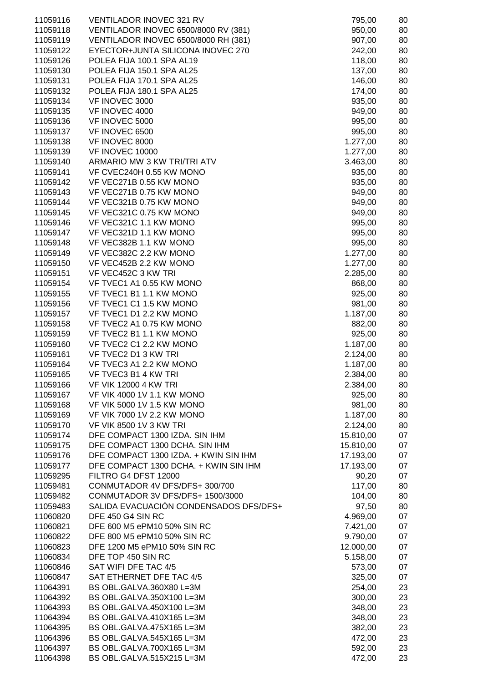| 11059116 | VENTILADOR INOVEC 321 RV               | 795,00    | 80 |
|----------|----------------------------------------|-----------|----|
| 11059118 | VENTILADOR INOVEC 6500/8000 RV (381)   | 950,00    | 80 |
| 11059119 | VENTILADOR INOVEC 6500/8000 RH (381)   | 907,00    | 80 |
| 11059122 | EYECTOR+JUNTA SILICONA INOVEC 270      | 242,00    | 80 |
| 11059126 | POLEA FIJA 100.1 SPA AL19              | 118,00    | 80 |
|          |                                        |           |    |
| 11059130 | POLEA FIJA 150.1 SPA AL25              | 137,00    | 80 |
| 11059131 | POLEA FIJA 170.1 SPA AL25              | 146,00    | 80 |
| 11059132 | POLEA FIJA 180.1 SPA AL25              | 174,00    | 80 |
| 11059134 | VF INOVEC 3000                         | 935,00    | 80 |
| 11059135 | VF INOVEC 4000                         | 949,00    | 80 |
|          |                                        |           |    |
| 11059136 | VF INOVEC 5000                         | 995,00    | 80 |
| 11059137 | VF INOVEC 6500                         | 995,00    | 80 |
| 11059138 | VF INOVEC 8000                         | 1.277,00  | 80 |
| 11059139 | VF INOVEC 10000                        | 1.277,00  | 80 |
| 11059140 | ARMARIO MW 3 KW TRI/TRI ATV            | 3.463,00  | 80 |
| 11059141 | VF CVEC240H 0.55 KW MONO               |           |    |
|          |                                        | 935,00    | 80 |
| 11059142 | VF VEC271B 0.55 KW MONO                | 935,00    | 80 |
| 11059143 | VF VEC271B 0.75 KW MONO                | 949,00    | 80 |
| 11059144 | VF VEC321B 0.75 KW MONO                | 949,00    | 80 |
| 11059145 | VF VEC321C 0.75 KW MONO                | 949,00    | 80 |
| 11059146 | VF VEC321C 1.1 KW MONO                 | 995,00    | 80 |
|          |                                        |           |    |
| 11059147 | VF VEC321D 1.1 KW MONO                 | 995,00    | 80 |
| 11059148 | VF VEC382B 1.1 KW MONO                 | 995,00    | 80 |
| 11059149 | VF VEC382C 2.2 KW MONO                 | 1.277,00  | 80 |
| 11059150 | VF VEC452B 2.2 KW MONO                 | 1.277,00  | 80 |
| 11059151 | VF VEC452C 3 KW TRI                    | 2.285,00  | 80 |
|          |                                        |           |    |
| 11059154 | VF TVEC1 A1 0.55 KW MONO               | 868,00    | 80 |
| 11059155 | VF TVEC1 B1 1.1 KW MONO                | 925,00    | 80 |
| 11059156 | VF TVEC1 C1 1.5 KW MONO                | 981,00    | 80 |
| 11059157 | VF TVEC1 D1 2.2 KW MONO                | 1.187,00  | 80 |
| 11059158 | VF TVEC2 A1 0.75 KW MONO               | 882,00    | 80 |
| 11059159 | VF TVEC2 B1 1.1 KW MONO                | 925,00    | 80 |
|          |                                        |           |    |
| 11059160 | VF TVEC2 C1 2.2 KW MONO                | 1.187,00  | 80 |
| 11059161 | VF TVEC2 D1 3 KW TRI                   | 2.124,00  | 80 |
| 11059164 | VF TVEC3 A1 2.2 KW MONO                | 1.187,00  | 80 |
| 11059165 | VF TVEC3 B1 4 KW TRI                   | 2.384,00  | 80 |
| 11059166 | <b>VF VIK 12000 4 KW TRI</b>           | 2.384,00  | 80 |
|          |                                        |           |    |
| 11059167 | VF VIK 4000 1V 1.1 KW MONO             | 925,00    | 80 |
| 11059168 | VF VIK 5000 1V 1.5 KW MONO             | 981,00    | 80 |
| 11059169 | VF VIK 7000 1V 2.2 KW MONO             | 1.187,00  | 80 |
| 11059170 | <b>VF VIK 8500 1V 3 KW TRI</b>         | 2.124,00  | 80 |
| 11059174 | DFE COMPACT 1300 IZDA. SIN IHM         | 15.810,00 | 07 |
| 11059175 | DFE COMPACT 1300 DCHA. SIN IHM         | 15.810,00 | 07 |
|          |                                        |           |    |
| 11059176 | DFE COMPACT 1300 IZDA. + KWIN SIN IHM  | 17.193,00 | 07 |
| 11059177 | DFE COMPACT 1300 DCHA. + KWIN SIN IHM  | 17.193,00 | 07 |
| 11059295 | FILTRO G4 DFST 12000                   | 90,20     | 07 |
| 11059481 | CONMUTADOR 4V DFS/DFS+ 300/700         | 117,00    | 80 |
| 11059482 | CONMUTADOR 3V DFS/DFS+ 1500/3000       | 104,00    | 80 |
| 11059483 | SALIDA EVACUACIÓN CONDENSADOS DFS/DFS+ | 97,50     | 80 |
|          |                                        |           |    |
| 11060820 | DFE 450 G4 SIN RC                      | 4.969,00  | 07 |
| 11060821 | DFE 600 M5 ePM10 50% SIN RC            | 7.421,00  | 07 |
| 11060822 | DFE 800 M5 ePM10 50% SIN RC            | 9.790,00  | 07 |
| 11060823 | DFE 1200 M5 ePM10 50% SIN RC           | 12.000,00 | 07 |
| 11060834 | DFE TOP 450 SIN RC                     | 5.158,00  | 07 |
|          |                                        |           |    |
| 11060846 | SAT WIFI DFE TAC 4/5                   | 573,00    | 07 |
| 11060847 | SAT ETHERNET DFE TAC 4/5               | 325,00    | 07 |
| 11064391 | BS OBL.GALVA.360X80 L=3M               | 254,00    | 23 |
| 11064392 | BS OBL.GALVA.350X100 L=3M              | 300,00    | 23 |
| 11064393 | BS OBL.GALVA.450X100 L=3M              | 348,00    | 23 |
| 11064394 | BS OBL.GALVA.410X165 L=3M              |           | 23 |
|          |                                        | 348,00    |    |
| 11064395 | BS OBL.GALVA.475X165 L=3M              | 382,00    | 23 |
| 11064396 | BS OBL.GALVA.545X165 L=3M              | 472,00    | 23 |
| 11064397 | BS OBL.GALVA.700X165 L=3M              | 592,00    | 23 |
| 11064398 | BS OBL.GALVA.515X215 L=3M              | 472,00    | 23 |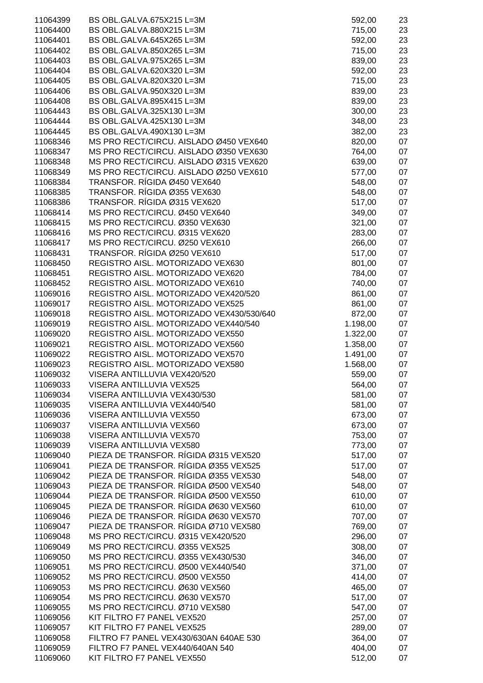| 11064399 | BS OBL.GALVA.675X215 L=3M                | 592,00   | 23 |
|----------|------------------------------------------|----------|----|
| 11064400 | BS OBL.GALVA.880X215 L=3M                | 715,00   | 23 |
| 11064401 | BS OBL.GALVA.645X265 L=3M                | 592,00   | 23 |
| 11064402 | BS OBL.GALVA.850X265 L=3M                | 715,00   | 23 |
|          |                                          |          |    |
| 11064403 | BS OBL.GALVA.975X265 L=3M                | 839,00   | 23 |
| 11064404 | BS OBL.GALVA.620X320 L=3M                | 592,00   | 23 |
| 11064405 | BS OBL.GALVA.820X320 L=3M                | 715,00   | 23 |
|          |                                          |          |    |
| 11064406 | BS OBL.GALVA.950X320 L=3M                | 839,00   | 23 |
| 11064408 | BS OBL.GALVA.895X415 L=3M                | 839,00   | 23 |
| 11064443 | BS OBL.GALVA.325X130 L=3M                | 300,00   | 23 |
| 11064444 | BS OBL.GALVA.425X130 L=3M                | 348,00   | 23 |
|          |                                          |          |    |
| 11064445 | BS OBL.GALVA.490X130 L=3M                | 382,00   | 23 |
| 11068346 | MS PRO RECT/CIRCU. AISLADO Ø450 VEX640   | 820,00   | 07 |
| 11068347 | MS PRO RECT/CIRCU. AISLADO Ø350 VEX630   | 764,00   | 07 |
| 11068348 | MS PRO RECT/CIRCU. AISLADO Ø315 VEX620   | 639,00   | 07 |
|          | MS PRO RECT/CIRCU. AISLADO Ø250 VEX610   |          | 07 |
| 11068349 |                                          | 577,00   |    |
| 11068384 | TRANSFOR. RÍGIDA Ø450 VEX640             | 548,00   | 07 |
| 11068385 | TRANSFOR. RÍGIDA Ø355 VEX630             | 548,00   | 07 |
| 11068386 | TRANSFOR. RÍGIDA Ø315 VEX620             | 517,00   | 07 |
| 11068414 | MS PRO RECT/CIRCU. Ø450 VEX640           |          | 07 |
|          |                                          | 349,00   |    |
| 11068415 | MS PRO RECT/CIRCU. Ø350 VEX630           | 321,00   | 07 |
| 11068416 | MS PRO RECT/CIRCU. Ø315 VEX620           | 283,00   | 07 |
| 11068417 | MS PRO RECT/CIRCU. Ø250 VEX610           | 266,00   | 07 |
|          | TRANSFOR. RÍGIDA Ø250 VEX610             |          |    |
| 11068431 |                                          | 517,00   | 07 |
| 11068450 | REGISTRO AISL. MOTORIZADO VEX630         | 801,00   | 07 |
| 11068451 | REGISTRO AISL. MOTORIZADO VEX620         | 784,00   | 07 |
| 11068452 | REGISTRO AISL. MOTORIZADO VEX610         | 740,00   | 07 |
| 11069016 | REGISTRO AISL. MOTORIZADO VEX420/520     | 861,00   | 07 |
|          |                                          |          |    |
| 11069017 | REGISTRO AISL. MOTORIZADO VEX525         | 861,00   | 07 |
| 11069018 | REGISTRO AISL. MOTORIZADO VEX430/530/640 | 872,00   | 07 |
| 11069019 | REGISTRO AISL. MOTORIZADO VEX440/540     | 1.198,00 | 07 |
| 11069020 | REGISTRO AISL. MOTORIZADO VEX550         | 1.322,00 | 07 |
|          |                                          |          |    |
| 11069021 | REGISTRO AISL. MOTORIZADO VEX560         | 1.358,00 | 07 |
| 11069022 | REGISTRO AISL. MOTORIZADO VEX570         | 1.491,00 | 07 |
| 11069023 | REGISTRO AISL. MOTORIZADO VEX580         | 1.568,00 | 07 |
| 11069032 | VISERA ANTILLUVIA VEX420/520             | 559,00   | 07 |
|          |                                          |          |    |
| 11069033 | VISERA ANTILLUVIA VEX525                 | 564,00   | 07 |
| 11069034 | VISERA ANTILLUVIA VEX430/530             | 581,00   | 07 |
| 11069035 | VISERA ANTILLUVIA VEX440/540             | 581,00   | 07 |
| 11069036 | VISERA ANTILLUVIA VEX550                 | 673,00   | 07 |
| 11069037 | VISERA ANTILLUVIA VEX560                 | 673,00   | 07 |
|          |                                          |          |    |
| 11069038 | VISERA ANTILLUVIA VEX570                 | 753,00   | 07 |
| 11069039 | VISERA ANTILLUVIA VEX580                 | 773,00   | 07 |
| 11069040 | PIEZA DE TRANSFOR. RÍGIDA Ø315 VEX520    | 517,00   | 07 |
| 11069041 | PIEZA DE TRANSFOR. RÍGIDA Ø355 VEX525    | 517,00   | 07 |
|          | PIEZA DE TRANSFOR. RÍGIDA Ø355 VEX530    |          |    |
| 11069042 |                                          | 548,00   | 07 |
| 11069043 | PIEZA DE TRANSFOR. RÍGIDA Ø500 VEX540    | 548,00   | 07 |
| 11069044 | PIEZA DE TRANSFOR. RÍGIDA Ø500 VEX550    | 610,00   | 07 |
| 11069045 | PIEZA DE TRANSFOR. RÍGIDA Ø630 VEX560    | 610,00   | 07 |
| 11069046 | PIEZA DE TRANSFOR. RÍGIDA Ø630 VEX570    | 707,00   | 07 |
|          |                                          |          |    |
| 11069047 | PIEZA DE TRANSFOR. RÍGIDA Ø710 VEX580    | 769,00   | 07 |
| 11069048 | MS PRO RECT/CIRCU. Ø315 VEX420/520       | 296,00   | 07 |
| 11069049 | MS PRO RECT/CIRCU. Ø355 VEX525           | 308,00   | 07 |
| 11069050 | MS PRO RECT/CIRCU. Ø355 VEX430/530       | 346,00   | 07 |
|          |                                          |          |    |
| 11069051 | MS PRO RECT/CIRCU. Ø500 VEX440/540       | 371,00   | 07 |
| 11069052 | MS PRO RECT/CIRCU. Ø500 VEX550           | 414,00   | 07 |
| 11069053 | MS PRO RECT/CIRCU. Ø630 VEX560           | 465,00   | 07 |
| 11069054 | MS PRO RECT/CIRCU. Ø630 VEX570           | 517,00   | 07 |
|          |                                          |          |    |
| 11069055 | MS PRO RECT/CIRCU. Ø710 VEX580           | 547,00   | 07 |
| 11069056 | KIT FILTRO F7 PANEL VEX520               | 257,00   | 07 |
| 11069057 | KIT FILTRO F7 PANEL VEX525               | 289,00   | 07 |
| 11069058 | FILTRO F7 PANEL VEX430/630AN 640AE 530   | 364,00   | 07 |
| 11069059 | FILTRO F7 PANEL VEX440/640AN 540         | 404,00   | 07 |
|          |                                          |          |    |
| 11069060 | KIT FILTRO F7 PANEL VEX550               | 512,00   | 07 |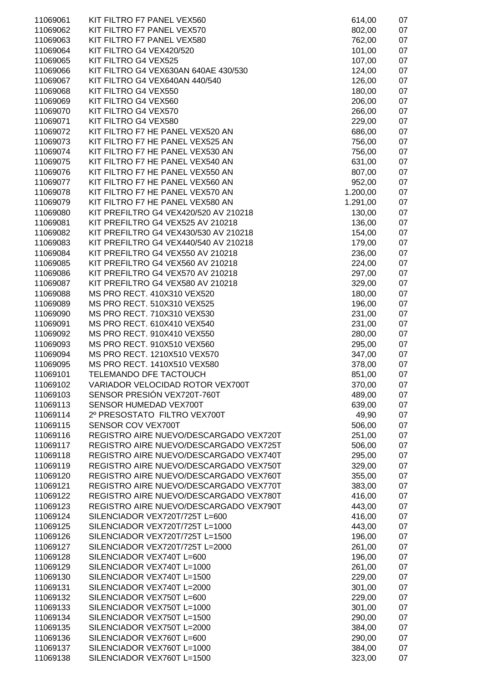| 11069061 | KIT FILTRO F7 PANEL VEX560             | 614,00   | 07 |
|----------|----------------------------------------|----------|----|
| 11069062 | KIT FILTRO F7 PANEL VEX570             | 802,00   | 07 |
| 11069063 | KIT FILTRO F7 PANEL VEX580             | 762,00   | 07 |
| 11069064 | KIT FILTRO G4 VEX420/520               | 101,00   | 07 |
| 11069065 | KIT FILTRO G4 VEX525                   | 107,00   | 07 |
| 11069066 | KIT FILTRO G4 VEX630AN 640AE 430/530   | 124,00   | 07 |
| 11069067 | KIT FILTRO G4 VEX640AN 440/540         | 126,00   | 07 |
| 11069068 | KIT FILTRO G4 VEX550                   | 180,00   | 07 |
| 11069069 | KIT FILTRO G4 VEX560                   | 206,00   | 07 |
| 11069070 | KIT FILTRO G4 VEX570                   | 266,00   | 07 |
| 11069071 | KIT FILTRO G4 VEX580                   | 229,00   | 07 |
| 11069072 | KIT FILTRO F7 HE PANEL VEX520 AN       | 686,00   | 07 |
| 11069073 | KIT FILTRO F7 HE PANEL VEX525 AN       | 756,00   | 07 |
| 11069074 | KIT FILTRO F7 HE PANEL VEX530 AN       | 756,00   | 07 |
| 11069075 | KIT FILTRO F7 HE PANEL VEX540 AN       | 631,00   | 07 |
| 11069076 | KIT FILTRO F7 HE PANEL VEX550 AN       | 807,00   | 07 |
| 11069077 | KIT FILTRO F7 HE PANEL VEX560 AN       | 952,00   | 07 |
| 11069078 | KIT FILTRO F7 HE PANEL VEX570 AN       | 1.200,00 | 07 |
| 11069079 | KIT FILTRO F7 HE PANEL VEX580 AN       | 1.291,00 | 07 |
| 11069080 | KIT PREFILTRO G4 VEX420/520 AV 210218  | 130,00   | 07 |
| 11069081 | KIT PREFILTRO G4 VEX525 AV 210218      | 136,00   | 07 |
| 11069082 | KIT PREFILTRO G4 VEX430/530 AV 210218  | 154,00   | 07 |
| 11069083 | KIT PREFILTRO G4 VEX440/540 AV 210218  | 179,00   | 07 |
| 11069084 | KIT PREFILTRO G4 VEX550 AV 210218      | 236,00   | 07 |
| 11069085 | KIT PREFILTRO G4 VEX560 AV 210218      | 224,00   | 07 |
| 11069086 | KIT PREFILTRO G4 VEX570 AV 210218      | 297,00   | 07 |
| 11069087 | KIT PREFILTRO G4 VEX580 AV 210218      | 329,00   | 07 |
| 11069088 | MS PRO RECT. 410X310 VEX520            | 180,00   | 07 |
| 11069089 | MS PRO RECT. 510X310 VEX525            | 196,00   | 07 |
| 11069090 | MS PRO RECT. 710X310 VEX530            | 231,00   | 07 |
| 11069091 | MS PRO RECT. 610X410 VEX540            | 231,00   | 07 |
| 11069092 | MS PRO RECT. 910X410 VEX550            | 280,00   | 07 |
| 11069093 | MS PRO RECT. 910X510 VEX560            | 295,00   | 07 |
| 11069094 | MS PRO RECT. 1210X510 VEX570           | 347,00   | 07 |
| 11069095 | MS PRO RECT. 1410X510 VEX580           | 378,00   | 07 |
| 11069101 | TELEMANDO DFE TACTOUCH                 | 851,00   | 07 |
| 11069102 | VARIADOR VELOCIDAD ROTOR VEX700T       | 370,00   | 07 |
| 11069103 | SENSOR PRESIÓN VEX720T-760T            | 489,00   | 07 |
| 11069113 | SENSOR HUMEDAD VEX700T                 | 639,00   | 07 |
| 11069114 | 2º PRESOSTATO FILTRO VEX700T           | 49,90    | 07 |
| 11069115 | SENSOR COV VEX700T                     | 506,00   | 07 |
| 11069116 | REGISTRO AIRE NUEVO/DESCARGADO VEX720T | 251,00   | 07 |
| 11069117 | REGISTRO AIRE NUEVO/DESCARGADO VEX725T | 506,00   | 07 |
| 11069118 | REGISTRO AIRE NUEVO/DESCARGADO VEX740T | 295,00   | 07 |
| 11069119 | REGISTRO AIRE NUEVO/DESCARGADO VEX750T | 329,00   | 07 |
| 11069120 | REGISTRO AIRE NUEVO/DESCARGADO VEX760T | 355,00   | 07 |
| 11069121 | REGISTRO AIRE NUEVO/DESCARGADO VEX770T | 383,00   | 07 |
| 11069122 | REGISTRO AIRE NUEVO/DESCARGADO VEX780T | 416,00   | 07 |
| 11069123 | REGISTRO AIRE NUEVO/DESCARGADO VEX790T | 443,00   | 07 |
| 11069124 | SILENCIADOR VEX720T/725T L=600         | 416,00   | 07 |
| 11069125 | SILENCIADOR VEX720T/725T L=1000        | 443,00   | 07 |
| 11069126 | SILENCIADOR VEX720T/725T L=1500        | 196,00   | 07 |
| 11069127 | SILENCIADOR VEX720T/725T L=2000        | 261,00   | 07 |
| 11069128 | SILENCIADOR VEX740T L=600              | 196,00   | 07 |
| 11069129 | SILENCIADOR VEX740T L=1000             | 261,00   | 07 |
| 11069130 | SILENCIADOR VEX740T L=1500             | 229,00   | 07 |
| 11069131 | SILENCIADOR VEX740T L=2000             | 301,00   | 07 |
| 11069132 | SILENCIADOR VEX750T L=600              | 229,00   | 07 |
| 11069133 | SILENCIADOR VEX750T L=1000             | 301,00   | 07 |
| 11069134 | SILENCIADOR VEX750T L=1500             | 290,00   | 07 |
| 11069135 | SILENCIADOR VEX750T L=2000             | 384,00   | 07 |
| 11069136 | SILENCIADOR VEX760T L=600              | 290,00   | 07 |
| 11069137 | SILENCIADOR VEX760T L=1000             | 384,00   | 07 |
| 11069138 | SILENCIADOR VEX760T L=1500             | 323,00   | 07 |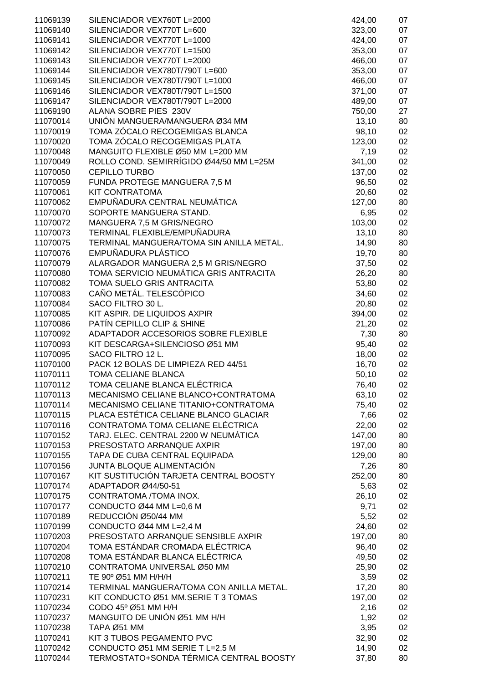| 11069139 | SILENCIADOR VEX760T L=2000               | 424,00 | 07 |
|----------|------------------------------------------|--------|----|
| 11069140 | SILENCIADOR VEX770T L=600                | 323,00 | 07 |
| 11069141 | SILENCIADOR VEX770T L=1000               | 424,00 | 07 |
| 11069142 | SILENCIADOR VEX770T L=1500               | 353,00 | 07 |
| 11069143 | SILENCIADOR VEX770T L=2000               | 466,00 | 07 |
| 11069144 | SILENCIADOR VEX780T/790T L=600           | 353,00 | 07 |
| 11069145 | SILENCIADOR VEX780T/790T L=1000          | 466,00 | 07 |
| 11069146 | SILENCIADOR VEX780T/790T L=1500          | 371,00 | 07 |
| 11069147 | SILENCIADOR VEX780T/790T L=2000          | 489,00 | 07 |
| 11069190 | ALANA SOBRE PIES 230V                    | 750,00 | 27 |
| 11070014 | UNIÓN MANGUERA/MANGUERA Ø34 MM           | 13,10  | 80 |
| 11070019 | TOMA ZÓCALO RECOGEMIGAS BLANCA           | 98,10  | 02 |
| 11070020 | TOMA ZÓCALO RECOGEMIGAS PLATA            | 123,00 | 02 |
| 11070048 | MANGUITO FLEXIBLE Ø50 MM L=200 MM        | 7,19   | 02 |
| 11070049 | ROLLO COND. SEMIRRÍGIDO Ø44/50 MM L=25M  | 341,00 | 02 |
| 11070050 | <b>CEPILLO TURBO</b>                     | 137,00 | 02 |
| 11070059 | FUNDA PROTEGE MANGUERA 7,5 M             | 96,50  | 02 |
| 11070061 | <b>KIT CONTRATOMA</b>                    | 20,60  | 02 |
| 11070062 | EMPUÑADURA CENTRAL NEUMÁTICA             | 127,00 | 80 |
| 11070070 | SOPORTE MANGUERA STAND.                  | 6,95   | 02 |
| 11070072 | MANGUERA 7,5 M GRIS/NEGRO                | 103,00 | 02 |
| 11070073 | TERMINAL FLEXIBLE/EMPUÑADURA             | 13,10  | 80 |
| 11070075 | TERMINAL MANGUERA/TOMA SIN ANILLA METAL. | 14,90  | 80 |
| 11070076 | EMPUÑADURA PLÁSTICO                      | 19,70  | 80 |
| 11070079 | ALARGADOR MANGUERA 2,5 M GRIS/NEGRO      | 37,50  | 02 |
| 11070080 | TOMA SERVICIO NEUMÁTICA GRIS ANTRACITA   | 26,20  | 80 |
| 11070082 | TOMA SUELO GRIS ANTRACITA                | 53,80  | 02 |
| 11070083 | CAÑO METÁL. TELESCÓPICO                  | 34,60  | 02 |
| 11070084 | SACO FILTRO 30 L.                        | 20,80  | 02 |
| 11070085 | KIT ASPIR. DE LIQUIDOS AXPIR             | 394,00 | 02 |
| 11070086 | PATÍN CEPILLO CLIP & SHINE               | 21,20  | 02 |
| 11070092 | ADAPTADOR ACCESORIOS SOBRE FLEXIBLE      | 7,30   | 80 |
| 11070093 | KIT DESCARGA+SILENCIOSO Ø51 MM           | 95,40  | 02 |
| 11070095 | SACO FILTRO 12 L.                        | 18,00  | 02 |
| 11070100 | PACK 12 BOLAS DE LIMPIEZA RED 44/51      | 16,70  | 02 |
| 11070111 | <b>TOMA CELIANE BLANCA</b>               | 50,10  | 02 |
| 11070112 | TOMA CELIANE BLANCA ELÉCTRICA            | 76,40  | 02 |
| 11070113 | MECANISMO CELIANE BLANCO+CONTRATOMA      | 63,10  | 02 |
| 11070114 | MECANISMO CELIANE TITANIO+CONTRATOMA     | 75,40  | 02 |
| 11070115 | PLACA ESTÉTICA CELIANE BLANCO GLACIAR    | 7,66   | 02 |
| 11070116 | CONTRATOMA TOMA CELIANE ELÉCTRICA        | 22,00  | 02 |
| 11070152 | TARJ. ELEC. CENTRAL 2200 W NEUMÁTICA     | 147,00 | 80 |
| 11070153 | PRESOSTATO ARRANQUE AXPIR                | 197,00 | 80 |
| 11070155 | TAPA DE CUBA CENTRAL EQUIPADA            | 129,00 | 80 |
| 11070156 | JUNTA BLOQUE ALIMENTACIÓN                | 7,26   | 80 |
| 11070167 | KIT SUSTITUCIÓN TARJETA CENTRAL BOOSTY   | 252,00 | 80 |
| 11070174 | ADAPTADOR Ø44/50-51                      | 5,63   | 02 |
| 11070175 | CONTRATOMA /TOMA INOX.                   | 26,10  | 02 |
| 11070177 | CONDUCTO Ø44 MM L=0,6 M                  | 9,71   | 02 |
| 11070189 | REDUCCIÓN Ø50/44 MM                      | 5,52   | 02 |
| 11070199 | CONDUCTO Ø44 MM L=2,4 M                  | 24,60  | 02 |
| 11070203 | PRESOSTATO ARRANQUE SENSIBLE AXPIR       | 197,00 | 80 |
| 11070204 | TOMA ESTÁNDAR CROMADA ELÉCTRICA          | 96,40  | 02 |
| 11070208 | TOMA ESTÁNDAR BLANCA ELÉCTRICA           | 49,50  | 02 |
| 11070210 | CONTRATOMA UNIVERSAL Ø50 MM              | 25,90  | 02 |
| 11070211 | TE 90° Ø51 MM H/H/H                      | 3,59   | 02 |
| 11070214 | TERMINAL MANGUERA/TOMA CON ANILLA METAL. | 17,20  | 80 |
| 11070231 | KIT CONDUCTO Ø51 MM.SERIE T 3 TOMAS      | 197,00 | 02 |
| 11070234 | CODO 45° Ø51 MM H/H                      | 2,16   | 02 |
| 11070237 | MANGUITO DE UNIÓN Ø51 MM H/H             | 1,92   | 02 |
| 11070238 | <b>TAPA Ø51 MM</b>                       | 3,95   | 02 |
| 11070241 | KIT 3 TUBOS PEGAMENTO PVC                | 32,90  | 02 |
| 11070242 | CONDUCTO Ø51 MM SERIE T L=2,5 M          | 14,90  | 02 |
| 11070244 | TERMOSTATO+SONDA TÉRMICA CENTRAL BOOSTY  | 37,80  | 80 |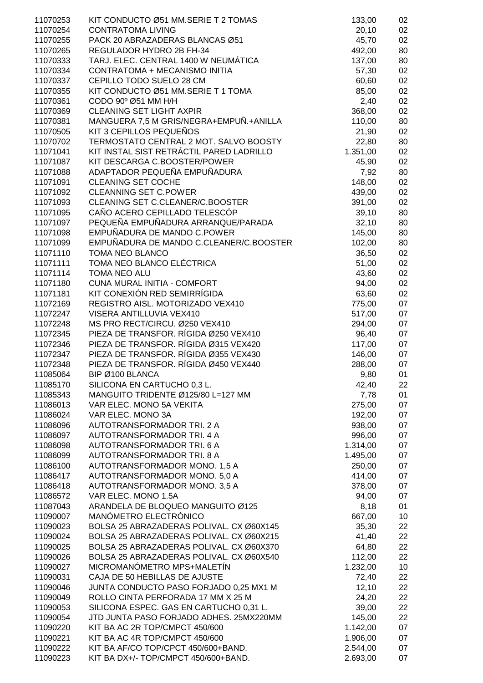| 11070253 | KIT CONDUCTO Ø51 MM.SERIE T 2 TOMAS      | 133,00   | 02 |
|----------|------------------------------------------|----------|----|
| 11070254 | <b>CONTRATOMA LIVING</b>                 | 20,10    | 02 |
| 11070255 | PACK 20 ABRAZADERAS BLANCAS Ø51          | 45,70    | 02 |
| 11070265 | REGULADOR HYDRO 2B FH-34                 | 492,00   | 80 |
|          |                                          |          |    |
| 11070333 | TARJ. ELEC. CENTRAL 1400 W NEUMÁTICA     | 137,00   | 80 |
| 11070334 | CONTRATOMA + MECANISMO INITIA            | 57,30    | 02 |
| 11070337 | CEPILLO TODO SUELO 28 CM                 | 60,60    | 02 |
| 11070355 | KIT CONDUCTO Ø51 MM.SERIE T 1 TOMA       | 85,00    | 02 |
| 11070361 | CODO 90° Ø51 MM H/H                      | 2,40     | 02 |
|          |                                          |          |    |
| 11070369 | <b>CLEANING SET LIGHT AXPIR</b>          | 368,00   | 02 |
| 11070381 | MANGUERA 7,5 M GRIS/NEGRA+EMPUÑ.+ANILLA  | 110,00   | 80 |
| 11070505 | KIT 3 CEPILLOS PEQUEÑOS                  | 21,90    | 02 |
| 11070702 | TERMOSTATO CENTRAL 2 MOT. SALVO BOOSTY   | 22,80    | 80 |
| 11071041 | KIT INSTAL SIST RETRÁCTIL PARED LADRILLO | 1.351,00 | 02 |
|          |                                          |          |    |
| 11071087 | KIT DESCARGA C.BOOSTER/POWER             | 45,90    | 02 |
| 11071088 | ADAPTADOR PEQUEÑA EMPUÑADURA             | 7,92     | 80 |
| 11071091 | <b>CLEANING SET COCHE</b>                | 148,00   | 02 |
| 11071092 | <b>CLEANNING SET C.POWER</b>             | 439,00   | 02 |
| 11071093 | CLEANING SET C.CLEANER/C.BOOSTER         | 391,00   | 02 |
|          |                                          |          |    |
| 11071095 | CAÑO ACERO CEPILLADO TELESCÓP            | 39,10    | 80 |
| 11071097 | PEQUEÑA EMPUÑADURA ARRANQUE/PARADA       | 32,10    | 80 |
| 11071098 | EMPUÑADURA DE MANDO C.POWER              | 145,00   | 80 |
| 11071099 | EMPUÑADURA DE MANDO C.CLEANER/C.BOOSTER  | 102,00   | 80 |
| 11071110 | TOMA NEO BLANCO                          | 36,50    | 02 |
|          |                                          |          |    |
| 11071111 | TOMA NEO BLANCO ELÉCTRICA                | 51,00    | 02 |
| 11071114 | TOMA NEO ALU                             | 43,60    | 02 |
| 11071180 | CUNA MURAL INITIA - COMFORT              | 94,00    | 02 |
| 11071181 | KIT CONEXIÓN RED SEMIRRÍGIDA             | 63,60    | 02 |
| 11072169 | REGISTRO AISL. MOTORIZADO VEX410         | 775,00   | 07 |
| 11072247 | VISERA ANTILLUVIA VEX410                 |          |    |
|          |                                          | 517,00   | 07 |
| 11072248 | MS PRO RECT/CIRCU. Ø250 VEX410           | 294,00   | 07 |
| 11072345 | PIEZA DE TRANSFOR. RÍGIDA Ø250 VEX410    | 96,40    | 07 |
| 11072346 | PIEZA DE TRANSFOR. RÍGIDA Ø315 VEX420    | 117,00   | 07 |
| 11072347 | PIEZA DE TRANSFOR. RÍGIDA Ø355 VEX430    | 146,00   | 07 |
| 11072348 | PIEZA DE TRANSFOR. RÍGIDA Ø450 VEX440    | 288,00   | 07 |
|          |                                          |          |    |
| 11085064 | BIP Ø100 BLANCA                          | 9,80     | 01 |
| 11085170 | SILICONA EN CARTUCHO 0,3 L.              | 42,40    | 22 |
| 11085343 | MANGUITO TRIDENTE Ø125/80 L=127 MM       | 7,78     | 01 |
| 11086013 | VAR ELEC. MONO 5A VEKITA                 | 275,00   | 07 |
| 11086024 | VAR ELEC. MONO 3A                        | 192,00   | 07 |
|          |                                          |          |    |
| 11086096 | AUTOTRANSFORMADOR TRI. 2 A               | 938,00   | 07 |
| 11086097 | AUTOTRANSFORMADOR TRI. 4 A               | 996,00   | 07 |
| 11086098 | AUTOTRANSFORMADOR TRI. 6 A               | 1.314,00 | 07 |
| 11086099 | <b>AUTOTRANSFORMADOR TRI, 8 A</b>        | 1.495,00 | 07 |
| 11086100 | AUTOTRANSFORMADOR MONO. 1,5 A            | 250,00   | 07 |
| 11086417 | AUTOTRANSFORMADOR MONO. 5,0 A            | 414,00   |    |
|          |                                          |          | 07 |
| 11086418 | AUTOTRANSFORMADOR MONO. 3,5 A            | 378,00   | 07 |
| 11086572 | VAR ELEC. MONO 1.5A                      | 94,00    | 07 |
| 11087043 | ARANDELA DE BLOQUEO MANGUITO Ø125        | 8,18     | 01 |
| 11090007 | MANÓMETRO ELECTRÓNICO                    | 667,00   | 10 |
| 11090023 | BOLSA 25 ABRAZADERAS POLIVAL. CX Ø60X145 | 35,30    | 22 |
|          |                                          |          |    |
| 11090024 | BOLSA 25 ABRAZADERAS POLIVAL. CX Ø60X215 | 41,40    | 22 |
| 11090025 | BOLSA 25 ABRAZADERAS POLIVAL. CX Ø60X370 | 64,80    | 22 |
| 11090026 | BOLSA 25 ABRAZADERAS POLIVAL. CX Ø60X540 | 112,00   | 22 |
| 11090027 | MICROMANÓMETRO MPS+MALETÍN               | 1.232,00 | 10 |
| 11090031 | CAJA DE 50 HEBILLAS DE AJUSTE            | 72,40    | 22 |
|          |                                          |          |    |
| 11090046 | JUNTA CONDUCTO PASO FORJADO 0,25 MX1 M   | 12,10    | 22 |
| 11090049 | ROLLO CINTA PERFORADA 17 MM X 25 M       | 24,20    | 22 |
| 11090053 | SILICONA ESPEC. GAS EN CARTUCHO 0,31 L.  | 39,00    | 22 |
| 11090054 | JTD JUNTA PASO FORJADO ADHES. 25MX220MM  | 145,00   | 22 |
| 11090220 | KIT BA AC 2R TOP/CMPCT 450/600           | 1.142,00 | 07 |
| 11090221 | KIT BA AC 4R TOP/CMPCT 450/600           | 1.906,00 | 07 |
|          |                                          |          |    |
| 11090222 | KIT BA AF/CO TOP/CPCT 450/600+BAND.      | 2.544,00 | 07 |
| 11090223 | KIT BA DX+/- TOP/CMPCT 450/600+BAND.     | 2.693,00 | 07 |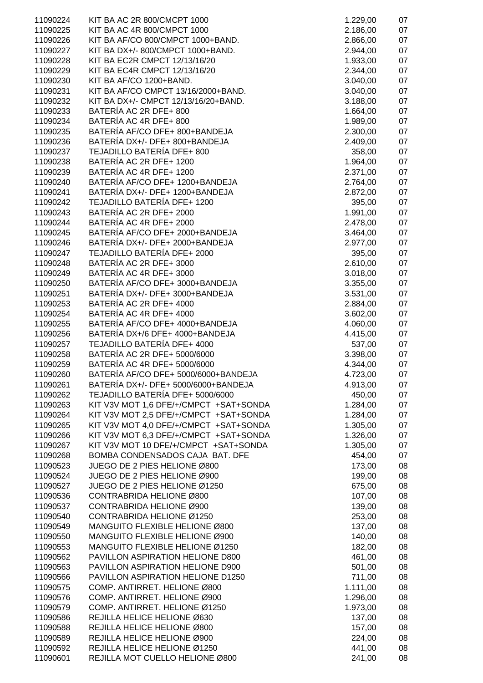| 11090224 | KIT BA AC 2R 800/CMCPT 1000                                    | 1.229,00 | 07 |
|----------|----------------------------------------------------------------|----------|----|
| 11090225 | KIT BA AC 4R 800/CMPCT 1000                                    | 2.186,00 | 07 |
| 11090226 | KIT BA AF/CO 800/CMPCT 1000+BAND.                              | 2.866,00 | 07 |
| 11090227 | KIT BA DX+/- 800/CMPCT 1000+BAND.                              | 2.944,00 | 07 |
| 11090228 | KIT BA EC2R CMPCT 12/13/16/20                                  | 1.933,00 | 07 |
| 11090229 | KIT BA EC4R CMPCT 12/13/16/20                                  | 2.344,00 | 07 |
| 11090230 | KIT BA AF/CO 1200+BAND.                                        | 3.040,00 | 07 |
| 11090231 | KIT BA AF/CO CMPCT 13/16/2000+BAND.                            | 3.040,00 | 07 |
| 11090232 | KIT BA DX+/- CMPCT 12/13/16/20+BAND.                           | 3.188,00 | 07 |
| 11090233 | BATERÍA AC 2R DFE+ 800                                         | 1.664,00 | 07 |
| 11090234 | BATERÍA AC 4R DFE+ 800                                         | 1.989,00 | 07 |
| 11090235 | BATERÍA AF/CO DFE+ 800+BANDEJA                                 | 2.300,00 | 07 |
| 11090236 | BATERÍA DX+/- DFE+ 800+BANDEJA                                 | 2.409,00 | 07 |
| 11090237 | TEJADILLO BATERÍA DFE+ 800                                     |          | 07 |
|          | BATERÍA AC 2R DFE+ 1200                                        | 358,00   | 07 |
| 11090238 | BATERÍA AC 4R DFE+ 1200                                        | 1.964,00 | 07 |
| 11090239 | BATERÍA AF/CO DFE+ 1200+BANDEJA                                | 2.371,00 | 07 |
| 11090240 |                                                                | 2.764,00 |    |
| 11090241 | BATERÍA DX+/- DFE+ 1200+BANDEJA<br>TEJADILLO BATERÍA DFE+ 1200 | 2.872,00 | 07 |
| 11090242 |                                                                | 395,00   | 07 |
| 11090243 | BATERÍA AC 2R DFE+ 2000                                        | 1.991,00 | 07 |
| 11090244 | BATERÍA AC 4R DFE+ 2000                                        | 2.478,00 | 07 |
| 11090245 | BATERÍA AF/CO DFE+ 2000+BANDEJA                                | 3.464,00 | 07 |
| 11090246 | BATERÍA DX+/- DFE+ 2000+BANDEJA                                | 2.977,00 | 07 |
| 11090247 | TEJADILLO BATERÍA DFE+ 2000                                    | 395,00   | 07 |
| 11090248 | BATERÍA AC 2R DFE+ 3000                                        | 2.610,00 | 07 |
| 11090249 | BATERÍA AC 4R DFE+ 3000                                        | 3.018,00 | 07 |
| 11090250 | BATERÍA AF/CO DFE+ 3000+BANDEJA                                | 3.355,00 | 07 |
| 11090251 | BATERÍA DX+/- DFE+ 3000+BANDEJA                                | 3.531,00 | 07 |
| 11090253 | BATERÍA AC 2R DFE+ 4000                                        | 2.884,00 | 07 |
| 11090254 | BATERÍA AC 4R DFE+ 4000                                        | 3.602,00 | 07 |
| 11090255 | BATERÍA AF/CO DFE+ 4000+BANDEJA                                | 4.060,00 | 07 |
| 11090256 | BATERÍA DX+/6 DFE+ 4000+BANDEJA                                | 4.415,00 | 07 |
| 11090257 | TEJADILLO BATERÍA DFE+ 4000                                    | 537,00   | 07 |
| 11090258 | BATERÍA AC 2R DFE+ 5000/6000                                   | 3.398,00 | 07 |
| 11090259 | BATERÍA AC 4R DFE+ 5000/6000                                   | 4.344,00 | 07 |
| 11090260 | BATERÍA AF/CO DFE+ 5000/6000+BANDEJA                           | 4.723,00 | 07 |
| 11090261 | BATERÍA DX+/- DFE+ 5000/6000+BANDEJA                           | 4.913,00 | 07 |
| 11090262 | TEJADILLO BATERÍA DFE+ 5000/6000                               | 450,00   | 07 |
| 11090263 | KIT V3V MOT 1,6 DFE/+/CMPCT +SAT+SONDA                         | 1.284,00 | 07 |
| 11090264 | KIT V3V MOT 2,5 DFE/+/CMPCT +SAT+SONDA                         | 1.284,00 | 07 |
| 11090265 | KIT V3V MOT 4,0 DFE/+/CMPCT +SAT+SONDA                         | 1.305,00 | 07 |
| 11090266 | KIT V3V MOT 6,3 DFE/+/CMPCT +SAT+SONDA                         | 1.326,00 | 07 |
| 11090267 | KIT V3V MOT 10 DFE/+/CMPCT +SAT+SONDA                          | 1.305,00 | 07 |
| 11090268 | BOMBA CONDENSADOS CAJA BAT. DFE                                | 454,00   | 07 |
| 11090523 | JUEGO DE 2 PIES HELIONE Ø800                                   | 173,00   | 08 |
| 11090524 | JUEGO DE 2 PIES HELIONE Ø900                                   | 199,00   | 08 |
| 11090527 | JUEGO DE 2 PIES HELIONE Ø1250                                  | 675,00   | 08 |
| 11090536 | CONTRABRIDA HELIONE Ø800                                       | 107,00   | 08 |
| 11090537 | CONTRABRIDA HELIONE Ø900                                       | 139,00   | 08 |
| 11090540 | CONTRABRIDA HELIONE Ø1250                                      | 253,00   | 08 |
| 11090549 | MANGUITO FLEXIBLE HELIONE Ø800                                 | 137,00   | 08 |
| 11090550 | MANGUITO FLEXIBLE HELIONE Ø900                                 | 140,00   | 08 |
| 11090553 | MANGUITO FLEXIBLE HELIONE Ø1250                                | 182,00   | 08 |
| 11090562 | PAVILLON ASPIRATION HELIONE D800                               | 461,00   | 08 |
| 11090563 | PAVILLON ASPIRATION HELIONE D900                               | 501,00   | 08 |
| 11090566 | PAVILLON ASPIRATION HELIONE D1250                              | 711,00   | 08 |
| 11090575 | COMP. ANTIRRET. HELIONE Ø800                                   | 1.111,00 | 08 |
| 11090576 | COMP. ANTIRRET. HELIONE Ø900                                   | 1.296,00 | 08 |
| 11090579 | COMP. ANTIRRET. HELIONE Ø1250                                  | 1.973,00 | 08 |
| 11090586 | REJILLA HELICE HELIONE Ø630                                    | 137,00   | 08 |
| 11090588 | REJILLA HELICE HELIONE Ø800                                    | 157,00   | 08 |
| 11090589 | REJILLA HELICE HELIONE Ø900                                    | 224,00   | 08 |
| 11090592 | REJILLA HELICE HELIONE Ø1250                                   | 441,00   | 08 |
| 11090601 | REJILLA MOT CUELLO HELIONE Ø800                                | 241,00   | 08 |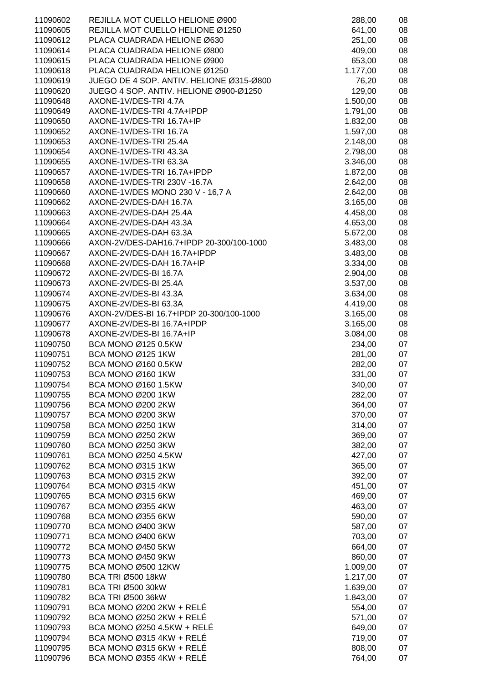| 11090602             | REJILLA MOT CUELLO HELIONE Ø900                                    | 288,00               | 08       |
|----------------------|--------------------------------------------------------------------|----------------------|----------|
| 11090605             | REJILLA MOT CUELLO HELIONE Ø1250                                   | 641,00               | 08       |
| 11090612             | PLACA CUADRADA HELIONE Ø630                                        | 251,00               | 08       |
| 11090614             | PLACA CUADRADA HELIONE Ø800                                        | 409,00               | 08       |
| 11090615             | PLACA CUADRADA HELIONE Ø900                                        | 653,00               | 08       |
| 11090618             | PLACA CUADRADA HELIONE Ø1250                                       | 1.177,00             | 08       |
| 11090619             | JUEGO DE 4 SOP. ANTIV. HELIONE Ø315-Ø800                           | 76,20                | 08       |
| 11090620             | JUEGO 4 SOP. ANTIV. HELIONE Ø900-Ø1250                             | 129,00               | 08       |
| 11090648             | AXONE-1V/DES-TRI 4.7A                                              | 1.500,00             | 08       |
| 11090649             | AXONE-1V/DES-TRI 4.7A+IPDP                                         | 1.791,00             | 08       |
| 11090650             | AXONE-1V/DES-TRI 16.7A+IP                                          | 1.832,00             | 08       |
| 11090652             | AXONE-1V/DES-TRI 16.7A                                             | 1.597,00             | 08       |
| 11090653             | AXONE-1V/DES-TRI 25.4A                                             | 2.148,00             | 08       |
| 11090654             | AXONE-1V/DES-TRI 43.3A                                             | 2.798,00             | 08       |
| 11090655             | AXONE-1V/DES-TRI 63.3A                                             | 3.346,00             | 08       |
| 11090657             | AXONE-1V/DES-TRI 16.7A+IPDP                                        | 1.872,00             | 08       |
| 11090658             | AXONE-1V/DES-TRI 230V -16.7A                                       | 2.642,00             | 08       |
| 11090660             | AXONE-1V/DES MONO 230 V - 16,7 A                                   | 2.642,00             | 08       |
| 11090662             | AXONE-2V/DES-DAH 16.7A                                             | 3.165,00             | 08       |
| 11090663             | AXONE-2V/DES-DAH 25.4A                                             | 4.458,00             | 08       |
| 11090664             | AXONE-2V/DES-DAH 43.3A                                             | 4.653,00             | 08       |
| 11090665<br>11090666 | AXONE-2V/DES-DAH 63.3A<br>AXON-2V/DES-DAH16.7+IPDP 20-300/100-1000 | 5.672,00             | 08<br>08 |
| 11090667             | AXONE-2V/DES-DAH 16.7A+IPDP                                        | 3.483,00             | 08       |
| 11090668             | AXONE-2V/DES-DAH 16.7A+IP                                          | 3.483,00<br>3.334,00 | 08       |
| 11090672             | AXONE-2V/DES-BI 16.7A                                              | 2.904,00             | 08       |
| 11090673             | AXONE-2V/DES-BI 25.4A                                              | 3.537,00             | 08       |
| 11090674             | AXONE-2V/DES-BI 43.3A                                              | 3.634,00             | 08       |
| 11090675             | AXONE-2V/DES-BI 63.3A                                              | 4.419,00             | 08       |
| 11090676             | AXON-2V/DES-BI 16.7+IPDP 20-300/100-1000                           | 3.165,00             | 08       |
| 11090677             | AXONE-2V/DES-BI 16.7A+IPDP                                         | 3.165,00             | 08       |
| 11090678             | AXONE-2V/DES-BI 16.7A+IP                                           | 3.084,00             | 08       |
| 11090750             | BCA MONO Ø125 0.5KW                                                | 234,00               | 07       |
| 11090751             | BCA MONO Ø125 1KW                                                  | 281,00               | 07       |
| 11090752             | BCA MONO Ø160 0.5KW                                                | 282,00               | 07       |
| 11090753             | BCA MONO Ø160 1KW                                                  | 331,00               | 07       |
| 11090754             | BCA MONO Ø160 1.5KW                                                | 340,00               | 07       |
| 11090755             | <b>BCA MONO Ø200 1KW</b>                                           | 282,00               | 07       |
| 11090756             | <b>BCA MONO Ø200 2KW</b>                                           | 364,00               | 07       |
| 11090757             | BCA MONO Ø200 3KW                                                  | 370,00               | 07       |
| 11090758             | <b>BCA MONO Ø250 1KW</b>                                           | 314,00               | 07       |
| 11090759             | BCA MONO Ø250 2KW                                                  | 369,00               | 07       |
| 11090760             | BCA MONO Ø250 3KW                                                  | 382,00               | 07       |
| 11090761             | BCA MONO Ø250 4.5KW                                                | 427,00               | 07       |
| 11090762             | BCA MONO Ø315 1KW                                                  | 365,00               | 07       |
| 11090763             | BCA MONO Ø315 2KW                                                  | 392,00               | 07       |
| 11090764             | BCA MONO Ø315 4KW                                                  | 451,00               | 07       |
| 11090765             | BCA MONO Ø315 6KW                                                  | 469,00               | 07       |
| 11090767             | BCA MONO Ø355 4KW                                                  | 463,00               | 07       |
| 11090768             | BCA MONO Ø355 6KW                                                  | 590,00               | 07       |
| 11090770             | BCA MONO Ø400 3KW                                                  | 587,00               | 07       |
| 11090771             | BCA MONO Ø400 6KW                                                  | 703,00               | 07       |
| 11090772             | BCA MONO Ø450 5KW                                                  | 664,00               | 07       |
| 11090773             | BCA MONO Ø450 9KW                                                  | 860,00               | 07       |
| 11090775             | <b>BCA MONO Ø500 12KW</b>                                          | 1.009,00             | 07       |
| 11090780             | <b>BCA TRI Ø500 18kW</b>                                           | 1.217,00             | 07       |
| 11090781             | <b>BCA TRI Ø500 30kW</b><br><b>BCA TRI Ø500 36kW</b>               | 1.639,00             | 07       |
| 11090782<br>11090791 | BCA MONO Ø200 2KW + RELÉ                                           | 1.843,00<br>554,00   | 07<br>07 |
| 11090792             | BCA MONO Ø250 2KW + RELÉ                                           | 571,00               | 07       |
| 11090793             | BCA MONO Ø250 4.5KW + RELÉ                                         | 649,00               | 07       |
| 11090794             | BCA MONO Ø315 4KW + RELÉ                                           | 719,00               | 07       |
| 11090795             | BCA MONO Ø315 6KW + RELÉ                                           | 808,00               | 07       |
| 11090796             | BCA MONO Ø355 4KW + RELÉ                                           | 764,00               | 07       |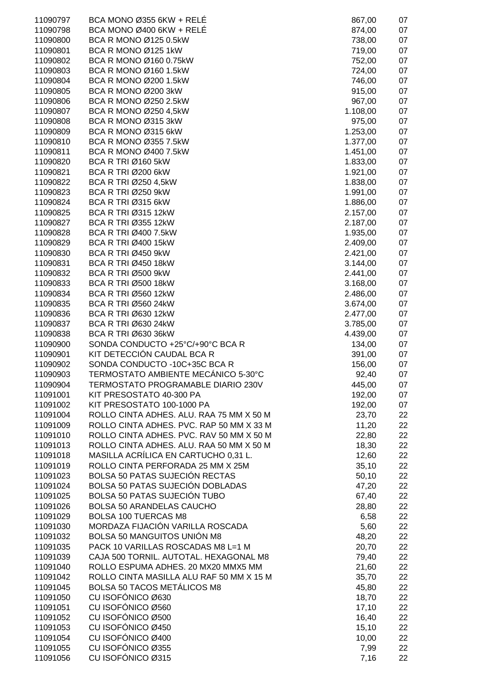| 11090797             | BCA MONO Ø355 6KW + RELÉ                 | 867,00         | 07       |
|----------------------|------------------------------------------|----------------|----------|
| 11090798             | BCA MONO Ø400 6KW + RELÉ                 | 874,00         | 07       |
| 11090800             | BCA R MONO Ø125 0.5kW                    | 738,00         | 07       |
| 11090801             | BCA R MONO Ø125 1kW                      | 719,00         | 07       |
| 11090802             | BCA R MONO Ø160 0.75kW                   | 752,00         | 07       |
| 11090803             | BCA R MONO Ø160 1.5kW                    | 724,00         | 07       |
| 11090804             | BCA R MONO Ø200 1.5kW                    | 746,00         | 07       |
| 11090805             | BCA R MONO Ø200 3kW                      | 915,00         | 07       |
| 11090806             | BCA R MONO Ø250 2.5kW                    | 967,00         | 07       |
| 11090807             | BCA R MONO Ø250 4,5kW                    | 1.108,00       | 07       |
| 11090808             | BCA R MONO Ø315 3kW                      | 975,00         | 07       |
| 11090809             | BCA R MONO Ø315 6kW                      | 1.253,00       | 07       |
| 11090810             | BCA R MONO Ø355 7.5kW                    | 1.377,00       | 07       |
| 11090811             | BCA R MONO Ø400 7.5kW                    | 1.451,00       | 07       |
| 11090820             | <b>BCA R TRI Ø160 5kW</b>                | 1.833,00       | 07       |
| 11090821             | <b>BCA R TRI Ø200 6kW</b>                | 1.921,00       | 07       |
| 11090822             | <b>BCA R TRI Ø250 4,5kW</b>              | 1.838,00       | 07       |
| 11090823             | <b>BCA R TRI Ø250 9kW</b>                | 1.991,00       | 07       |
| 11090824             | <b>BCA R TRI Ø315 6kW</b>                | 1.886,00       | 07       |
| 11090825             | <b>BCA R TRI Ø315 12kW</b>               | 2.157,00       | 07       |
| 11090827             | <b>BCA R TRI Ø355 12kW</b>               | 2.187,00       | 07       |
| 11090828             | BCA R TRI Ø400 7.5kW                     | 1.935,00       | 07       |
| 11090829             | <b>BCA R TRI Ø400 15kW</b>               | 2.409,00       | 07       |
| 11090830             | <b>BCA R TRI Ø450 9kW</b>                | 2.421,00       | 07       |
| 11090831             | <b>BCA R TRI Ø450 18kW</b>               | 3.144,00       | 07       |
| 11090832             | <b>BCA R TRI Ø500 9kW</b>                | 2.441,00       | 07       |
| 11090833             | <b>BCA R TRI Ø500 18kW</b>               | 3.168,00       | 07       |
| 11090834             | <b>BCA R TRI Ø560 12kW</b>               | 2.486,00       | 07       |
| 11090835             | <b>BCA R TRI Ø560 24kW</b>               | 3.674,00       | 07       |
| 11090836             | <b>BCA R TRI Ø630 12kW</b>               | 2.477,00       | 07       |
| 11090837             | <b>BCA R TRI Ø630 24kW</b>               | 3.785,00       | 07       |
| 11090838             | <b>BCA R TRI Ø630 36kW</b>               | 4.439,00       | 07       |
| 11090900             | SONDA CONDUCTO +25°C/+90°C BCA R         | 134,00         | 07       |
| 11090901             | KIT DETECCIÓN CAUDAL BCA R               | 391,00         | 07       |
| 11090902             | SONDA CONDUCTO - 10C+35C BCA R           | 156,00         | 07       |
| 11090903             | TERMOSTATO AMBIENTE MECÁNICO 5-30°C      | 92,40          | 07       |
| 11090904             | TERMOSTATO PROGRAMABLE DIARIO 230V       | 445,00         | 07       |
| 11091001             | KIT PRESOSTATO 40-300 PA                 | 192,00         | 07       |
| 11091002             | KIT PRESOSTATO 100-1000 PA               | 192,00         | 07       |
| 11091004             | ROLLO CINTA ADHES. ALU. RAA 75 MM X 50 M | 23,70          | 22       |
| 11091009             | ROLLO CINTA ADHES. PVC. RAP 50 MM X 33 M | 11,20          | 22       |
| 11091010             | ROLLO CINTA ADHES. PVC. RAV 50 MM X 50 M | 22,80          | 22       |
| 11091013             | ROLLO CINTA ADHES. ALU. RAA 50 MM X 50 M | 18,30          | 22       |
| 11091018             | MASILLA ACRÍLICA EN CARTUCHO 0,31 L.     | 12,60          | 22       |
| 11091019             | ROLLO CINTA PERFORADA 25 MM X 25M        | 35,10          | 22       |
| 11091023             | <b>BOLSA 50 PATAS SUJECIÓN RECTAS</b>    | 50,10          | 22       |
| 11091024             | BOLSA 50 PATAS SUJECIÓN DOBLADAS         | 47,20          | 22       |
| 11091025             | <b>BOLSA 50 PATAS SUJECIÓN TUBO</b>      | 67,40          | 22       |
| 11091026             | <b>BOLSA 50 ARANDELAS CAUCHO</b>         | 28,80          | 22       |
| 11091029             | <b>BOLSA 100 TUERCAS M8</b>              | 6,58           | 22       |
| 11091030             | MORDAZA FIJACIÓN VARILLA ROSCADA         | 5,60           | 22       |
| 11091032             | <b>BOLSA 50 MANGUITOS UNIÓN M8</b>       | 48,20          | 22       |
| 11091035             | PACK 10 VARILLAS ROSCADAS M8 L=1 M       | 20,70          | 22       |
| 11091039             | CAJA 500 TORNIL. AUTOTAL. HEXAGONAL M8   | 79,40          | 22       |
| 11091040             | ROLLO ESPUMA ADHES. 20 MX20 MMX5 MM      | 21,60          | 22       |
| 11091042             | ROLLO CINTA MASILLA ALU RAF 50 MM X 15 M | 35,70          | 22       |
| 11091045             | <b>BOLSA 50 TACOS METÁLICOS M8</b>       | 45,80          | 22       |
| 11091050             | CU ISOFÓNICO Ø630                        | 18,70          | 22       |
| 11091051             | CU ISOFÓNICO Ø560                        | 17,10          | 22       |
| 11091052             | CU ISOFÓNICO Ø500<br>CU ISOFÓNICO Ø450   | 16,40          | 22       |
| 11091053<br>11091054 | CU ISOFÓNICO Ø400                        | 15,10<br>10,00 | 22<br>22 |
| 11091055             | CU ISOFÓNICO Ø355                        | 7,99           | 22       |
| 11091056             | CU ISOFÓNICO Ø315                        | 7,16           | 22       |
|                      |                                          |                |          |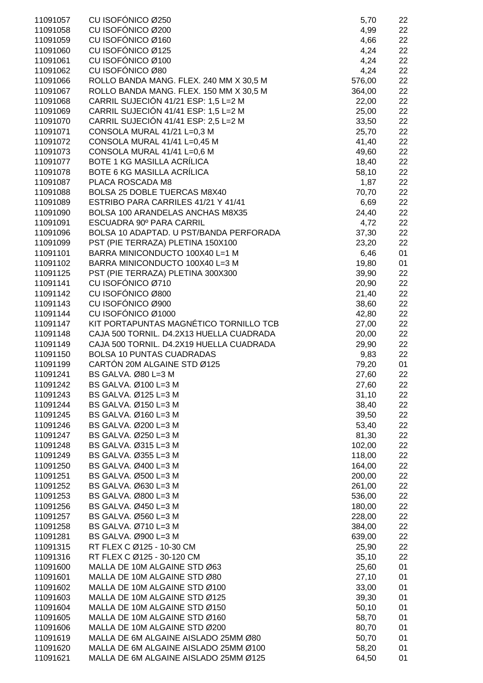| 11091057             | CU ISOFÓNICO Ø250                                              | 5,70           | 22       |
|----------------------|----------------------------------------------------------------|----------------|----------|
| 11091058             | CU ISOFÓNICO Ø200                                              | 4,99           | 22       |
| 11091059             | CU ISOFÓNICO Ø160                                              | 4,66           | 22       |
| 11091060             | CU ISOFÓNICO Ø125                                              | 4,24           | 22       |
| 11091061             | CU ISOFÓNICO Ø100                                              | 4,24           | 22       |
| 11091062             | CU ISOFÓNICO Ø80                                               | 4,24           | 22       |
| 11091066             | ROLLO BANDA MANG. FLEX. 240 MM X 30,5 M                        | 576,00         | 22       |
| 11091067             | ROLLO BANDA MANG. FLEX. 150 MM X 30,5 M                        | 364,00         | 22       |
| 11091068             | CARRIL SUJECIÓN 41/21 ESP: 1,5 L=2 M                           | 22,00          | 22       |
| 11091069             | CARRIL SUJECIÓN 41/41 ESP: 1,5 L=2 M                           | 25,00          | 22       |
| 11091070             | CARRIL SUJECIÓN 41/41 ESP: 2,5 L=2 M                           | 33,50          | 22       |
| 11091071             | CONSOLA MURAL 41/21 L=0,3 M                                    | 25,70          | 22       |
| 11091072             | CONSOLA MURAL 41/41 L=0,45 M                                   | 41,40          | 22       |
| 11091073             | CONSOLA MURAL 41/41 L=0,6 M                                    | 49,60          | 22       |
| 11091077             | <b>BOTE 1 KG MASILLA ACRÍLICA</b>                              | 18,40          | 22       |
| 11091078             | <b>BOTE 6 KG MASILLA ACRÍLICA</b>                              | 58,10          | 22       |
| 11091087             | PLACA ROSCADA M8                                               | 1,87           | 22       |
| 11091088             | BOLSA 25 DOBLE TUERCAS M8X40                                   | 70,70          | 22       |
| 11091089             | ESTRIBO PARA CARRILES 41/21 Y 41/41                            | 6,69           | 22       |
| 11091090             | BOLSA 100 ARANDELAS ANCHAS M8X35                               | 24,40          | 22       |
| 11091091             | ESCUADRA 90° PARA CARRIL                                       | 4,72           | 22       |
| 11091096             | BOLSA 10 ADAPTAD. U PST/BANDA PERFORADA                        | 37,30          | 22       |
| 11091099             | PST (PIE TERRAZA) PLETINA 150X100                              | 23,20          | 22       |
| 11091101             | BARRA MINICONDUCTO 100X40 L=1 M                                | 6,46           | 01       |
| 11091102             | BARRA MINICONDUCTO 100X40 L=3 M                                | 19,80          | 01       |
| 11091125             | PST (PIE TERRAZA) PLETINA 300X300                              | 39,90          | 22       |
| 11091141             | CU ISOFÓNICO Ø710                                              | 20,90          | 22       |
| 11091142             | CU ISOFÓNICO Ø800                                              | 21,40          | 22       |
| 11091143             | CU ISOFÓNICO Ø900                                              | 38,60          | 22       |
| 11091144             | CU ISOFÓNICO Ø1000                                             | 42,80          | 22       |
| 11091147             | KIT PORTAPUNTAS MAGNÉTICO TORNILLO TCB                         | 27,00          | 22       |
| 11091148             | CAJA 500 TORNIL. D4.2X13 HUELLA CUADRADA                       | 20,00          | 22       |
| 11091149             | CAJA 500 TORNIL. D4.2X19 HUELLA CUADRADA                       | 29,90          | 22       |
| 11091150             | <b>BOLSA 10 PUNTAS CUADRADAS</b>                               | 9,83           | 22       |
| 11091199             | CARTÓN 20M ALGAINE STD Ø125                                    | 79,20          | 01       |
| 11091241             | BS GALVA. Ø80 L=3 M                                            | 27,60          | 22       |
| 11091242             | BS GALVA. Ø100 L=3 M                                           | 27,60          | 22       |
| 11091243             | BS GALVA. Ø125 L=3 M                                           | 31,10          | 22       |
| 11091244             | BS GALVA. Ø150 L=3 M                                           | 38,40          | 22       |
| 11091245             | BS GALVA. Ø160 L=3 M                                           | 39,50          | 22       |
| 11091246             | BS GALVA. Ø200 L=3 M                                           | 53,40          | 22       |
| 11091247             | BS GALVA. Ø250 L=3 M                                           | 81,30          | 22       |
| 11091248             | BS GALVA. Ø315 L=3 M                                           | 102,00         | 22       |
| 11091249             | BS GALVA. Ø355 L=3 M                                           | 118,00         | 22       |
| 11091250             | BS GALVA. Ø400 L=3 M                                           | 164,00         | 22       |
| 11091251             | BS GALVA. Ø500 L=3 M                                           | 200,00         | 22       |
| 11091252             | BS GALVA. Ø630 L=3 M                                           | 261,00         | 22       |
| 11091253             | BS GALVA. Ø800 L=3 M                                           | 536,00         | 22       |
| 11091256             | BS GALVA. Ø450 L=3 M                                           | 180,00         | 22       |
| 11091257             | BS GALVA. Ø560 L=3 M                                           | 228,00         | 22       |
| 11091258             | BS GALVA. Ø710 L=3 M                                           | 384,00         | 22       |
| 11091281             | BS GALVA. Ø900 L=3 M                                           | 639,00         | 22       |
| 11091315             | RT FLEX C Ø125 - 10-30 CM                                      | 25,90          | 22       |
| 11091316             | RT FLEX C Ø125 - 30-120 CM                                     | 35,10          | 22       |
| 11091600             | MALLA DE 10M ALGAINE STD Ø63                                   | 25,60          | 01       |
| 11091601             | MALLA DE 10M ALGAINE STD Ø80                                   | 27,10          | 01       |
| 11091602             | MALLA DE 10M ALGAINE STD Ø100                                  | 33,00          | 01       |
| 11091603             | MALLA DE 10M ALGAINE STD Ø125                                  | 39,30          | 01       |
| 11091604             | MALLA DE 10M ALGAINE STD Ø150                                  | 50,10          | 01       |
| 11091605             | MALLA DE 10M ALGAINE STD Ø160<br>MALLA DE 10M ALGAINE STD Ø200 | 58,70          | 01       |
| 11091606<br>11091619 | MALLA DE 6M ALGAINE AISLADO 25MM Ø80                           | 80,70          | 01       |
| 11091620             | MALLA DE 6M ALGAINE AISLADO 25MM Ø100                          | 50,70<br>58,20 | 01<br>01 |
| 11091621             | MALLA DE 6M ALGAINE AISLADO 25MM Ø125                          | 64,50          | 01       |
|                      |                                                                |                |          |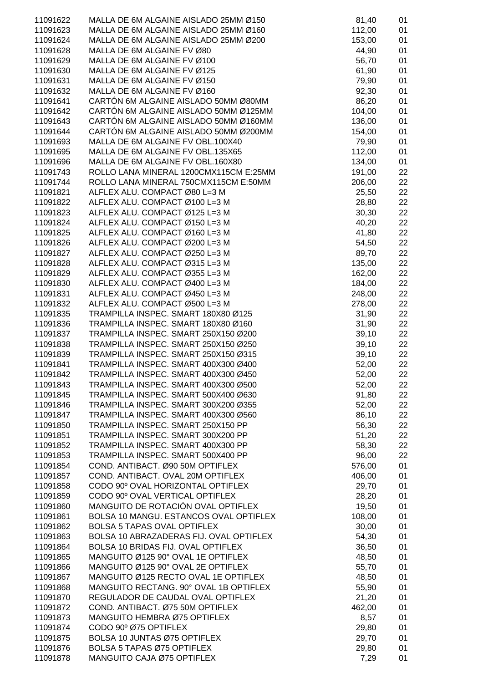| 11091622 | MALLA DE 6M ALGAINE AISLADO 25MM Ø150   | 81,40  | 01 |
|----------|-----------------------------------------|--------|----|
| 11091623 | MALLA DE 6M ALGAINE AISLADO 25MM Ø160   | 112,00 | 01 |
| 11091624 | MALLA DE 6M ALGAINE AISLADO 25MM Ø200   | 153,00 | 01 |
| 11091628 | MALLA DE 6M ALGAINE FV Ø80              | 44,90  | 01 |
| 11091629 | MALLA DE 6M ALGAINE FV Ø100             | 56,70  | 01 |
|          |                                         |        |    |
| 11091630 | MALLA DE 6M ALGAINE FV Ø125             | 61,90  | 01 |
| 11091631 | MALLA DE 6M ALGAINE FV Ø150             | 79,90  | 01 |
| 11091632 | MALLA DE 6M ALGAINE FV Ø160             | 92,30  | 01 |
| 11091641 | CARTÓN 6M ALGAINE AISLADO 50MM Ø80MM    | 86,20  | 01 |
| 11091642 | CARTÓN 6M ALGAINE AISLADO 50MM Ø125MM   | 104,00 | 01 |
|          |                                         |        |    |
| 11091643 | CARTÓN 6M ALGAINE AISLADO 50MM Ø160MM   | 136,00 | 01 |
| 11091644 | CARTÓN 6M ALGAINE AISLADO 50MM Ø200MM   | 154,00 | 01 |
| 11091693 | MALLA DE 6M ALGAINE FV OBL.100X40       | 79,90  | 01 |
| 11091695 | MALLA DE 6M ALGAINE FV OBL.135X65       | 112,00 | 01 |
| 11091696 | MALLA DE 6M ALGAINE FV OBL.160X80       | 134,00 | 01 |
| 11091743 | ROLLO LANA MINERAL 1200CMX115CM E:25MM  | 191,00 | 22 |
|          |                                         |        |    |
| 11091744 | ROLLO LANA MINERAL 750CMX115CM E:50MM   | 206,00 | 22 |
| 11091821 | ALFLEX ALU, COMPACT Ø80 L=3 M           | 25,50  | 22 |
| 11091822 | ALFLEX ALU. COMPACT Ø100 L=3 M          | 28,80  | 22 |
| 11091823 | ALFLEX ALU. COMPACT Ø125 L=3 M          | 30,30  | 22 |
| 11091824 | ALFLEX ALU. COMPACT Ø150 L=3 M          | 40,20  | 22 |
|          |                                         |        |    |
| 11091825 | ALFLEX ALU. COMPACT Ø160 L=3 M          | 41,80  | 22 |
| 11091826 | ALFLEX ALU. COMPACT Ø200 L=3 M          | 54,50  | 22 |
| 11091827 | ALFLEX ALU. COMPACT Ø250 L=3 M          | 89,70  | 22 |
| 11091828 | ALFLEX ALU. COMPACT Ø315 L=3 M          | 135,00 | 22 |
| 11091829 | ALFLEX ALU. COMPACT Ø355 L=3 M          | 162,00 | 22 |
|          |                                         |        |    |
| 11091830 | ALFLEX ALU. COMPACT Ø400 L=3 M          | 184,00 | 22 |
| 11091831 | ALFLEX ALU. COMPACT Ø450 L=3 M          | 248,00 | 22 |
| 11091832 | ALFLEX ALU. COMPACT Ø500 L=3 M          | 278,00 | 22 |
| 11091835 | TRAMPILLA INSPEC. SMART 180X80 Ø125     | 31,90  | 22 |
| 11091836 | TRAMPILLA INSPEC. SMART 180X80 Ø160     | 31,90  | 22 |
| 11091837 | TRAMPILLA INSPEC. SMART 250X150 Ø200    | 39,10  | 22 |
|          |                                         |        |    |
| 11091838 | TRAMPILLA INSPEC. SMART 250X150 Ø250    | 39,10  | 22 |
| 11091839 | TRAMPILLA INSPEC. SMART 250X150 Ø315    | 39,10  | 22 |
| 11091841 | TRAMPILLA INSPEC. SMART 400X300 Ø400    | 52,00  | 22 |
| 11091842 | TRAMPILLA INSPEC. SMART 400X300 Ø450    | 52,00  | 22 |
| 11091843 | TRAMPILLA INSPEC. SMART 400X300 Ø500    | 52,00  | 22 |
|          | TRAMPILLA INSPEC, SMART 500X400 Ø630    |        |    |
| 11091845 |                                         | 91,80  | 22 |
| 11091846 | TRAMPILLA INSPEC. SMART 300X200 Ø355    | 52,00  | 22 |
| 11091847 | TRAMPILLA INSPEC. SMART 400X300 Ø560    | 86,10  | 22 |
| 11091850 | TRAMPILLA INSPEC. SMART 250X150 PP      | 56,30  | 22 |
| 11091851 | TRAMPILLA INSPEC. SMART 300X200 PP      | 51,20  | 22 |
| 11091852 | TRAMPILLA INSPEC. SMART 400X300 PP      | 58,30  | 22 |
|          |                                         |        |    |
| 11091853 | TRAMPILLA INSPEC. SMART 500X400 PP      | 96,00  | 22 |
| 11091854 | COND. ANTIBACT. Ø90 50M OPTIFLEX        | 576,00 | 01 |
| 11091857 | COND. ANTIBACT. OVAL 20M OPTIFLEX       | 406,00 | 01 |
| 11091858 | CODO 90º OVAL HORIZONTAL OPTIFLEX       | 29,70  | 01 |
| 11091859 | CODO 90° OVAL VERTICAL OPTIFLEX         | 28,20  | 01 |
| 11091860 | MANGUITO DE ROTACIÓN OVAL OPTIFLEX      | 19,50  | 01 |
|          |                                         |        |    |
| 11091861 | BOLSA 10 MANGU. ESTANCOS OVAL OPTIFLEX  | 108,00 | 01 |
| 11091862 | <b>BOLSA 5 TAPAS OVAL OPTIFLEX</b>      | 30,00  | 01 |
| 11091863 | BOLSA 10 ABRAZADERAS FIJ. OVAL OPTIFLEX | 54,30  | 01 |
| 11091864 | BOLSA 10 BRIDAS FIJ. OVAL OPTIFLEX      | 36,50  | 01 |
| 11091865 | MANGUITO Ø125 90° OVAL 1E OPTIFLEX      | 48,50  | 01 |
|          |                                         |        |    |
| 11091866 | MANGUITO Ø125 90° OVAL 2E OPTIFLEX      | 55,70  | 01 |
| 11091867 | MANGUITO Ø125 RECTO OVAL 1E OPTIFLEX    | 48,50  | 01 |
| 11091868 | MANGUITO RECTANG. 90° OVAL 1B OPTIFLEX  | 55,90  | 01 |
| 11091870 | REGULADOR DE CAUDAL OVAL OPTIFLEX       | 21,20  | 01 |
| 11091872 | COND. ANTIBACT. Ø75 50M OPTIFLEX        | 462,00 | 01 |
| 11091873 | MANGUITO HEMBRA Ø75 OPTIFLEX            | 8,57   | 01 |
|          |                                         |        |    |
| 11091874 | CODO 90º Ø75 OPTIFLEX                   | 29,80  | 01 |
| 11091875 | BOLSA 10 JUNTAS Ø75 OPTIFLEX            | 29,70  | 01 |
| 11091876 | BOLSA 5 TAPAS Ø75 OPTIFLEX              | 29,80  | 01 |
| 11091878 | MANGUITO CAJA Ø75 OPTIFLEX              | 7,29   | 01 |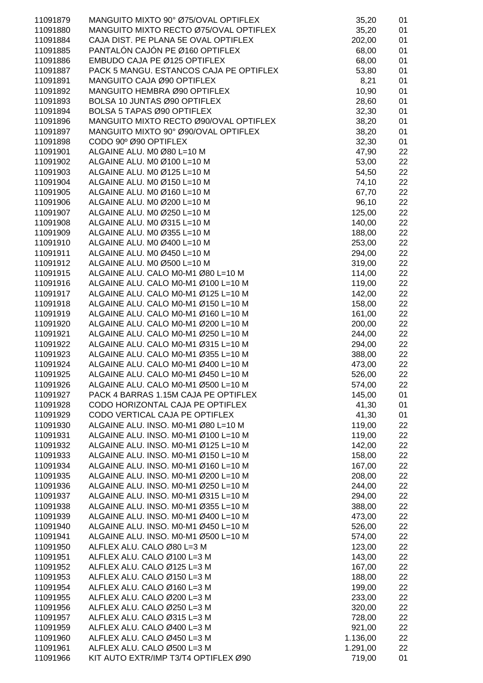| 11091879 | MANGUITO MIXTO 90° Ø75/OVAL OPTIFLEX    | 35,20    | 01 |
|----------|-----------------------------------------|----------|----|
| 11091880 | MANGUITO MIXTO RECTO Ø75/OVAL OPTIFLEX  | 35,20    | 01 |
| 11091884 | CAJA DIST. PE PLANA 5E OVAL OPTIFLEX    | 202,00   | 01 |
| 11091885 | PANTALÓN CAJÓN PE Ø160 OPTIFLEX         | 68,00    | 01 |
|          |                                         |          |    |
| 11091886 | EMBUDO CAJA PE Ø125 OPTIFLEX            | 68,00    | 01 |
| 11091887 | PACK 5 MANGU. ESTANCOS CAJA PE OPTIFLEX | 53,80    | 01 |
| 11091891 | MANGUITO CAJA Ø90 OPTIFLEX              | 8,21     | 01 |
| 11091892 | MANGUITO HEMBRA Ø90 OPTIFLEX            | 10,90    | 01 |
| 11091893 | BOLSA 10 JUNTAS Ø90 OPTIFLEX            | 28,60    | 01 |
|          | BOLSA 5 TAPAS Ø90 OPTIFLEX              |          | 01 |
| 11091894 |                                         | 32,30    |    |
| 11091896 | MANGUITO MIXTO RECTO Ø90/OVAL OPTIFLEX  | 38,20    | 01 |
| 11091897 | MANGUITO MIXTO 90° Ø90/OVAL OPTIFLEX    | 38,20    | 01 |
| 11091898 | CODO 90° Ø90 OPTIFLEX                   | 32,30    | 01 |
| 11091901 | ALGAINE ALU. MO Ø80 L=10 M              | 47,90    | 22 |
| 11091902 | ALGAINE ALU. MO Ø100 L=10 M             | 53,00    | 22 |
|          |                                         |          |    |
| 11091903 | ALGAINE ALU. MO Ø125 L=10 M             | 54,50    | 22 |
| 11091904 | ALGAINE ALU. MO Ø150 L=10 M             | 74,10    | 22 |
| 11091905 | ALGAINE ALU. MO Ø160 L=10 M             | 67,70    | 22 |
| 11091906 | ALGAINE ALU. MO Ø200 L=10 M             | 96,10    | 22 |
| 11091907 | ALGAINE ALU. M0 Ø250 L=10 M             | 125,00   | 22 |
| 11091908 | ALGAINE ALU. MO Ø315 L=10 M             | 140,00   | 22 |
|          |                                         |          |    |
| 11091909 | ALGAINE ALU. M0 Ø355 L=10 M             | 188,00   | 22 |
| 11091910 | ALGAINE ALU. MO Ø400 L=10 M             | 253,00   | 22 |
| 11091911 | ALGAINE ALU. MO Ø450 L=10 M             | 294,00   | 22 |
| 11091912 | ALGAINE ALU. M0 Ø500 L=10 M             | 319,00   | 22 |
| 11091915 | ALGAINE ALU. CALO M0-M1 Ø80 L=10 M      | 114,00   | 22 |
|          |                                         |          |    |
| 11091916 | ALGAINE ALU. CALO M0-M1 Ø100 L=10 M     | 119,00   | 22 |
| 11091917 | ALGAINE ALU. CALO M0-M1 Ø125 L=10 M     | 142,00   | 22 |
| 11091918 | ALGAINE ALU. CALO M0-M1 Ø150 L=10 M     | 158,00   | 22 |
| 11091919 | ALGAINE ALU. CALO M0-M1 Ø160 L=10 M     | 161,00   | 22 |
| 11091920 | ALGAINE ALU. CALO M0-M1 Ø200 L=10 M     | 200,00   | 22 |
| 11091921 | ALGAINE ALU. CALO M0-M1 Ø250 L=10 M     | 244,00   | 22 |
|          |                                         |          |    |
| 11091922 | ALGAINE ALU. CALO M0-M1 Ø315 L=10 M     | 294,00   | 22 |
| 11091923 | ALGAINE ALU. CALO M0-M1 Ø355 L=10 M     | 388,00   | 22 |
| 11091924 | ALGAINE ALU. CALO M0-M1 Ø400 L=10 M     | 473,00   | 22 |
| 11091925 | ALGAINE ALU. CALO M0-M1 Ø450 L=10 M     | 526,00   | 22 |
| 11091926 | ALGAINE ALU. CALO M0-M1 Ø500 L=10 M     | 574,00   | 22 |
|          | PACK 4 BARRAS 1.15M CAJA PE OPTIFLEX    |          |    |
| 11091927 |                                         | 145,00   | 01 |
| 11091928 | CODO HORIZONTAL CAJA PE OPTIFLEX        | 41,30    | 01 |
| 11091929 | CODO VERTICAL CAJA PE OPTIFLEX          | 41,30    | 01 |
| 11091930 | ALGAINE ALU. INSO. M0-M1 Ø80 L=10 M     | 119,00   | 22 |
| 11091931 | ALGAINE ALU. INSO. M0-M1 Ø100 L=10 M    | 119,00   | 22 |
| 11091932 | ALGAINE ALU. INSO. M0-M1 Ø125 L=10 M    | 142,00   | 22 |
|          |                                         |          |    |
| 11091933 | ALGAINE ALU. INSO. M0-M1 Ø150 L=10 M    | 158,00   | 22 |
| 11091934 | ALGAINE ALU. INSO. M0-M1 Ø160 L=10 M    | 167,00   | 22 |
| 11091935 | ALGAINE ALU. INSO. M0-M1 Ø200 L=10 M    | 208,00   | 22 |
| 11091936 | ALGAINE ALU. INSO. M0-M1 Ø250 L=10 M    | 244,00   | 22 |
| 11091937 | ALGAINE ALU. INSO. M0-M1 Ø315 L=10 M    | 294,00   | 22 |
| 11091938 | ALGAINE ALU. INSO. M0-M1 Ø355 L=10 M    |          |    |
|          |                                         | 388,00   | 22 |
| 11091939 | ALGAINE ALU. INSO. M0-M1 Ø400 L=10 M    | 473,00   | 22 |
| 11091940 | ALGAINE ALU. INSO. M0-M1 Ø450 L=10 M    | 526,00   | 22 |
| 11091941 | ALGAINE ALU. INSO. M0-M1 Ø500 L=10 M    | 574,00   | 22 |
| 11091950 | ALFLEX ALU. CALO Ø80 L=3 M              | 123,00   | 22 |
| 11091951 | ALFLEX ALU. CALO Ø100 L=3 M             | 143,00   | 22 |
|          |                                         |          |    |
| 11091952 | ALFLEX ALU. CALO Ø125 L=3 M             | 167,00   | 22 |
| 11091953 | ALFLEX ALU. CALO Ø150 L=3 M             | 188,00   | 22 |
| 11091954 | ALFLEX ALU. CALO Ø160 L=3 M             | 199,00   | 22 |
| 11091955 | ALFLEX ALU. CALO Ø200 L=3 M             | 233,00   | 22 |
| 11091956 | ALFLEX ALU. CALO Ø250 L=3 M             | 320,00   | 22 |
| 11091957 | ALFLEX ALU. CALO Ø315 L=3 M             | 728,00   | 22 |
|          |                                         |          |    |
| 11091959 | ALFLEX ALU. CALO Ø400 L=3 M             | 921,00   | 22 |
| 11091960 | ALFLEX ALU. CALO Ø450 L=3 M             | 1.136,00 | 22 |
| 11091961 | ALFLEX ALU. CALO Ø500 L=3 M             | 1.291,00 | 22 |
| 11091966 | KIT AUTO EXTR/IMP T3/T4 OPTIFLEX Ø90    | 719,00   | 01 |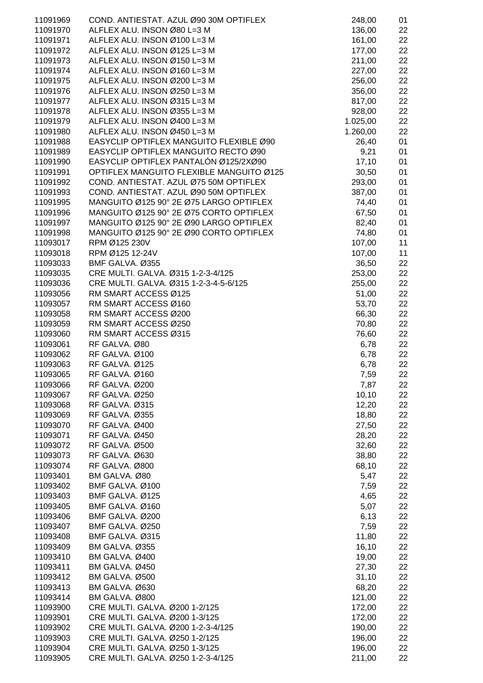| 11091969             | COND. ANTIESTAT. AZUL Ø90 30M OPTIFLEX   | 248,00         | 01       |
|----------------------|------------------------------------------|----------------|----------|
| 11091970             | ALFLEX ALU. INSON Ø80 L=3 M              | 136,00         | 22       |
| 11091971             | ALFLEX ALU. INSON Ø100 L=3 M             | 161,00         | 22       |
| 11091972             | ALFLEX ALU. INSON Ø125 L=3 M             | 177,00         | 22       |
| 11091973             | ALFLEX ALU. INSON Ø150 L=3 M             | 211,00         | 22       |
| 11091974             | ALFLEX ALU. INSON Ø160 L=3 M             | 227,00         | 22       |
| 11091975             | ALFLEX ALU. INSON Ø200 L=3 M             | 256,00         | 22       |
| 11091976             | ALFLEX ALU. INSON Ø250 L=3 M             | 356,00         | 22       |
| 11091977             | ALFLEX ALU. INSON Ø315 L=3 M             | 817,00         | 22       |
| 11091978             | ALFLEX ALU. INSON Ø355 L=3 M             | 928,00         | 22       |
| 11091979             | ALFLEX ALU. INSON Ø400 L=3 M             | 1.025,00       | 22       |
| 11091980             | ALFLEX ALU. INSON Ø450 L=3 M             | 1.260,00       | 22       |
| 11091988             | EASYCLIP OPTIFLEX MANGUITO FLEXIBLE Ø90  | 26,40          | 01       |
| 11091989             | EASYCLIP OPTIFLEX MANGUITO RECTO Ø90     | 9,21           | 01       |
| 11091990             | EASYCLIP OPTIFLEX PANTALÓN Ø125/2XØ90    | 17,10          | 01       |
| 11091991             | OPTIFLEX MANGUITO FLEXIBLE MANGUITO Ø125 | 30,50          | 01       |
| 11091992             | COND. ANTIESTAT. AZUL Ø75 50M OPTIFLEX   | 293,00         | 01       |
| 11091993             | COND. ANTIESTAT. AZUL Ø90 50M OPTIFLEX   | 387,00         | 01       |
| 11091995             | MANGUITO Ø125 90° 2E Ø75 LARGO OPTIFLEX  | 74,40          | 01       |
| 11091996             | MANGUITO Ø125 90° 2E Ø75 CORTO OPTIFLEX  | 67,50          | 01       |
| 11091997             | MANGUITO Ø125 90° 2E Ø90 LARGO OPTIFLEX  | 82,40          | 01       |
| 11091998             | MANGUITO Ø125 90° 2E Ø90 CORTO OPTIFLEX  | 74,80          | 01       |
| 11093017             | RPM Ø125 230V                            | 107,00         | 11       |
| 11093018             | RPM Ø125 12-24V                          | 107,00         | 11       |
| 11093033             | BMF GALVA. Ø355                          | 36,50          | 22       |
| 11093035             | CRE MULTI. GALVA. Ø315 1-2-3-4/125       | 253,00         | 22       |
| 11093036             | CRE MULTI. GALVA. Ø315 1-2-3-4-5-6/125   | 255,00         | 22       |
| 11093056             | RM SMART ACCESS Ø125                     | 51,00          | 22       |
| 11093057             | RM SMART ACCESS Ø160                     | 53,70          | 22       |
| 11093058             | RM SMART ACCESS Ø200                     | 66,30          | 22       |
| 11093059             | RM SMART ACCESS Ø250                     | 70,80          | 22       |
| 11093060             | RM SMART ACCESS Ø315                     | 76,60          | 22       |
| 11093061             | RF GALVA. Ø80                            | 6,78           | 22       |
| 11093062             | RF GALVA. Ø100                           | 6,78           | 22       |
| 11093063             | RF GALVA. Ø125                           | 6,78           | 22       |
| 11093065             | RF GALVA. Ø160<br>RF GALVA. Ø200         | 7,59           | 22       |
| 11093066<br>11093067 | RF GALVA. Ø250                           | 7,87<br>10, 10 | 22<br>22 |
| 11093068             | RF GALVA. Ø315                           | 12,20          | 22       |
| 11093069             | RF GALVA. Ø355                           | 18,80          | 22       |
| 11093070             | RF GALVA. Ø400                           | 27,50          | 22       |
| 11093071             | RF GALVA. Ø450                           | 28,20          | 22       |
| 11093072             | RF GALVA. Ø500                           | 32,60          | 22       |
| 11093073             | RF GALVA. Ø630                           | 38,80          | 22       |
| 11093074             | RF GALVA. Ø800                           | 68,10          | 22       |
| 11093401             | BM GALVA. Ø80                            | 5,47           | 22       |
| 11093402             | BMF GALVA. Ø100                          | 7,59           | 22       |
| 11093403             | BMF GALVA. Ø125                          | 4,65           | 22       |
| 11093405             | BMF GALVA. Ø160                          | 5,07           | 22       |
| 11093406             | BMF GALVA. Ø200                          | 6, 13          | 22       |
| 11093407             | BMF GALVA. Ø250                          | 7,59           | 22       |
| 11093408             | BMF GALVA. Ø315                          | 11,80          | 22       |
| 11093409             | <b>BM GALVA. Ø355</b>                    | 16,10          | 22       |
| 11093410             | BM GALVA. Ø400                           | 19,00          | 22       |
| 11093411             | BM GALVA. Ø450                           | 27,30          | 22       |
| 11093412             | BM GALVA. Ø500                           | 31,10          | 22       |
| 11093413             | BM GALVA. Ø630                           | 68,20          | 22       |
| 11093414             | BM GALVA. Ø800                           | 121,00         | 22       |
| 11093900             | CRE MULTI. GALVA. Ø200 1-2/125           | 172,00         | 22       |
| 11093901             | CRE MULTI. GALVA. Ø200 1-3/125           | 172,00         | 22       |
| 11093902             | CRE MULTI. GALVA. Ø200 1-2-3-4/125       | 190,00         | 22       |
| 11093903             | CRE MULTI. GALVA. Ø250 1-2/125           | 196,00         | 22       |
| 11093904             | CRE MULTI. GALVA. Ø250 1-3/125           | 196,00         | 22       |
| 11093905             | CRE MULTI. GALVA. Ø250 1-2-3-4/125       | 211,00         | 22       |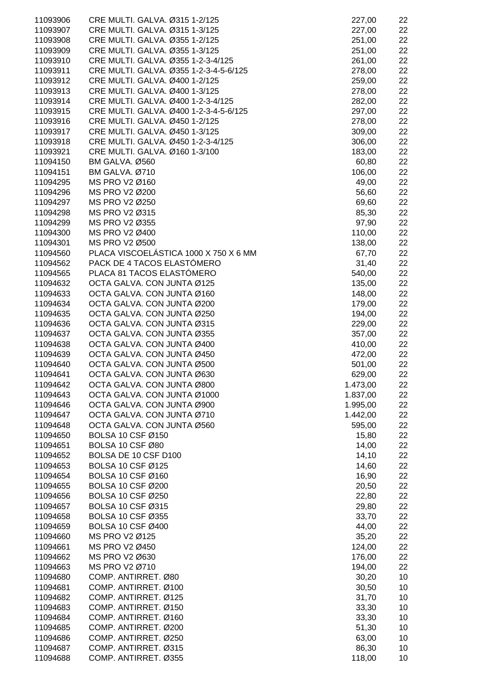| 11093906 | CRE MULTI. GALVA. Ø315 1-2/125         | 227,00   | 22 |
|----------|----------------------------------------|----------|----|
| 11093907 | CRE MULTI. GALVA. Ø315 1-3/125         | 227,00   | 22 |
| 11093908 | CRE MULTI. GALVA. Ø355 1-2/125         | 251,00   | 22 |
| 11093909 | CRE MULTI. GALVA. Ø355 1-3/125         | 251,00   | 22 |
| 11093910 | CRE MULTI. GALVA. Ø355 1-2-3-4/125     | 261,00   | 22 |
| 11093911 | CRE MULTI. GALVA. Ø355 1-2-3-4-5-6/125 | 278,00   | 22 |
| 11093912 | CRE MULTI. GALVA. Ø400 1-2/125         | 259,00   | 22 |
| 11093913 | CRE MULTI. GALVA. Ø400 1-3/125         | 278,00   | 22 |
| 11093914 | CRE MULTI. GALVA. Ø400 1-2-3-4/125     | 282,00   | 22 |
| 11093915 | CRE MULTI. GALVA. Ø400 1-2-3-4-5-6/125 | 297,00   | 22 |
| 11093916 | CRE MULTI. GALVA. Ø450 1-2/125         | 278,00   | 22 |
| 11093917 | CRE MULTI. GALVA. Ø450 1-3/125         | 309,00   | 22 |
| 11093918 | CRE MULTI. GALVA. Ø450 1-2-3-4/125     | 306,00   | 22 |
| 11093921 | CRE MULTI. GALVA. Ø160 1-3/100         | 183,00   | 22 |
| 11094150 | BM GALVA. Ø560                         | 60,80    | 22 |
| 11094151 | BM GALVA. Ø710                         | 106,00   | 22 |
| 11094295 | MS PRO V2 Ø160                         | 49,00    | 22 |
| 11094296 | MS PRO V2 Ø200                         | 56,60    | 22 |
| 11094297 | MS PRO V2 Ø250                         | 69,60    | 22 |
| 11094298 | MS PRO V2 Ø315                         | 85,30    | 22 |
| 11094299 | MS PRO V2 Ø355                         | 97,90    | 22 |
| 11094300 | MS PRO V2 Ø400                         | 110,00   | 22 |
| 11094301 | MS PRO V2 Ø500                         | 138,00   | 22 |
| 11094560 | PLACA VISCOELÁSTICA 1000 X 750 X 6 MM  | 67,70    | 22 |
| 11094562 | PACK DE 4 TACOS ELASTÓMERO             | 31,40    | 22 |
| 11094565 | PLACA 81 TACOS ELASTÓMERO              | 540,00   | 22 |
| 11094632 | OCTA GALVA. CON JUNTA Ø125             | 135,00   | 22 |
| 11094633 | OCTA GALVA. CON JUNTA Ø160             | 148,00   | 22 |
| 11094634 | OCTA GALVA. CON JUNTA Ø200             | 179,00   | 22 |
| 11094635 | OCTA GALVA. CON JUNTA Ø250             | 194,00   | 22 |
| 11094636 | OCTA GALVA. CON JUNTA Ø315             | 229,00   | 22 |
| 11094637 | OCTA GALVA. CON JUNTA Ø355             | 357,00   | 22 |
| 11094638 | OCTA GALVA. CON JUNTA Ø400             | 410,00   | 22 |
| 11094639 | OCTA GALVA. CON JUNTA Ø450             | 472,00   | 22 |
| 11094640 | OCTA GALVA. CON JUNTA Ø500             | 501,00   | 22 |
| 11094641 | OCTA GALVA. CON JUNTA Ø630             | 629,00   | 22 |
| 11094642 | OCTA GALVA. CON JUNTA Ø800             | 1.473,00 | 22 |
| 11094643 | OCTA GALVA. CON JUNTA Ø1000            | 1.837,00 | 22 |
| 11094646 | OCTA GALVA. CON JUNTA Ø900             | 1.995,00 | 22 |
| 11094647 | OCTA GALVA. CON JUNTA Ø710             | 1.442,00 | 22 |
| 11094648 | OCTA GALVA. CON JUNTA Ø560             | 595,00   | 22 |
| 11094650 | <b>BOLSA 10 CSF Ø150</b>               | 15,80    | 22 |
| 11094651 | <b>BOLSA 10 CSF Ø80</b>                | 14,00    | 22 |
| 11094652 | BOLSA DE 10 CSF D100                   | 14,10    | 22 |
| 11094653 | <b>BOLSA 10 CSF Ø125</b>               | 14,60    | 22 |
| 11094654 | <b>BOLSA 10 CSF Ø160</b>               | 16,90    | 22 |
| 11094655 | <b>BOLSA 10 CSF Ø200</b>               | 20,50    | 22 |
| 11094656 | <b>BOLSA 10 CSF Ø250</b>               | 22,80    | 22 |
| 11094657 | <b>BOLSA 10 CSF Ø315</b>               | 29,80    | 22 |
| 11094658 | <b>BOLSA 10 CSF Ø355</b>               | 33,70    | 22 |
| 11094659 | <b>BOLSA 10 CSF Ø400</b>               | 44,00    | 22 |
| 11094660 | MS PRO V2 Ø125                         | 35,20    | 22 |
| 11094661 | MS PRO V2 Ø450                         | 124,00   | 22 |
| 11094662 | MS PRO V2 Ø630                         | 176,00   | 22 |
| 11094663 | MS PRO V2 Ø710                         | 194,00   | 22 |
| 11094680 | COMP. ANTIRRET. Ø80                    | 30,20    | 10 |
| 11094681 | COMP. ANTIRRET. Ø100                   | 30,50    | 10 |
| 11094682 | COMP. ANTIRRET. Ø125                   | 31,70    | 10 |
| 11094683 | COMP. ANTIRRET. Ø150                   | 33,30    | 10 |
| 11094684 | COMP. ANTIRRET. Ø160                   | 33,30    | 10 |
| 11094685 | COMP. ANTIRRET. Ø200                   | 51,30    | 10 |
| 11094686 | COMP. ANTIRRET. Ø250                   | 63,00    | 10 |
| 11094687 | COMP. ANTIRRET. Ø315                   | 86,30    | 10 |
| 11094688 | COMP. ANTIRRET. Ø355                   | 118,00   | 10 |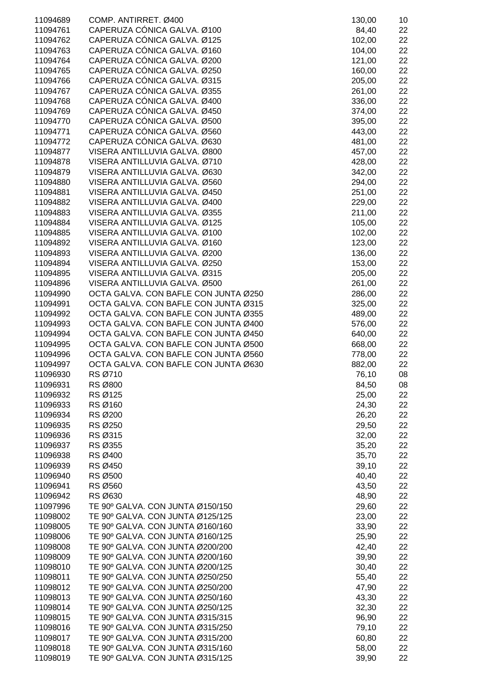| 11094689 | COMP. ANTIRRET. Ø400                 | 130,00 | 10 |
|----------|--------------------------------------|--------|----|
| 11094761 | CAPERUZA CÓNICA GALVA. Ø100          | 84,40  | 22 |
| 11094762 | CAPERUZA CÓNICA GALVA. Ø125          | 102,00 | 22 |
| 11094763 | CAPERUZA CÓNICA GALVA. Ø160          |        |    |
|          |                                      | 104,00 | 22 |
| 11094764 | CAPERUZA CÓNICA GALVA. Ø200          | 121,00 | 22 |
| 11094765 | CAPERUZA CÓNICA GALVA. Ø250          | 160,00 | 22 |
| 11094766 | CAPERUZA CÓNICA GALVA. Ø315          | 205,00 | 22 |
| 11094767 | CAPERUZA CÓNICA GALVA. Ø355          | 261,00 | 22 |
|          |                                      |        |    |
| 11094768 | CAPERUZA CÓNICA GALVA. Ø400          | 336,00 | 22 |
| 11094769 | CAPERUZA CÓNICA GALVA. Ø450          | 374,00 | 22 |
| 11094770 | CAPERUZA CÓNICA GALVA. Ø500          | 395,00 | 22 |
| 11094771 | CAPERUZA CÓNICA GALVA. Ø560          | 443,00 | 22 |
|          |                                      |        |    |
| 11094772 | CAPERUZA CÓNICA GALVA. Ø630          | 481,00 | 22 |
| 11094877 | VISERA ANTILLUVIA GALVA. Ø800        | 457,00 | 22 |
| 11094878 | VISERA ANTILLUVIA GALVA. Ø710        | 428,00 | 22 |
| 11094879 | VISERA ANTILLUVIA GALVA. Ø630        | 342,00 | 22 |
| 11094880 | VISERA ANTILLUVIA GALVA. Ø560        | 294,00 | 22 |
| 11094881 | VISERA ANTILLUVIA GALVA. Ø450        |        |    |
|          |                                      | 251,00 | 22 |
| 11094882 | VISERA ANTILLUVIA GALVA. Ø400        | 229,00 | 22 |
| 11094883 | VISERA ANTILLUVIA GALVA. Ø355        | 211,00 | 22 |
| 11094884 | VISERA ANTILLUVIA GALVA. Ø125        | 105,00 | 22 |
| 11094885 | VISERA ANTILLUVIA GALVA. Ø100        | 102,00 | 22 |
| 11094892 | VISERA ANTILLUVIA GALVA. Ø160        | 123,00 | 22 |
|          |                                      |        |    |
| 11094893 | VISERA ANTILLUVIA GALVA. Ø200        | 136,00 | 22 |
| 11094894 | VISERA ANTILLUVIA GALVA. Ø250        | 153,00 | 22 |
| 11094895 | VISERA ANTILLUVIA GALVA. Ø315        | 205,00 | 22 |
| 11094896 | VISERA ANTILLUVIA GALVA. Ø500        | 261,00 | 22 |
| 11094990 | OCTA GALVA. CON BAFLE CON JUNTA Ø250 | 286,00 | 22 |
| 11094991 | OCTA GALVA. CON BAFLE CON JUNTA Ø315 |        |    |
|          |                                      | 325,00 | 22 |
| 11094992 | OCTA GALVA. CON BAFLE CON JUNTA Ø355 | 489,00 | 22 |
| 11094993 | OCTA GALVA. CON BAFLE CON JUNTA Ø400 | 576,00 | 22 |
| 11094994 | OCTA GALVA. CON BAFLE CON JUNTA Ø450 | 640,00 | 22 |
| 11094995 | OCTA GALVA. CON BAFLE CON JUNTA Ø500 | 668,00 | 22 |
| 11094996 | OCTA GALVA. CON BAFLE CON JUNTA Ø560 | 778,00 | 22 |
|          |                                      |        |    |
| 11094997 | OCTA GALVA. CON BAFLE CON JUNTA Ø630 | 882,00 | 22 |
| 11096930 | RS Ø710                              | 76,10  | 08 |
| 11096931 | RS Ø800                              | 84,50  | 08 |
| 11096932 | RS Ø125                              | 25,00  | 22 |
| 11096933 | RS Ø160                              | 24,30  | 22 |
| 11096934 | RS Ø200                              | 26,20  | 22 |
|          |                                      |        |    |
| 11096935 | RS Ø250                              | 29,50  | 22 |
| 11096936 | RS Ø315                              | 32,00  | 22 |
| 11096937 | RS Ø355                              | 35,20  | 22 |
| 11096938 | RS Ø400                              | 35,70  | 22 |
| 11096939 | RS Ø450                              | 39,10  | 22 |
| 11096940 |                                      |        |    |
|          | RS Ø500                              | 40,40  | 22 |
| 11096941 | RS Ø560                              | 43,50  | 22 |
| 11096942 | RS Ø630                              | 48,90  | 22 |
| 11097996 | TE 90° GALVA. CON JUNTA Ø150/150     | 29,60  | 22 |
| 11098002 | TE 90° GALVA. CON JUNTA Ø125/125     | 23,00  | 22 |
| 11098005 | TE 90° GALVA. CON JUNTA Ø160/160     | 33,90  | 22 |
|          |                                      |        |    |
| 11098006 | TE 90° GALVA. CON JUNTA Ø160/125     | 25,90  | 22 |
| 11098008 | TE 90° GALVA. CON JUNTA Ø200/200     | 42,40  | 22 |
| 11098009 | TE 90° GALVA. CON JUNTA Ø200/160     | 39,90  | 22 |
| 11098010 | TE 90° GALVA. CON JUNTA Ø200/125     | 30,40  | 22 |
| 11098011 | TE 90° GALVA. CON JUNTA Ø250/250     | 55,40  | 22 |
| 11098012 | TE 90° GALVA. CON JUNTA Ø250/200     | 47,90  | 22 |
| 11098013 | TE 90° GALVA. CON JUNTA Ø250/160     | 43,30  | 22 |
|          |                                      |        |    |
| 11098014 | TE 90° GALVA. CON JUNTA Ø250/125     | 32,30  | 22 |
| 11098015 | TE 90° GALVA. CON JUNTA Ø315/315     | 96,90  | 22 |
| 11098016 | TE 90° GALVA. CON JUNTA Ø315/250     | 79,10  | 22 |
| 11098017 | TE 90° GALVA. CON JUNTA Ø315/200     | 60,80  | 22 |
| 11098018 | TE 90° GALVA. CON JUNTA Ø315/160     | 58,00  | 22 |
| 11098019 | TE 90º GALVA. CON JUNTA Ø315/125     | 39,90  | 22 |
|          |                                      |        |    |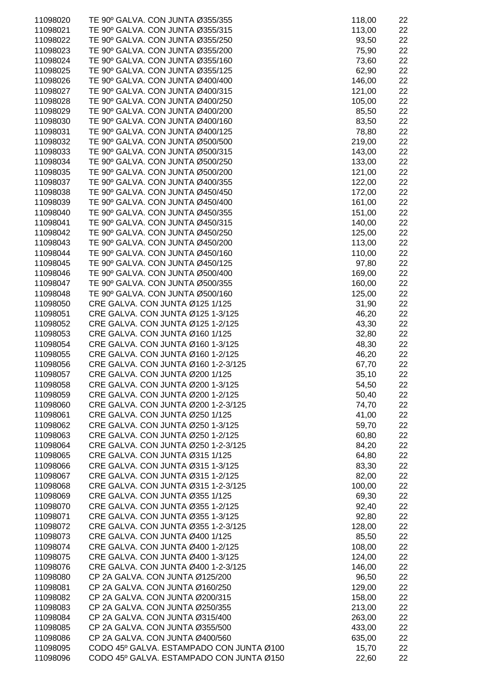| 11098020 | TE 90° GALVA. CON JUNTA Ø355/355                                         | 118,00 | 22 |
|----------|--------------------------------------------------------------------------|--------|----|
| 11098021 | TE 90° GALVA. CON JUNTA Ø355/315                                         | 113,00 | 22 |
| 11098022 | TE 90° GALVA. CON JUNTA Ø355/250                                         | 93,50  | 22 |
| 11098023 | TE 90º GALVA. CON JUNTA Ø355/200                                         | 75,90  | 22 |
| 11098024 | TE 90° GALVA. CON JUNTA Ø355/160                                         | 73,60  | 22 |
| 11098025 | TE 90° GALVA. CON JUNTA Ø355/125                                         | 62,90  | 22 |
| 11098026 | TE 90° GALVA. CON JUNTA Ø400/400                                         | 146,00 | 22 |
| 11098027 | TE 90° GALVA. CON JUNTA Ø400/315                                         |        |    |
|          |                                                                          | 121,00 | 22 |
| 11098028 | TE 90° GALVA. CON JUNTA Ø400/250                                         | 105,00 | 22 |
| 11098029 | TE 90° GALVA. CON JUNTA Ø400/200                                         | 85,50  | 22 |
| 11098030 | TE 90° GALVA. CON JUNTA Ø400/160                                         | 83,50  | 22 |
| 11098031 | TE 90° GALVA. CON JUNTA Ø400/125                                         | 78,80  | 22 |
| 11098032 | TE 90° GALVA. CON JUNTA Ø500/500                                         | 219,00 | 22 |
| 11098033 | TE 90° GALVA. CON JUNTA Ø500/315                                         | 143,00 | 22 |
| 11098034 | TE 90° GALVA. CON JUNTA Ø500/250                                         | 133,00 | 22 |
| 11098035 | TE 90° GALVA. CON JUNTA Ø500/200                                         | 121,00 | 22 |
| 11098037 | TE 90° GALVA. CON JUNTA Ø400/355                                         | 122,00 | 22 |
| 11098038 | TE 90° GALVA. CON JUNTA Ø450/450                                         | 172,00 | 22 |
| 11098039 | TE 90° GALVA. CON JUNTA Ø450/400                                         | 161,00 | 22 |
| 11098040 | TE 90° GALVA. CON JUNTA Ø450/355                                         | 151,00 | 22 |
| 11098041 | TE 90° GALVA. CON JUNTA Ø450/315                                         | 140,00 | 22 |
| 11098042 | TE 90° GALVA. CON JUNTA Ø450/250                                         | 125,00 | 22 |
| 11098043 | TE 90° GALVA. CON JUNTA Ø450/200                                         | 113,00 | 22 |
| 11098044 | TE 90° GALVA. CON JUNTA Ø450/160                                         | 110,00 | 22 |
| 11098045 | TE 90° GALVA. CON JUNTA Ø450/125                                         | 97,80  | 22 |
| 11098046 | TE 90° GALVA. CON JUNTA Ø500/400                                         | 169,00 | 22 |
| 11098047 | TE 90° GALVA. CON JUNTA Ø500/355                                         | 160,00 | 22 |
| 11098048 | TE 90° GALVA. CON JUNTA Ø500/160                                         | 125,00 | 22 |
| 11098050 | CRE GALVA. CON JUNTA Ø125 1/125                                          | 31,90  | 22 |
| 11098051 | CRE GALVA. CON JUNTA Ø125 1-3/125                                        | 46,20  | 22 |
| 11098052 | CRE GALVA. CON JUNTA Ø125 1-2/125                                        | 43,30  | 22 |
| 11098053 | CRE GALVA. CON JUNTA Ø160 1/125                                          | 32,80  | 22 |
| 11098054 | CRE GALVA. CON JUNTA Ø160 1-3/125                                        |        |    |
|          |                                                                          | 48,30  | 22 |
| 11098055 | CRE GALVA. CON JUNTA Ø160 1-2/125<br>CRE GALVA. CON JUNTA Ø160 1-2-3/125 | 46,20  | 22 |
| 11098056 |                                                                          | 67,70  | 22 |
| 11098057 | CRE GALVA. CON JUNTA Ø200 1/125                                          | 35,10  | 22 |
| 11098058 | CRE GALVA. CON JUNTA Ø200 1-3/125                                        | 54,50  | 22 |
| 11098059 | CRE GALVA. CON JUNTA Ø200 1-2/125                                        | 50,40  | 22 |
| 11098060 | CRE GALVA. CON JUNTA Ø200 1-2-3/125                                      | 74,70  | 22 |
| 11098061 | CRE GALVA. CON JUNTA Ø250 1/125                                          | 41,00  | 22 |
| 11098062 | CRE GALVA. CON JUNTA Ø250 1-3/125                                        | 59,70  | 22 |
| 11098063 | CRE GALVA. CON JUNTA Ø250 1-2/125                                        | 60,80  | 22 |
| 11098064 | CRE GALVA. CON JUNTA Ø250 1-2-3/125                                      | 84,20  | 22 |
| 11098065 | CRE GALVA. CON JUNTA Ø315 1/125                                          | 64,80  | 22 |
| 11098066 | CRE GALVA. CON JUNTA Ø315 1-3/125                                        | 83,30  | 22 |
| 11098067 | CRE GALVA. CON JUNTA Ø315 1-2/125                                        | 82,00  | 22 |
| 11098068 | CRE GALVA. CON JUNTA Ø315 1-2-3/125                                      | 100,00 | 22 |
| 11098069 | CRE GALVA. CON JUNTA Ø355 1/125                                          | 69,30  | 22 |
| 11098070 | CRE GALVA. CON JUNTA Ø355 1-2/125                                        | 92,40  | 22 |
| 11098071 | CRE GALVA. CON JUNTA Ø355 1-3/125                                        | 92,80  | 22 |
| 11098072 | CRE GALVA. CON JUNTA Ø355 1-2-3/125                                      | 128,00 | 22 |
| 11098073 | CRE GALVA. CON JUNTA Ø400 1/125                                          | 85,50  | 22 |
| 11098074 | CRE GALVA. CON JUNTA Ø400 1-2/125                                        | 108,00 | 22 |
| 11098075 | CRE GALVA. CON JUNTA Ø400 1-3/125                                        | 124,00 | 22 |
| 11098076 | CRE GALVA. CON JUNTA Ø400 1-2-3/125                                      | 146,00 | 22 |
| 11098080 | CP 2A GALVA. CON JUNTA Ø125/200                                          | 96,50  | 22 |
| 11098081 | CP 2A GALVA. CON JUNTA Ø160/250                                          | 129,00 | 22 |
| 11098082 | CP 2A GALVA. CON JUNTA Ø200/315                                          | 158,00 | 22 |
| 11098083 | CP 2A GALVA. CON JUNTA Ø250/355                                          | 213,00 | 22 |
| 11098084 | CP 2A GALVA. CON JUNTA Ø315/400                                          | 263,00 | 22 |
| 11098085 | CP 2A GALVA. CON JUNTA Ø355/500                                          | 433,00 | 22 |
| 11098086 | CP 2A GALVA. CON JUNTA Ø400/560                                          | 635,00 | 22 |
| 11098095 | CODO 45º GALVA. ESTAMPADO CON JUNTA Ø100                                 | 15,70  | 22 |
| 11098096 | CODO 45° GALVA. ESTAMPADO CON JUNTA Ø150                                 | 22,60  | 22 |
|          |                                                                          |        |    |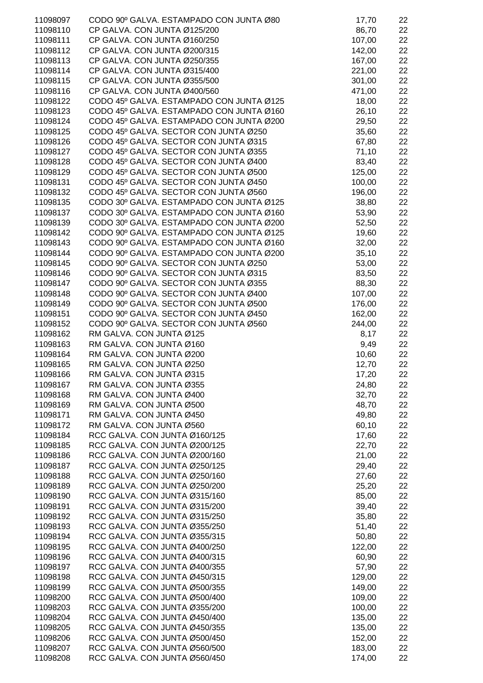| 11098097             | CODO 90º GALVA. ESTAMPADO CON JUNTA Ø80                        | 17,70            | 22       |
|----------------------|----------------------------------------------------------------|------------------|----------|
| 11098110             | CP GALVA. CON JUNTA Ø125/200                                   | 86,70            | 22       |
| 11098111             | CP GALVA. CON JUNTA Ø160/250                                   | 107,00           | 22       |
| 11098112             | CP GALVA. CON JUNTA Ø200/315                                   | 142,00           | 22       |
| 11098113             | CP GALVA. CON JUNTA Ø250/355                                   | 167,00           | 22       |
| 11098114             | CP GALVA. CON JUNTA Ø315/400                                   | 221,00           | 22       |
| 11098115             | CP GALVA. CON JUNTA Ø355/500                                   | 301,00           | 22       |
| 11098116             | CP GALVA. CON JUNTA Ø400/560                                   | 471,00           | 22       |
| 11098122             | CODO 45º GALVA. ESTAMPADO CON JUNTA Ø125                       | 18,00            | 22       |
| 11098123             | CODO 45º GALVA. ESTAMPADO CON JUNTA Ø160                       | 26,10            | 22       |
| 11098124             | CODO 45º GALVA. ESTAMPADO CON JUNTA Ø200                       | 29,50            | 22       |
| 11098125             | CODO 45º GALVA. SECTOR CON JUNTA Ø250                          | 35,60            | 22       |
| 11098126             | CODO 45º GALVA. SECTOR CON JUNTA Ø315                          | 67,80            | 22       |
| 11098127             | CODO 45° GALVA. SECTOR CON JUNTA Ø355                          | 71,10            | 22       |
| 11098128             | CODO 45º GALVA. SECTOR CON JUNTA Ø400                          | 83,40            | 22       |
| 11098129             | CODO 45º GALVA. SECTOR CON JUNTA Ø500                          | 125,00           | 22       |
| 11098131             | CODO 45º GALVA. SECTOR CON JUNTA Ø450                          | 100,00           | 22       |
| 11098132             | CODO 45º GALVA. SECTOR CON JUNTA Ø560                          | 196,00           | 22       |
| 11098135             | CODO 30º GALVA. ESTAMPADO CON JUNTA Ø125                       | 38,80            | 22       |
| 11098137             | CODO 30º GALVA. ESTAMPADO CON JUNTA Ø160                       | 53,90            | 22       |
| 11098139             | CODO 30º GALVA. ESTAMPADO CON JUNTA Ø200                       | 52,50            | 22       |
| 11098142             | CODO 90° GALVA. ESTAMPADO CON JUNTA Ø125                       | 19,60            | 22       |
| 11098143             | CODO 90° GALVA. ESTAMPADO CON JUNTA Ø160                       | 32,00            | 22       |
| 11098144             | CODO 90° GALVA. ESTAMPADO CON JUNTA Ø200                       | 35,10            | 22       |
| 11098145             | CODO 90º GALVA. SECTOR CON JUNTA Ø250                          | 53,00            | 22       |
| 11098146             | CODO 90° GALVA. SECTOR CON JUNTA Ø315                          | 83,50            | 22       |
| 11098147             | CODO 90° GALVA. SECTOR CON JUNTA Ø355                          | 88,30            | 22       |
| 11098148             | CODO 90º GALVA. SECTOR CON JUNTA Ø400                          | 107,00           | 22       |
| 11098149             | CODO 90º GALVA. SECTOR CON JUNTA Ø500                          | 176,00           | 22       |
| 11098151             | CODO 90º GALVA. SECTOR CON JUNTA Ø450                          | 162,00           | 22       |
| 11098152             | CODO 90° GALVA. SECTOR CON JUNTA Ø560                          | 244,00           | 22       |
| 11098162             | RM GALVA. CON JUNTA Ø125                                       | 8,17             | 22       |
| 11098163             | RM GALVA. CON JUNTA Ø160                                       | 9,49             | 22       |
| 11098164             | RM GALVA. CON JUNTA Ø200                                       | 10,60            | 22       |
| 11098165             | RM GALVA. CON JUNTA Ø250                                       | 12,70            | 22       |
| 11098166             | RM GALVA. CON JUNTA Ø315                                       | 17,20            | 22       |
| 11098167             | RM GALVA. CON JUNTA Ø355                                       | 24,80            | 22       |
| 11098168             | RM GALVA. CON JUNTA Ø400                                       | 32,70            | 22       |
| 11098169             | RM GALVA. CON JUNTA Ø500                                       | 48,70            | 22       |
| 11098171             | RM GALVA. CON JUNTA Ø450                                       | 49,80            | 22       |
| 11098172             | RM GALVA. CON JUNTA Ø560                                       | 60,10            | 22       |
| 11098184             | RCC GALVA. CON JUNTA Ø160/125                                  | 17,60            | 22       |
| 11098185             | RCC GALVA. CON JUNTA Ø200/125                                  | 22,70            | 22       |
| 11098186             | RCC GALVA. CON JUNTA Ø200/160                                  | 21,00            | 22       |
| 11098187             | RCC GALVA. CON JUNTA Ø250/125                                  | 29,40            | 22       |
| 11098188             | RCC GALVA. CON JUNTA Ø250/160                                  | 27,60            | 22       |
| 11098189             | RCC GALVA. CON JUNTA Ø250/200                                  | 25,20            | 22       |
| 11098190             | RCC GALVA. CON JUNTA Ø315/160                                  | 85,00            | 22       |
| 11098191             | RCC GALVA. CON JUNTA Ø315/200                                  | 39,40            | 22       |
| 11098192             | RCC GALVA. CON JUNTA Ø315/250                                  | 35,80            | 22       |
| 11098193             | RCC GALVA. CON JUNTA Ø355/250                                  | 51,40            | 22       |
| 11098194             | RCC GALVA. CON JUNTA Ø355/315                                  | 50,80            | 22       |
| 11098195             | RCC GALVA. CON JUNTA Ø400/250                                  | 122,00           | 22       |
| 11098196             | RCC GALVA. CON JUNTA Ø400/315                                  | 60,90            | 22       |
| 11098197             | RCC GALVA. CON JUNTA Ø400/355                                  | 57,90            | 22       |
| 11098198             | RCC GALVA. CON JUNTA Ø450/315                                  | 129,00           | 22       |
| 11098199             | RCC GALVA. CON JUNTA Ø500/355                                  | 149,00           | 22       |
| 11098200             | RCC GALVA. CON JUNTA Ø500/400                                  | 109,00           | 22       |
| 11098203             | RCC GALVA. CON JUNTA Ø355/200                                  | 100,00           | 22       |
| 11098204             | RCC GALVA. CON JUNTA Ø450/400                                  | 135,00           | 22       |
| 11098205             | RCC GALVA. CON JUNTA Ø450/355                                  | 135,00           | 22       |
| 11098206             | RCC GALVA. CON JUNTA Ø500/450                                  | 152,00<br>183,00 | 22       |
| 11098207<br>11098208 | RCC GALVA. CON JUNTA Ø560/500<br>RCC GALVA. CON JUNTA Ø560/450 | 174,00           | 22<br>22 |
|                      |                                                                |                  |          |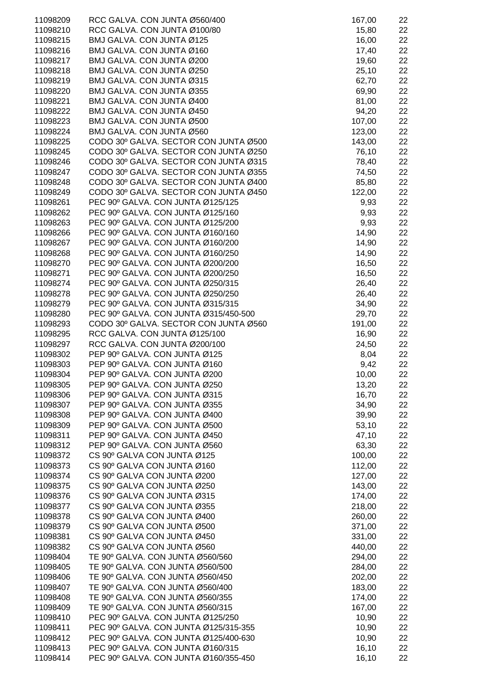| 11098209             | RCC GALVA. CON JUNTA Ø560/400                              | 167,00           | 22       |
|----------------------|------------------------------------------------------------|------------------|----------|
| 11098210             | RCC GALVA. CON JUNTA Ø100/80                               | 15,80            | 22       |
| 11098215             | BMJ GALVA. CON JUNTA Ø125                                  | 16,00            | 22       |
| 11098216             | BMJ GALVA. CON JUNTA Ø160                                  | 17,40            | 22       |
| 11098217             | BMJ GALVA. CON JUNTA Ø200                                  | 19,60            | 22       |
| 11098218             | BMJ GALVA. CON JUNTA Ø250                                  | 25,10            | 22       |
| 11098219             | BMJ GALVA. CON JUNTA Ø315                                  | 62,70            | 22       |
| 11098220             | BMJ GALVA. CON JUNTA Ø355                                  | 69,90            | 22       |
| 11098221             | BMJ GALVA. CON JUNTA Ø400                                  | 81,00            | 22       |
| 11098222             | BMJ GALVA. CON JUNTA Ø450                                  | 94,20            | 22       |
| 11098223             | BMJ GALVA. CON JUNTA Ø500                                  | 107,00           | 22       |
| 11098224             | BMJ GALVA. CON JUNTA Ø560                                  | 123,00           | 22       |
| 11098225             | CODO 30º GALVA. SECTOR CON JUNTA Ø500                      | 143,00           | 22       |
| 11098245             | CODO 30º GALVA. SECTOR CON JUNTA Ø250                      | 76,10            | 22       |
| 11098246             | CODO 30º GALVA. SECTOR CON JUNTA Ø315                      | 78,40            | 22       |
| 11098247             | CODO 30º GALVA. SECTOR CON JUNTA Ø355                      | 74,50            | 22       |
| 11098248             | CODO 30º GALVA. SECTOR CON JUNTA Ø400                      | 85,80            | 22       |
| 11098249             | CODO 30º GALVA. SECTOR CON JUNTA Ø450                      | 122,00           | 22       |
| 11098261             | PEC 90° GALVA. CON JUNTA Ø125/125                          | 9,93             | 22       |
| 11098262             | PEC 90° GALVA. CON JUNTA Ø125/160                          | 9,93             | 22       |
| 11098263             | PEC 90° GALVA. CON JUNTA Ø125/200                          | 9,93             | 22       |
| 11098266             | PEC 90° GALVA. CON JUNTA Ø160/160                          | 14,90            | 22       |
| 11098267             | PEC 90° GALVA. CON JUNTA Ø160/200                          | 14,90            | 22       |
| 11098268             | PEC 90° GALVA. CON JUNTA Ø160/250                          | 14,90            | 22       |
| 11098270             | PEC 90° GALVA. CON JUNTA Ø200/200                          | 16,50            | 22       |
| 11098271             | PEC 90° GALVA. CON JUNTA Ø200/250                          | 16,50            | 22       |
| 11098274             | PEC 90° GALVA. CON JUNTA Ø250/315                          | 26,40            | 22       |
| 11098278             | PEC 90° GALVA. CON JUNTA Ø250/250                          | 26,40            | 22       |
| 11098279             | PEC 90° GALVA. CON JUNTA Ø315/315                          | 34,90            | 22       |
| 11098280             | PEC 90° GALVA. CON JUNTA Ø315/450-500                      | 29,70            | 22       |
| 11098293             | CODO 30º GALVA. SECTOR CON JUNTA Ø560                      | 191,00           | 22       |
| 11098295             | RCC GALVA. CON JUNTA Ø125/100                              | 16,90            | 22       |
| 11098297             | RCC GALVA. CON JUNTA Ø200/100                              | 24,50            | 22       |
| 11098302             | PEP 90° GALVA. CON JUNTA Ø125                              | 8,04             | 22       |
| 11098303             | PEP 90° GALVA. CON JUNTA Ø160                              | 9,42             | 22       |
| 11098304             | PEP 90° GALVA. CON JUNTA Ø200                              | 10,00            | 22       |
| 11098305             | PEP 90° GALVA. CON JUNTA Ø250                              | 13,20            | 22       |
| 11098306             | PEP 90° GALVA. CON JUNTA Ø315                              | 16,70            | 22       |
| 11098307             | PEP 90° GALVA. CON JUNTA Ø355                              | 34,90            | 22       |
| 11098308             | PEP 90° GALVA. CON JUNTA Ø400                              | 39,90            | 22       |
| 11098309             | PEP 90° GALVA. CON JUNTA Ø500                              | 53,10            | 22       |
| 11098311             | PEP 90° GALVA. CON JUNTA Ø450                              | 47,10            | 22       |
| 11098312             | PEP 90° GALVA. CON JUNTA Ø560                              | 63,30            | 22       |
| 11098372             | CS 90° GALVA CON JUNTA Ø125                                | 100,00           | 22       |
| 11098373             | CS 90° GALVA CON JUNTA Ø160                                | 112,00           | 22       |
| 11098374             | CS 90° GALVA CON JUNTA Ø200                                | 127,00           | 22       |
| 11098375             | CS 90° GALVA CON JUNTA Ø250                                | 143,00           | 22       |
| 11098376             | CS 90° GALVA CON JUNTA Ø315                                | 174,00           | 22       |
| 11098377<br>11098378 | CS 90° GALVA CON JUNTA Ø355<br>CS 90° GALVA CON JUNTA Ø400 | 218,00           | 22<br>22 |
| 11098379             | CS 90° GALVA CON JUNTA Ø500                                | 260,00           |          |
| 11098381             | CS 90° GALVA CON JUNTA Ø450                                | 371,00<br>331,00 | 22<br>22 |
| 11098382             | CS 90° GALVA CON JUNTA Ø560                                | 440,00           | 22       |
| 11098404             | TE 90° GALVA. CON JUNTA Ø560/560                           | 294,00           | 22       |
| 11098405             | TE 90° GALVA. CON JUNTA Ø560/500                           | 284,00           | 22       |
| 11098406             | TE 90° GALVA. CON JUNTA Ø560/450                           | 202,00           | 22       |
| 11098407             | TE 90° GALVA. CON JUNTA Ø560/400                           | 183,00           | 22       |
| 11098408             | TE 90° GALVA. CON JUNTA Ø560/355                           | 174,00           | 22       |
| 11098409             | TE 90° GALVA. CON JUNTA Ø560/315                           | 167,00           | 22       |
| 11098410             | PEC 90° GALVA. CON JUNTA Ø125/250                          | 10,90            | 22       |
| 11098411             | PEC 90° GALVA. CON JUNTA Ø125/315-355                      | 10,90            | 22       |
| 11098412             | PEC 90° GALVA. CON JUNTA Ø125/400-630                      | 10,90            | 22       |
| 11098413             | PEC 90° GALVA. CON JUNTA Ø160/315                          | 16,10            | 22       |
| 11098414             | PEC 90° GALVA. CON JUNTA Ø160/355-450                      | 16,10            | 22       |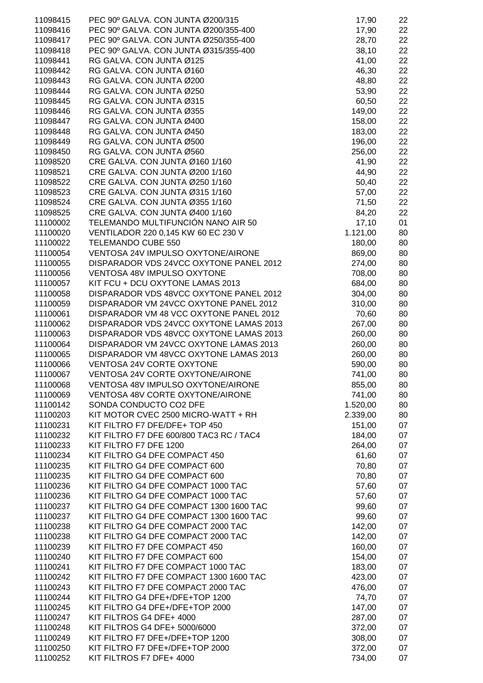| 11098415 | PEC 90° GALVA. CON JUNTA Ø200/315        | 17,90    | 22 |
|----------|------------------------------------------|----------|----|
| 11098416 | PEC 90° GALVA. CON JUNTA Ø200/355-400    | 17,90    | 22 |
| 11098417 | PEC 90° GALVA. CON JUNTA Ø250/355-400    | 28,70    | 22 |
| 11098418 | PEC 90° GALVA. CON JUNTA Ø315/355-400    | 38,10    | 22 |
| 11098441 | RG GALVA. CON JUNTA Ø125                 | 41,00    | 22 |
| 11098442 | RG GALVA. CON JUNTA Ø160                 | 46,30    | 22 |
| 11098443 | RG GALVA. CON JUNTA Ø200                 | 48,80    | 22 |
| 11098444 | RG GALVA. CON JUNTA Ø250                 | 53,90    | 22 |
| 11098445 | RG GALVA. CON JUNTA Ø315                 | 60,50    | 22 |
| 11098446 | RG GALVA. CON JUNTA Ø355                 | 149,00   | 22 |
| 11098447 | RG GALVA. CON JUNTA Ø400                 | 158,00   | 22 |
| 11098448 | RG GALVA. CON JUNTA Ø450                 | 183,00   | 22 |
| 11098449 | RG GALVA. CON JUNTA Ø500                 | 196,00   | 22 |
| 11098450 | RG GALVA. CON JUNTA Ø560                 | 256,00   | 22 |
| 11098520 | CRE GALVA. CON JUNTA Ø160 1/160          | 41,90    | 22 |
| 11098521 | CRE GALVA. CON JUNTA Ø200 1/160          | 44,90    | 22 |
| 11098522 | CRE GALVA. CON JUNTA Ø250 1/160          | 50,40    | 22 |
| 11098523 | CRE GALVA, CON JUNTA Ø315 1/160          | 57,00    | 22 |
| 11098524 | CRE GALVA. CON JUNTA Ø355 1/160          | 71,50    | 22 |
| 11098525 | CRE GALVA. CON JUNTA Ø400 1/160          | 84,20    | 22 |
| 11100002 | TELEMANDO MULTIFUNCIÓN NANO AIR 50       | 17,10    | 01 |
| 11100020 | VENTILADOR 220 0,145 KW 60 EC 230 V      | 1.121,00 | 80 |
| 11100022 | TELEMANDO CUBE 550                       | 180,00   | 80 |
| 11100054 | VENTOSA 24V IMPULSO OXYTONE/AIRONE       | 869,00   | 80 |
| 11100055 | DISPARADOR VDS 24VCC OXYTONE PANEL 2012  | 274,00   | 80 |
| 11100056 | VENTOSA 48V IMPULSO OXYTONE              | 708,00   | 80 |
| 11100057 | KIT FCU + DCU OXYTONE LAMAS 2013         | 684,00   | 80 |
| 11100058 | DISPARADOR VDS 48VCC OXYTONE PANEL 2012  | 304,00   | 80 |
| 11100059 | DISPARADOR VM 24VCC OXYTONE PANEL 2012   | 310,00   | 80 |
| 11100061 | DISPARADOR VM 48 VCC OXYTONE PANEL 2012  | 70,60    | 80 |
| 11100062 | DISPARADOR VDS 24VCC OXYTONE LAMAS 2013  | 267,00   | 80 |
| 11100063 | DISPARADOR VDS 48VCC OXYTONE LAMAS 2013  | 260,00   | 80 |
| 11100064 | DISPARADOR VM 24VCC OXYTONE LAMAS 2013   | 260,00   | 80 |
| 11100065 | DISPARADOR VM 48VCC OXYTONE LAMAS 2013   | 260,00   | 80 |
| 11100066 | VENTOSA 24V CORTE OXYTONE                | 590,00   | 80 |
| 11100067 | VENTOSA 24V CORTE OXYTONE/AIRONE         | 741,00   | 80 |
| 11100068 | VENTOSA 48V IMPULSO OXYTONE/AIRONE       | 855,00   | 80 |
| 11100069 | <b>VENTOSA 48V CORTE OXYTONE/AIRONE</b>  | 741,00   | 80 |
| 11100142 | SONDA CONDUCTO CO2 DFE                   | 1.520,00 | 80 |
| 11100203 | KIT MOTOR CVEC 2500 MICRO-WATT + RH      | 2.339,00 | 80 |
| 11100231 | KIT FILTRO F7 DFE/DFE+ TOP 450           | 151,00   | 07 |
| 11100232 | KIT FILTRO F7 DFE 600/800 TAC3 RC / TAC4 | 184,00   | 07 |
| 11100233 | KIT FILTRO F7 DFE 1200                   | 264,00   | 07 |
| 11100234 | KIT FILTRO G4 DFE COMPACT 450            | 61,60    | 07 |
| 11100235 | KIT FILTRO G4 DFE COMPACT 600            | 70,80    | 07 |
| 11100235 | KIT FILTRO G4 DFE COMPACT 600            | 70,80    | 07 |
| 11100236 | KIT FILTRO G4 DFE COMPACT 1000 TAC       | 57,60    | 07 |
| 11100236 | KIT FILTRO G4 DFE COMPACT 1000 TAC       | 57,60    | 07 |
| 11100237 | KIT FILTRO G4 DFE COMPACT 1300 1600 TAC  | 99,60    | 07 |
| 11100237 | KIT FILTRO G4 DFE COMPACT 1300 1600 TAC  | 99,60    | 07 |
| 11100238 | KIT FILTRO G4 DFE COMPACT 2000 TAC       | 142,00   | 07 |
| 11100238 | KIT FILTRO G4 DFE COMPACT 2000 TAC       | 142,00   | 07 |
| 11100239 | KIT FILTRO F7 DFE COMPACT 450            | 160,00   | 07 |
| 11100240 | KIT FILTRO F7 DFE COMPACT 600            | 154,00   | 07 |
| 11100241 | KIT FILTRO F7 DFE COMPACT 1000 TAC       | 183,00   | 07 |
| 11100242 | KIT FILTRO F7 DFE COMPACT 1300 1600 TAC  | 423,00   | 07 |
| 11100243 | KIT FILTRO F7 DFE COMPACT 2000 TAC       | 476,00   | 07 |
| 11100244 | KIT FILTRO G4 DFE+/DFE+TOP 1200          | 74,70    | 07 |
| 11100245 | KIT FILTRO G4 DFE+/DFE+TOP 2000          | 147,00   | 07 |
| 11100247 | KIT FILTROS G4 DFE+ 4000                 | 287,00   | 07 |
| 11100248 | KIT FILTROS G4 DFE+ 5000/6000            | 372,00   | 07 |
| 11100249 | KIT FILTRO F7 DFE+/DFE+TOP 1200          | 308,00   | 07 |
| 11100250 | KIT FILTRO F7 DFE+/DFE+TOP 2000          | 372,00   | 07 |
| 11100252 | KIT FILTROS F7 DFE+ 4000                 | 734,00   | 07 |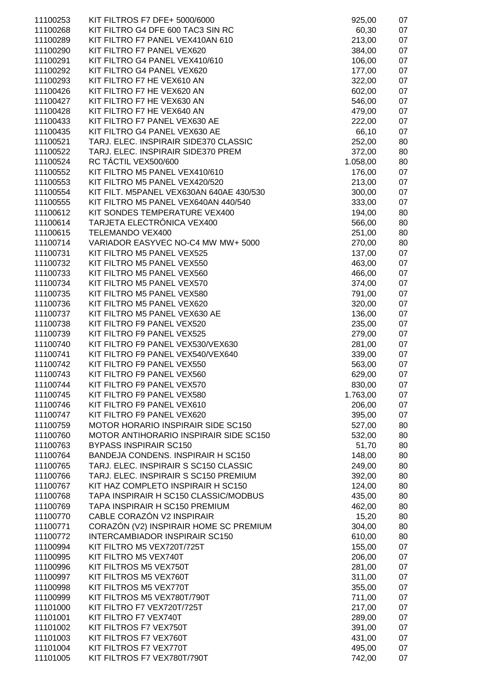| 11100253 | KIT FILTROS F7 DFE+ 5000/6000            | 925,00   | 07 |
|----------|------------------------------------------|----------|----|
| 11100268 | KIT FILTRO G4 DFE 600 TAC3 SIN RC        | 60,30    | 07 |
| 11100289 | KIT FILTRO F7 PANEL VEX410AN 610         | 213,00   | 07 |
| 11100290 | KIT FILTRO F7 PANEL VEX620               | 384,00   | 07 |
| 11100291 | KIT FILTRO G4 PANEL VEX410/610           | 106,00   | 07 |
| 11100292 | KIT FILTRO G4 PANEL VEX620               | 177,00   | 07 |
| 11100293 | KIT FILTRO F7 HE VEX610 AN               | 322,00   | 07 |
| 11100426 | KIT FILTRO F7 HE VEX620 AN               | 602,00   | 07 |
| 11100427 | KIT FILTRO F7 HE VEX630 AN               | 546,00   | 07 |
| 11100428 | KIT FILTRO F7 HE VEX640 AN               | 479,00   | 07 |
| 11100433 | KIT FILTRO F7 PANEL VEX630 AE            | 222,00   | 07 |
| 11100435 | KIT FILTRO G4 PANEL VEX630 AE            | 66,10    | 07 |
| 11100521 | TARJ. ELEC. INSPIRAIR SIDE370 CLASSIC    | 252,00   | 80 |
| 11100522 | TARJ. ELEC. INSPIRAIR SIDE370 PREM       | 372,00   | 80 |
| 11100524 | RC TÁCTIL VEX500/600                     | 1.058,00 | 80 |
| 11100552 | KIT FILTRO M5 PANEL VEX410/610           | 176,00   | 07 |
| 11100553 | KIT FILTRO M5 PANEL VEX420/520           | 213,00   | 07 |
| 11100554 | KIT FILT. M5PANEL VEX630AN 640AE 430/530 | 300,00   | 07 |
| 11100555 | KIT FILTRO M5 PANEL VEX640AN 440/540     | 333,00   | 07 |
| 11100612 | KIT SONDES TEMPERATURE VEX400            | 194,00   | 80 |
| 11100614 | TARJETA ELECTRÓNICA VEX400               | 566,00   | 80 |
| 11100615 | TELEMANDO VEX400                         | 251,00   | 80 |
| 11100714 | VARIADOR EASYVEC NO-C4 MW MW+ 5000       | 270,00   | 80 |
| 11100731 | KIT FILTRO M5 PANEL VEX525               | 137,00   | 07 |
| 11100732 | KIT FILTRO M5 PANEL VEX550               | 463,00   | 07 |
| 11100733 | KIT FILTRO M5 PANEL VEX560               | 466,00   | 07 |
| 11100734 | KIT FILTRO M5 PANEL VEX570               | 374,00   | 07 |
| 11100735 | KIT FILTRO M5 PANEL VEX580               | 791,00   | 07 |
| 11100736 | KIT FILTRO M5 PANEL VEX620               | 320,00   | 07 |
| 11100737 | KIT FILTRO M5 PANEL VEX630 AE            | 136,00   | 07 |
| 11100738 | KIT FILTRO F9 PANEL VEX520               | 235,00   | 07 |
| 11100739 | KIT FILTRO F9 PANEL VEX525               | 279,00   | 07 |
| 11100740 | KIT FILTRO F9 PANEL VEX530/VEX630        | 281,00   | 07 |
| 11100741 | KIT FILTRO F9 PANEL VEX540/VEX640        | 339,00   | 07 |
| 11100742 | KIT FILTRO F9 PANEL VEX550               | 563,00   | 07 |
| 11100743 | KIT FILTRO F9 PANEL VEX560               | 629,00   | 07 |
| 11100744 | KIT FILTRO F9 PANEL VEX570               | 830,00   | 07 |
| 11100745 | KIT FILTRO F9 PANEL VEX580               | 1.763,00 | 07 |
| 11100746 | KIT FILTRO F9 PANEL VEX610               | 206,00   | 07 |
| 11100747 | KIT FILTRO F9 PANEL VEX620               | 395,00   | 07 |
| 11100759 | MOTOR HORARIO INSPIRAIR SIDE SC150       | 527,00   | 80 |
| 11100760 | MOTOR ANTIHORARIO INSPIRAIR SIDE SC150   | 532,00   | 80 |
| 11100763 | <b>BYPASS INSPIRAIR SC150</b>            | 51,70    | 80 |
| 11100764 | BANDEJA CONDENS. INSPIRAIR H SC150       | 148,00   | 80 |
| 11100765 | TARJ. ELEC. INSPIRAIR S SC150 CLASSIC    | 249,00   | 80 |
| 11100766 | TARJ. ELEC. INSPIRAIR S SC150 PREMIUM    | 392,00   | 80 |
| 11100767 | KIT HAZ COMPLETO INSPIRAIR H SC150       | 124,00   | 80 |
| 11100768 | TAPA INSPIRAIR H SC150 CLASSIC/MODBUS    | 435,00   | 80 |
| 11100769 | TAPA INSPIRAIR H SC150 PREMIUM           | 462,00   | 80 |
| 11100770 | CABLE CORAZÓN V2 INSPIRAIR               | 15,20    | 80 |
| 11100771 | CORAZÓN (V2) INSPIRAIR HOME SC PREMIUM   | 304,00   | 80 |
| 11100772 | INTERCAMBIADOR INSPIRAIR SC150           | 610,00   | 80 |
| 11100994 | KIT FILTRO M5 VEX720T/725T               | 155,00   | 07 |
| 11100995 | KIT FILTRO M5 VEX740T                    | 206,00   | 07 |
| 11100996 | KIT FILTROS M5 VEX750T                   | 281,00   | 07 |
| 11100997 | KIT FILTROS M5 VEX760T                   | 311,00   | 07 |
| 11100998 | KIT FILTROS M5 VEX770T                   | 355,00   | 07 |
| 11100999 | KIT FILTROS M5 VEX780T/790T              | 711,00   | 07 |
| 11101000 | KIT FILTRO F7 VEX720T/725T               | 217,00   | 07 |
| 11101001 | KIT FILTRO F7 VEX740T                    | 289,00   | 07 |
| 11101002 | KIT FILTROS F7 VEX750T                   | 391,00   | 07 |
| 11101003 | KIT FILTROS F7 VEX760T                   | 431,00   | 07 |
| 11101004 | KIT FILTROS F7 VEX770T                   | 495,00   | 07 |
| 11101005 | KIT FILTROS F7 VEX780T/790T              | 742,00   | 07 |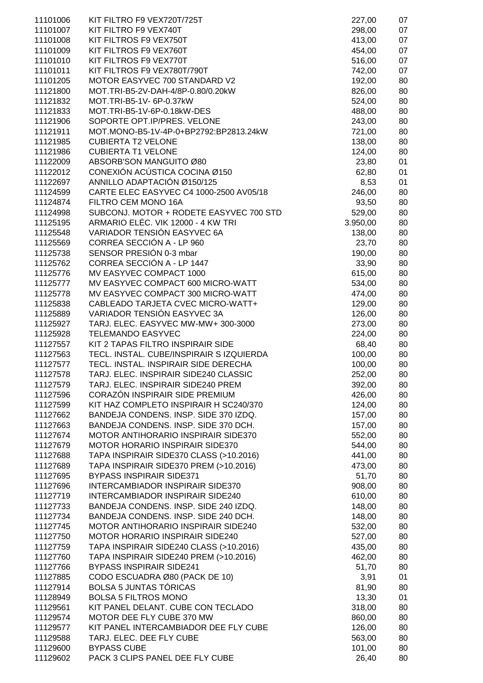| 11101006 | KIT FILTRO F9 VEX720T/725T               | 227,00   | 07 |
|----------|------------------------------------------|----------|----|
| 11101007 | KIT FILTRO F9 VEX740T                    | 298,00   | 07 |
|          |                                          |          |    |
| 11101008 | KIT FILTROS F9 VEX750T                   | 413,00   | 07 |
| 11101009 | KIT FILTROS F9 VEX760T                   | 454,00   | 07 |
| 11101010 | KIT FILTROS F9 VEX770T                   | 516,00   | 07 |
|          |                                          |          |    |
| 11101011 | KIT FILTROS F9 VEX780T/790T              | 742,00   | 07 |
| 11101205 | MOTOR EASYVEC 700 STANDARD V2            | 192,00   | 80 |
| 11121800 | MOT.TRI-B5-2V-DAH-4/8P-0.80/0.20kW       | 826,00   | 80 |
|          |                                          |          |    |
| 11121832 | MOT.TRI-B5-1V- 6P-0.37kW                 | 524,00   | 80 |
| 11121833 | MOT.TRI-B5-1V-6P-0.18kW-DES              | 488,00   | 80 |
| 11121906 | SOPORTE OPT.IP/PRES. VELONE              | 243,00   | 80 |
|          |                                          |          |    |
| 11121911 | MOT.MONO-B5-1V-4P-0+BP2792:BP2813.24kW   | 721,00   | 80 |
| 11121985 | <b>CUBIERTA T2 VELONE</b>                | 138,00   | 80 |
| 11121986 | <b>CUBIERTA T1 VELONE</b>                | 124,00   | 80 |
| 11122009 | ABSORB'SON MANGUITO Ø80                  |          | 01 |
|          |                                          | 23,80    |    |
| 11122012 | CONEXIÓN ACÚSTICA COCINA Ø150            | 62,80    | 01 |
| 11122697 | ANNILLO ADAPTACIÓN Ø150/125              | 8,53     | 01 |
| 11124599 | CARTE ELEC EASYVEC C4 1000-2500 AV05/18  | 246,00   | 80 |
|          |                                          |          |    |
| 11124874 | FILTRO CEM MONO 16A                      | 93,50    | 80 |
| 11124998 | SUBCONJ. MOTOR + RODETE EASYVEC 700 STD  | 529,00   | 80 |
| 11125195 | ARMARIO ELÉC. VIK 12000 - 4 KW TRI       | 3.950,00 | 80 |
| 11125548 | VARIADOR TENSIÓN EASYVEC 6A              |          |    |
|          |                                          | 138,00   | 80 |
| 11125569 | CORREA SECCIÓN A - LP 960                | 23,70    | 80 |
| 11125738 | SENSOR PRESIÓN 0-3 mbar                  | 190,00   | 80 |
| 11125762 | CORREA SECCIÓN A - LP 1447               | 33,90    | 80 |
|          |                                          |          |    |
| 11125776 | MV EASYVEC COMPACT 1000                  | 615,00   | 80 |
| 11125777 | MV EASYVEC COMPACT 600 MICRO-WATT        | 534,00   | 80 |
| 11125778 | MV EASYVEC COMPACT 300 MICRO-WATT        | 474,00   | 80 |
|          | CABLEADO TARJETA CVEC MICRO-WATT+        |          |    |
| 11125838 |                                          | 129,00   | 80 |
| 11125889 | VARIADOR TENSIÓN EASYVEC 3A              | 126,00   | 80 |
| 11125927 | TARJ. ELEC. EASYVEC MW-MW+ 300-3000      | 273,00   | 80 |
| 11125928 | <b>TELEMANDO EASYVEC</b>                 | 224,00   | 80 |
|          |                                          |          |    |
| 11127557 | KIT 2 TAPAS FILTRO INSPIRAIR SIDE        | 68,40    | 80 |
| 11127563 | TECL. INSTAL. CUBE/INSPIRAIR S IZQUIERDA | 100,00   | 80 |
| 11127577 | TECL. INSTAL. INSPIRAIR SIDE DERECHA     | 100,00   | 80 |
| 11127578 | TARJ. ELEC. INSPIRAIR SIDE240 CLASSIC    |          | 80 |
|          |                                          | 252,00   |    |
| 11127579 | TARJ. ELEC. INSPIRAIR SIDE240 PREM       | 392,00   | 80 |
| 11127596 | CORAZÓN INSPIRAIR SIDE PREMIUM           | 426,00   | 80 |
| 11127599 | KIT HAZ COMPLETO INSPIRAIR H SC240/370   | 124,00   | 80 |
|          |                                          |          |    |
| 11127662 | BANDEJA CONDENS. INSP. SIDE 370 IZDQ.    | 157,00   | 80 |
| 11127663 | BANDEJA CONDENS. INSP. SIDE 370 DCH.     | 157,00   | 80 |
| 11127674 | MOTOR ANTIHORARIO INSPIRAIR SIDE370      | 552,00   | 80 |
| 11127679 | <b>MOTOR HORARIO INSPIRAIR SIDE370</b>   | 544,00   | 80 |
|          |                                          |          |    |
| 11127688 | TAPA INSPIRAIR SIDE370 CLASS (>10.2016)  | 441,00   | 80 |
| 11127689 | TAPA INSPIRAIR SIDE370 PREM (>10.2016)   | 473,00   | 80 |
| 11127695 | <b>BYPASS INSPIRAIR SIDE371</b>          | 51,70    | 80 |
|          |                                          |          |    |
| 11127696 | <b>INTERCAMBIADOR INSPIRAIR SIDE370</b>  | 908,00   | 80 |
| 11127719 | <b>INTERCAMBIADOR INSPIRAIR SIDE240</b>  | 610,00   | 80 |
| 11127733 | BANDEJA CONDENS. INSP. SIDE 240 IZDQ.    | 148,00   | 80 |
| 11127734 | BANDEJA CONDENS. INSP. SIDE 240 DCH.     | 148,00   | 80 |
|          |                                          |          |    |
| 11127745 | MOTOR ANTIHORARIO INSPIRAIR SIDE240      | 532,00   | 80 |
| 11127750 | MOTOR HORARIO INSPIRAIR SIDE240          | 527,00   | 80 |
| 11127759 | TAPA INSPIRAIR SIDE240 CLASS (>10.2016)  | 435,00   | 80 |
|          |                                          |          |    |
| 11127760 | TAPA INSPIRAIR SIDE240 PREM (>10.2016)   | 462,00   | 80 |
| 11127766 | <b>BYPASS INSPIRAIR SIDE241</b>          | 51,70    | 80 |
| 11127885 | CODO ESCUADRA Ø80 (PACK DE 10)           | 3,91     | 01 |
| 11127914 | <b>BOLSA 5 JUNTAS TÓRICAS</b>            | 81,90    | 80 |
|          |                                          |          |    |
| 11128949 | <b>BOLSA 5 FILTROS MONO</b>              | 13,30    | 01 |
| 11129561 | KIT PANEL DELANT. CUBE CON TECLADO       | 318,00   | 80 |
| 11129574 | MOTOR DEE FLY CUBE 370 MW                | 860,00   | 80 |
| 11129577 | KIT PANEL INTERCAMBIADOR DEE FLY CUBE    | 126,00   | 80 |
|          |                                          |          |    |
| 11129588 | TARJ. ELEC. DEE FLY CUBE                 | 563,00   | 80 |
| 11129600 | <b>BYPASS CUBE</b>                       | 101,00   | 80 |
| 11129602 | PACK 3 CLIPS PANEL DEE FLY CUBE          | 26,40    | 80 |
|          |                                          |          |    |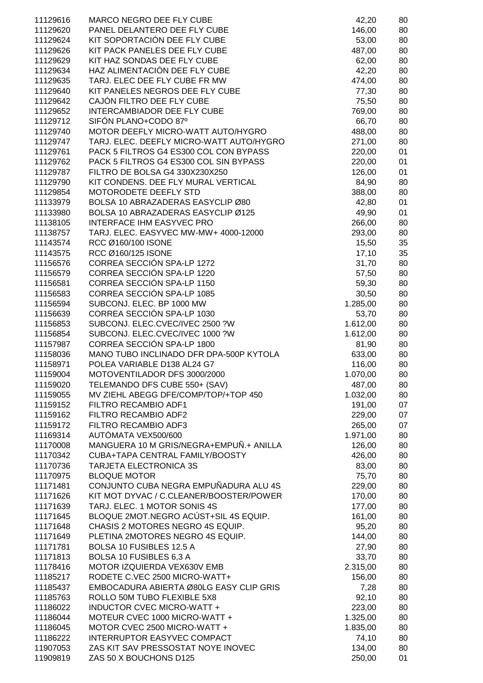| 11129616 | MARCO NEGRO DEE FLY CUBE                 | 42,20    | 80 |
|----------|------------------------------------------|----------|----|
| 11129620 | PANEL DELANTERO DEE FLY CUBE             | 146,00   | 80 |
| 11129624 | KIT SOPORTACIÓN DEE FLY CUBE             | 53,00    | 80 |
|          | KIT PACK PANELES DEE FLY CUBE            |          |    |
| 11129626 |                                          | 487,00   | 80 |
| 11129629 | KIT HAZ SONDAS DEE FLY CUBE              | 62,00    | 80 |
| 11129634 | HAZ ALIMENTACIÓN DEE FLY CUBE            | 42,20    | 80 |
| 11129635 | TARJ. ELEC DEE FLY CUBE FR MW            | 474,00   | 80 |
| 11129640 | KIT PANELES NEGROS DEE FLY CUBE          | 77,30    | 80 |
| 11129642 | CAJÓN FILTRO DEE FLY CUBE                | 75,50    | 80 |
| 11129652 | INTERCAMBIADOR DEE FLY CUBE              | 769,00   | 80 |
| 11129712 | SIFÓN PLANO+CODO 87º                     | 66,70    | 80 |
| 11129740 | MOTOR DEEFLY MICRO-WATT AUTO/HYGRO       | 488,00   | 80 |
| 11129747 | TARJ. ELEC. DEEFLY MICRO-WATT AUTO/HYGRO | 271,00   | 80 |
| 11129761 | PACK 5 FILTROS G4 ES300 COL CON BYPASS   | 220,00   | 01 |
| 11129762 | PACK 5 FILTROS G4 ES300 COL SIN BYPASS   | 220,00   | 01 |
| 11129787 | FILTRO DE BOLSA G4 330X230X250           | 126,00   | 01 |
| 11129790 | KIT CONDENS. DEE FLY MURAL VERTICAL      | 84,90    | 80 |
| 11129854 | <b>MOTORODETE DEEFLY STD</b>             | 388,00   | 80 |
| 11133979 | BOLSA 10 ABRAZADERAS EASYCLIP Ø80        | 42,80    | 01 |
| 11133980 | BOLSA 10 ABRAZADERAS EASYCLIP Ø125       | 49,90    | 01 |
| 11138105 | INTERFACE IHM EASYVEC PRO                | 266,00   | 80 |
| 11138757 | TARJ. ELEC. EASYVEC MW-MW+ 4000-12000    | 293,00   | 80 |
| 11143574 | RCC Ø160/100 ISONE                       | 15,50    | 35 |
| 11143575 | RCC Ø160/125 ISONE                       | 17,10    | 35 |
| 11156576 | CORREA SECCIÓN SPA-LP 1272               | 31,70    | 80 |
| 11156579 | CORREA SECCIÓN SPA-LP 1220               | 57,50    | 80 |
| 11156581 | CORREA SECCIÓN SPA-LP 1150               | 59,30    | 80 |
| 11156583 | CORREA SECCIÓN SPA-LP 1085               | 30,50    |    |
|          | SUBCONJ. ELEC. BP 1000 MW                |          | 80 |
| 11156594 |                                          | 1.285,00 | 80 |
| 11156639 | CORREA SECCIÓN SPA-LP 1030               | 53,70    | 80 |
| 11156853 | SUBCONJ. ELEC.CVEC/IVEC 2500 ?W          | 1.612,00 | 80 |
| 11156854 | SUBCONJ. ELEC.CVEC/IVEC 1000 ?W          | 1.612,00 | 80 |
| 11157987 | CORREA SECCIÓN SPA-LP 1800               | 81,90    | 80 |
| 11158036 | MANO TUBO INCLINADO DFR DPA-500P KYTOLA  | 633,00   | 80 |
| 11158971 | POLEA VARIABLE D138 AL24 G7              | 116,00   | 80 |
| 11159004 | MOTOVENTILADOR DFS 3000/2000             | 1.070,00 | 80 |
| 11159020 | TELEMANDO DFS CUBE 550+ (SAV)            | 487,00   | 80 |
| 11159055 | MV ZIEHL ABEGG DFE/COMP/TOP/+TOP 450     | 1.032,00 | 80 |
| 11159152 | FILTRO RECAMBIO ADF1                     | 191,00   | 07 |
| 11159162 | FILTRO RECAMBIO ADF2                     | 229,00   | 07 |
| 11159172 | FILTRO RECAMBIO ADF3                     | 265,00   | 07 |
| 11169314 | AUTÓMATA VEX500/600                      | 1.971,00 | 80 |
| 11170008 | MANGUERA 10 M GRIS/NEGRA+EMPUÑ.+ ANILLA  | 126,00   | 80 |
| 11170342 | CUBA+TAPA CENTRAL FAMILY/BOOSTY          | 426,00   | 80 |
| 11170736 | <b>TARJETA ELECTRONICA 3S</b>            | 83,00    | 80 |
| 11170975 | <b>BLOQUE MOTOR</b>                      | 75,70    | 80 |
| 11171481 | CONJUNTO CUBA NEGRA EMPUÑADURA ALU 4S    | 229,00   | 80 |
| 11171626 | KIT MOT DYVAC / C.CLEANER/BOOSTER/POWER  | 170,00   | 80 |
| 11171639 | TARJ. ELEC. 1 MOTOR SONIS 4S             | 177,00   | 80 |
| 11171645 | BLOQUE 2MOT.NEGRO ACÚST+SIL 4S EQUIP.    | 161,00   | 80 |
| 11171648 | CHASIS 2 MOTORES NEGRO 4S EQUIP.         | 95,20    | 80 |
| 11171649 | PLETINA 2MOTORES NEGRO 4S EQUIP.         | 144,00   | 80 |
| 11171781 | BOLSA 10 FUSIBLES 12.5 A                 | 27,90    | 80 |
| 11171813 | BOLSA 10 FUSIBLES 6,3 A                  | 33,70    | 80 |
| 11178416 | MOTOR IZQUIERDA VEX630V EMB              | 2.315,00 | 80 |
| 11185217 | RODETE C.VEC 2500 MICRO-WATT+            | 156,00   | 80 |
| 11185437 | EMBOCADURA ABIERTA Ø80LG EASY CLIP GRIS  | 7,28     |    |
|          |                                          |          | 80 |
| 11185763 | ROLLO 50M TUBO FLEXIBLE 5X8              | 92,10    | 80 |
| 11186022 | INDUCTOR CVEC MICRO-WATT +               | 223,00   | 80 |
| 11186044 | MOTEUR CVEC 1000 MICRO-WATT +            | 1.325,00 | 80 |
| 11186045 | MOTOR CVEC 2500 MICRO-WATT +             | 1.835,00 | 80 |
| 11186222 | INTERRUPTOR EASYVEC COMPACT              | 74,10    | 80 |
| 11907053 | ZAS KIT SAV PRESSOSTAT NOYE INOVEC       | 134,00   | 80 |
| 11909819 | ZAS 50 X BOUCHONS D125                   | 250,00   | 01 |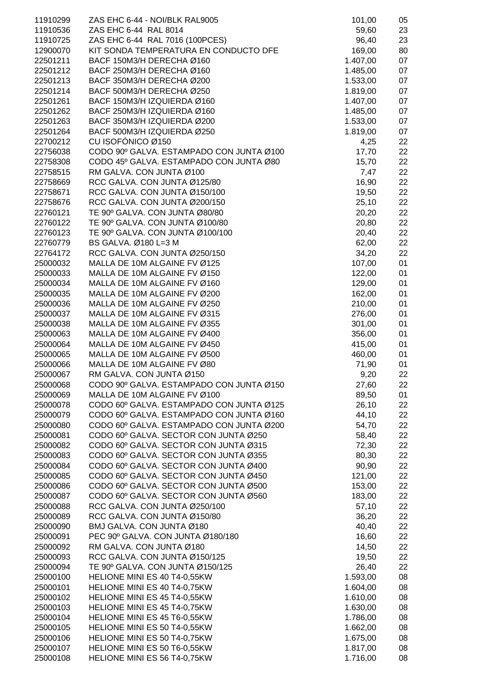| 11910299 | ZAS EHC 6-44 - NOI/BLK RAL9005           | 101,00   | 05 |
|----------|------------------------------------------|----------|----|
| 11910536 | ZAS EHC 6-44 RAL 8014                    | 59,60    | 23 |
| 11910725 | ZAS EHC 6-44 RAL 7016 (100PCES)          | 96,40    | 23 |
| 12900070 | KIT SONDA TEMPERATURA EN CONDUCTO DFE    | 169,00   | 80 |
| 22501211 | BACF 150M3/H DERECHA Ø160                | 1.407,00 | 07 |
| 22501212 | BACF 250M3/H DERECHA Ø160                | 1.485,00 | 07 |
| 22501213 | BACF 350M3/H DERECHA Ø200                | 1.533,00 | 07 |
| 22501214 | BACF 500M3/H DERECHA Ø250                | 1.819,00 | 07 |
| 22501261 |                                          |          |    |
|          | BACF 150M3/H IZQUIERDA Ø160              | 1.407,00 | 07 |
| 22501262 | BACF 250M3/H IZQUIERDA Ø160              | 1.485,00 | 07 |
| 22501263 | BACF 350M3/H IZQUIERDA Ø200              | 1.533,00 | 07 |
| 22501264 | BACF 500M3/H IZQUIERDA Ø250              | 1.819,00 | 07 |
| 22700212 | CU ISOFÓNICO Ø150                        | 4,25     | 22 |
| 22756038 | CODO 90° GALVA. ESTAMPADO CON JUNTA Ø100 | 17,70    | 22 |
| 22758308 | CODO 45º GALVA. ESTAMPADO CON JUNTA Ø80  | 15,70    | 22 |
| 22758515 | RM GALVA. CON JUNTA Ø100                 | 7,47     | 22 |
| 22758669 | RCC GALVA. CON JUNTA Ø125/80             | 16,90    | 22 |
| 22758671 | RCC GALVA. CON JUNTA Ø150/100            | 19,50    | 22 |
| 22758676 | RCC GALVA. CON JUNTA Ø200/150            | 25,10    | 22 |
| 22760121 | TE 90° GALVA. CON JUNTA Ø80/80           | 20,20    | 22 |
| 22760122 | TE 90° GALVA. CON JUNTA Ø100/80          | 20,80    | 22 |
| 22760123 | TE 90° GALVA. CON JUNTA Ø100/100         | 20,40    | 22 |
| 22760779 | BS GALVA. Ø180 L=3 M                     | 62,00    | 22 |
| 22764172 | RCC GALVA. CON JUNTA Ø250/150            | 34,20    | 22 |
| 25000032 | MALLA DE 10M ALGAINE FV Ø125             | 107,00   | 01 |
| 25000033 | MALLA DE 10M ALGAINE FV Ø150             | 122,00   | 01 |
| 25000034 | MALLA DE 10M ALGAINE FV Ø160             | 129,00   | 01 |
| 25000035 | MALLA DE 10M ALGAINE FV Ø200             | 162,00   | 01 |
| 25000036 | MALLA DE 10M ALGAINE FV Ø250             | 210,00   | 01 |
| 25000037 | MALLA DE 10M ALGAINE FV Ø315             | 276,00   | 01 |
| 25000038 | MALLA DE 10M ALGAINE FV Ø355             | 301,00   | 01 |
| 25000063 | MALLA DE 10M ALGAINE FV Ø400             | 356,00   | 01 |
| 25000064 | MALLA DE 10M ALGAINE FV Ø450             | 415,00   | 01 |
| 25000065 | MALLA DE 10M ALGAINE FV Ø500             | 460,00   | 01 |
| 25000066 | MALLA DE 10M ALGAINE FV Ø80              | 71,90    | 01 |
| 25000067 | RM GALVA. CON JUNTA Ø150                 | 9,20     | 22 |
| 25000068 | CODO 90° GALVA. ESTAMPADO CON JUNTA Ø150 | 27,60    | 22 |
| 25000069 | MALLA DE 10M ALGAINE FV Ø100             | 89,50    | 01 |
| 25000078 | CODO 60º GALVA. ESTAMPADO CON JUNTA Ø125 | 26,10    | 22 |
| 25000079 | CODO 60º GALVA. ESTAMPADO CON JUNTA Ø160 | 44,10    | 22 |
| 25000080 | CODO 60º GALVA. ESTAMPADO CON JUNTA Ø200 | 54,70    | 22 |
| 25000081 | CODO 60º GALVA. SECTOR CON JUNTA Ø250    | 58,40    | 22 |
| 25000082 | CODO 60º GALVA. SECTOR CON JUNTA Ø315    | 72,30    | 22 |
| 25000083 | CODO 60º GALVA. SECTOR CON JUNTA Ø355    | 80,30    | 22 |
| 25000084 | CODO 60º GALVA. SECTOR CON JUNTA Ø400    | 90,90    | 22 |
| 25000085 | CODO 60º GALVA. SECTOR CON JUNTA Ø450    | 121,00   | 22 |
| 25000086 | CODO 60º GALVA. SECTOR CON JUNTA Ø500    | 153,00   | 22 |
| 25000087 | CODO 60º GALVA. SECTOR CON JUNTA Ø560    | 183,00   | 22 |
| 25000088 | RCC GALVA. CON JUNTA Ø250/100            | 57,10    | 22 |
| 25000089 | RCC GALVA. CON JUNTA Ø150/80             | 36,20    | 22 |
| 25000090 | BMJ GALVA. CON JUNTA Ø180                | 40,40    | 22 |
| 25000091 | PEC 90° GALVA. CON JUNTA Ø180/180        | 16,60    | 22 |
| 25000092 | RM GALVA. CON JUNTA Ø180                 |          | 22 |
|          |                                          | 14,50    |    |
| 25000093 | RCC GALVA. CON JUNTA Ø150/125            | 19,50    | 22 |
| 25000094 | TE 90° GALVA. CON JUNTA Ø150/125         | 26,40    | 22 |
| 25000100 | HELIONE MINI ES 40 T4-0,55KW             | 1.593,00 | 08 |
| 25000101 | HELIONE MINI ES 40 T4-0,75KW             | 1.604,00 | 08 |
| 25000102 | HELIONE MINI ES 45 T4-0,55KW             | 1.610,00 | 08 |
| 25000103 | HELIONE MINI ES 45 T4-0,75KW             | 1.630,00 | 08 |
| 25000104 | HELIONE MINI ES 45 T6-0,55KW             | 1.786,00 | 08 |
| 25000105 | HELIONE MINI ES 50 T4-0,55KW             | 1.662,00 | 08 |
| 25000106 | HELIONE MINI ES 50 T4-0,75KW             | 1.675,00 | 08 |
| 25000107 | HELIONE MINI ES 50 T6-0,55KW             | 1.817,00 | 08 |
| 25000108 | HELIONE MINI ES 56 T4-0,75KW             | 1.716,00 | 08 |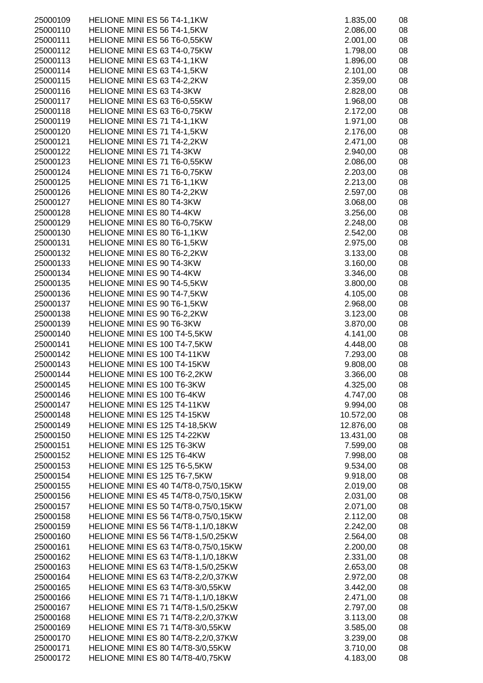| 25000109 | HELIONE MINI ES 56 T4-1,1KW                 | 1.835,00  | 08 |
|----------|---------------------------------------------|-----------|----|
| 25000110 | HELIONE MINI ES 56 T4-1,5KW                 | 2.086,00  | 08 |
| 25000111 | HELIONE MINI ES 56 T6-0,55KW                | 2.001,00  | 08 |
| 25000112 | HELIONE MINI ES 63 T4-0,75KW                | 1.798,00  | 08 |
| 25000113 | HELIONE MINI ES 63 T4-1,1KW                 | 1.896,00  | 08 |
| 25000114 | HELIONE MINI ES 63 T4-1,5KW                 | 2.101,00  | 08 |
| 25000115 | HELIONE MINI ES 63 T4-2,2KW                 | 2.359,00  | 08 |
|          |                                             |           |    |
| 25000116 | HELIONE MINI ES 63 T4-3KW                   | 2.828,00  | 08 |
| 25000117 | HELIONE MINI ES 63 T6-0,55KW                | 1.968,00  | 08 |
| 25000118 | HELIONE MINI ES 63 T6-0,75KW                | 2.172,00  | 08 |
| 25000119 | HELIONE MINI ES 71 T4-1,1KW                 | 1.971,00  | 08 |
| 25000120 | HELIONE MINI ES 71 T4-1,5KW                 | 2.176,00  | 08 |
| 25000121 | HELIONE MINI ES 71 T4-2,2KW                 | 2.471,00  | 08 |
| 25000122 | HELIONE MINI ES 71 T4-3KW                   | 2.940,00  | 08 |
| 25000123 | HELIONE MINI ES 71 T6-0,55KW                | 2.086,00  | 08 |
| 25000124 | HELIONE MINI ES 71 T6-0,75KW                | 2.203,00  | 08 |
| 25000125 | HELIONE MINI ES 71 T6-1,1KW                 | 2.213,00  | 08 |
| 25000126 | HELIONE MINI ES 80 T4-2,2KW                 | 2.597,00  | 08 |
| 25000127 | HELIONE MINI ES 80 T4-3KW                   | 3.068,00  | 08 |
| 25000128 | HELIONE MINI ES 80 T4-4KW                   | 3.256,00  | 08 |
| 25000129 | HELIONE MINI ES 80 T6-0,75KW                | 2.248,00  | 08 |
|          |                                             |           |    |
| 25000130 | HELIONE MINI ES 80 T6-1,1KW                 | 2.542,00  | 08 |
| 25000131 | HELIONE MINI ES 80 T6-1,5KW                 | 2.975,00  | 08 |
| 25000132 | HELIONE MINI ES 80 T6-2,2KW                 | 3.133,00  | 08 |
| 25000133 | <b>HELIONE MINI ES 90 T4-3KW</b>            | 3.160,00  | 08 |
| 25000134 | HELIONE MINI ES 90 T4-4KW                   | 3.346,00  | 08 |
| 25000135 | HELIONE MINI ES 90 T4-5,5KW                 | 3.800,00  | 08 |
| 25000136 | HELIONE MINI ES 90 T4-7,5KW                 | 4.105,00  | 08 |
| 25000137 | HELIONE MINI ES 90 T6-1,5KW                 | 2.968,00  | 08 |
| 25000138 | HELIONE MINI ES 90 T6-2,2KW                 | 3.123,00  | 08 |
| 25000139 | <b>HELIONE MINI ES 90 T6-3KW</b>            | 3.870,00  | 08 |
| 25000140 | HELIONE MINI ES 100 T4-5,5KW                | 4.141,00  | 08 |
| 25000141 | HELIONE MINI ES 100 T4-7,5KW                | 4.448,00  | 08 |
| 25000142 | HELIONE MINI ES 100 T4-11KW                 | 7.293,00  | 08 |
| 25000143 | HELIONE MINI ES 100 T4-15KW                 | 9.808,00  | 08 |
| 25000144 | HELIONE MINI ES 100 T6-2,2KW                | 3.366,00  | 08 |
| 25000145 | HELIONE MINI ES 100 T6-3KW                  | 4.325,00  | 08 |
| 25000146 | HELIONE MINI ES 100 T6-4KW                  | 4.747,00  | 08 |
| 25000147 | HELIONE MINI ES 125 T4-11KW                 | 9.994,00  | 08 |
| 25000148 | HELIONE MINI ES 125 T4-15KW                 | 10.572,00 | 08 |
| 25000149 | HELIONE MINI ES 125 T4-18,5KW               | 12.876,00 | 08 |
| 25000150 | HELIONE MINI ES 125 T4-22KW                 | 13.431,00 | 08 |
| 25000151 | HELIONE MINI ES 125 T6-3KW                  | 7.599,00  | 08 |
| 25000152 | HELIONE MINI ES 125 T6-4KW                  | 7.998,00  | 08 |
| 25000153 | HELIONE MINI ES 125 T6-5,5KW                | 9.534,00  | 08 |
|          | HELIONE MINI ES 125 T6-7,5KW                |           | 08 |
| 25000154 |                                             | 9.918,00  |    |
| 25000155 | HELIONE MINI ES 40 T4/T8-0,75/0,15KW        | 2.019,00  | 08 |
| 25000156 | <b>HELIONE MINI ES 45 T4/T8-0,75/0,15KW</b> | 2.031,00  | 08 |
| 25000157 | <b>HELIONE MINI ES 50 T4/T8-0,75/0,15KW</b> | 2.071,00  | 08 |
| 25000158 | HELIONE MINI ES 56 T4/T8-0,75/0,15KW        | 2.112,00  | 08 |
| 25000159 | HELIONE MINI ES 56 T4/T8-1,1/0,18KW         | 2.242,00  | 08 |
| 25000160 | HELIONE MINI ES 56 T4/T8-1,5/0,25KW         | 2.564,00  | 08 |
| 25000161 | HELIONE MINI ES 63 T4/T8-0,75/0,15KW        | 2.200,00  | 08 |
| 25000162 | HELIONE MINI ES 63 T4/T8-1,1/0,18KW         | 2.331,00  | 08 |
| 25000163 | HELIONE MINI ES 63 T4/T8-1,5/0,25KW         | 2.653,00  | 08 |
| 25000164 | HELIONE MINI ES 63 T4/T8-2,2/0,37KW         | 2.972,00  | 08 |
| 25000165 | HELIONE MINI ES 63 T4/T8-3/0,55KW           | 3.442,00  | 08 |
| 25000166 | <b>HELIONE MINI ES 71 T4/T8-1,1/0,18KW</b>  | 2.471,00  | 08 |
| 25000167 | HELIONE MINI ES 71 T4/T8-1,5/0,25KW         | 2.797,00  | 08 |
| 25000168 | HELIONE MINI ES 71 T4/T8-2,2/0,37KW         | 3.113,00  | 08 |
| 25000169 | HELIONE MINI ES 71 T4/T8-3/0,55KW           | 3.585,00  | 08 |
| 25000170 | HELIONE MINI ES 80 T4/T8-2,2/0,37KW         | 3.239,00  | 08 |
| 25000171 | HELIONE MINI ES 80 T4/T8-3/0,55KW           | 3.710,00  | 08 |
| 25000172 | HELIONE MINI ES 80 T4/T8-4/0,75KW           | 4.183,00  | 08 |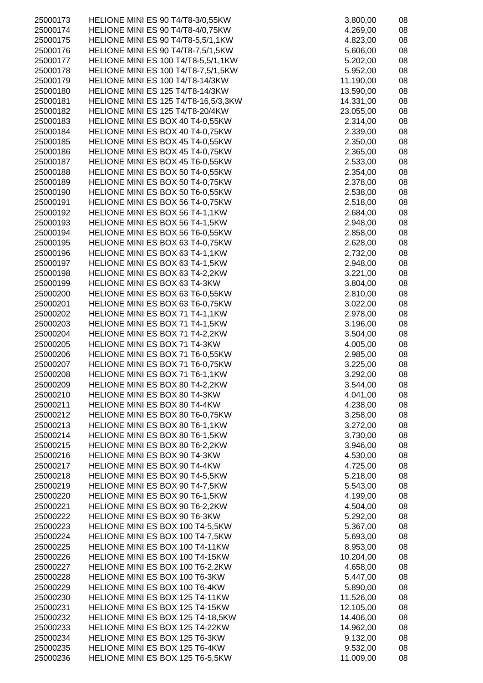|          | HELIONE MINI ES 90 T4/T8-3/0,55KW         |           |    |
|----------|-------------------------------------------|-----------|----|
| 25000173 |                                           | 3.800,00  | 08 |
| 25000174 | HELIONE MINI ES 90 T4/T8-4/0,75KW         | 4.269,00  | 08 |
| 25000175 | <b>HELIONE MINI ES 90 T4/T8-5,5/1,1KW</b> | 4.823,00  | 08 |
| 25000176 | HELIONE MINI ES 90 T4/T8-7,5/1,5KW        | 5.606,00  | 08 |
| 25000177 | HELIONE MINI ES 100 T4/T8-5,5/1,1KW       |           | 08 |
|          |                                           | 5.202,00  |    |
| 25000178 | HELIONE MINI ES 100 T4/T8-7,5/1,5KW       | 5.952,00  | 08 |
| 25000179 | HELIONE MINI ES 100 T4/T8-14/3KW          | 11.190,00 | 08 |
| 25000180 | HELIONE MINI ES 125 T4/T8-14/3KW          | 13.590,00 | 08 |
| 25000181 | HELIONE MINI ES 125 T4/T8-16,5/3,3KW      | 14.331,00 | 08 |
|          |                                           |           |    |
| 25000182 | HELIONE MINI ES 125 T4/T8-20/4KW          | 23.055,00 | 08 |
| 25000183 | HELIONE MINI ES BOX 40 T4-0,55KW          | 2.314,00  | 08 |
| 25000184 | HELIONE MINI ES BOX 40 T4-0,75KW          | 2.339,00  | 08 |
| 25000185 | HELIONE MINI ES BOX 45 T4-0,55KW          | 2.350,00  | 08 |
|          |                                           |           |    |
| 25000186 | HELIONE MINI ES BOX 45 T4-0,75KW          | 2.365,00  | 08 |
| 25000187 | HELIONE MINI ES BOX 45 T6-0,55KW          | 2.533,00  | 08 |
| 25000188 | HELIONE MINI ES BOX 50 T4-0,55KW          | 2.354,00  | 08 |
| 25000189 | HELIONE MINI ES BOX 50 T4-0,75KW          | 2.378,00  | 08 |
| 25000190 | HELIONE MINI ES BOX 50 T6-0,55KW          | 2.538,00  | 08 |
| 25000191 | HELIONE MINI ES BOX 56 T4-0,75KW          | 2.518,00  | 08 |
|          |                                           |           |    |
| 25000192 | HELIONE MINI ES BOX 56 T4-1,1KW           | 2.684,00  | 08 |
| 25000193 | HELIONE MINI ES BOX 56 T4-1,5KW           | 2.948,00  | 08 |
| 25000194 | HELIONE MINI ES BOX 56 T6-0,55KW          | 2.858,00  | 08 |
| 25000195 | HELIONE MINI ES BOX 63 T4-0,75KW          | 2.628,00  | 08 |
| 25000196 | HELIONE MINI ES BOX 63 T4-1,1KW           | 2.732,00  | 08 |
|          |                                           |           |    |
| 25000197 | HELIONE MINI ES BOX 63 T4-1,5KW           | 2.948,00  | 08 |
| 25000198 | HELIONE MINI ES BOX 63 T4-2,2KW           | 3.221,00  | 08 |
| 25000199 | HELIONE MINI ES BOX 63 T4-3KW             | 3.804,00  | 08 |
| 25000200 | HELIONE MINI ES BOX 63 T6-0,55KW          | 2.810,00  | 08 |
| 25000201 | HELIONE MINI ES BOX 63 T6-0,75KW          | 3.022,00  | 08 |
| 25000202 | HELIONE MINI ES BOX 71 T4-1,1KW           | 2.978,00  | 08 |
|          |                                           |           |    |
| 25000203 | HELIONE MINI ES BOX 71 T4-1,5KW           | 3.196,00  | 08 |
| 25000204 | HELIONE MINI ES BOX 71 T4-2,2KW           | 3.504,00  | 08 |
| 25000205 | HELIONE MINI ES BOX 71 T4-3KW             | 4.005,00  | 08 |
| 25000206 | HELIONE MINI ES BOX 71 T6-0,55KW          | 2.985,00  | 08 |
| 25000207 | HELIONE MINI ES BOX 71 T6-0,75KW          | 3.225,00  | 08 |
|          |                                           |           |    |
| 25000208 | HELIONE MINI ES BOX 71 T6-1,1KW           | 3.292,00  | 08 |
| 25000209 | HELIONE MINI ES BOX 80 T4-2,2KW           | 3.544,00  | 08 |
| 25000210 | HELIONE MINI ES BOX 80 T4-3KW             | 4.041,00  | 08 |
| 25000211 | HELIONE MINI ES BOX 80 T4-4KW             | 4.238,00  | 08 |
| 25000212 | HELIONE MINI ES BOX 80 T6-0,75KW          | 3.258,00  | 08 |
| 25000213 | HELIONE MINI ES BOX 80 T6-1,1KW           | 3.272,00  | 08 |
|          |                                           |           |    |
| 25000214 | HELIONE MINI ES BOX 80 T6-1,5KW           | 3.730,00  | 08 |
| 25000215 | HELIONE MINI ES BOX 80 T6-2,2KW           | 3.946,00  | 08 |
| 25000216 | HELIONE MINI ES BOX 90 T4-3KW             | 4.530,00  | 08 |
| 25000217 | HELIONE MINI ES BOX 90 T4-4KW             | 4.725,00  | 08 |
| 25000218 | HELIONE MINI ES BOX 90 T4-5,5KW           | 5.218,00  | 08 |
|          |                                           |           |    |
| 25000219 | HELIONE MINI ES BOX 90 T4-7,5KW           | 5.543,00  | 08 |
| 25000220 | HELIONE MINI ES BOX 90 T6-1,5KW           | 4.199,00  | 08 |
| 25000221 | HELIONE MINI ES BOX 90 T6-2,2KW           | 4.504,00  | 08 |
| 25000222 | HELIONE MINI ES BOX 90 T6-3KW             | 5.292,00  | 08 |
| 25000223 | HELIONE MINI ES BOX 100 T4-5,5KW          | 5.367,00  | 08 |
|          |                                           |           |    |
| 25000224 | HELIONE MINI ES BOX 100 T4-7,5KW          | 5.693,00  | 08 |
| 25000225 | HELIONE MINI ES BOX 100 T4-11KW           | 8.953,00  | 08 |
| 25000226 | HELIONE MINI ES BOX 100 T4-15KW           | 10.204,00 | 08 |
| 25000227 | HELIONE MINI ES BOX 100 T6-2,2KW          | 4.658,00  | 08 |
| 25000228 | HELIONE MINI ES BOX 100 T6-3KW            | 5.447,00  | 08 |
| 25000229 | HELIONE MINI ES BOX 100 T6-4KW            | 5.890,00  | 08 |
|          |                                           |           |    |
| 25000230 | HELIONE MINI ES BOX 125 T4-11KW           | 11.526,00 | 08 |
| 25000231 | HELIONE MINI ES BOX 125 T4-15KW           | 12.105,00 | 08 |
| 25000232 | HELIONE MINI ES BOX 125 T4-18,5KW         | 14.406,00 | 08 |
| 25000233 | HELIONE MINI ES BOX 125 T4-22KW           | 14.962,00 | 08 |
| 25000234 | HELIONE MINI ES BOX 125 T6-3KW            | 9.132,00  | 08 |
| 25000235 | HELIONE MINI ES BOX 125 T6-4KW            | 9.532,00  | 08 |
|          |                                           |           |    |
| 25000236 | HELIONE MINI ES BOX 125 T6-5,5KW          | 11.009,00 | 08 |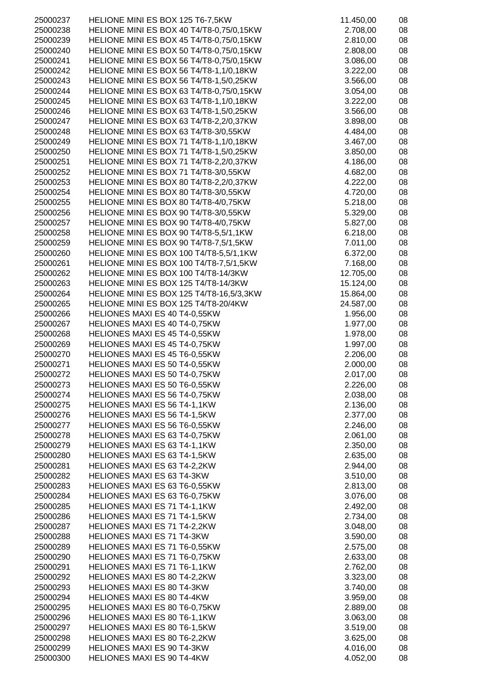| 25000237             | HELIONE MINI ES BOX 125 T6-7,5KW                                                 | 11.450,00              | 08       |
|----------------------|----------------------------------------------------------------------------------|------------------------|----------|
| 25000238             | HELIONE MINI ES BOX 40 T4/T8-0,75/0,15KW                                         | 2.708,00               | 08       |
| 25000239             | HELIONE MINI ES BOX 45 T4/T8-0,75/0,15KW                                         | 2.810,00               | 08       |
| 25000240             | HELIONE MINI ES BOX 50 T4/T8-0,75/0,15KW                                         | 2.808,00               | 08       |
| 25000241             | HELIONE MINI ES BOX 56 T4/T8-0,75/0,15KW                                         | 3.086,00               | 08       |
| 25000242             | HELIONE MINI ES BOX 56 T4/T8-1,1/0,18KW                                          | 3.222,00               | 08       |
| 25000243             | HELIONE MINI ES BOX 56 T4/T8-1,5/0,25KW                                          | 3.566,00               | 08       |
| 25000244             | HELIONE MINI ES BOX 63 T4/T8-0,75/0,15KW                                         | 3.054,00               | 08       |
| 25000245             | HELIONE MINI ES BOX 63 T4/T8-1,1/0,18KW                                          | 3.222,00               | 08       |
| 25000246             | HELIONE MINI ES BOX 63 T4/T8-1,5/0,25KW                                          | 3.566,00               | 08       |
| 25000247             | HELIONE MINI ES BOX 63 T4/T8-2,2/0,37KW                                          | 3.898,00               | 08       |
| 25000248             | HELIONE MINI ES BOX 63 T4/T8-3/0,55KW                                            | 4.484,00               | 08       |
| 25000249             | HELIONE MINI ES BOX 71 T4/T8-1,1/0,18KW                                          | 3.467,00               | 08       |
| 25000250             | HELIONE MINI ES BOX 71 T4/T8-1,5/0,25KW                                          | 3.850,00               | 08       |
| 25000251             | HELIONE MINI ES BOX 71 T4/T8-2,2/0,37KW                                          | 4.186,00               | 08       |
| 25000252             | HELIONE MINI ES BOX 71 T4/T8-3/0,55KW                                            | 4.682,00               | 08       |
| 25000253             | HELIONE MINI ES BOX 80 T4/T8-2,2/0,37KW                                          | 4.222,00               | 08       |
| 25000254             | HELIONE MINI ES BOX 80 T4/T8-3/0,55KW                                            | 4.720,00               | 08       |
| 25000255             | HELIONE MINI ES BOX 80 T4/T8-4/0,75KW                                            | 5.218,00               | 08       |
| 25000256             | HELIONE MINI ES BOX 90 T4/T8-3/0,55KW                                            | 5.329,00               | 08       |
| 25000257             | HELIONE MINI ES BOX 90 T4/T8-4/0,75KW                                            | 5.827,00               | 08       |
| 25000258             | HELIONE MINI ES BOX 90 T4/T8-5,5/1,1KW                                           | 6.218,00               | 08       |
| 25000259             | HELIONE MINI ES BOX 90 T4/T8-7,5/1,5KW                                           | 7.011,00               | 08       |
| 25000260             | HELIONE MINI ES BOX 100 T4/T8-5,5/1,1KW                                          | 6.372,00               | 08       |
| 25000261             | HELIONE MINI ES BOX 100 T4/T8-7,5/1,5KW                                          | 7.168,00               | 08       |
| 25000262             | HELIONE MINI ES BOX 100 T4/T8-14/3KW                                             | 12.705,00              | 08       |
| 25000263             | HELIONE MINI ES BOX 125 T4/T8-14/3KW                                             | 15.124,00              | 08       |
| 25000264<br>25000265 | HELIONE MINI ES BOX 125 T4/T8-16,5/3,3KW<br>HELIONE MINI ES BOX 125 T4/T8-20/4KW | 15.864,00<br>24.587,00 | 08<br>08 |
| 25000266             | HELIONES MAXI ES 40 T4-0,55KW                                                    | 1.956,00               | 08       |
| 25000267             | HELIONES MAXI ES 40 T4-0,75KW                                                    | 1.977,00               | 08       |
| 25000268             | HELIONES MAXI ES 45 T4-0,55KW                                                    | 1.978,00               | 08       |
| 25000269             | HELIONES MAXI ES 45 T4-0,75KW                                                    | 1.997,00               | 08       |
| 25000270             | HELIONES MAXI ES 45 T6-0,55KW                                                    | 2.206,00               | 08       |
| 25000271             | HELIONES MAXI ES 50 T4-0,55KW                                                    | 2.000,00               | 08       |
| 25000272             | HELIONES MAXI ES 50 T4-0,75KW                                                    | 2.017,00               | 08       |
| 25000273             | HELIONES MAXI ES 50 T6-0,55KW                                                    | 2.226,00               | 08       |
| 25000274             | HELIONES MAXI ES 56 T4-0,75KW                                                    | 2.038,00               | 08       |
| 25000275             | <b>HELIONES MAXI ES 56 T4-1,1KW</b>                                              | 2.136,00               | 08       |
| 25000276             | HELIONES MAXI ES 56 T4-1,5KW                                                     | 2.377,00               | 08       |
| 25000277             | HELIONES MAXI ES 56 T6-0,55KW                                                    | 2.246,00               | 08       |
| 25000278             | HELIONES MAXI ES 63 T4-0,75KW                                                    | 2.061,00               | 08       |
| 25000279             | HELIONES MAXI ES 63 T4-1,1KW                                                     | 2.350,00               | 08       |
| 25000280             | HELIONES MAXI ES 63 T4-1,5KW                                                     | 2.635,00               | 08       |
| 25000281             | HELIONES MAXI ES 63 T4-2,2KW                                                     | 2.944,00               | 08       |
| 25000282             | <b>HELIONES MAXI ES 63 T4-3KW</b>                                                | 3.510,00               | 08       |
| 25000283             | HELIONES MAXI ES 63 T6-0,55KW                                                    | 2.813,00               | 08       |
| 25000284             | HELIONES MAXI ES 63 T6-0,75KW                                                    | 3.076,00               | 08       |
| 25000285             | HELIONES MAXI ES 71 T4-1,1KW                                                     | 2.492,00               | 08       |
| 25000286             | HELIONES MAXI ES 71 T4-1,5KW                                                     | 2.734,00               | 08       |
| 25000287             | HELIONES MAXI ES 71 T4-2,2KW                                                     | 3.048,00               | 08       |
| 25000288             | <b>HELIONES MAXI ES 71 T4-3KW</b>                                                | 3.590,00               | 08       |
| 25000289             | HELIONES MAXI ES 71 T6-0,55KW                                                    | 2.575,00               | 08       |
| 25000290             | HELIONES MAXI ES 71 T6-0,75KW                                                    | 2.633,00               | 08       |
| 25000291             | HELIONES MAXI ES 71 T6-1,1KW                                                     | 2.762,00               | 08       |
| 25000292             | HELIONES MAXI ES 80 T4-2,2KW                                                     | 3.323,00               | 08       |
| 25000293             | HELIONES MAXI ES 80 T4-3KW                                                       | 3.740,00               | 08       |
| 25000294             | HELIONES MAXI ES 80 T4-4KW                                                       | 3.959,00               | 08       |
| 25000295             | HELIONES MAXI ES 80 T6-0,75KW                                                    | 2.889,00               | 08       |
| 25000296             | HELIONES MAXI ES 80 T6-1,1KW                                                     | 3.063,00               | 08       |
| 25000297             | HELIONES MAXI ES 80 T6-1,5KW                                                     | 3.519,00               | 08       |
| 25000298             | HELIONES MAXI ES 80 T6-2,2KW                                                     | 3.625,00               | 08       |
| 25000299             | <b>HELIONES MAXI ES 90 T4-3KW</b>                                                | 4.016,00               | 08       |
| 25000300             | HELIONES MAXI ES 90 T4-4KW                                                       | 4.052,00               | 08       |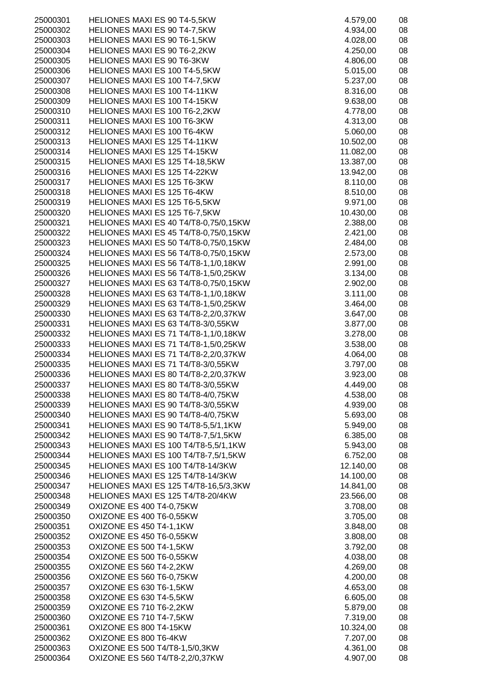| 25000301             | HELIONES MAXI ES 90 T4-5,5KW                                                 | 4.579,00               | 08       |
|----------------------|------------------------------------------------------------------------------|------------------------|----------|
| 25000302             | HELIONES MAXI ES 90 T4-7,5KW                                                 | 4.934,00               | 08       |
| 25000303             | <b>HELIONES MAXI ES 90 T6-1,5KW</b>                                          | 4.028,00               | 08       |
| 25000304             | HELIONES MAXI ES 90 T6-2,2KW                                                 | 4.250,00               | 08       |
| 25000305             | HELIONES MAXI ES 90 T6-3KW                                                   | 4.806,00               | 08       |
| 25000306             | HELIONES MAXI ES 100 T4-5,5KW                                                | 5.015,00               | 08       |
| 25000307             | HELIONES MAXI ES 100 T4-7,5KW                                                | 5.237,00               | 08       |
| 25000308             | HELIONES MAXI ES 100 T4-11KW                                                 | 8.316,00               | 08       |
| 25000309             | <b>HELIONES MAXI ES 100 T4-15KW</b>                                          | 9.638,00               | 08       |
| 25000310             | HELIONES MAXI ES 100 T6-2,2KW                                                | 4.778,00               | 08       |
| 25000311             | HELIONES MAXI ES 100 T6-3KW                                                  | 4.313,00               | 08       |
| 25000312             | HELIONES MAXI ES 100 T6-4KW                                                  | 5.060,00               | 08       |
| 25000313             | <b>HELIONES MAXI ES 125 T4-11KW</b>                                          | 10.502,00              | 08       |
| 25000314             | HELIONES MAXI ES 125 T4-15KW                                                 | 11.082,00              | 08       |
| 25000315             | HELIONES MAXI ES 125 T4-18,5KW                                               | 13.387,00              | 08       |
| 25000316             | HELIONES MAXI ES 125 T4-22KW                                                 | 13.942,00              | 08       |
| 25000317             | HELIONES MAXI ES 125 T6-3KW                                                  | 8.110,00               | 08       |
| 25000318             | HELIONES MAXI ES 125 T6-4KW                                                  | 8.510,00               | 08       |
| 25000319             | HELIONES MAXI ES 125 T6-5,5KW                                                | 9.971,00               | 08       |
| 25000320             | HELIONES MAXI ES 125 T6-7,5KW                                                | 10.430,00              | 08       |
| 25000321             | HELIONES MAXI ES 40 T4/T8-0,75/0,15KW                                        | 2.388,00               | 08       |
| 25000322             | HELIONES MAXI ES 45 T4/T8-0,75/0,15KW                                        | 2.421,00               | 08       |
| 25000323             | HELIONES MAXI ES 50 T4/T8-0,75/0,15KW                                        | 2.484,00               | 08       |
| 25000324             | HELIONES MAXI ES 56 T4/T8-0,75/0,15KW                                        | 2.573,00               | 08       |
| 25000325             | HELIONES MAXI ES 56 T4/T8-1,1/0,18KW                                         | 2.991,00               | 08       |
| 25000326             |                                                                              |                        | 08       |
|                      | HELIONES MAXI ES 56 T4/T8-1,5/0,25KW                                         | 3.134,00               |          |
| 25000327             | HELIONES MAXI ES 63 T4/T8-0,75/0,15KW                                        | 2.902,00               | 08       |
| 25000328             | HELIONES MAXI ES 63 T4/T8-1,1/0,18KW                                         | 3.111,00               | 08       |
| 25000329             | HELIONES MAXI ES 63 T4/T8-1,5/0,25KW                                         | 3.464,00               | 08       |
| 25000330             | HELIONES MAXI ES 63 T4/T8-2,2/0,37KW                                         | 3.647,00               | 08       |
| 25000331             | HELIONES MAXI ES 63 T4/T8-3/0,55KW                                           | 3.877,00               | 08       |
| 25000332             | HELIONES MAXI ES 71 T4/T8-1,1/0,18KW                                         | 3.278,00               | 08       |
| 25000333             | HELIONES MAXI ES 71 T4/T8-1,5/0,25KW                                         | 3.538,00               | 08       |
| 25000334             | HELIONES MAXI ES 71 T4/T8-2,2/0,37KW                                         | 4.064,00               | 08       |
| 25000335             | HELIONES MAXI ES 71 T4/T8-3/0,55KW                                           | 3.797,00               | 08       |
| 25000336             | HELIONES MAXI ES 80 T4/T8-2,2/0,37KW                                         | 3.923,00               | 08       |
| 25000337             | HELIONES MAXI ES 80 T4/T8-3/0,55KW                                           | 4.449,00               | 08       |
| 25000338             | HELIONES MAXI ES 80 T4/T8-4/0,75KW                                           | 4.538,00               | 08       |
| 25000339             | HELIONES MAXI ES 90 T4/T8-3/0,55KW                                           | 4.939,00               | 08       |
| 25000340             | HELIONES MAXI ES 90 T4/T8-4/0,75KW                                           | 5.693,00               | 08       |
| 25000341             | HELIONES MAXI ES 90 T4/T8-5,5/1,1KW                                          | 5.949,00               | 08       |
| 25000342             | HELIONES MAXI ES 90 T4/T8-7,5/1,5KW                                          | 6.385,00               | 08       |
| 25000343<br>25000344 | HELIONES MAXI ES 100 T4/T8-5,5/1,1KW<br>HELIONES MAXI ES 100 T4/T8-7,5/1,5KW | 5.943,00               | 08       |
|                      | HELIONES MAXI ES 100 T4/T8-14/3KW                                            | 6.752,00               | 08       |
| 25000345<br>25000346 |                                                                              | 12.140,00              | 08       |
| 25000347             | HELIONES MAXI ES 125 T4/T8-14/3KW                                            | 14.100,00<br>14.841,00 | 08<br>08 |
| 25000348             | HELIONES MAXI ES 125 T4/T8-16,5/3,3KW<br>HELIONES MAXI ES 125 T4/T8-20/4KW   |                        | 08       |
| 25000349             | OXIZONE ES 400 T4-0,75KW                                                     | 23.566,00<br>3.708,00  | 08       |
| 25000350             | OXIZONE ES 400 T6-0,55KW                                                     | 3.705,00               | 08       |
| 25000351             | OXIZONE ES 450 T4-1,1KW                                                      | 3.848,00               | 08       |
| 25000352             | OXIZONE ES 450 T6-0,55KW                                                     | 3.808,00               | 08       |
| 25000353             | OXIZONE ES 500 T4-1,5KW                                                      | 3.792,00               | 08       |
| 25000354             | OXIZONE ES 500 T6-0,55KW                                                     | 4.038,00               | 08       |
| 25000355             | OXIZONE ES 560 T4-2,2KW                                                      | 4.269,00               | 08       |
| 25000356             | OXIZONE ES 560 T6-0,75KW                                                     | 4.200,00               | 08       |
| 25000357             | OXIZONE ES 630 T6-1,5KW                                                      | 4.653,00               | 08       |
| 25000358             |                                                                              | 6.605,00               | 08       |
| 25000359             | OXIZONE ES 630 T4-5,5KW<br>OXIZONE ES 710 T6-2,2KW                           | 5.879,00               | 08       |
| 25000360             | OXIZONE ES 710 T4-7,5KW                                                      | 7.319,00               | 08       |
| 25000361             | OXIZONE ES 800 T4-15KW                                                       | 10.324,00              | 08       |
| 25000362             | OXIZONE ES 800 T6-4KW                                                        | 7.207,00               | 08       |
| 25000363             | OXIZONE ES 500 T4/T8-1,5/0,3KW                                               | 4.361,00               | 08       |
| 25000364             | OXIZONE ES 560 T4/T8-2,2/0,37KW                                              | 4.907,00               | 08       |
|                      |                                                                              |                        |          |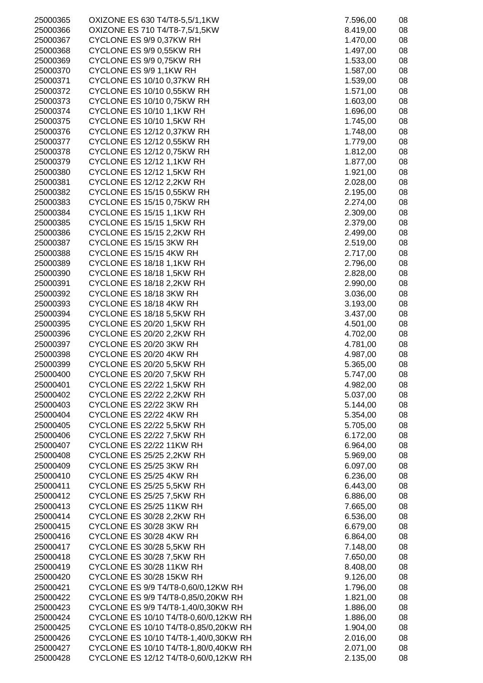| 25000365 | OXIZONE ES 630 T4/T8-5,5/1,1KW        | 7.596,00 | 08 |
|----------|---------------------------------------|----------|----|
| 25000366 | OXIZONE ES 710 T4/T8-7,5/1,5KW        | 8.419,00 | 08 |
| 25000367 | CYCLONE ES 9/9 0,37KW RH              | 1.470,00 | 08 |
|          |                                       |          |    |
| 25000368 | CYCLONE ES 9/9 0,55KW RH              | 1.497,00 | 08 |
| 25000369 | CYCLONE ES 9/9 0,75KW RH              | 1.533,00 | 08 |
| 25000370 | CYCLONE ES 9/9 1,1KW RH               | 1.587,00 | 08 |
| 25000371 | CYCLONE ES 10/10 0,37KW RH            | 1.539,00 | 08 |
| 25000372 | <b>CYCLONE ES 10/10 0,55KW RH</b>     | 1.571,00 | 08 |
| 25000373 | CYCLONE ES 10/10 0,75KW RH            | 1.603,00 | 08 |
| 25000374 | CYCLONE ES 10/10 1,1KW RH             | 1.696,00 | 08 |
| 25000375 | CYCLONE ES 10/10 1,5KW RH             | 1.745,00 | 08 |
| 25000376 | CYCLONE ES 12/12 0,37KW RH            | 1.748,00 | 08 |
| 25000377 | <b>CYCLONE ES 12/12 0,55KW RH</b>     | 1.779,00 | 08 |
|          |                                       |          |    |
| 25000378 | <b>CYCLONE ES 12/12 0,75KW RH</b>     | 1.812,00 | 08 |
| 25000379 | CYCLONE ES 12/12 1,1KW RH             | 1.877,00 | 08 |
| 25000380 | CYCLONE ES 12/12 1,5KW RH             | 1.921,00 | 08 |
| 25000381 | CYCLONE ES 12/12 2,2KW RH             | 2.028,00 | 08 |
| 25000382 | <b>CYCLONE ES 15/15 0,55KW RH</b>     | 2.195,00 | 08 |
| 25000383 | <b>CYCLONE ES 15/15 0,75KW RH</b>     | 2.274,00 | 08 |
| 25000384 | CYCLONE ES 15/15 1,1KW RH             | 2.309,00 | 08 |
| 25000385 | CYCLONE ES 15/15 1,5KW RH             | 2.379,00 | 08 |
| 25000386 | CYCLONE ES 15/15 2,2KW RH             | 2.499,00 | 08 |
| 25000387 | CYCLONE ES 15/15 3KW RH               | 2.519,00 | 08 |
| 25000388 | CYCLONE ES 15/15 4KW RH               |          | 08 |
|          |                                       | 2.717,00 |    |
| 25000389 | CYCLONE ES 18/18 1,1KW RH             | 2.796,00 | 08 |
| 25000390 | CYCLONE ES 18/18 1,5KW RH             | 2.828,00 | 08 |
| 25000391 | CYCLONE ES 18/18 2,2KW RH             | 2.990,00 | 08 |
| 25000392 | CYCLONE ES 18/18 3KW RH               | 3.036,00 | 08 |
| 25000393 | CYCLONE ES 18/18 4KW RH               | 3.193,00 | 08 |
| 25000394 | CYCLONE ES 18/18 5,5KW RH             | 3.437,00 | 08 |
| 25000395 | CYCLONE ES 20/20 1,5KW RH             | 4.501,00 | 08 |
| 25000396 | CYCLONE ES 20/20 2,2KW RH             | 4.702,00 | 08 |
| 25000397 | CYCLONE ES 20/20 3KW RH               | 4.781,00 | 08 |
| 25000398 | CYCLONE ES 20/20 4KW RH               | 4.987,00 | 08 |
| 25000399 | CYCLONE ES 20/20 5,5KW RH             | 5.365,00 | 08 |
|          | CYCLONE ES 20/20 7,5KW RH             |          | 08 |
| 25000400 |                                       | 5.747,00 |    |
| 25000401 | CYCLONE ES 22/22 1,5KW RH             | 4.982,00 | 08 |
| 25000402 | CYCLONE ES 22/22 2,2KW RH             | 5.037,00 | 08 |
| 25000403 | CYCLONE ES 22/22 3KW RH               | 5.144,00 | 08 |
| 25000404 | CYCLONE ES 22/22 4KW RH               | 5.354,00 | 08 |
| 25000405 | CYCLONE ES 22/22 5,5KW RH             | 5.705,00 | 08 |
| 25000406 | CYCLONE ES 22/22 7,5KW RH             | 6.172,00 | 08 |
| 25000407 | CYCLONE ES 22/22 11KW RH              | 6.964,00 | 08 |
| 25000408 | CYCLONE ES 25/25 2,2KW RH             | 5.969,00 | 08 |
| 25000409 | CYCLONE ES 25/25 3KW RH               | 6.097,00 | 08 |
| 25000410 | CYCLONE ES 25/25 4KW RH               | 6.236,00 | 08 |
| 25000411 | CYCLONE ES 25/25 5,5KW RH             | 6.443,00 | 08 |
| 25000412 | CYCLONE ES 25/25 7,5KW RH             | 6.886,00 | 08 |
|          | CYCLONE ES 25/25 11KW RH              |          |    |
| 25000413 |                                       | 7.665,00 | 08 |
| 25000414 | CYCLONE ES 30/28 2,2KW RH             | 6.536,00 | 08 |
| 25000415 | CYCLONE ES 30/28 3KW RH               | 6.679,00 | 08 |
| 25000416 | CYCLONE ES 30/28 4KW RH               | 6.864,00 | 08 |
| 25000417 | CYCLONE ES 30/28 5,5KW RH             | 7.148,00 | 08 |
| 25000418 | CYCLONE ES 30/28 7,5KW RH             | 7.650,00 | 08 |
| 25000419 | CYCLONE ES 30/28 11KW RH              | 8.408,00 | 08 |
| 25000420 | CYCLONE ES 30/28 15KW RH              | 9.126,00 | 08 |
| 25000421 | CYCLONE ES 9/9 T4/T8-0,60/0,12KW RH   | 1.796,00 | 08 |
| 25000422 | CYCLONE ES 9/9 T4/T8-0,85/0,20KW RH   | 1.821,00 | 08 |
| 25000423 | CYCLONE ES 9/9 T4/T8-1,40/0,30KW RH   | 1.886,00 | 08 |
| 25000424 | CYCLONE ES 10/10 T4/T8-0,60/0,12KW RH | 1.886,00 | 08 |
| 25000425 | CYCLONE ES 10/10 T4/T8-0,85/0,20KW RH | 1.904,00 | 08 |
| 25000426 | CYCLONE ES 10/10 T4/T8-1,40/0,30KW RH | 2.016,00 | 08 |
|          |                                       |          |    |
| 25000427 | CYCLONE ES 10/10 T4/T8-1,80/0,40KW RH | 2.071,00 | 08 |
| 25000428 | CYCLONE ES 12/12 T4/T8-0,60/0,12KW RH | 2.135,00 | 08 |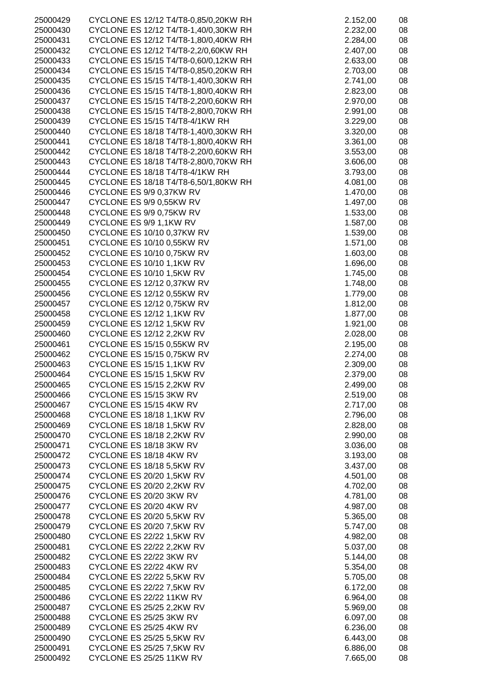| 25000429 | CYCLONE ES 12/12 T4/T8-0,85/0,20KW RH | 2.152,00 | 08 |
|----------|---------------------------------------|----------|----|
| 25000430 | CYCLONE ES 12/12 T4/T8-1,40/0,30KW RH | 2.232,00 | 08 |
| 25000431 | CYCLONE ES 12/12 T4/T8-1,80/0,40KW RH | 2.284,00 | 08 |
|          |                                       |          |    |
| 25000432 | CYCLONE ES 12/12 T4/T8-2,2/0,60KW RH  | 2.407,00 | 08 |
| 25000433 | CYCLONE ES 15/15 T4/T8-0,60/0,12KW RH | 2.633,00 | 08 |
| 25000434 | CYCLONE ES 15/15 T4/T8-0,85/0,20KW RH | 2.703,00 | 08 |
| 25000435 | CYCLONE ES 15/15 T4/T8-1,40/0,30KW RH | 2.741,00 | 08 |
|          |                                       |          |    |
| 25000436 | CYCLONE ES 15/15 T4/T8-1,80/0,40KW RH | 2.823,00 | 08 |
| 25000437 | CYCLONE ES 15/15 T4/T8-2,20/0,60KW RH | 2.970,00 | 08 |
| 25000438 | CYCLONE ES 15/15 T4/T8-2,80/0,70KW RH | 2.991,00 | 08 |
|          |                                       |          |    |
| 25000439 | CYCLONE ES 15/15 T4/T8-4/1KW RH       | 3.229,00 | 08 |
| 25000440 | CYCLONE ES 18/18 T4/T8-1,40/0,30KW RH | 3.320,00 | 08 |
| 25000441 | CYCLONE ES 18/18 T4/T8-1,80/0,40KW RH | 3.361,00 | 08 |
| 25000442 | CYCLONE ES 18/18 T4/T8-2,20/0,60KW RH | 3.553,00 | 08 |
|          |                                       |          |    |
| 25000443 | CYCLONE ES 18/18 T4/T8-2,80/0,70KW RH | 3.606,00 | 08 |
| 25000444 | CYCLONE ES 18/18 T4/T8-4/1KW RH       | 3.793,00 | 08 |
| 25000445 | CYCLONE ES 18/18 T4/T8-6,50/1,80KW RH | 4.081,00 | 08 |
| 25000446 | CYCLONE ES 9/9 0,37KW RV              | 1.470,00 | 08 |
|          |                                       |          |    |
| 25000447 | CYCLONE ES 9/9 0,55KW RV              | 1.497,00 | 08 |
| 25000448 | CYCLONE ES 9/9 0,75KW RV              | 1.533,00 | 08 |
| 25000449 | CYCLONE ES 9/9 1,1KW RV               | 1.587,00 | 08 |
|          |                                       |          |    |
| 25000450 | CYCLONE ES 10/10 0,37KW RV            | 1.539,00 | 08 |
| 25000451 | CYCLONE ES 10/10 0,55KW RV            | 1.571,00 | 08 |
| 25000452 | CYCLONE ES 10/10 0,75KW RV            | 1.603,00 | 08 |
| 25000453 | CYCLONE ES 10/10 1,1KW RV             | 1.696,00 | 08 |
|          |                                       |          |    |
| 25000454 | CYCLONE ES 10/10 1,5KW RV             | 1.745,00 | 08 |
| 25000455 | CYCLONE ES 12/12 0,37KW RV            | 1.748,00 | 08 |
| 25000456 | CYCLONE ES 12/12 0,55KW RV            | 1.779,00 | 08 |
|          | CYCLONE ES 12/12 0,75KW RV            | 1.812,00 | 08 |
| 25000457 |                                       |          |    |
| 25000458 | CYCLONE ES 12/12 1,1KW RV             | 1.877,00 | 08 |
| 25000459 | CYCLONE ES 12/12 1,5KW RV             | 1.921,00 | 08 |
| 25000460 | CYCLONE ES 12/12 2,2KW RV             | 2.028,00 | 08 |
| 25000461 |                                       |          |    |
|          | <b>CYCLONE ES 15/15 0,55KW RV</b>     | 2.195,00 | 08 |
| 25000462 | CYCLONE ES 15/15 0,75KW RV            | 2.274,00 | 08 |
| 25000463 | CYCLONE ES 15/15 1,1KW RV             | 2.309,00 | 08 |
| 25000464 | CYCLONE ES 15/15 1,5KW RV             | 2.379,00 | 08 |
|          |                                       |          |    |
| 25000465 | CYCLONE ES 15/15 2,2KW RV             | 2.499,00 | 08 |
| 25000466 | CYCLONE ES 15/15 3KW RV               | 2.519,00 | 08 |
| 25000467 | CYCLONE ES 15/15 4KW RV               | 2.717,00 | 08 |
| 25000468 | CYCLONE ES 18/18 1,1KW RV             | 2.796,00 | 08 |
|          |                                       |          |    |
| 25000469 | CYCLONE ES 18/18 1,5KW RV             | 2.828,00 | 08 |
| 25000470 | CYCLONE ES 18/18 2,2KW RV             | 2.990,00 | 08 |
| 25000471 | CYCLONE ES 18/18 3KW RV               | 3.036,00 | 08 |
| 25000472 | CYCLONE ES 18/18 4KW RV               | 3.193,00 | 08 |
|          |                                       |          |    |
| 25000473 | CYCLONE ES 18/18 5,5KW RV             | 3.437,00 | 08 |
| 25000474 | <b>CYCLONE ES 20/20 1,5KW RV</b>      | 4.501,00 | 08 |
| 25000475 | CYCLONE ES 20/20 2,2KW RV             | 4.702,00 | 08 |
| 25000476 | CYCLONE ES 20/20 3KW RV               | 4.781,00 | 08 |
|          |                                       |          |    |
| 25000477 | CYCLONE ES 20/20 4KW RV               | 4.987,00 | 08 |
| 25000478 | <b>CYCLONE ES 20/20 5,5KW RV</b>      | 5.365,00 | 08 |
| 25000479 | CYCLONE ES 20/20 7,5KW RV             | 5.747,00 | 08 |
| 25000480 | CYCLONE ES 22/22 1,5KW RV             | 4.982,00 | 08 |
|          |                                       |          |    |
| 25000481 | CYCLONE ES 22/22 2,2KW RV             | 5.037,00 | 08 |
| 25000482 | CYCLONE ES 22/22 3KW RV               | 5.144,00 | 08 |
| 25000483 | CYCLONE ES 22/22 4KW RV               | 5.354,00 | 08 |
|          | <b>CYCLONE ES 22/22 5,5KW RV</b>      | 5.705,00 | 08 |
| 25000484 |                                       |          |    |
| 25000485 | CYCLONE ES 22/22 7,5KW RV             | 6.172,00 | 08 |
| 25000486 | CYCLONE ES 22/22 11KW RV              | 6.964,00 | 08 |
| 25000487 | CYCLONE ES 25/25 2,2KW RV             | 5.969,00 | 08 |
|          |                                       |          |    |
| 25000488 | CYCLONE ES 25/25 3KW RV               | 6.097,00 | 08 |
| 25000489 | CYCLONE ES 25/25 4KW RV               | 6.236,00 | 08 |
| 25000490 | CYCLONE ES 25/25 5,5KW RV             | 6.443,00 | 08 |
| 25000491 | CYCLONE ES 25/25 7,5KW RV             | 6.886,00 | 08 |
| 25000492 |                                       | 7.665,00 |    |
|          | CYCLONE ES 25/25 11KW RV              |          | 08 |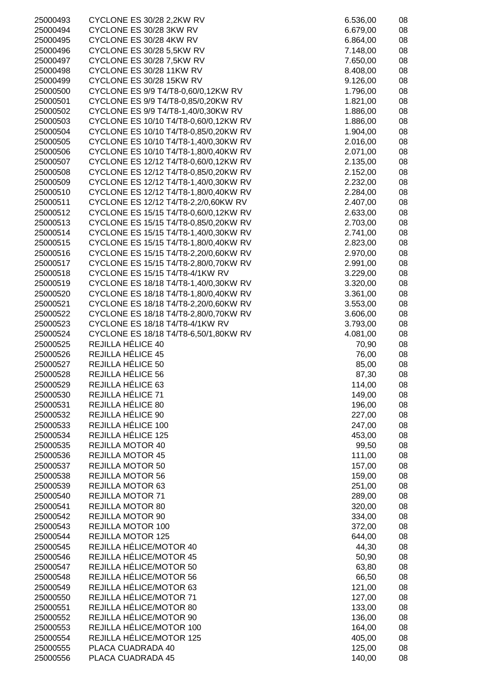| 25000493             | CYCLONE ES 30/28 2,2KW RV                                                      | 6.536,00             | 08       |
|----------------------|--------------------------------------------------------------------------------|----------------------|----------|
| 25000494             | CYCLONE ES 30/28 3KW RV                                                        | 6.679,00             | 08       |
| 25000495             | CYCLONE ES 30/28 4KW RV                                                        | 6.864,00             | 08       |
| 25000496             | CYCLONE ES 30/28 5,5KW RV                                                      | 7.148,00             | 08       |
| 25000497             | CYCLONE ES 30/28 7,5KW RV                                                      | 7.650,00             | 08       |
| 25000498             | CYCLONE ES 30/28 11KW RV                                                       | 8.408,00             | 08       |
| 25000499             | CYCLONE ES 30/28 15KW RV                                                       | 9.126,00             | 08       |
| 25000500             | CYCLONE ES 9/9 T4/T8-0,60/0,12KW RV                                            | 1.796,00             | 08       |
| 25000501             | CYCLONE ES 9/9 T4/T8-0,85/0,20KW RV                                            | 1.821,00             | 08       |
| 25000502             | CYCLONE ES 9/9 T4/T8-1,40/0,30KW RV                                            | 1.886,00             | 08       |
| 25000503             | CYCLONE ES 10/10 T4/T8-0,60/0,12KW RV                                          | 1.886,00             | 08       |
| 25000504             | CYCLONE ES 10/10 T4/T8-0,85/0,20KW RV                                          | 1.904,00             | 08       |
| 25000505             | CYCLONE ES 10/10 T4/T8-1,40/0,30KW RV                                          | 2.016,00             | 08       |
| 25000506             | CYCLONE ES 10/10 T4/T8-1,80/0,40KW RV                                          | 2.071,00             | 08       |
| 25000507             | CYCLONE ES 12/12 T4/T8-0,60/0,12KW RV                                          | 2.135,00             | 08       |
| 25000508             | CYCLONE ES 12/12 T4/T8-0,85/0,20KW RV                                          | 2.152,00             | 08       |
| 25000509             | CYCLONE ES 12/12 T4/T8-1,40/0,30KW RV                                          | 2.232,00             | 08       |
| 25000510             | CYCLONE ES 12/12 T4/T8-1,80/0,40KW RV                                          | 2.284,00             | 08       |
| 25000511             | CYCLONE ES 12/12 T4/T8-2,2/0,60KW RV                                           | 2.407,00             | 08       |
| 25000512             | CYCLONE ES 15/15 T4/T8-0,60/0,12KW RV                                          | 2.633,00             | 08       |
| 25000513             | CYCLONE ES 15/15 T4/T8-0,85/0,20KW RV                                          | 2.703,00             | 08       |
| 25000514             | CYCLONE ES 15/15 T4/T8-1,40/0,30KW RV                                          | 2.741,00<br>2.823,00 | 08<br>08 |
| 25000515<br>25000516 | CYCLONE ES 15/15 T4/T8-1,80/0,40KW RV<br>CYCLONE ES 15/15 T4/T8-2,20/0,60KW RV | 2.970,00             |          |
| 25000517             | CYCLONE ES 15/15 T4/T8-2,80/0,70KW RV                                          | 2.991,00             | 08<br>08 |
| 25000518             | CYCLONE ES 15/15 T4/T8-4/1KW RV                                                | 3.229,00             | 08       |
| 25000519             | CYCLONE ES 18/18 T4/T8-1,40/0,30KW RV                                          | 3.320,00             | 08       |
| 25000520             | CYCLONE ES 18/18 T4/T8-1,80/0,40KW RV                                          | 3.361,00             | 08       |
| 25000521             | CYCLONE ES 18/18 T4/T8-2,20/0,60KW RV                                          | 3.553,00             | 08       |
| 25000522             | CYCLONE ES 18/18 T4/T8-2,80/0,70KW RV                                          | 3.606,00             | 08       |
| 25000523             | CYCLONE ES 18/18 T4/T8-4/1KW RV                                                | 3.793,00             | 08       |
| 25000524             | CYCLONE ES 18/18 T4/T8-6,50/1,80KW RV                                          | 4.081,00             | 08       |
| 25000525             | REJILLA HÉLICE 40                                                              | 70,90                | 08       |
| 25000526             | REJILLA HÉLICE 45                                                              | 76,00                | 08       |
| 25000527             | REJILLA HÉLICE 50                                                              | 85,00                | 08       |
| 25000528             | REJILLA HÉLICE 56                                                              | 87,30                | 08       |
| 25000529             | REJILLA HÉLICE 63                                                              | 114,00               | 08       |
| 25000530             | REJILLA HÉLICE 71                                                              | 149,00               | 08       |
| 25000531             | REJILLA HÉLICE 80                                                              | 196,00               | 08       |
| 25000532             | REJILLA HÉLICE 90                                                              | 227,00               | 08       |
| 25000533             | REJILLA HÉLICE 100                                                             | 247,00               | 08       |
| 25000534             | REJILLA HÉLICE 125                                                             | 453,00               | 08       |
| 25000535             | REJILLA MOTOR 40                                                               | 99,50                | 08       |
| 25000536             | <b>REJILLA MOTOR 45</b>                                                        | 111,00               | 08       |
| 25000537             | <b>REJILLA MOTOR 50</b>                                                        | 157,00               | 08       |
| 25000538             | <b>REJILLA MOTOR 56</b>                                                        | 159,00               | 08       |
| 25000539             | <b>REJILLA MOTOR 63</b>                                                        | 251,00               | 08       |
| 25000540             | <b>REJILLA MOTOR 71</b>                                                        | 289,00               | 08       |
| 25000541             | <b>REJILLA MOTOR 80</b>                                                        | 320,00               | 08       |
| 25000542             | REJILLA MOTOR 90                                                               | 334,00               | 08       |
| 25000543             | REJILLA MOTOR 100                                                              | 372,00               | 08       |
| 25000544             | <b>REJILLA MOTOR 125</b>                                                       | 644,00               | 08       |
| 25000545             | REJILLA HÉLICE/MOTOR 40                                                        | 44,30                | 08       |
| 25000546             | REJILLA HÉLICE/MOTOR 45                                                        | 50,90                | 08       |
| 25000547             | REJILLA HÉLICE/MOTOR 50                                                        | 63,80                | 08       |
| 25000548             | REJILLA HÉLICE/MOTOR 56                                                        | 66,50                | 08       |
| 25000549             | REJILLA HÉLICE/MOTOR 63<br>REJILLA HÉLICE/MOTOR 71                             | 121,00               | 08       |
| 25000550<br>25000551 | REJILLA HÉLICE/MOTOR 80                                                        | 127,00<br>133,00     | 08<br>08 |
| 25000552             | REJILLA HÉLICE/MOTOR 90                                                        | 136,00               | 08       |
| 25000553             | REJILLA HÉLICE/MOTOR 100                                                       | 164,00               | 08       |
| 25000554             | REJILLA HÉLICE/MOTOR 125                                                       | 405,00               | 08       |
| 25000555             | PLACA CUADRADA 40                                                              | 125,00               | 08       |
| 25000556             | PLACA CUADRADA 45                                                              | 140,00               | 08       |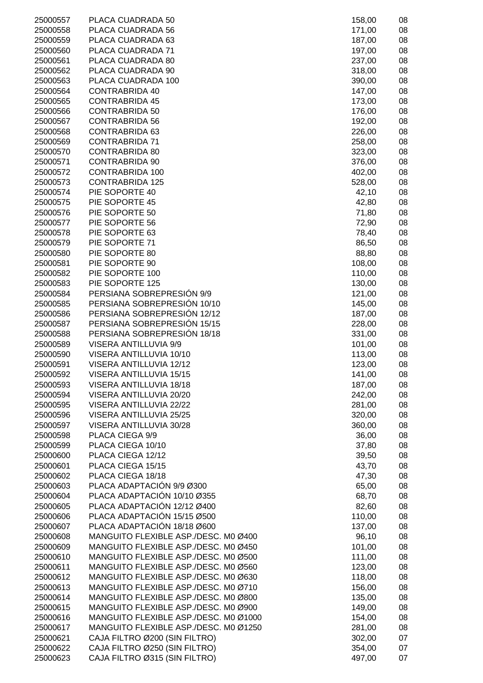| 25000557 | PLACA CUADRADA 50                     | 158,00 | 08 |
|----------|---------------------------------------|--------|----|
| 25000558 | PLACA CUADRADA 56                     | 171,00 | 08 |
| 25000559 | PLACA CUADRADA 63                     | 187,00 | 08 |
|          |                                       |        |    |
| 25000560 | PLACA CUADRADA 71                     | 197,00 | 08 |
| 25000561 | PLACA CUADRADA 80                     | 237,00 | 08 |
| 25000562 | PLACA CUADRADA 90                     | 318,00 | 08 |
| 25000563 | PLACA CUADRADA 100                    | 390,00 | 08 |
| 25000564 | <b>CONTRABRIDA 40</b>                 | 147,00 | 08 |
|          |                                       |        |    |
| 25000565 | <b>CONTRABRIDA 45</b>                 | 173,00 | 08 |
| 25000566 | <b>CONTRABRIDA 50</b>                 | 176,00 | 08 |
| 25000567 | <b>CONTRABRIDA 56</b>                 | 192,00 | 08 |
| 25000568 | <b>CONTRABRIDA 63</b>                 | 226,00 | 08 |
| 25000569 | <b>CONTRABRIDA 71</b>                 | 258,00 | 08 |
|          |                                       |        |    |
| 25000570 | <b>CONTRABRIDA 80</b>                 | 323,00 | 08 |
| 25000571 | <b>CONTRABRIDA 90</b>                 | 376,00 | 08 |
| 25000572 | <b>CONTRABRIDA 100</b>                | 402,00 | 08 |
| 25000573 | <b>CONTRABRIDA 125</b>                | 528,00 | 08 |
| 25000574 | PIE SOPORTE 40                        | 42,10  | 08 |
|          |                                       |        |    |
| 25000575 | PIE SOPORTE 45                        | 42,80  | 08 |
| 25000576 | PIE SOPORTE 50                        | 71,80  | 08 |
| 25000577 | PIE SOPORTE 56                        | 72,90  | 08 |
| 25000578 | PIE SOPORTE 63                        | 78,40  | 08 |
| 25000579 | PIE SOPORTE 71                        | 86,50  | 08 |
|          |                                       |        |    |
| 25000580 | PIE SOPORTE 80                        | 88,80  | 08 |
| 25000581 | PIE SOPORTE 90                        | 108,00 | 08 |
| 25000582 | PIE SOPORTE 100                       | 110,00 | 08 |
| 25000583 | PIE SOPORTE 125                       | 130,00 | 08 |
| 25000584 | PERSIANA SOBREPRESIÓN 9/9             | 121,00 | 08 |
|          |                                       |        |    |
| 25000585 | PERSIANA SOBREPRESIÓN 10/10           | 145,00 | 08 |
| 25000586 | PERSIANA SOBREPRESIÓN 12/12           | 187,00 | 08 |
| 25000587 | PERSIANA SOBREPRESIÓN 15/15           | 228,00 | 08 |
| 25000588 | PERSIANA SOBREPRESIÓN 18/18           | 331,00 | 08 |
| 25000589 | <b>VISERA ANTILLUVIA 9/9</b>          | 101,00 | 08 |
| 25000590 | VISERA ANTILLUVIA 10/10               | 113,00 | 08 |
|          |                                       |        |    |
| 25000591 | VISERA ANTILLUVIA 12/12               | 123,00 | 08 |
| 25000592 | VISERA ANTILLUVIA 15/15               | 141,00 | 08 |
| 25000593 | VISERA ANTILLUVIA 18/18               | 187,00 | 08 |
| 25000594 | VISERA ANTILLUVIA 20/20               | 242,00 | 08 |
| 25000595 | VISERA ANTILLUVIA 22/22               | 281,00 | 08 |
|          |                                       |        |    |
| 25000596 | VISERA ANTILLUVIA 25/25               | 320,00 | 08 |
| 25000597 | VISERA ANTILLUVIA 30/28               | 360,00 | 08 |
| 25000598 | PLACA CIEGA 9/9                       | 36,00  | 08 |
| 25000599 | PLACA CIEGA 10/10                     | 37,80  | 08 |
| 25000600 | PLACA CIEGA 12/12                     | 39,50  | 08 |
| 25000601 | PLACA CIEGA 15/15                     | 43,70  | 08 |
|          |                                       |        |    |
| 25000602 | PLACA CIEGA 18/18                     | 47,30  | 08 |
| 25000603 | PLACA ADAPTACIÓN 9/9 Ø300             | 65,00  | 08 |
| 25000604 | PLACA ADAPTACIÓN 10/10 Ø355           | 68,70  | 08 |
| 25000605 | PLACA ADAPTACIÓN 12/12 Ø400           | 82,60  | 08 |
| 25000606 | PLACA ADAPTACIÓN 15/15 Ø500           | 110,00 | 08 |
|          |                                       |        |    |
| 25000607 | PLACA ADAPTACIÓN 18/18 Ø600           | 137,00 | 08 |
| 25000608 | MANGUITO FLEXIBLE ASP./DESC. M0 Ø400  | 96,10  | 08 |
| 25000609 | MANGUITO FLEXIBLE ASP./DESC. M0 Ø450  | 101,00 | 08 |
| 25000610 | MANGUITO FLEXIBLE ASP./DESC. M0 Ø500  | 111,00 | 08 |
| 25000611 | MANGUITO FLEXIBLE ASP./DESC. M0 Ø560  | 123,00 | 08 |
|          | MANGUITO FLEXIBLE ASP./DESC. M0 Ø630  |        |    |
| 25000612 |                                       | 118,00 | 08 |
| 25000613 | MANGUITO FLEXIBLE ASP./DESC. M0 Ø710  | 156,00 | 08 |
| 25000614 | MANGUITO FLEXIBLE ASP./DESC. M0 Ø800  | 135,00 | 08 |
| 25000615 | MANGUITO FLEXIBLE ASP./DESC. M0 Ø900  | 149,00 | 08 |
| 25000616 | MANGUITO FLEXIBLE ASP./DESC. M0 Ø1000 | 154,00 | 08 |
| 25000617 | MANGUITO FLEXIBLE ASP./DESC. M0 Ø1250 | 281,00 | 08 |
|          |                                       |        |    |
| 25000621 | CAJA FILTRO Ø200 (SIN FILTRO)         | 302,00 | 07 |
| 25000622 | CAJA FILTRO Ø250 (SIN FILTRO)         | 354,00 | 07 |
| 25000623 | CAJA FILTRO Ø315 (SIN FILTRO)         | 497,00 | 07 |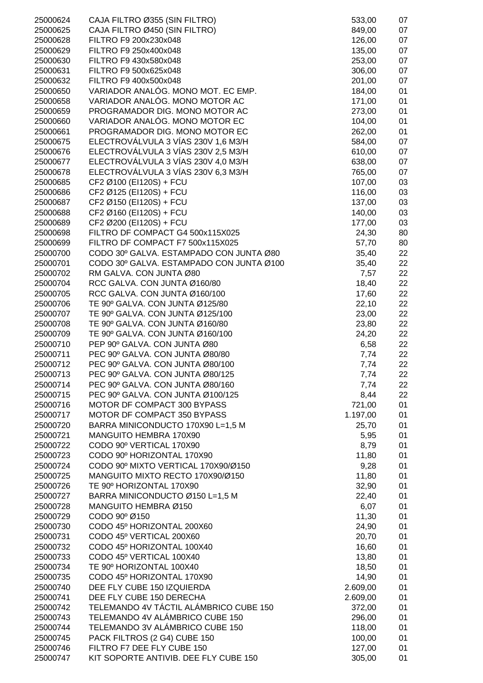| 25000624             | CAJA FILTRO Ø355 (SIN FILTRO)                                                       | 533,00        | 07       |
|----------------------|-------------------------------------------------------------------------------------|---------------|----------|
| 25000625             | CAJA FILTRO Ø450 (SIN FILTRO)                                                       | 849,00        | 07       |
| 25000628             | FILTRO F9 200x230x048                                                               | 126,00        | 07       |
| 25000629             | FILTRO F9 250x400x048                                                               | 135,00        | 07       |
| 25000630             | FILTRO F9 430x580x048                                                               | 253,00        | 07       |
| 25000631             | FILTRO F9 500x625x048                                                               | 306,00        | 07       |
| 25000632             | FILTRO F9 400x500x048                                                               | 201,00        | 07       |
| 25000650             | VARIADOR ANALÓG. MONO MOT. EC EMP.                                                  | 184,00        | 01       |
| 25000658             | VARIADOR ANALÓG. MONO MOTOR AC                                                      | 171,00        | 01       |
| 25000659             | PROGRAMADOR DIG. MONO MOTOR AC                                                      | 273,00        | 01       |
| 25000660             | VARIADOR ANALÓG. MONO MOTOR EC                                                      | 104,00        | 01       |
| 25000661             | PROGRAMADOR DIG. MONO MOTOR EC                                                      | 262,00        | 01       |
| 25000675             | ELECTROVÁLVULA 3 VÍAS 230V 1,6 M3/H                                                 | 584,00        | 07       |
| 25000676             | ELECTROVÁLVULA 3 VÍAS 230V 2,5 M3/H                                                 | 610,00        | 07       |
| 25000677             | ELECTROVÁLVULA 3 VÍAS 230V 4,0 M3/H                                                 | 638,00        | 07       |
| 25000678             | ELECTROVÁLVULA 3 VÍAS 230V 6,3 M3/H                                                 | 765,00        | 07       |
| 25000685             | CF2 Ø100 (EI120S) + FCU                                                             | 107,00        | 03       |
| 25000686             | CF2 Ø125 (EI120S) + FCU                                                             | 116,00        | 03       |
| 25000687             | CF2 Ø150 (EI120S) + FCU                                                             | 137,00        | 03       |
| 25000688             | CF2 Ø160 (EI120S) + FCU                                                             | 140,00        | 03       |
| 25000689             | CF2 Ø200 (EI120S) + FCU                                                             | 177,00        | 03       |
| 25000698             | FILTRO DF COMPACT G4 500x115X025                                                    | 24,30         | 80       |
| 25000699             | FILTRO DF COMPACT F7 500x115X025                                                    | 57,70         | 80       |
| 25000700             | CODO 30º GALVA. ESTAMPADO CON JUNTA Ø80<br>CODO 30º GALVA. ESTAMPADO CON JUNTA Ø100 | 35,40         | 22       |
| 25000701<br>25000702 | RM GALVA. CON JUNTA Ø80                                                             | 35,40<br>7,57 | 22<br>22 |
| 25000704             | RCC GALVA. CON JUNTA Ø160/80                                                        | 18,40         | 22       |
| 25000705             | RCC GALVA. CON JUNTA Ø160/100                                                       | 17,60         | 22       |
| 25000706             | TE 90° GALVA. CON JUNTA Ø125/80                                                     | 22,10         | 22       |
| 25000707             | TE 90° GALVA. CON JUNTA Ø125/100                                                    | 23,00         | 22       |
| 25000708             | TE 90° GALVA. CON JUNTA Ø160/80                                                     | 23,80         | 22       |
| 25000709             | TE 90° GALVA. CON JUNTA Ø160/100                                                    | 24,20         | 22       |
| 25000710             | PEP 90° GALVA. CON JUNTA Ø80                                                        | 6,58          | 22       |
| 25000711             | PEC 90° GALVA. CON JUNTA Ø80/80                                                     | 7,74          | 22       |
| 25000712             | PEC 90° GALVA. CON JUNTA Ø80/100                                                    | 7,74          | 22       |
| 25000713             | PEC 90° GALVA. CON JUNTA Ø80/125                                                    | 7,74          | 22       |
| 25000714             | PEC 90° GALVA. CON JUNTA Ø80/160                                                    | 7,74          | 22       |
| 25000715             | PEC 90° GALVA. CON JUNTA Ø100/125                                                   | 8,44          | 22       |
| 25000716             | MOTOR DF COMPACT 300 BYPASS                                                         | 721,00        | 01       |
| 25000717             | MOTOR DF COMPACT 350 BYPASS                                                         | 1.197,00      | 01       |
| 25000720             | BARRA MINICONDUCTO 170X90 L=1,5 M                                                   | 25,70         | 01       |
| 25000721             | MANGUITO HEMBRA 170X90                                                              | 5,95          | 01       |
| 25000722             | CODO 90º VERTICAL 170X90                                                            | 8,79          | 01       |
| 25000723             | CODO 90º HORIZONTAL 170X90                                                          | 11,80         | 01       |
| 25000724             | CODO 90º MIXTO VERTICAL 170X90/Ø150                                                 | 9,28          | 01       |
| 25000725             | MANGUITO MIXTO RECTO 170X90/Ø150                                                    | 11,80         | 01       |
| 25000726             | TE 90° HORIZONTAL 170X90                                                            | 32,90         | 01       |
| 25000727             | BARRA MINICONDUCTO Ø150 L=1,5 M                                                     | 22,40         | 01       |
| 25000728             | MANGUITO HEMBRA Ø150                                                                | 6,07          | 01       |
| 25000729             | CODO 90° Ø150                                                                       | 11,30         | 01       |
| 25000730             | CODO 45º HORIZONTAL 200X60                                                          | 24,90         | 01       |
| 25000731             | CODO 45º VERTICAL 200X60                                                            | 20,70         | 01       |
| 25000732             | CODO 45º HORIZONTAL 100X40                                                          | 16,60         | 01       |
| 25000733             | CODO 45º VERTICAL 100X40                                                            | 13,80         | 01       |
| 25000734             | TE 90° HORIZONTAL 100X40                                                            | 18,50         | 01       |
| 25000735             | CODO 45º HORIZONTAL 170X90                                                          | 14,90         | 01       |
| 25000740             | DEE FLY CUBE 150 IZQUIERDA                                                          | 2.609,00      | 01       |
| 25000741             | DEE FLY CUBE 150 DERECHA                                                            | 2.609,00      | 01       |
| 25000742             | TELEMANDO 4V TÁCTIL ALÁMBRICO CUBE 150                                              | 372,00        | 01       |
| 25000743             | TELEMANDO 4V ALÁMBRICO CUBE 150                                                     | 296,00        | 01       |
| 25000744             | TELEMANDO 3V ALÁMBRICO CUBE 150                                                     | 118,00        | 01       |
| 25000745             | PACK FILTROS (2 G4) CUBE 150                                                        | 100,00        | 01       |
| 25000746             | FILTRO F7 DEE FLY CUBE 150                                                          | 127,00        | 01       |
| 25000747             | KIT SOPORTE ANTIVIB. DEE FLY CUBE 150                                               | 305,00        | 01       |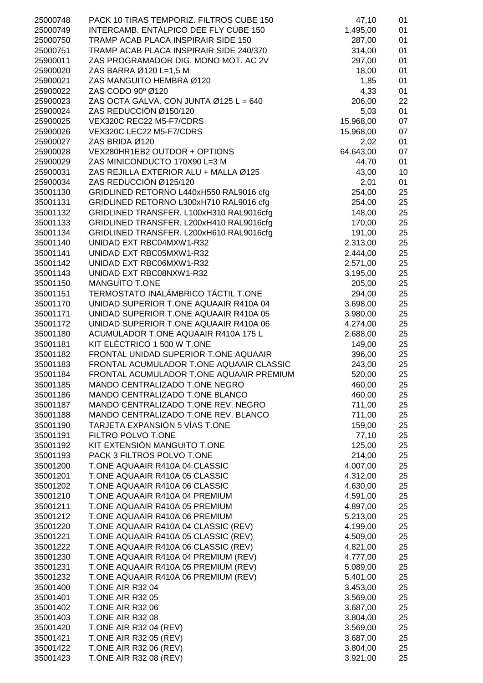| 25000748             | PACK 10 TIRAS TEMPORIZ. FILTROS CUBE 150             | 47,10                | 01       |
|----------------------|------------------------------------------------------|----------------------|----------|
| 25000749             | INTERCAMB. ENTÁLPICO DEE FLY CUBE 150                | 1.495,00             | 01       |
| 25000750             | TRAMP ACAB PLACA INSPIRAIR SIDE 150                  | 287,00               | 01       |
| 25000751             | TRAMP ACAB PLACA INSPIRAIR SIDE 240/370              | 314,00               | 01       |
| 25900011             | ZAS PROGRAMADOR DIG. MONO MOT. AC 2V                 | 297,00               | 01       |
| 25900020             | ZAS BARRA Ø120 L=1,5 M                               | 18,00                | 01       |
| 25900021             | ZAS MANGUITO HEMBRA Ø120                             | 1,85                 | 01       |
| 25900022             | ZAS CODO 90° Ø120                                    | 4,33                 | 01       |
| 25900023             | ZAS OCTA GALVA. CON JUNTA Ø125 L = 640               | 206,00               | 22       |
| 25900024             | ZAS REDUCCIÓN Ø150/120                               | 5,03                 | 01       |
| 25900025             | VEX320C REC22 M5-F7/CDRS                             | 15.968,00            | 07       |
| 25900026             | VEX320C LEC22 M5-F7/CDRS                             | 15.968,00            | 07       |
| 25900027             | ZAS BRIDA Ø120                                       | 2,02                 | 01       |
| 25900028             | VEX280HR1EB2 OUTDOR + OPTIONS                        | 64.643,00            | 07       |
| 25900029             | ZAS MINICONDUCTO 170X90 L=3 M                        | 44,70                | 01       |
| 25900031             | ZAS REJILLA EXTERIOR ALU + MALLA Ø125                | 43,00                | 10       |
| 25900034             | ZAS REDUCCIÓN Ø125/120                               | 2,01                 | 01       |
| 35001130             | GRIDLINED RETORNO L440xH550 RAL9016 cfg              | 254,00               | 25       |
| 35001131             | GRIDLINED RETORNO L300xH710 RAL9016 cfg              | 254,00               | 25       |
| 35001132             | GRIDLINED TRANSFER. L100xH310 RAL9016cfg             | 148,00               | 25       |
| 35001133             | GRIDLINED TRANSFER. L200xH410 RAL9016cfg             | 170,00               | 25       |
| 35001134             | GRIDLINED TRANSFER. L200xH610 RAL9016cfg             | 191,00               | 25       |
| 35001140             | UNIDAD EXT RBC04MXW1-R32<br>UNIDAD EXT RBC05MXW1-R32 | 2.313,00             | 25       |
| 35001141             | UNIDAD EXT RBC06MXW1-R32                             | 2.444,00             | 25<br>25 |
| 35001142<br>35001143 | UNIDAD EXT RBC08NXW1-R32                             | 2.571,00<br>3.195,00 | 25       |
| 35001150             | <b>MANGUITO T.ONE</b>                                | 205,00               | 25       |
| 35001151             | TERMOSTATO INALÁMBRICO TÁCTIL T.ONE                  | 294,00               | 25       |
| 35001170             | UNIDAD SUPERIOR T.ONE AQUAAIR R410A 04               | 3.698,00             | 25       |
| 35001171             | UNIDAD SUPERIOR T.ONE AQUAAIR R410A 05               | 3.980,00             | 25       |
| 35001172             | UNIDAD SUPERIOR T.ONE AQUAAIR R410A 06               | 4.274,00             | 25       |
| 35001180             | ACUMULADOR T.ONE AQUAAIR R410A 175 L                 | 2.688,00             | 25       |
| 35001181             | KIT ELÉCTRICO 1 500 W T.ONE                          | 149,00               | 25       |
| 35001182             | FRONTAL UNIDAD SUPERIOR T.ONE AQUAAIR                | 396,00               | 25       |
| 35001183             | FRONTAL ACUMULADOR T.ONE AQUAAIR CLASSIC             | 243,00               | 25       |
| 35001184             | FRONTAL ACUMULADOR T.ONE AQUAAIR PREMIUM             | 520,00               | 25       |
| 35001185             | MANDO CENTRALIZADO T.ONE NEGRO                       | 460,00               | 25       |
| 35001186             | MANDO CENTRALIZADO T.ONE BLANCO                      | 460,00               | 25       |
| 35001187             | MANDO CENTRALIZADO T.ONE REV. NEGRO                  | 711,00               | 25       |
| 35001188             | MANDO CENTRALIZADO T.ONE REV. BLANCO                 | 711,00               | 25       |
| 35001190             | <b>TARJETA EXPANSIÓN 5 VÍAS T.ONE</b>                | 159,00               | 25       |
| 35001191             | FILTRO POLVO T.ONE                                   | 77,10                | 25       |
| 35001192             | KIT EXTENSIÓN MANGUITO T.ONE                         | 125,00               | 25       |
| 35001193             | PACK 3 FILTROS POLVO T.ONE                           | 214,00               | 25       |
| 35001200             | T.ONE AQUAAIR R410A 04 CLASSIC                       | 4.007,00             | 25       |
| 35001201             | T.ONE AQUAAIR R410A 05 CLASSIC                       | 4.312,00             | 25       |
| 35001202             | T.ONE AQUAAIR R410A 06 CLASSIC                       | 4.630,00             | 25       |
| 35001210             | T.ONE AQUAAIR R410A 04 PREMIUM                       | 4.591,00             | 25       |
| 35001211             | T.ONE AQUAAIR R410A 05 PREMIUM                       | 4.897,00             | 25       |
| 35001212             | T.ONE AQUAAIR R410A 06 PREMIUM                       | 5.213,00             | 25       |
| 35001220             | T.ONE AQUAAIR R410A 04 CLASSIC (REV)                 | 4.199,00             | 25       |
| 35001221             | T.ONE AQUAAIR R410A 05 CLASSIC (REV)                 | 4.509,00             | 25       |
| 35001222             | T.ONE AQUAAIR R410A 06 CLASSIC (REV)                 | 4.821,00             | 25       |
| 35001230             | T.ONE AQUAAIR R410A 04 PREMIUM (REV)                 | 4.777,00             | 25       |
| 35001231             | T.ONE AQUAAIR R410A 05 PREMIUM (REV)                 | 5.089,00             | 25       |
| 35001232             | T.ONE AQUAAIR R410A 06 PREMIUM (REV)                 | 5.401,00             | 25       |
| 35001400             | <b>T.ONE AIR R32 04</b>                              | 3.453,00             | 25       |
| 35001401             | <b>T.ONE AIR R32 05</b>                              | 3.569,00             | 25       |
| 35001402<br>35001403 | <b>T.ONE AIR R32 06</b><br><b>T.ONE AIR R32 08</b>   | 3.687,00<br>3.804,00 | 25<br>25 |
| 35001420             | <b>T.ONE AIR R32 04 (REV)</b>                        | 3.569,00             | 25       |
| 35001421             | T.ONE AIR R32 05 (REV)                               | 3.687,00             | 25       |
| 35001422             | T.ONE AIR R32 06 (REV)                               | 3.804,00             | 25       |
| 35001423             | <b>T.ONE AIR R32 08 (REV)</b>                        | 3.921,00             | 25       |
|                      |                                                      |                      |          |